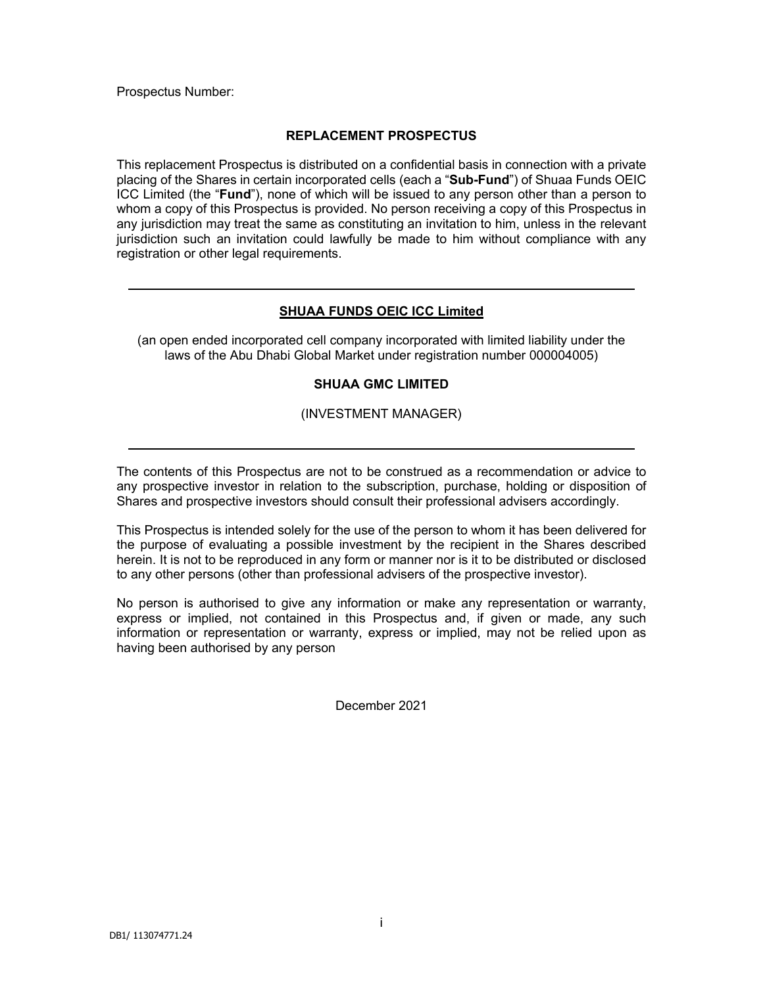Prospectus Number:

# **REPLACEMENT PROSPECTUS**

This replacement Prospectus is distributed on a confidential basis in connection with a private placing of the Shares in certain incorporated cells (each a "**Sub-Fund**") of Shuaa Funds OEIC ICC Limited (the "**Fund**"), none of which will be issued to any person other than a person to whom a copy of this Prospectus is provided. No person receiving a copy of this Prospectus in any jurisdiction may treat the same as constituting an invitation to him, unless in the relevant jurisdiction such an invitation could lawfully be made to him without compliance with any registration or other legal requirements.

# **SHUAA FUNDS OEIC ICC Limited**

(an open ended incorporated cell company incorporated with limited liability under the laws of the Abu Dhabi Global Market under registration number 000004005)

# **SHUAA GMC LIMITED**

(INVESTMENT MANAGER)

The contents of this Prospectus are not to be construed as a recommendation or advice to any prospective investor in relation to the subscription, purchase, holding or disposition of Shares and prospective investors should consult their professional advisers accordingly.

This Prospectus is intended solely for the use of the person to whom it has been delivered for the purpose of evaluating a possible investment by the recipient in the Shares described herein. It is not to be reproduced in any form or manner nor is it to be distributed or disclosed to any other persons (other than professional advisers of the prospective investor).

No person is authorised to give any information or make any representation or warranty, express or implied, not contained in this Prospectus and, if given or made, any such information or representation or warranty, express or implied, may not be relied upon as having been authorised by any person

December 2021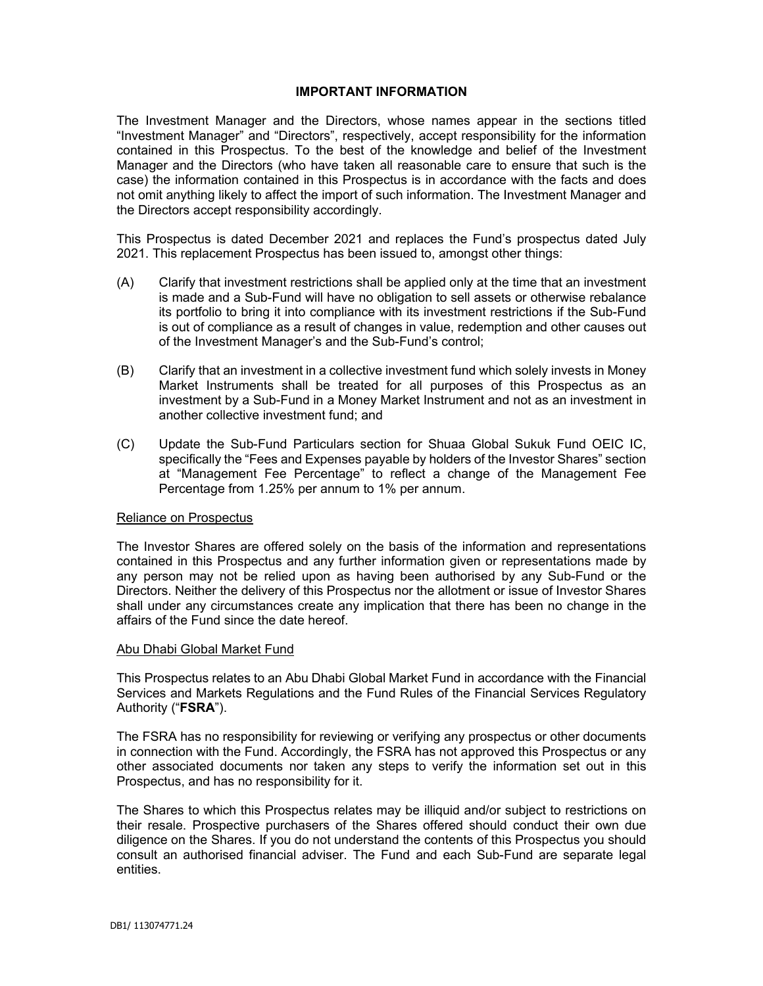### **IMPORTANT INFORMATION**

The Investment Manager and the Directors, whose names appear in the sections titled "Investment Manager" and "Directors", respectively, accept responsibility for the information contained in this Prospectus. To the best of the knowledge and belief of the Investment Manager and the Directors (who have taken all reasonable care to ensure that such is the case) the information contained in this Prospectus is in accordance with the facts and does not omit anything likely to affect the import of such information. The Investment Manager and the Directors accept responsibility accordingly.

This Prospectus is dated December 2021 and replaces the Fund's prospectus dated July 2021. This replacement Prospectus has been issued to, amongst other things:

- (A) Clarify that investment restrictions shall be applied only at the time that an investment is made and a Sub-Fund will have no obligation to sell assets or otherwise rebalance its portfolio to bring it into compliance with its investment restrictions if the Sub-Fund is out of compliance as a result of changes in value, redemption and other causes out of the Investment Manager's and the Sub-Fund's control;
- (B) Clarify that an investment in a collective investment fund which solely invests in Money Market Instruments shall be treated for all purposes of this Prospectus as an investment by a Sub-Fund in a Money Market Instrument and not as an investment in another collective investment fund; and
- (C) Update the Sub-Fund Particulars section for Shuaa Global Sukuk Fund OEIC IC, specifically the "Fees and Expenses payable by holders of the Investor Shares" section at "Management Fee Percentage" to reflect a change of the Management Fee Percentage from 1.25% per annum to 1% per annum.

### Reliance on Prospectus

The Investor Shares are offered solely on the basis of the information and representations contained in this Prospectus and any further information given or representations made by any person may not be relied upon as having been authorised by any Sub-Fund or the Directors. Neither the delivery of this Prospectus nor the allotment or issue of Investor Shares shall under any circumstances create any implication that there has been no change in the affairs of the Fund since the date hereof.

#### Abu Dhabi Global Market Fund

This Prospectus relates to an Abu Dhabi Global Market Fund in accordance with the Financial Services and Markets Regulations and the Fund Rules of the Financial Services Regulatory Authority ("**FSRA**").

The FSRA has no responsibility for reviewing or verifying any prospectus or other documents in connection with the Fund. Accordingly, the FSRA has not approved this Prospectus or any other associated documents nor taken any steps to verify the information set out in this Prospectus, and has no responsibility for it.

The Shares to which this Prospectus relates may be illiquid and/or subject to restrictions on their resale. Prospective purchasers of the Shares offered should conduct their own due diligence on the Shares. If you do not understand the contents of this Prospectus you should consult an authorised financial adviser. The Fund and each Sub-Fund are separate legal entities.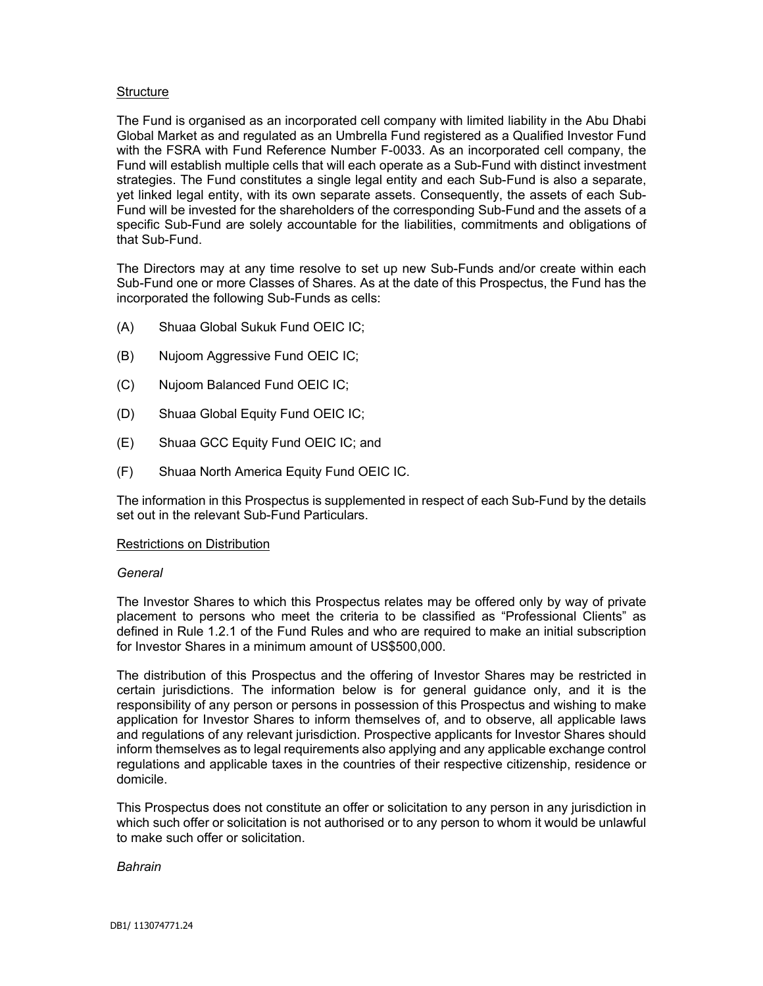# **Structure**

The Fund is organised as an incorporated cell company with limited liability in the Abu Dhabi Global Market as and regulated as an Umbrella Fund registered as a Qualified Investor Fund with the FSRA with Fund Reference Number F-0033. As an incorporated cell company, the Fund will establish multiple cells that will each operate as a Sub-Fund with distinct investment strategies. The Fund constitutes a single legal entity and each Sub-Fund is also a separate, yet linked legal entity, with its own separate assets. Consequently, the assets of each Sub-Fund will be invested for the shareholders of the corresponding Sub-Fund and the assets of a specific Sub-Fund are solely accountable for the liabilities, commitments and obligations of that Sub-Fund.

The Directors may at any time resolve to set up new Sub-Funds and/or create within each Sub-Fund one or more Classes of Shares. As at the date of this Prospectus, the Fund has the incorporated the following Sub-Funds as cells:

- (A) Shuaa Global Sukuk Fund OEIC IC;
- (B) Nujoom Aggressive Fund OEIC IC;
- (C) Nujoom Balanced Fund OEIC IC;
- (D) Shuaa Global Equity Fund OEIC IC;
- (E) Shuaa GCC Equity Fund OEIC IC; and
- (F) Shuaa North America Equity Fund OEIC IC.

The information in this Prospectus is supplemented in respect of each Sub-Fund by the details set out in the relevant Sub-Fund Particulars.

### Restrictions on Distribution

#### *General*

The Investor Shares to which this Prospectus relates may be offered only by way of private placement to persons who meet the criteria to be classified as "Professional Clients" as defined in Rule 1.2.1 of the Fund Rules and who are required to make an initial subscription for Investor Shares in a minimum amount of US\$500,000.

The distribution of this Prospectus and the offering of Investor Shares may be restricted in certain jurisdictions. The information below is for general guidance only, and it is the responsibility of any person or persons in possession of this Prospectus and wishing to make application for Investor Shares to inform themselves of, and to observe, all applicable laws and regulations of any relevant jurisdiction. Prospective applicants for Investor Shares should inform themselves as to legal requirements also applying and any applicable exchange control regulations and applicable taxes in the countries of their respective citizenship, residence or domicile.

This Prospectus does not constitute an offer or solicitation to any person in any jurisdiction in which such offer or solicitation is not authorised or to any person to whom it would be unlawful to make such offer or solicitation.

*Bahrain*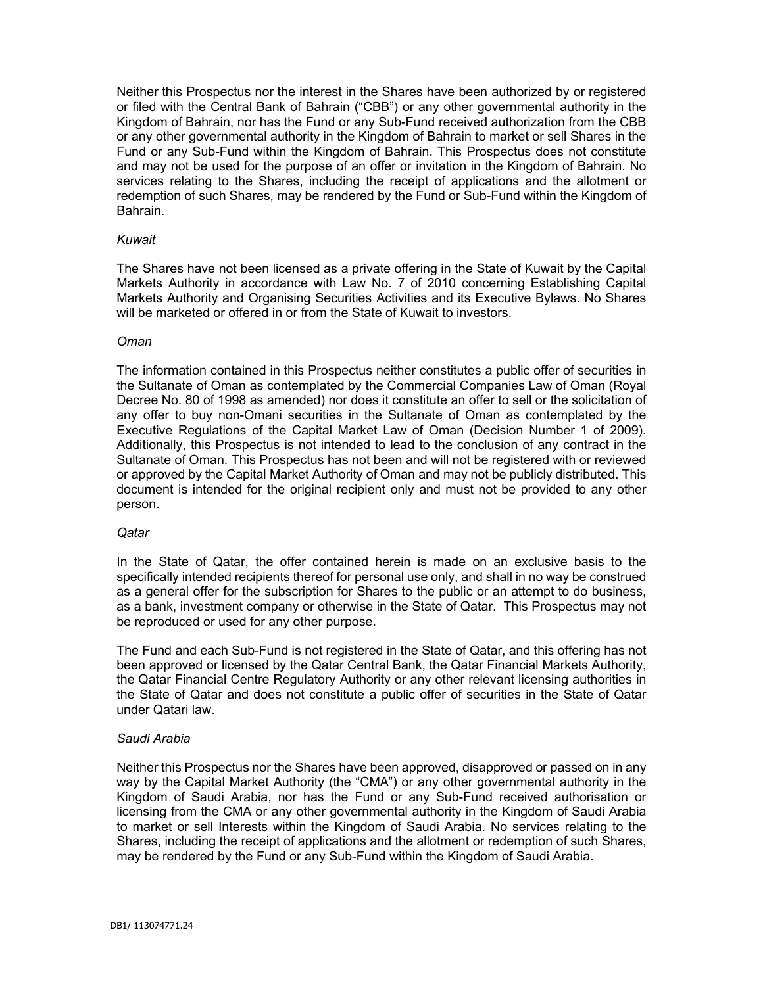Neither this Prospectus nor the interest in the Shares have been authorized by or registered or filed with the Central Bank of Bahrain ("CBB") or any other governmental authority in the Kingdom of Bahrain, nor has the Fund or any Sub-Fund received authorization from the CBB or any other governmental authority in the Kingdom of Bahrain to market or sell Shares in the Fund or any Sub-Fund within the Kingdom of Bahrain. This Prospectus does not constitute and may not be used for the purpose of an offer or invitation in the Kingdom of Bahrain. No services relating to the Shares, including the receipt of applications and the allotment or redemption of such Shares, may be rendered by the Fund or Sub-Fund within the Kingdom of Bahrain.

#### *Kuwait*

The Shares have not been licensed as a private offering in the State of Kuwait by the Capital Markets Authority in accordance with Law No. 7 of 2010 concerning Establishing Capital Markets Authority and Organising Securities Activities and its Executive Bylaws. No Shares will be marketed or offered in or from the State of Kuwait to investors.

#### *Oman*

The information contained in this Prospectus neither constitutes a public offer of securities in the Sultanate of Oman as contemplated by the Commercial Companies Law of Oman (Royal Decree No. 80 of 1998 as amended) nor does it constitute an offer to sell or the solicitation of any offer to buy non-Omani securities in the Sultanate of Oman as contemplated by the Executive Regulations of the Capital Market Law of Oman (Decision Number 1 of 2009). Additionally, this Prospectus is not intended to lead to the conclusion of any contract in the Sultanate of Oman. This Prospectus has not been and will not be registered with or reviewed or approved by the Capital Market Authority of Oman and may not be publicly distributed. This document is intended for the original recipient only and must not be provided to any other person.

#### *Qatar*

In the State of Qatar, the offer contained herein is made on an exclusive basis to the specifically intended recipients thereof for personal use only, and shall in no way be construed as a general offer for the subscription for Shares to the public or an attempt to do business, as a bank, investment company or otherwise in the State of Qatar. This Prospectus may not be reproduced or used for any other purpose.

The Fund and each Sub-Fund is not registered in the State of Qatar, and this offering has not been approved or licensed by the Qatar Central Bank, the Qatar Financial Markets Authority, the Qatar Financial Centre Regulatory Authority or any other relevant licensing authorities in the State of Qatar and does not constitute a public offer of securities in the State of Qatar under Qatari law.

### *Saudi Arabia*

Neither this Prospectus nor the Shares have been approved, disapproved or passed on in any way by the Capital Market Authority (the "CMA") or any other governmental authority in the Kingdom of Saudi Arabia, nor has the Fund or any Sub-Fund received authorisation or licensing from the CMA or any other governmental authority in the Kingdom of Saudi Arabia to market or sell Interests within the Kingdom of Saudi Arabia. No services relating to the Shares, including the receipt of applications and the allotment or redemption of such Shares, may be rendered by the Fund or any Sub-Fund within the Kingdom of Saudi Arabia.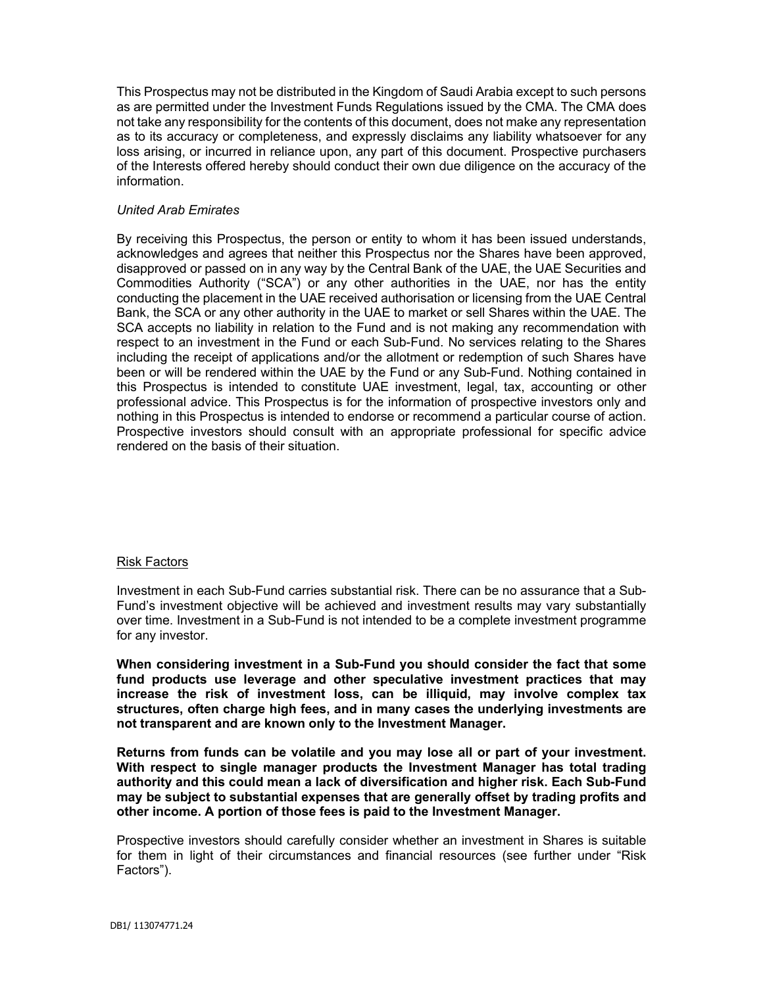This Prospectus may not be distributed in the Kingdom of Saudi Arabia except to such persons as are permitted under the Investment Funds Regulations issued by the CMA. The CMA does not take any responsibility for the contents of this document, does not make any representation as to its accuracy or completeness, and expressly disclaims any liability whatsoever for any loss arising, or incurred in reliance upon, any part of this document. Prospective purchasers of the Interests offered hereby should conduct their own due diligence on the accuracy of the information.

### *United Arab Emirates*

By receiving this Prospectus, the person or entity to whom it has been issued understands, acknowledges and agrees that neither this Prospectus nor the Shares have been approved, disapproved or passed on in any way by the Central Bank of the UAE, the UAE Securities and Commodities Authority ("SCA") or any other authorities in the UAE, nor has the entity conducting the placement in the UAE received authorisation or licensing from the UAE Central Bank, the SCA or any other authority in the UAE to market or sell Shares within the UAE. The SCA accepts no liability in relation to the Fund and is not making any recommendation with respect to an investment in the Fund or each Sub-Fund. No services relating to the Shares including the receipt of applications and/or the allotment or redemption of such Shares have been or will be rendered within the UAE by the Fund or any Sub-Fund. Nothing contained in this Prospectus is intended to constitute UAE investment, legal, tax, accounting or other professional advice. This Prospectus is for the information of prospective investors only and nothing in this Prospectus is intended to endorse or recommend a particular course of action. Prospective investors should consult with an appropriate professional for specific advice rendered on the basis of their situation.

### Risk Factors

Investment in each Sub-Fund carries substantial risk. There can be no assurance that a Sub-Fund's investment objective will be achieved and investment results may vary substantially over time. Investment in a Sub-Fund is not intended to be a complete investment programme for any investor.

**When considering investment in a Sub-Fund you should consider the fact that some fund products use leverage and other speculative investment practices that may increase the risk of investment loss, can be illiquid, may involve complex tax structures, often charge high fees, and in many cases the underlying investments are not transparent and are known only to the Investment Manager.**

**Returns from funds can be volatile and you may lose all or part of your investment. With respect to single manager products the Investment Manager has total trading authority and this could mean a lack of diversification and higher risk. Each Sub-Fund may be subject to substantial expenses that are generally offset by trading profits and other income. A portion of those fees is paid to the Investment Manager.**

Prospective investors should carefully consider whether an investment in Shares is suitable for them in light of their circumstances and financial resources (see further under "Risk Factors").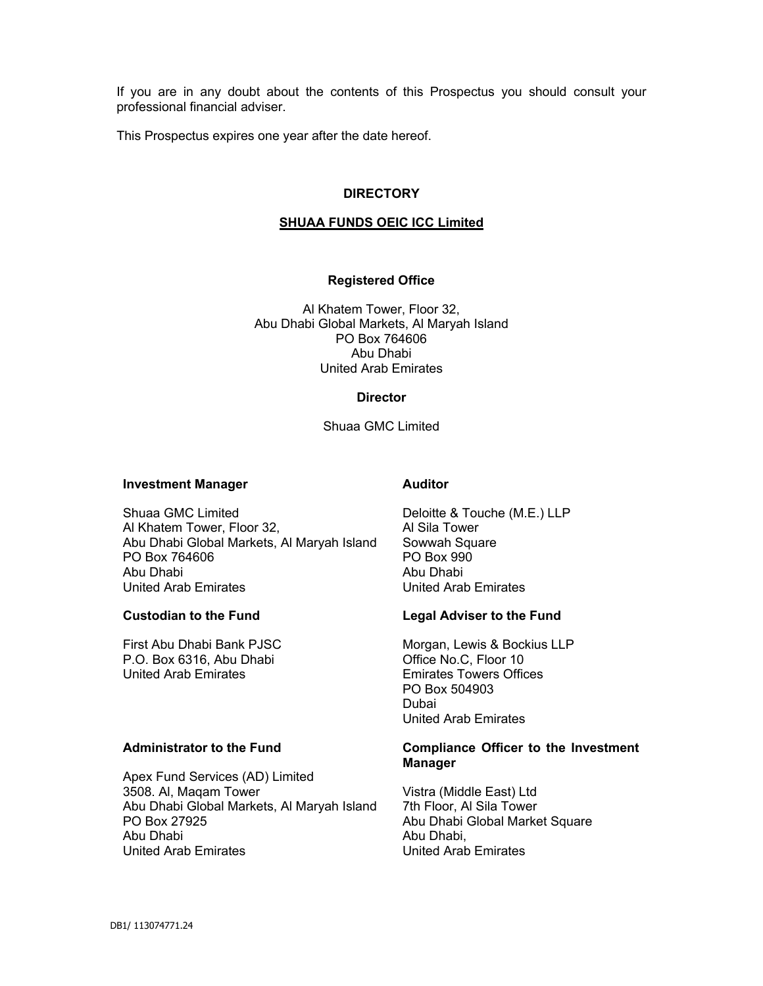If you are in any doubt about the contents of this Prospectus you should consult your professional financial adviser.

This Prospectus expires one year after the date hereof.

### **DIRECTORY**

# **SHUAA FUNDS OEIC ICC Limited**

# **Registered Office**

Al Khatem Tower, Floor 32, Abu Dhabi Global Markets, Al Maryah Island PO Box 764606 Abu Dhabi United Arab Emirates

#### **Director**

Shuaa GMC Limited

#### **Investment Manager**

Shuaa GMC Limited Al Khatem Tower, Floor 32, Abu Dhabi Global Markets, Al Maryah Island PO Box 764606 Abu Dhabi United Arab Emirates

# **Custodian to the Fund**

First Abu Dhabi Bank PJSC P.O. Box 6316, Abu Dhabi United Arab Emirates

### **Administrator to the Fund**

Apex Fund Services (AD) Limited 3508. Al, Maqam Tower Abu Dhabi Global Markets, Al Maryah Island PO Box 27925 Abu Dhabi United Arab Emirates

# **Auditor**

Deloitte & Touche (M.E.) LLP Al Sila Tower Sowwah Square PO Box 990 Abu Dhabi United Arab Emirates

### **Legal Adviser to the Fund**

Morgan, Lewis & Bockius LLP Office No.C, Floor 10 Emirates Towers Offices PO Box 504903 Dubai United Arab Emirates

### **Compliance Officer to the Investment Manager**

Vistra (Middle East) Ltd 7th Floor, Al Sila Tower Abu Dhabi Global Market Square Abu Dhabi, United Arab Emirates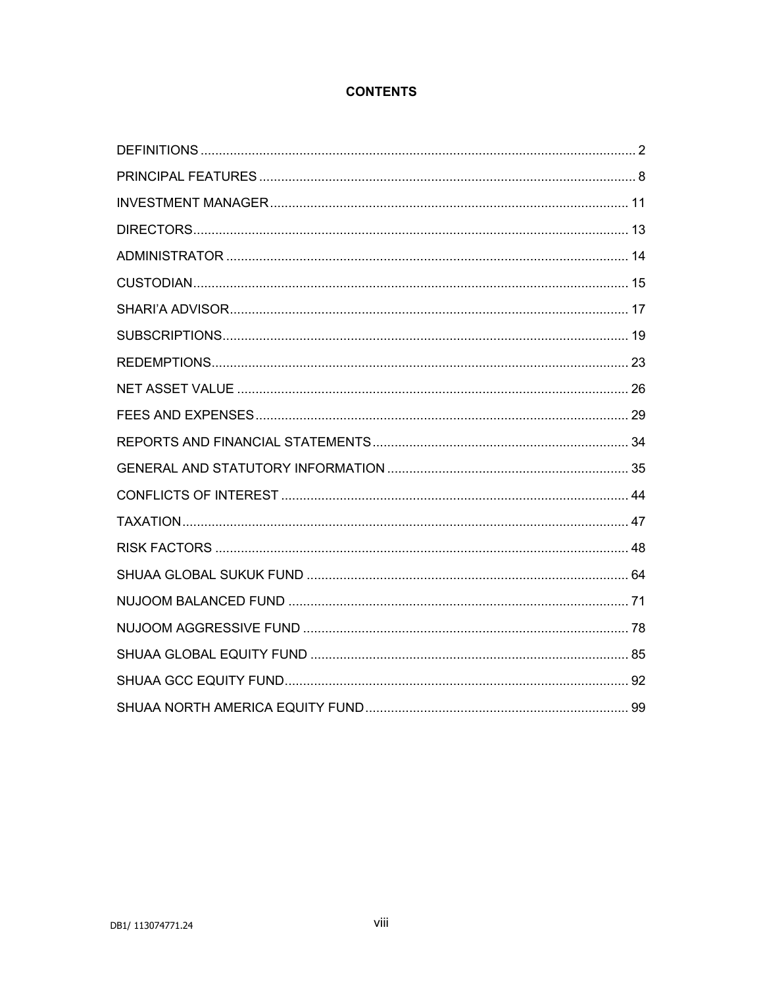# **CONTENTS**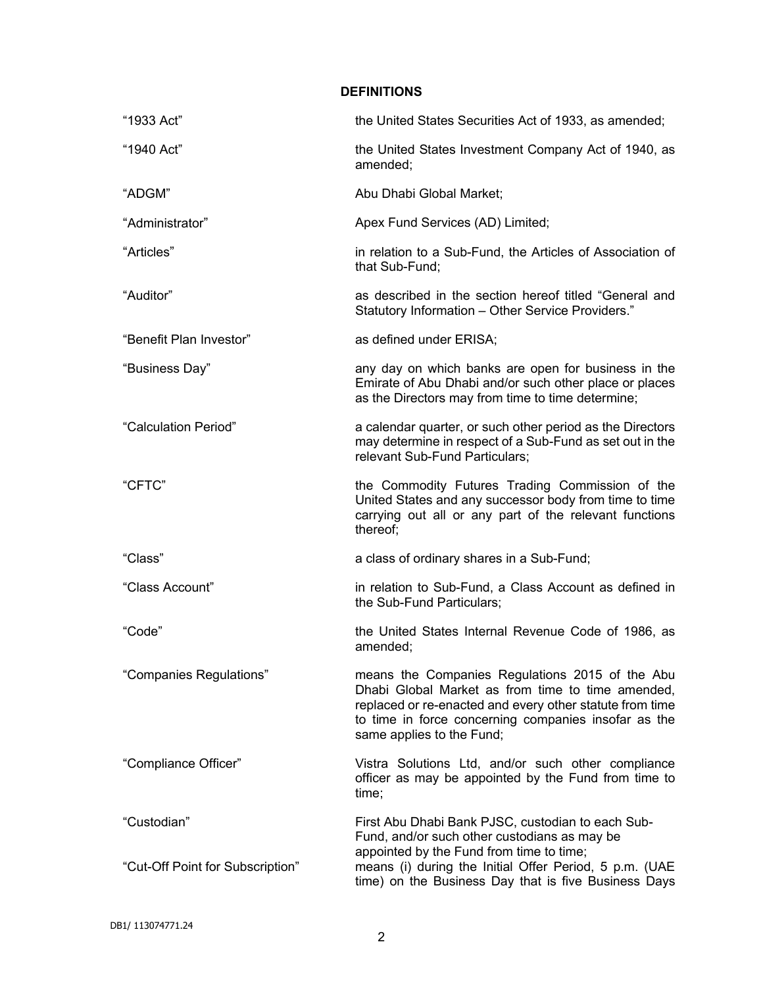# **DEFINITIONS**

| "1933 Act"                                      | the United States Securities Act of 1933, as amended;                                                                                                                                                                                                 |
|-------------------------------------------------|-------------------------------------------------------------------------------------------------------------------------------------------------------------------------------------------------------------------------------------------------------|
| "1940 Act"                                      | the United States Investment Company Act of 1940, as<br>amended;                                                                                                                                                                                      |
| "ADGM"                                          | Abu Dhabi Global Market;                                                                                                                                                                                                                              |
| "Administrator"                                 | Apex Fund Services (AD) Limited;                                                                                                                                                                                                                      |
| "Articles"                                      | in relation to a Sub-Fund, the Articles of Association of<br>that Sub-Fund;                                                                                                                                                                           |
| "Auditor"                                       | as described in the section hereof titled "General and<br>Statutory Information - Other Service Providers."                                                                                                                                           |
| "Benefit Plan Investor"                         | as defined under ERISA;                                                                                                                                                                                                                               |
| "Business Day"                                  | any day on which banks are open for business in the<br>Emirate of Abu Dhabi and/or such other place or places<br>as the Directors may from time to time determine;                                                                                    |
| "Calculation Period"                            | a calendar quarter, or such other period as the Directors<br>may determine in respect of a Sub-Fund as set out in the<br>relevant Sub-Fund Particulars;                                                                                               |
| "CFTC"                                          | the Commodity Futures Trading Commission of the<br>United States and any successor body from time to time<br>carrying out all or any part of the relevant functions<br>thereof;                                                                       |
| "Class"                                         | a class of ordinary shares in a Sub-Fund;                                                                                                                                                                                                             |
| "Class Account"                                 | in relation to Sub-Fund, a Class Account as defined in<br>the Sub-Fund Particulars;                                                                                                                                                                   |
| "Code"                                          | the United States Internal Revenue Code of 1986, as<br>amended;                                                                                                                                                                                       |
| "Companies Regulations"                         | means the Companies Regulations 2015 of the Abu<br>Dhabi Global Market as from time to time amended,<br>replaced or re-enacted and every other statute from time<br>to time in force concerning companies insofar as the<br>same applies to the Fund; |
| "Compliance Officer"                            | Vistra Solutions Ltd, and/or such other compliance<br>officer as may be appointed by the Fund from time to<br>time;                                                                                                                                   |
| "Custodian"<br>"Cut-Off Point for Subscription" | First Abu Dhabi Bank PJSC, custodian to each Sub-<br>Fund, and/or such other custodians as may be<br>appointed by the Fund from time to time;<br>means (i) during the Initial Offer Period, 5 p.m. (UAE                                               |
|                                                 | time) on the Business Day that is five Business Days                                                                                                                                                                                                  |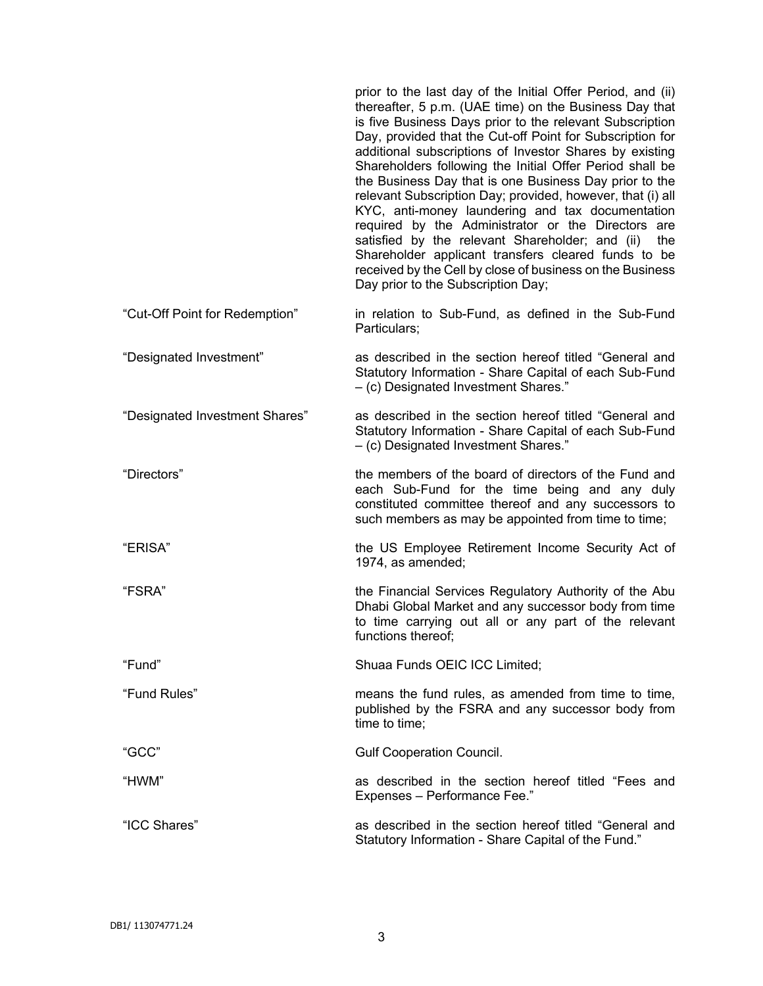|                                | prior to the last day of the Initial Offer Period, and (ii)<br>thereafter, 5 p.m. (UAE time) on the Business Day that<br>is five Business Days prior to the relevant Subscription<br>Day, provided that the Cut-off Point for Subscription for<br>additional subscriptions of Investor Shares by existing<br>Shareholders following the Initial Offer Period shall be<br>the Business Day that is one Business Day prior to the<br>relevant Subscription Day; provided, however, that (i) all<br>KYC, anti-money laundering and tax documentation<br>required by the Administrator or the Directors are<br>satisfied by the relevant Shareholder; and (ii)<br>the<br>Shareholder applicant transfers cleared funds to be<br>received by the Cell by close of business on the Business<br>Day prior to the Subscription Day; |
|--------------------------------|-----------------------------------------------------------------------------------------------------------------------------------------------------------------------------------------------------------------------------------------------------------------------------------------------------------------------------------------------------------------------------------------------------------------------------------------------------------------------------------------------------------------------------------------------------------------------------------------------------------------------------------------------------------------------------------------------------------------------------------------------------------------------------------------------------------------------------|
| "Cut-Off Point for Redemption" | in relation to Sub-Fund, as defined in the Sub-Fund<br>Particulars;                                                                                                                                                                                                                                                                                                                                                                                                                                                                                                                                                                                                                                                                                                                                                         |
| "Designated Investment"        | as described in the section hereof titled "General and<br>Statutory Information - Share Capital of each Sub-Fund<br>- (c) Designated Investment Shares."                                                                                                                                                                                                                                                                                                                                                                                                                                                                                                                                                                                                                                                                    |
| "Designated Investment Shares" | as described in the section hereof titled "General and<br>Statutory Information - Share Capital of each Sub-Fund<br>- (c) Designated Investment Shares."                                                                                                                                                                                                                                                                                                                                                                                                                                                                                                                                                                                                                                                                    |
| "Directors"                    | the members of the board of directors of the Fund and<br>each Sub-Fund for the time being and any duly<br>constituted committee thereof and any successors to<br>such members as may be appointed from time to time;                                                                                                                                                                                                                                                                                                                                                                                                                                                                                                                                                                                                        |
| "ERISA"                        | the US Employee Retirement Income Security Act of<br>1974, as amended;                                                                                                                                                                                                                                                                                                                                                                                                                                                                                                                                                                                                                                                                                                                                                      |
| "FSRA"                         | the Financial Services Regulatory Authority of the Abu<br>Dhabi Global Market and any successor body from time<br>to time carrying out all or any part of the relevant<br>functions thereof;                                                                                                                                                                                                                                                                                                                                                                                                                                                                                                                                                                                                                                |
| "Fund"                         | Shuaa Funds OEIC ICC Limited;                                                                                                                                                                                                                                                                                                                                                                                                                                                                                                                                                                                                                                                                                                                                                                                               |
| "Fund Rules"                   | means the fund rules, as amended from time to time,<br>published by the FSRA and any successor body from<br>time to time;                                                                                                                                                                                                                                                                                                                                                                                                                                                                                                                                                                                                                                                                                                   |
| "GCC"                          | <b>Gulf Cooperation Council.</b>                                                                                                                                                                                                                                                                                                                                                                                                                                                                                                                                                                                                                                                                                                                                                                                            |
| "HWM"                          | as described in the section hereof titled "Fees and<br>Expenses - Performance Fee."                                                                                                                                                                                                                                                                                                                                                                                                                                                                                                                                                                                                                                                                                                                                         |
| "ICC Shares"                   | as described in the section hereof titled "General and<br>Statutory Information - Share Capital of the Fund."                                                                                                                                                                                                                                                                                                                                                                                                                                                                                                                                                                                                                                                                                                               |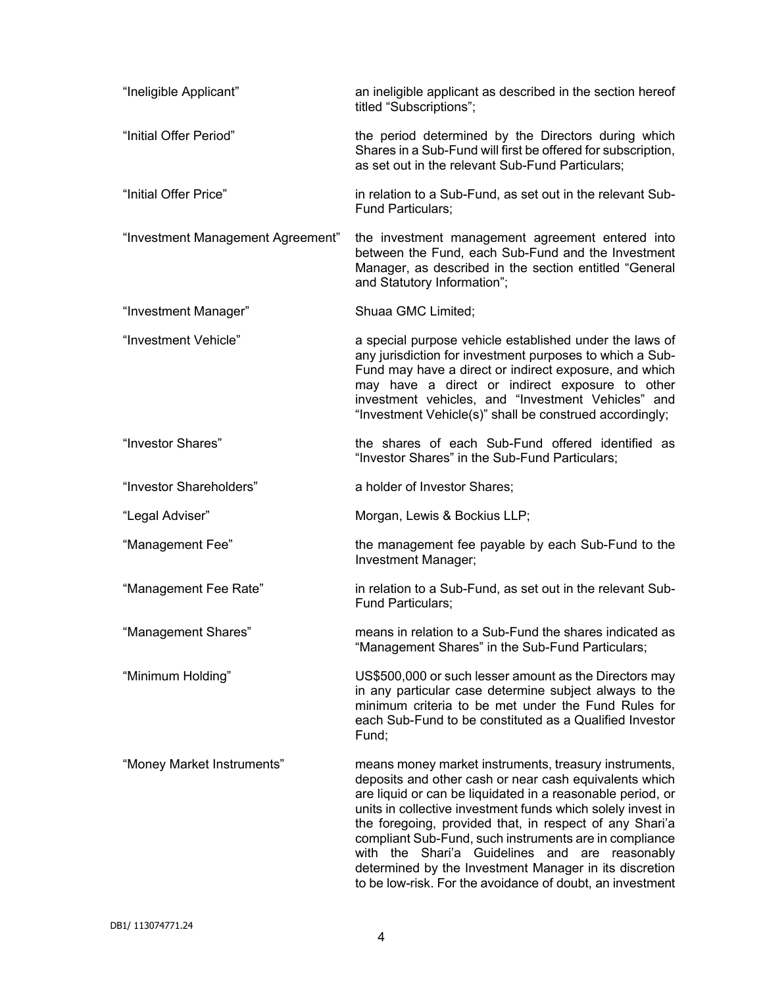| "Ineligible Applicant"            | an ineligible applicant as described in the section hereof<br>titled "Subscriptions";                                                                                                                                                                                                                                                                                                                                                                                                                                                      |
|-----------------------------------|--------------------------------------------------------------------------------------------------------------------------------------------------------------------------------------------------------------------------------------------------------------------------------------------------------------------------------------------------------------------------------------------------------------------------------------------------------------------------------------------------------------------------------------------|
| "Initial Offer Period"            | the period determined by the Directors during which<br>Shares in a Sub-Fund will first be offered for subscription,<br>as set out in the relevant Sub-Fund Particulars;                                                                                                                                                                                                                                                                                                                                                                    |
| "Initial Offer Price"             | in relation to a Sub-Fund, as set out in the relevant Sub-<br>Fund Particulars;                                                                                                                                                                                                                                                                                                                                                                                                                                                            |
| "Investment Management Agreement" | the investment management agreement entered into<br>between the Fund, each Sub-Fund and the Investment<br>Manager, as described in the section entitled "General<br>and Statutory Information";                                                                                                                                                                                                                                                                                                                                            |
| "Investment Manager"              | Shuaa GMC Limited;                                                                                                                                                                                                                                                                                                                                                                                                                                                                                                                         |
| "Investment Vehicle"              | a special purpose vehicle established under the laws of<br>any jurisdiction for investment purposes to which a Sub-<br>Fund may have a direct or indirect exposure, and which<br>may have a direct or indirect exposure to other<br>investment vehicles, and "Investment Vehicles" and<br>"Investment Vehicle(s)" shall be construed accordingly;                                                                                                                                                                                          |
| "Investor Shares"                 | the shares of each Sub-Fund offered identified as<br>"Investor Shares" in the Sub-Fund Particulars;                                                                                                                                                                                                                                                                                                                                                                                                                                        |
| "Investor Shareholders"           | a holder of Investor Shares;                                                                                                                                                                                                                                                                                                                                                                                                                                                                                                               |
| "Legal Adviser"                   | Morgan, Lewis & Bockius LLP;                                                                                                                                                                                                                                                                                                                                                                                                                                                                                                               |
| "Management Fee"                  | the management fee payable by each Sub-Fund to the<br>Investment Manager;                                                                                                                                                                                                                                                                                                                                                                                                                                                                  |
| "Management Fee Rate"             | in relation to a Sub-Fund, as set out in the relevant Sub-<br><b>Fund Particulars;</b>                                                                                                                                                                                                                                                                                                                                                                                                                                                     |
| "Management Shares"               | means in relation to a Sub-Fund the shares indicated as<br>"Management Shares" in the Sub-Fund Particulars;                                                                                                                                                                                                                                                                                                                                                                                                                                |
| "Minimum Holding"                 | US\$500,000 or such lesser amount as the Directors may<br>in any particular case determine subject always to the<br>minimum criteria to be met under the Fund Rules for<br>each Sub-Fund to be constituted as a Qualified Investor<br>Fund;                                                                                                                                                                                                                                                                                                |
| "Money Market Instruments"        | means money market instruments, treasury instruments,<br>deposits and other cash or near cash equivalents which<br>are liquid or can be liquidated in a reasonable period, or<br>units in collective investment funds which solely invest in<br>the foregoing, provided that, in respect of any Shari'a<br>compliant Sub-Fund, such instruments are in compliance<br>with the Shari'a Guidelines and are reasonably<br>determined by the Investment Manager in its discretion<br>to be low-risk. For the avoidance of doubt, an investment |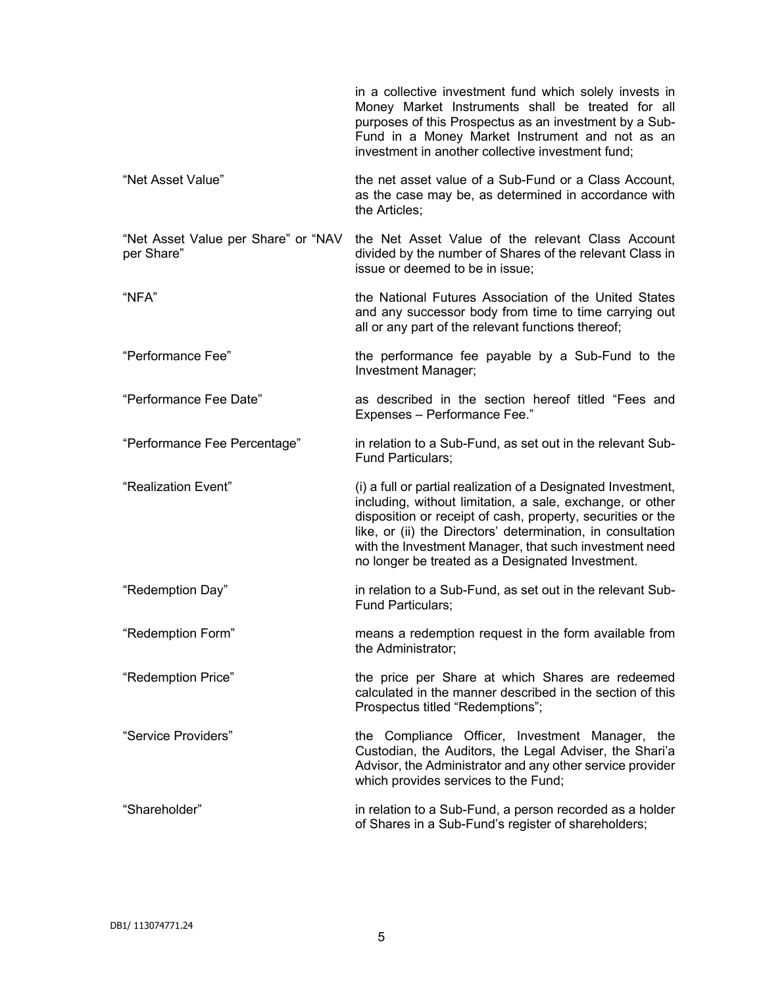|                                                   | in a collective investment fund which solely invests in<br>Money Market Instruments shall be treated for all<br>purposes of this Prospectus as an investment by a Sub-<br>Fund in a Money Market Instrument and not as an<br>investment in another collective investment fund;                                                                                         |
|---------------------------------------------------|------------------------------------------------------------------------------------------------------------------------------------------------------------------------------------------------------------------------------------------------------------------------------------------------------------------------------------------------------------------------|
| "Net Asset Value"                                 | the net asset value of a Sub-Fund or a Class Account,<br>as the case may be, as determined in accordance with<br>the Articles;                                                                                                                                                                                                                                         |
| "Net Asset Value per Share" or "NAV<br>per Share" | the Net Asset Value of the relevant Class Account<br>divided by the number of Shares of the relevant Class in<br>issue or deemed to be in issue;                                                                                                                                                                                                                       |
| "NFA"                                             | the National Futures Association of the United States<br>and any successor body from time to time carrying out<br>all or any part of the relevant functions thereof;                                                                                                                                                                                                   |
| "Performance Fee"                                 | the performance fee payable by a Sub-Fund to the<br>Investment Manager;                                                                                                                                                                                                                                                                                                |
| "Performance Fee Date"                            | as described in the section hereof titled "Fees and<br>Expenses - Performance Fee."                                                                                                                                                                                                                                                                                    |
| "Performance Fee Percentage"                      | in relation to a Sub-Fund, as set out in the relevant Sub-<br><b>Fund Particulars;</b>                                                                                                                                                                                                                                                                                 |
| "Realization Event"                               | (i) a full or partial realization of a Designated Investment,<br>including, without limitation, a sale, exchange, or other<br>disposition or receipt of cash, property, securities or the<br>like, or (ii) the Directors' determination, in consultation<br>with the Investment Manager, that such investment need<br>no longer be treated as a Designated Investment. |
| "Redemption Day"                                  | in relation to a Sub-Fund, as set out in the relevant Sub-<br><b>Fund Particulars;</b>                                                                                                                                                                                                                                                                                 |
| "Redemption Form"                                 | means a redemption request in the form available from<br>the Administrator;                                                                                                                                                                                                                                                                                            |
| "Redemption Price"                                | the price per Share at which Shares are redeemed<br>calculated in the manner described in the section of this<br>Prospectus titled "Redemptions";                                                                                                                                                                                                                      |
| "Service Providers"                               | the Compliance Officer, Investment Manager, the<br>Custodian, the Auditors, the Legal Adviser, the Shari'a<br>Advisor, the Administrator and any other service provider<br>which provides services to the Fund;                                                                                                                                                        |
| "Shareholder"                                     | in relation to a Sub-Fund, a person recorded as a holder<br>of Shares in a Sub-Fund's register of shareholders;                                                                                                                                                                                                                                                        |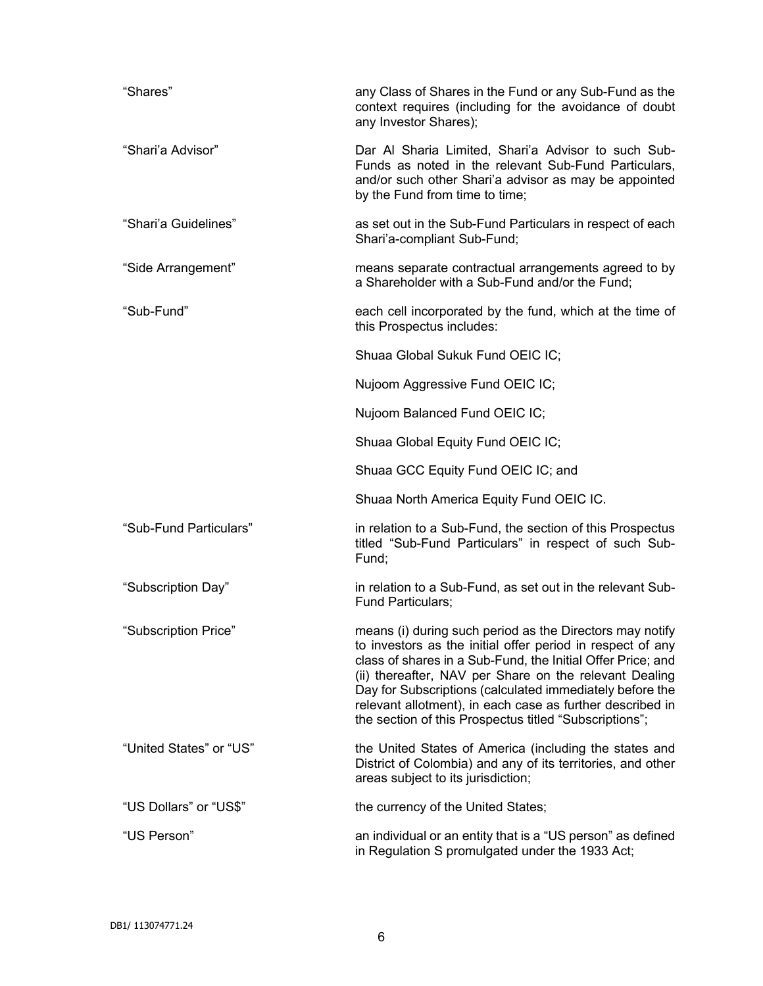| "Shares"                | any Class of Shares in the Fund or any Sub-Fund as the<br>context requires (including for the avoidance of doubt<br>any Investor Shares);                                                                                                                                                                                                                                                                                          |
|-------------------------|------------------------------------------------------------------------------------------------------------------------------------------------------------------------------------------------------------------------------------------------------------------------------------------------------------------------------------------------------------------------------------------------------------------------------------|
| "Shari'a Advisor"       | Dar Al Sharia Limited, Shari'a Advisor to such Sub-<br>Funds as noted in the relevant Sub-Fund Particulars,<br>and/or such other Shari'a advisor as may be appointed<br>by the Fund from time to time;                                                                                                                                                                                                                             |
| "Shari'a Guidelines"    | as set out in the Sub-Fund Particulars in respect of each<br>Shari'a-compliant Sub-Fund;                                                                                                                                                                                                                                                                                                                                           |
| "Side Arrangement"      | means separate contractual arrangements agreed to by<br>a Shareholder with a Sub-Fund and/or the Fund;                                                                                                                                                                                                                                                                                                                             |
| "Sub-Fund"              | each cell incorporated by the fund, which at the time of<br>this Prospectus includes:                                                                                                                                                                                                                                                                                                                                              |
|                         | Shuaa Global Sukuk Fund OEIC IC;                                                                                                                                                                                                                                                                                                                                                                                                   |
|                         | Nujoom Aggressive Fund OEIC IC;                                                                                                                                                                                                                                                                                                                                                                                                    |
|                         | Nujoom Balanced Fund OEIC IC;                                                                                                                                                                                                                                                                                                                                                                                                      |
|                         | Shuaa Global Equity Fund OEIC IC;                                                                                                                                                                                                                                                                                                                                                                                                  |
|                         | Shuaa GCC Equity Fund OEIC IC; and                                                                                                                                                                                                                                                                                                                                                                                                 |
|                         | Shuaa North America Equity Fund OEIC IC.                                                                                                                                                                                                                                                                                                                                                                                           |
| "Sub-Fund Particulars"  | in relation to a Sub-Fund, the section of this Prospectus<br>titled "Sub-Fund Particulars" in respect of such Sub-<br>Fund;                                                                                                                                                                                                                                                                                                        |
| "Subscription Day"      | in relation to a Sub-Fund, as set out in the relevant Sub-<br><b>Fund Particulars:</b>                                                                                                                                                                                                                                                                                                                                             |
| "Subscription Price"    | means (i) during such period as the Directors may notify<br>to investors as the initial offer period in respect of any<br>class of shares in a Sub-Fund, the Initial Offer Price; and<br>(ii) thereafter, NAV per Share on the relevant Dealing<br>Day for Subscriptions (calculated immediately before the<br>relevant allotment), in each case as further described in<br>the section of this Prospectus titled "Subscriptions"; |
| "United States" or "US" | the United States of America (including the states and<br>District of Colombia) and any of its territories, and other<br>areas subject to its jurisdiction;                                                                                                                                                                                                                                                                        |
| "US Dollars" or "US\$"  | the currency of the United States;                                                                                                                                                                                                                                                                                                                                                                                                 |
| "US Person"             | an individual or an entity that is a "US person" as defined<br>in Regulation S promulgated under the 1933 Act;                                                                                                                                                                                                                                                                                                                     |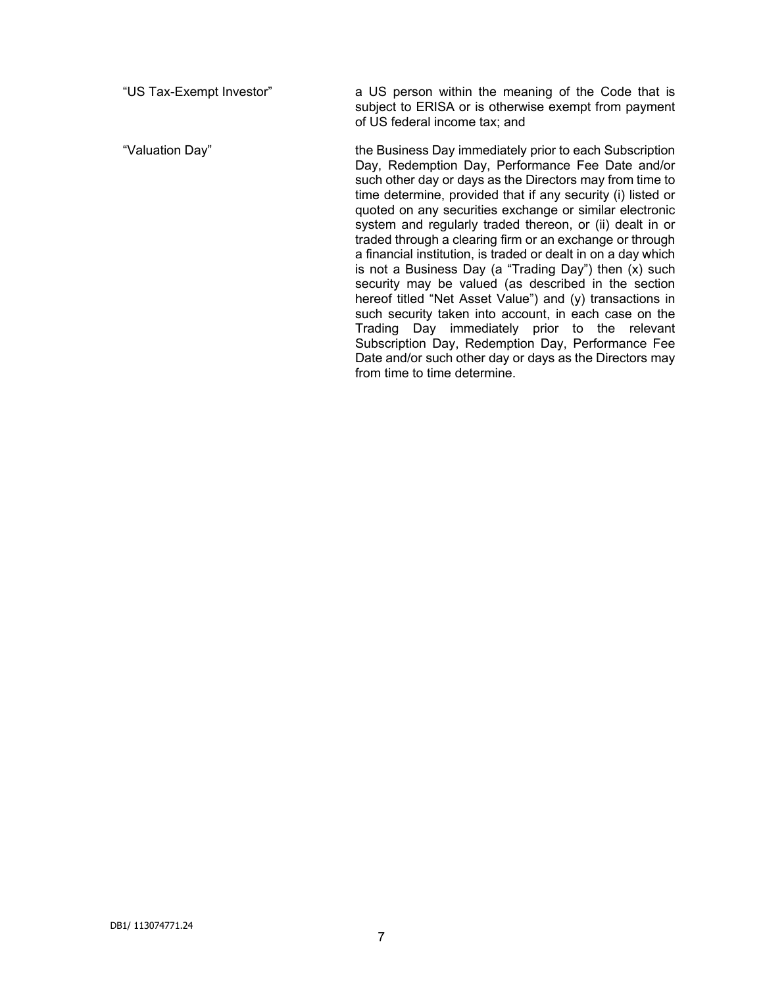"US Tax-Exempt Investor" a US person within the meaning of the Code that is subject to ERISA or is otherwise exempt from payment of US federal income tax; and

"Valuation Day" the Business Day immediately prior to each Subscription Day, Redemption Day, Performance Fee Date and/or such other day or days as the Directors may from time to time determine, provided that if any security (i) listed or quoted on any securities exchange or similar electronic system and regularly traded thereon, or (ii) dealt in or traded through a clearing firm or an exchange or through a financial institution, is traded or dealt in on a day which is not a Business Day (a "Trading Day") then (x) such security may be valued (as described in the section hereof titled "Net Asset Value") and (y) transactions in such security taken into account, in each case on the Trading Day immediately prior to the relevant Subscription Day, Redemption Day, Performance Fee Date and/or such other day or days as the Directors may from time to time determine.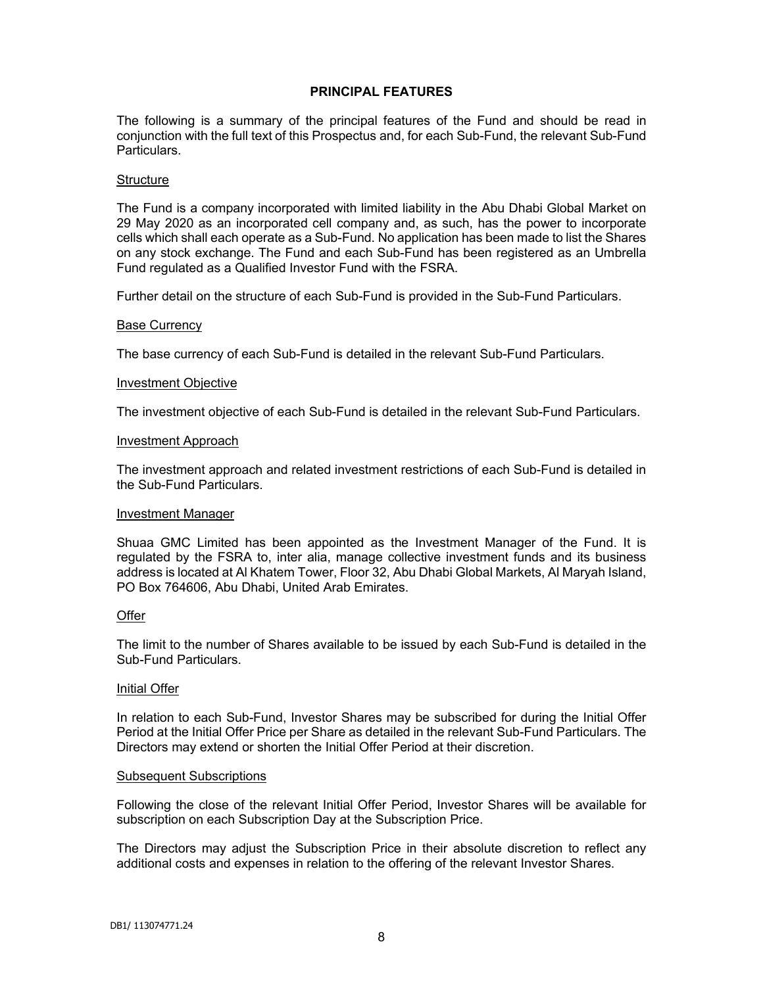# **PRINCIPAL FEATURES**

The following is a summary of the principal features of the Fund and should be read in conjunction with the full text of this Prospectus and, for each Sub-Fund, the relevant Sub-Fund Particulars.

#### **Structure**

The Fund is a company incorporated with limited liability in the Abu Dhabi Global Market on 29 May 2020 as an incorporated cell company and, as such, has the power to incorporate cells which shall each operate as a Sub-Fund. No application has been made to list the Shares on any stock exchange. The Fund and each Sub-Fund has been registered as an Umbrella Fund regulated as a Qualified Investor Fund with the FSRA.

Further detail on the structure of each Sub-Fund is provided in the Sub-Fund Particulars.

#### Base Currency

The base currency of each Sub-Fund is detailed in the relevant Sub-Fund Particulars.

#### Investment Objective

The investment objective of each Sub-Fund is detailed in the relevant Sub-Fund Particulars.

#### Investment Approach

The investment approach and related investment restrictions of each Sub-Fund is detailed in the Sub-Fund Particulars.

#### Investment Manager

Shuaa GMC Limited has been appointed as the Investment Manager of the Fund. It is regulated by the FSRA to, inter alia, manage collective investment funds and its business address is located at Al Khatem Tower, Floor 32, Abu Dhabi Global Markets, Al Maryah Island, PO Box 764606, Abu Dhabi, United Arab Emirates.

### **Offer**

The limit to the number of Shares available to be issued by each Sub-Fund is detailed in the Sub-Fund Particulars.

### Initial Offer

In relation to each Sub-Fund, Investor Shares may be subscribed for during the Initial Offer Period at the Initial Offer Price per Share as detailed in the relevant Sub-Fund Particulars. The Directors may extend or shorten the Initial Offer Period at their discretion.

#### Subsequent Subscriptions

Following the close of the relevant Initial Offer Period, Investor Shares will be available for subscription on each Subscription Day at the Subscription Price.

The Directors may adjust the Subscription Price in their absolute discretion to reflect any additional costs and expenses in relation to the offering of the relevant Investor Shares.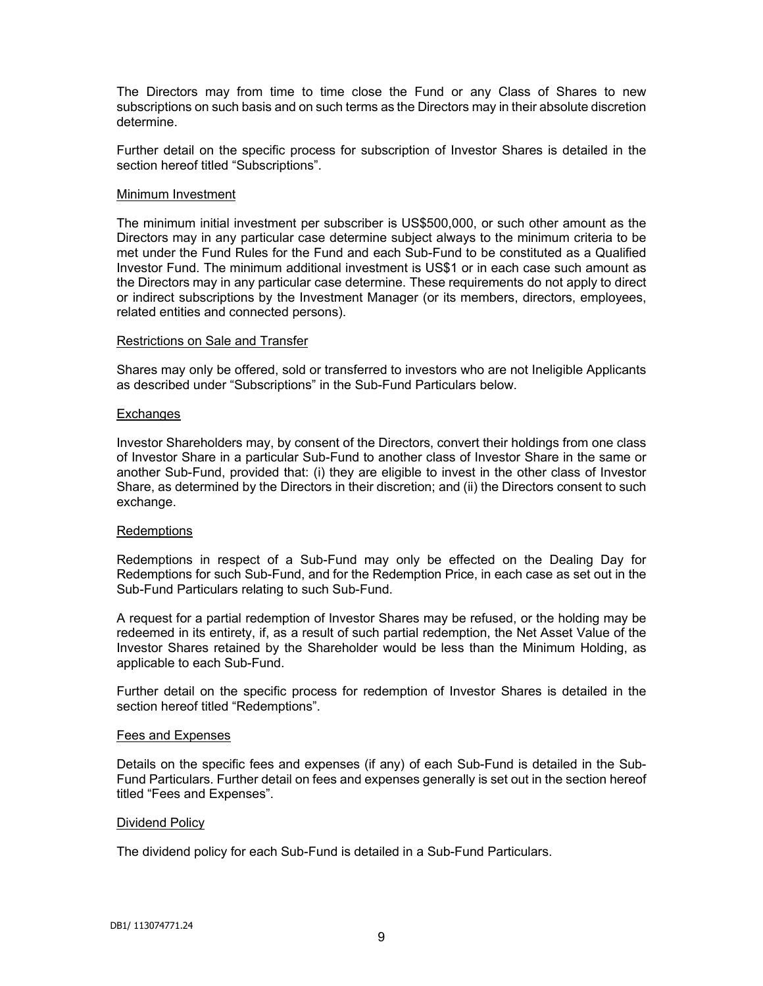The Directors may from time to time close the Fund or any Class of Shares to new subscriptions on such basis and on such terms as the Directors may in their absolute discretion determine.

Further detail on the specific process for subscription of Investor Shares is detailed in the section hereof titled "Subscriptions".

#### Minimum Investment

The minimum initial investment per subscriber is US\$500,000, or such other amount as the Directors may in any particular case determine subject always to the minimum criteria to be met under the Fund Rules for the Fund and each Sub-Fund to be constituted as a Qualified Investor Fund. The minimum additional investment is US\$1 or in each case such amount as the Directors may in any particular case determine. These requirements do not apply to direct or indirect subscriptions by the Investment Manager (or its members, directors, employees, related entities and connected persons).

#### Restrictions on Sale and Transfer

Shares may only be offered, sold or transferred to investors who are not Ineligible Applicants as described under "Subscriptions" in the Sub-Fund Particulars below.

#### **Exchanges**

Investor Shareholders may, by consent of the Directors, convert their holdings from one class of Investor Share in a particular Sub-Fund to another class of Investor Share in the same or another Sub-Fund, provided that: (i) they are eligible to invest in the other class of Investor Share, as determined by the Directors in their discretion; and (ii) the Directors consent to such exchange.

### **Redemptions**

Redemptions in respect of a Sub-Fund may only be effected on the Dealing Day for Redemptions for such Sub-Fund, and for the Redemption Price, in each case as set out in the Sub-Fund Particulars relating to such Sub-Fund.

A request for a partial redemption of Investor Shares may be refused, or the holding may be redeemed in its entirety, if, as a result of such partial redemption, the Net Asset Value of the Investor Shares retained by the Shareholder would be less than the Minimum Holding, as applicable to each Sub-Fund.

Further detail on the specific process for redemption of Investor Shares is detailed in the section hereof titled "Redemptions".

#### Fees and Expenses

Details on the specific fees and expenses (if any) of each Sub-Fund is detailed in the Sub-Fund Particulars. Further detail on fees and expenses generally is set out in the section hereof titled "Fees and Expenses".

#### Dividend Policy

The dividend policy for each Sub-Fund is detailed in a Sub-Fund Particulars.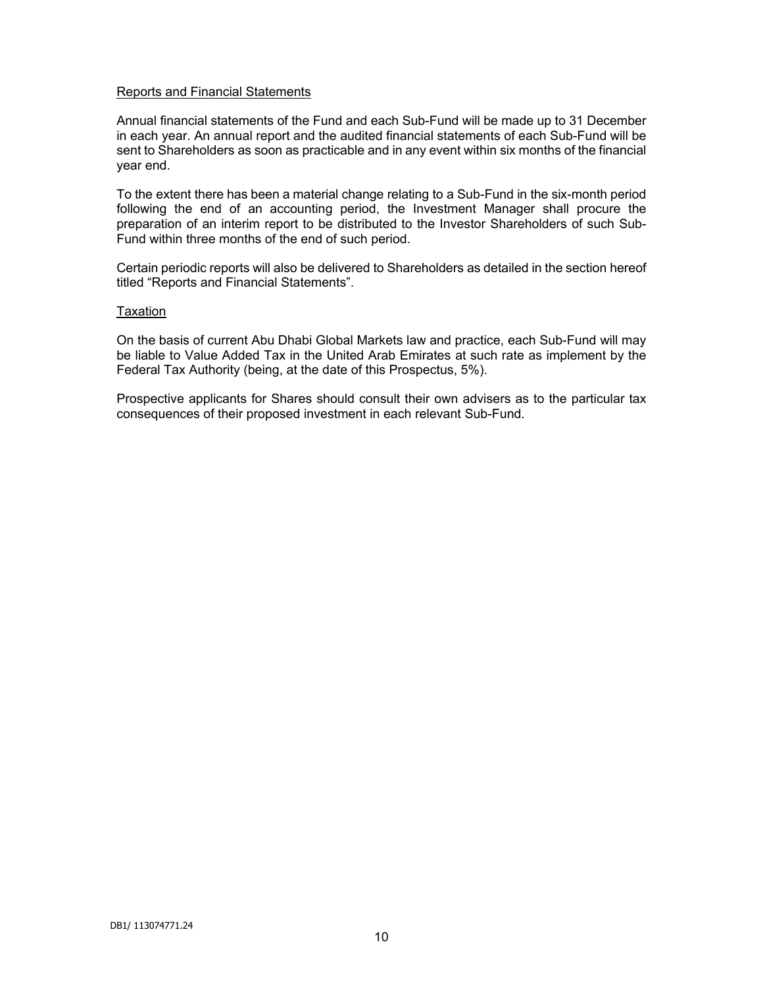### Reports and Financial Statements

Annual financial statements of the Fund and each Sub-Fund will be made up to 31 December in each year. An annual report and the audited financial statements of each Sub-Fund will be sent to Shareholders as soon as practicable and in any event within six months of the financial year end.

To the extent there has been a material change relating to a Sub-Fund in the six-month period following the end of an accounting period, the Investment Manager shall procure the preparation of an interim report to be distributed to the Investor Shareholders of such Sub-Fund within three months of the end of such period.

Certain periodic reports will also be delivered to Shareholders as detailed in the section hereof titled "Reports and Financial Statements".

### Taxation

On the basis of current Abu Dhabi Global Markets law and practice, each Sub-Fund will may be liable to Value Added Tax in the United Arab Emirates at such rate as implement by the Federal Tax Authority (being, at the date of this Prospectus, 5%).

Prospective applicants for Shares should consult their own advisers as to the particular tax consequences of their proposed investment in each relevant Sub-Fund.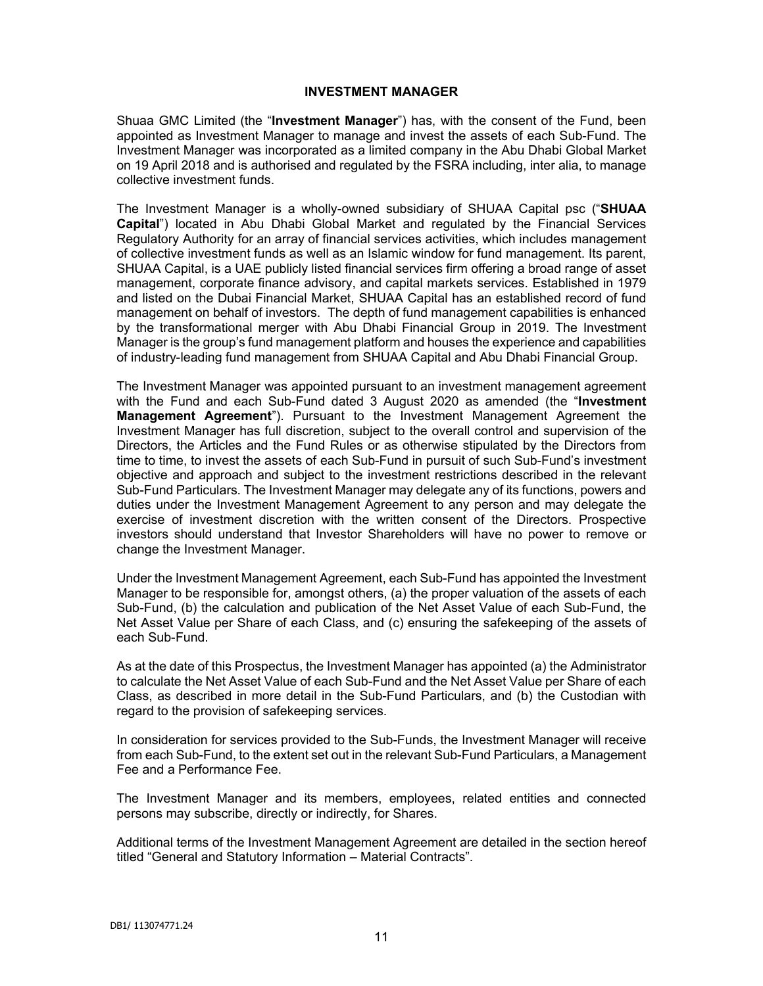#### **INVESTMENT MANAGER**

Shuaa GMC Limited (the "**Investment Manager**") has, with the consent of the Fund, been appointed as Investment Manager to manage and invest the assets of each Sub-Fund. The Investment Manager was incorporated as a limited company in the Abu Dhabi Global Market on 19 April 2018 and is authorised and regulated by the FSRA including, inter alia, to manage collective investment funds.

The Investment Manager is a wholly-owned subsidiary of SHUAA Capital psc ("**SHUAA Capital**") located in Abu Dhabi Global Market and regulated by the Financial Services Regulatory Authority for an array of financial services activities, which includes management of collective investment funds as well as an Islamic window for fund management. Its parent, SHUAA Capital, is a UAE publicly listed financial services firm offering a broad range of asset management, corporate finance advisory, and capital markets services. Established in 1979 and listed on the Dubai Financial Market, SHUAA Capital has an established record of fund management on behalf of investors. The depth of fund management capabilities is enhanced by the transformational merger with Abu Dhabi Financial Group in 2019. The Investment Manager is the group's fund management platform and houses the experience and capabilities of industry-leading fund management from SHUAA Capital and Abu Dhabi Financial Group.

The Investment Manager was appointed pursuant to an investment management agreement with the Fund and each Sub-Fund dated 3 August 2020 as amended (the "**Investment Management Agreement**"). Pursuant to the Investment Management Agreement the Investment Manager has full discretion, subject to the overall control and supervision of the Directors, the Articles and the Fund Rules or as otherwise stipulated by the Directors from time to time, to invest the assets of each Sub-Fund in pursuit of such Sub-Fund's investment objective and approach and subject to the investment restrictions described in the relevant Sub-Fund Particulars. The Investment Manager may delegate any of its functions, powers and duties under the Investment Management Agreement to any person and may delegate the exercise of investment discretion with the written consent of the Directors. Prospective investors should understand that Investor Shareholders will have no power to remove or change the Investment Manager.

Under the Investment Management Agreement, each Sub-Fund has appointed the Investment Manager to be responsible for, amongst others, (a) the proper valuation of the assets of each Sub-Fund, (b) the calculation and publication of the Net Asset Value of each Sub-Fund, the Net Asset Value per Share of each Class, and (c) ensuring the safekeeping of the assets of each Sub-Fund.

As at the date of this Prospectus, the Investment Manager has appointed (a) the Administrator to calculate the Net Asset Value of each Sub-Fund and the Net Asset Value per Share of each Class, as described in more detail in the Sub-Fund Particulars, and (b) the Custodian with regard to the provision of safekeeping services.

In consideration for services provided to the Sub-Funds, the Investment Manager will receive from each Sub-Fund, to the extent set out in the relevant Sub-Fund Particulars, a Management Fee and a Performance Fee.

The Investment Manager and its members, employees, related entities and connected persons may subscribe, directly or indirectly, for Shares.

Additional terms of the Investment Management Agreement are detailed in the section hereof titled "General and Statutory Information – Material Contracts".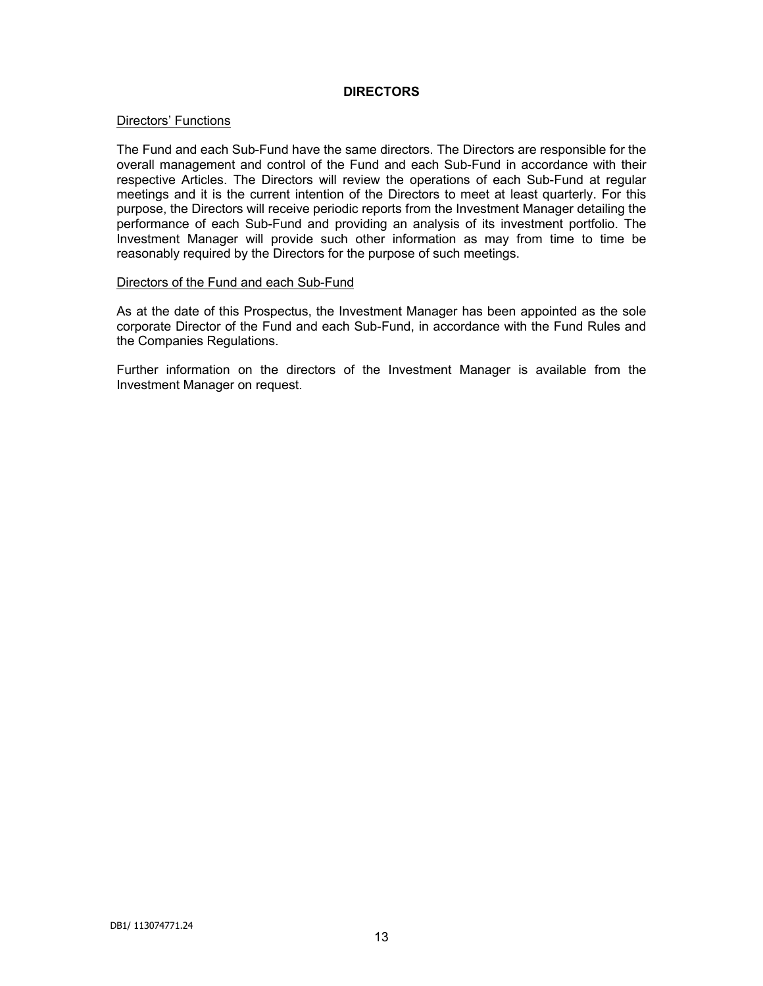# **DIRECTORS**

### Directors' Functions

The Fund and each Sub-Fund have the same directors. The Directors are responsible for the overall management and control of the Fund and each Sub-Fund in accordance with their respective Articles. The Directors will review the operations of each Sub-Fund at regular meetings and it is the current intention of the Directors to meet at least quarterly. For this purpose, the Directors will receive periodic reports from the Investment Manager detailing the performance of each Sub-Fund and providing an analysis of its investment portfolio. The Investment Manager will provide such other information as may from time to time be reasonably required by the Directors for the purpose of such meetings.

#### Directors of the Fund and each Sub-Fund

As at the date of this Prospectus, the Investment Manager has been appointed as the sole corporate Director of the Fund and each Sub-Fund, in accordance with the Fund Rules and the Companies Regulations.

Further information on the directors of the Investment Manager is available from the Investment Manager on request.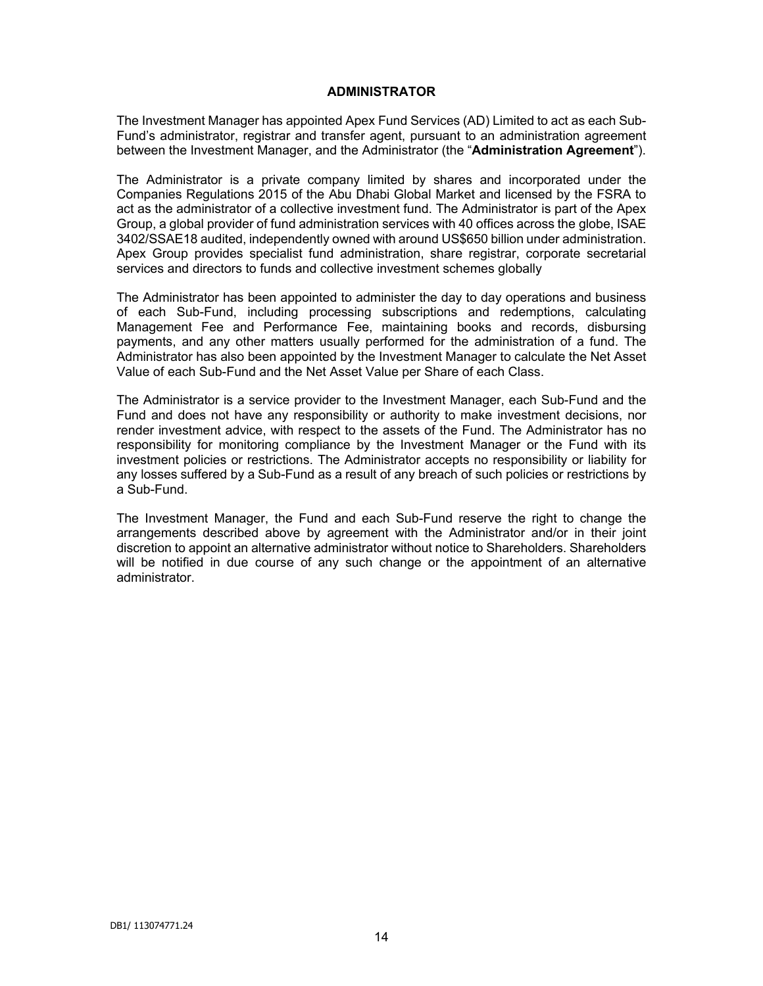#### **ADMINISTRATOR**

The Investment Manager has appointed Apex Fund Services (AD) Limited to act as each Sub-Fund's administrator, registrar and transfer agent, pursuant to an administration agreement between the Investment Manager, and the Administrator (the "**Administration Agreement**").

The Administrator is a private company limited by shares and incorporated under the Companies Regulations 2015 of the Abu Dhabi Global Market and licensed by the FSRA to act as the administrator of a collective investment fund. The Administrator is part of the Apex Group, a global provider of fund administration services with 40 offices across the globe, ISAE 3402/SSAE18 audited, independently owned with around US\$650 billion under administration. Apex Group provides specialist fund administration, share registrar, corporate secretarial services and directors to funds and collective investment schemes globally

The Administrator has been appointed to administer the day to day operations and business of each Sub-Fund, including processing subscriptions and redemptions, calculating Management Fee and Performance Fee, maintaining books and records, disbursing payments, and any other matters usually performed for the administration of a fund. The Administrator has also been appointed by the Investment Manager to calculate the Net Asset Value of each Sub-Fund and the Net Asset Value per Share of each Class.

The Administrator is a service provider to the Investment Manager, each Sub-Fund and the Fund and does not have any responsibility or authority to make investment decisions, nor render investment advice, with respect to the assets of the Fund. The Administrator has no responsibility for monitoring compliance by the Investment Manager or the Fund with its investment policies or restrictions. The Administrator accepts no responsibility or liability for any losses suffered by a Sub-Fund as a result of any breach of such policies or restrictions by a Sub-Fund.

The Investment Manager, the Fund and each Sub-Fund reserve the right to change the arrangements described above by agreement with the Administrator and/or in their joint discretion to appoint an alternative administrator without notice to Shareholders. Shareholders will be notified in due course of any such change or the appointment of an alternative administrator.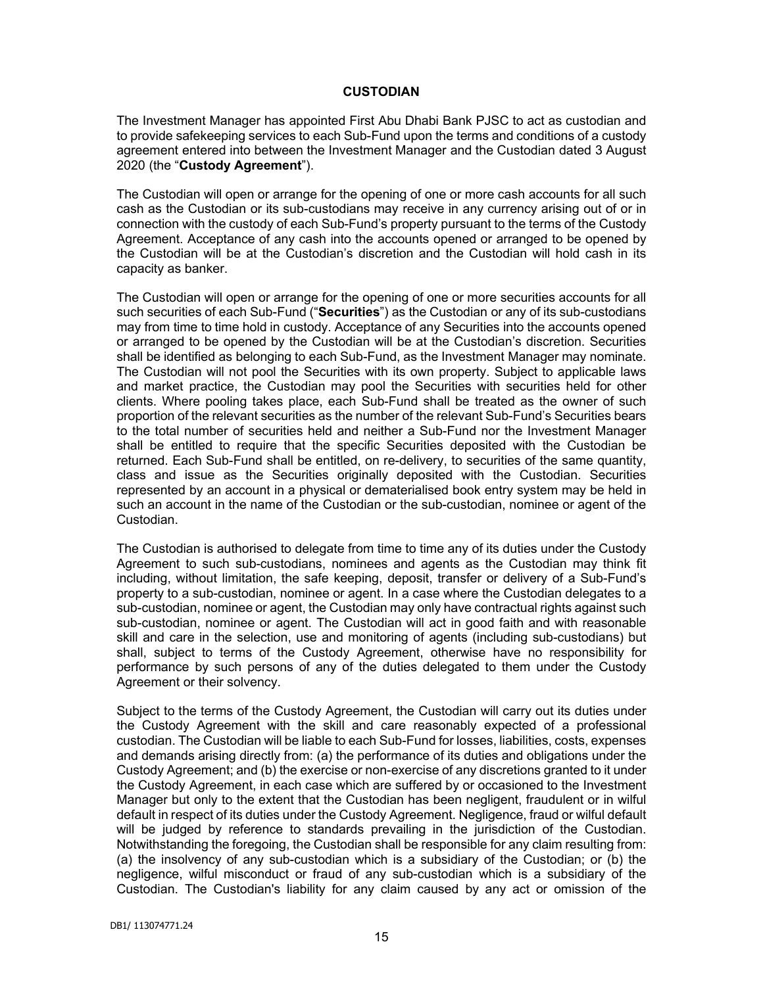### **CUSTODIAN**

The Investment Manager has appointed First Abu Dhabi Bank PJSC to act as custodian and to provide safekeeping services to each Sub-Fund upon the terms and conditions of a custody agreement entered into between the Investment Manager and the Custodian dated 3 August 2020 (the "**Custody Agreement**").

The Custodian will open or arrange for the opening of one or more cash accounts for all such cash as the Custodian or its sub-custodians may receive in any currency arising out of or in connection with the custody of each Sub-Fund's property pursuant to the terms of the Custody Agreement. Acceptance of any cash into the accounts opened or arranged to be opened by the Custodian will be at the Custodian's discretion and the Custodian will hold cash in its capacity as banker.

The Custodian will open or arrange for the opening of one or more securities accounts for all such securities of each Sub-Fund ("**Securities**") as the Custodian or any of its sub-custodians may from time to time hold in custody. Acceptance of any Securities into the accounts opened or arranged to be opened by the Custodian will be at the Custodian's discretion. Securities shall be identified as belonging to each Sub-Fund, as the Investment Manager may nominate. The Custodian will not pool the Securities with its own property. Subject to applicable laws and market practice, the Custodian may pool the Securities with securities held for other clients. Where pooling takes place, each Sub-Fund shall be treated as the owner of such proportion of the relevant securities as the number of the relevant Sub-Fund's Securities bears to the total number of securities held and neither a Sub-Fund nor the Investment Manager shall be entitled to require that the specific Securities deposited with the Custodian be returned. Each Sub-Fund shall be entitled, on re-delivery, to securities of the same quantity, class and issue as the Securities originally deposited with the Custodian. Securities represented by an account in a physical or dematerialised book entry system may be held in such an account in the name of the Custodian or the sub-custodian, nominee or agent of the Custodian.

The Custodian is authorised to delegate from time to time any of its duties under the Custody Agreement to such sub-custodians, nominees and agents as the Custodian may think fit including, without limitation, the safe keeping, deposit, transfer or delivery of a Sub-Fund's property to a sub-custodian, nominee or agent. In a case where the Custodian delegates to a sub-custodian, nominee or agent, the Custodian may only have contractual rights against such sub-custodian, nominee or agent. The Custodian will act in good faith and with reasonable skill and care in the selection, use and monitoring of agents (including sub-custodians) but shall, subject to terms of the Custody Agreement, otherwise have no responsibility for performance by such persons of any of the duties delegated to them under the Custody Agreement or their solvency.

Subject to the terms of the Custody Agreement, the Custodian will carry out its duties under the Custody Agreement with the skill and care reasonably expected of a professional custodian. The Custodian will be liable to each Sub-Fund for losses, liabilities, costs, expenses and demands arising directly from: (a) the performance of its duties and obligations under the Custody Agreement; and (b) the exercise or non-exercise of any discretions granted to it under the Custody Agreement, in each case which are suffered by or occasioned to the Investment Manager but only to the extent that the Custodian has been negligent, fraudulent or in wilful default in respect of its duties under the Custody Agreement. Negligence, fraud or wilful default will be judged by reference to standards prevailing in the jurisdiction of the Custodian. Notwithstanding the foregoing, the Custodian shall be responsible for any claim resulting from: (a) the insolvency of any sub-custodian which is a subsidiary of the Custodian; or (b) the negligence, wilful misconduct or fraud of any sub-custodian which is a subsidiary of the Custodian. The Custodian's liability for any claim caused by any act or omission of the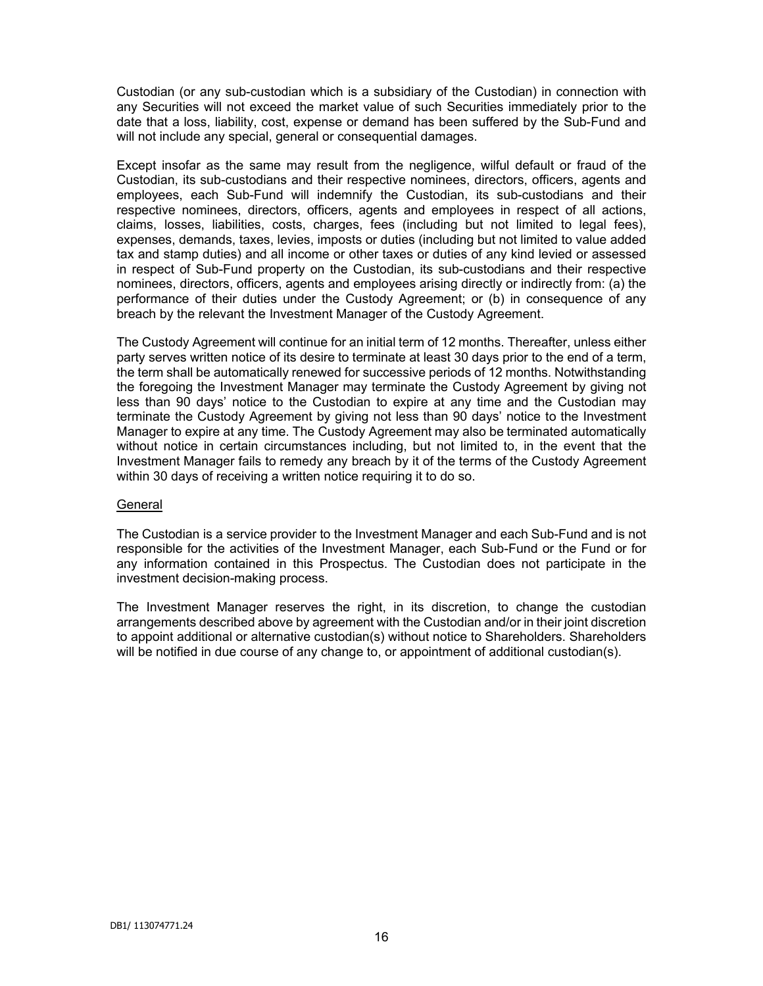Custodian (or any sub-custodian which is a subsidiary of the Custodian) in connection with any Securities will not exceed the market value of such Securities immediately prior to the date that a loss, liability, cost, expense or demand has been suffered by the Sub-Fund and will not include any special, general or consequential damages.

Except insofar as the same may result from the negligence, wilful default or fraud of the Custodian, its sub-custodians and their respective nominees, directors, officers, agents and employees, each Sub-Fund will indemnify the Custodian, its sub-custodians and their respective nominees, directors, officers, agents and employees in respect of all actions, claims, losses, liabilities, costs, charges, fees (including but not limited to legal fees), expenses, demands, taxes, levies, imposts or duties (including but not limited to value added tax and stamp duties) and all income or other taxes or duties of any kind levied or assessed in respect of Sub-Fund property on the Custodian, its sub-custodians and their respective nominees, directors, officers, agents and employees arising directly or indirectly from: (a) the performance of their duties under the Custody Agreement; or (b) in consequence of any breach by the relevant the Investment Manager of the Custody Agreement.

The Custody Agreement will continue for an initial term of 12 months. Thereafter, unless either party serves written notice of its desire to terminate at least 30 days prior to the end of a term, the term shall be automatically renewed for successive periods of 12 months. Notwithstanding the foregoing the Investment Manager may terminate the Custody Agreement by giving not less than 90 days' notice to the Custodian to expire at any time and the Custodian may terminate the Custody Agreement by giving not less than 90 days' notice to the Investment Manager to expire at any time. The Custody Agreement may also be terminated automatically without notice in certain circumstances including, but not limited to, in the event that the Investment Manager fails to remedy any breach by it of the terms of the Custody Agreement within 30 days of receiving a written notice requiring it to do so.

### General

The Custodian is a service provider to the Investment Manager and each Sub-Fund and is not responsible for the activities of the Investment Manager, each Sub-Fund or the Fund or for any information contained in this Prospectus. The Custodian does not participate in the investment decision-making process.

The Investment Manager reserves the right, in its discretion, to change the custodian arrangements described above by agreement with the Custodian and/or in their joint discretion to appoint additional or alternative custodian(s) without notice to Shareholders. Shareholders will be notified in due course of any change to, or appointment of additional custodian(s).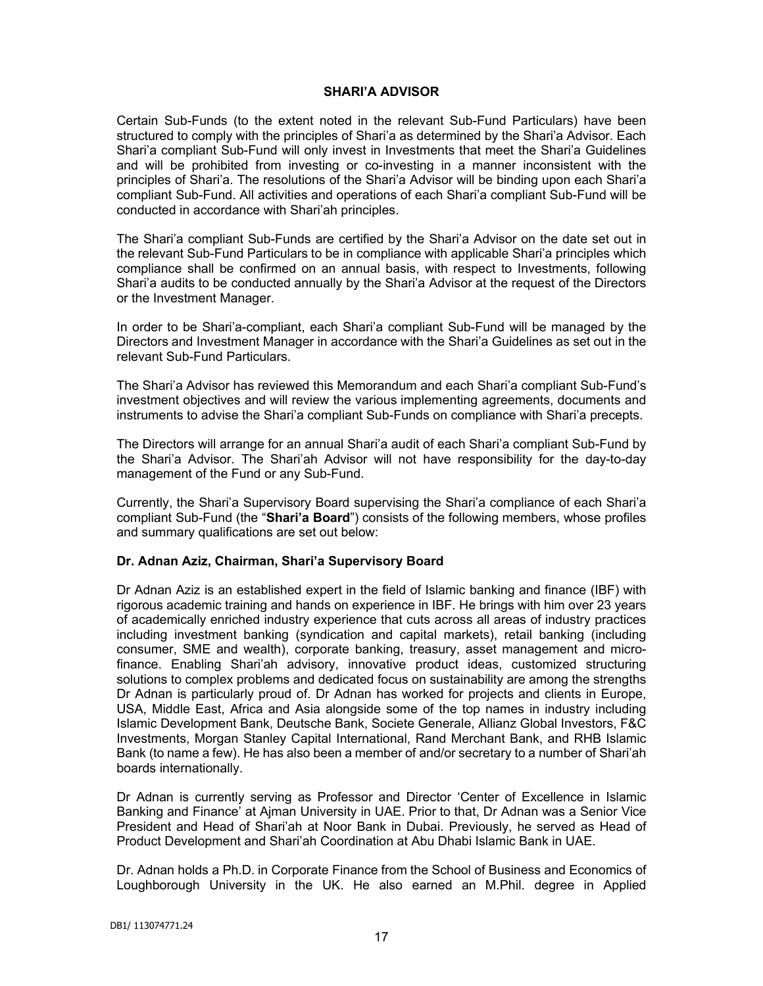# **SHARI'A ADVISOR**

Certain Sub-Funds (to the extent noted in the relevant Sub-Fund Particulars) have been structured to comply with the principles of Shari'a as determined by the Shari'a Advisor. Each Shari'a compliant Sub-Fund will only invest in Investments that meet the Shari'a Guidelines and will be prohibited from investing or co-investing in a manner inconsistent with the principles of Shari'a. The resolutions of the Shari'a Advisor will be binding upon each Shari'a compliant Sub-Fund. All activities and operations of each Shari'a compliant Sub-Fund will be conducted in accordance with Shari'ah principles.

The Shari'a compliant Sub-Funds are certified by the Shari'a Advisor on the date set out in the relevant Sub-Fund Particulars to be in compliance with applicable Shari'a principles which compliance shall be confirmed on an annual basis, with respect to Investments, following Shari'a audits to be conducted annually by the Shari'a Advisor at the request of the Directors or the Investment Manager.

In order to be Shari'a-compliant, each Shari'a compliant Sub-Fund will be managed by the Directors and Investment Manager in accordance with the Shari'a Guidelines as set out in the relevant Sub-Fund Particulars.

The Shari'a Advisor has reviewed this Memorandum and each Shari'a compliant Sub-Fund's investment objectives and will review the various implementing agreements, documents and instruments to advise the Shari'a compliant Sub-Funds on compliance with Shari'a precepts.

The Directors will arrange for an annual Shari'a audit of each Shari'a compliant Sub-Fund by the Shari'a Advisor. The Shari'ah Advisor will not have responsibility for the day-to-day management of the Fund or any Sub-Fund.

Currently, the Shari'a Supervisory Board supervising the Shari'a compliance of each Shari'a compliant Sub-Fund (the "**Shari'a Board**") consists of the following members, whose profiles and summary qualifications are set out below:

# **Dr. Adnan Aziz, Chairman, Shari'a Supervisory Board**

Dr Adnan Aziz is an established expert in the field of Islamic banking and finance (IBF) with rigorous academic training and hands on experience in IBF. He brings with him over 23 years of academically enriched industry experience that cuts across all areas of industry practices including investment banking (syndication and capital markets), retail banking (including consumer, SME and wealth), corporate banking, treasury, asset management and microfinance. Enabling Shari'ah advisory, innovative product ideas, customized structuring solutions to complex problems and dedicated focus on sustainability are among the strengths Dr Adnan is particularly proud of. Dr Adnan has worked for projects and clients in Europe, USA, Middle East, Africa and Asia alongside some of the top names in industry including Islamic Development Bank, Deutsche Bank, Societe Generale, Allianz Global Investors, F&C Investments, Morgan Stanley Capital International, Rand Merchant Bank, and RHB Islamic Bank (to name a few). He has also been a member of and/or secretary to a number of Shari'ah boards internationally.

Dr Adnan is currently serving as Professor and Director 'Center of Excellence in Islamic Banking and Finance' at Ajman University in UAE. Prior to that, Dr Adnan was a Senior Vice President and Head of Shari'ah at Noor Bank in Dubai. Previously, he served as Head of Product Development and Shari'ah Coordination at Abu Dhabi Islamic Bank in UAE.

Dr. Adnan holds a Ph.D. in Corporate Finance from the School of Business and Economics of Loughborough University in the UK. He also earned an M.Phil. degree in Applied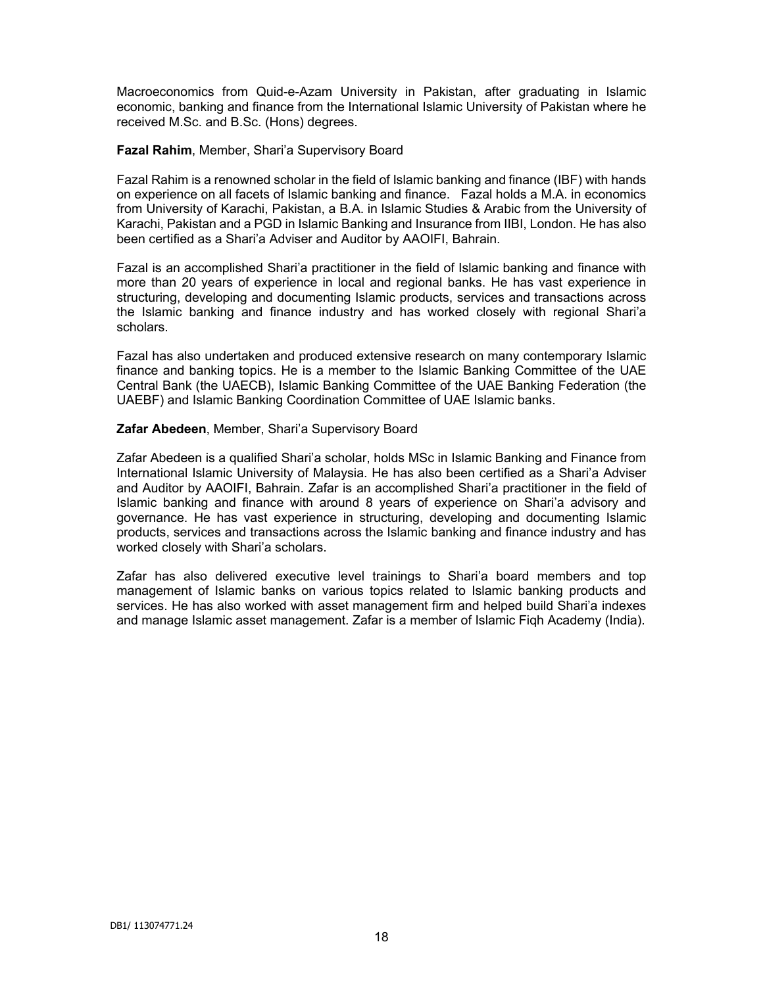Macroeconomics from Quid-e-Azam University in Pakistan, after graduating in Islamic economic, banking and finance from the International Islamic University of Pakistan where he received M.Sc. and B.Sc. (Hons) degrees.

# **Fazal Rahim**, Member, Shari'a Supervisory Board

Fazal Rahim is a renowned scholar in the field of Islamic banking and finance (IBF) with hands on experience on all facets of Islamic banking and finance. Fazal holds a M.A. in economics from University of Karachi, Pakistan, a B.A. in Islamic Studies & Arabic from the University of Karachi, Pakistan and a PGD in Islamic Banking and Insurance from IIBI, London. He has also been certified as a Shari'a Adviser and Auditor by AAOIFI, Bahrain.

Fazal is an accomplished Shari'a practitioner in the field of Islamic banking and finance with more than 20 years of experience in local and regional banks. He has vast experience in structuring, developing and documenting Islamic products, services and transactions across the Islamic banking and finance industry and has worked closely with regional Shari'a scholars.

Fazal has also undertaken and produced extensive research on many contemporary Islamic finance and banking topics. He is a member to the Islamic Banking Committee of the UAE Central Bank (the UAECB), Islamic Banking Committee of the UAE Banking Federation (the UAEBF) and Islamic Banking Coordination Committee of UAE Islamic banks.

# **Zafar Abedeen**, Member, Shari'a Supervisory Board

Zafar Abedeen is a qualified Shari'a scholar, holds MSc in Islamic Banking and Finance from International Islamic University of Malaysia. He has also been certified as a Shari'a Adviser and Auditor by AAOIFI, Bahrain. Zafar is an accomplished Shari'a practitioner in the field of Islamic banking and finance with around 8 years of experience on Shari'a advisory and governance. He has vast experience in structuring, developing and documenting Islamic products, services and transactions across the Islamic banking and finance industry and has worked closely with Shari'a scholars.

Zafar has also delivered executive level trainings to Shari'a board members and top management of Islamic banks on various topics related to Islamic banking products and services. He has also worked with asset management firm and helped build Shari'a indexes and manage Islamic asset management. Zafar is a member of Islamic Fiqh Academy (India).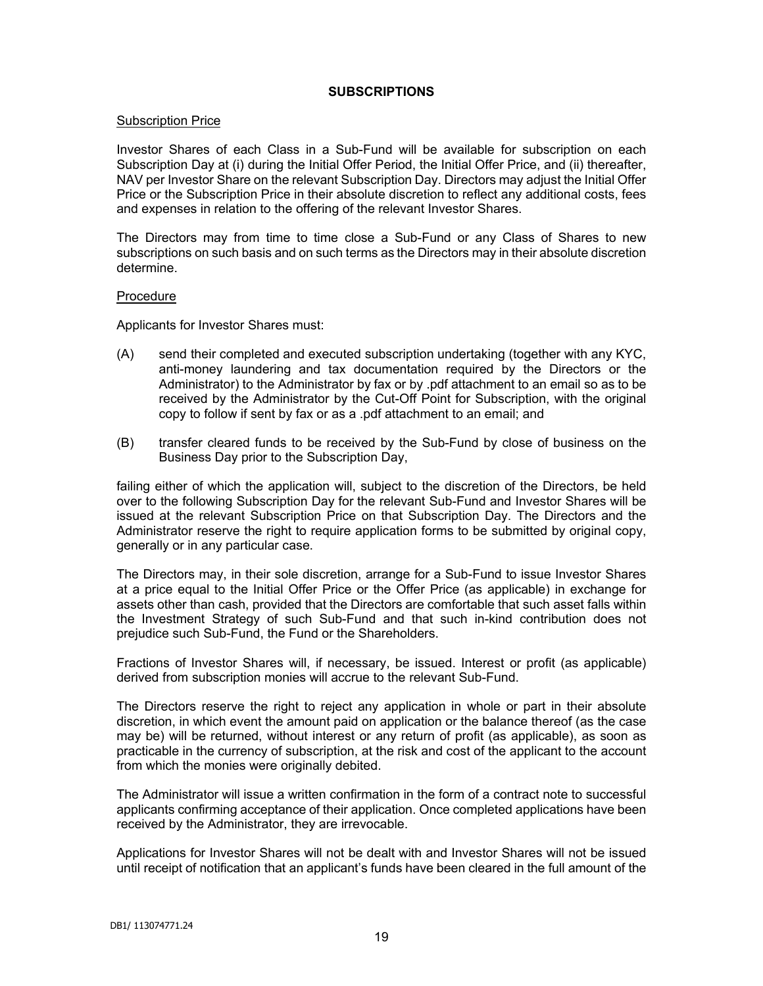# **SUBSCRIPTIONS**

### Subscription Price

Investor Shares of each Class in a Sub-Fund will be available for subscription on each Subscription Day at (i) during the Initial Offer Period, the Initial Offer Price, and (ii) thereafter, NAV per Investor Share on the relevant Subscription Day. Directors may adjust the Initial Offer Price or the Subscription Price in their absolute discretion to reflect any additional costs, fees and expenses in relation to the offering of the relevant Investor Shares.

The Directors may from time to time close a Sub-Fund or any Class of Shares to new subscriptions on such basis and on such terms as the Directors may in their absolute discretion determine.

#### Procedure

Applicants for Investor Shares must:

- (A) send their completed and executed subscription undertaking (together with any KYC, anti-money laundering and tax documentation required by the Directors or the Administrator) to the Administrator by fax or by .pdf attachment to an email so as to be received by the Administrator by the Cut-Off Point for Subscription, with the original copy to follow if sent by fax or as a .pdf attachment to an email; and
- (B) transfer cleared funds to be received by the Sub-Fund by close of business on the Business Day prior to the Subscription Day,

failing either of which the application will, subject to the discretion of the Directors, be held over to the following Subscription Day for the relevant Sub-Fund and Investor Shares will be issued at the relevant Subscription Price on that Subscription Day. The Directors and the Administrator reserve the right to require application forms to be submitted by original copy, generally or in any particular case.

The Directors may, in their sole discretion, arrange for a Sub-Fund to issue Investor Shares at a price equal to the Initial Offer Price or the Offer Price (as applicable) in exchange for assets other than cash, provided that the Directors are comfortable that such asset falls within the Investment Strategy of such Sub-Fund and that such in-kind contribution does not prejudice such Sub-Fund, the Fund or the Shareholders.

Fractions of Investor Shares will, if necessary, be issued. Interest or profit (as applicable) derived from subscription monies will accrue to the relevant Sub-Fund.

The Directors reserve the right to reject any application in whole or part in their absolute discretion, in which event the amount paid on application or the balance thereof (as the case may be) will be returned, without interest or any return of profit (as applicable), as soon as practicable in the currency of subscription, at the risk and cost of the applicant to the account from which the monies were originally debited.

The Administrator will issue a written confirmation in the form of a contract note to successful applicants confirming acceptance of their application. Once completed applications have been received by the Administrator, they are irrevocable.

Applications for Investor Shares will not be dealt with and Investor Shares will not be issued until receipt of notification that an applicant's funds have been cleared in the full amount of the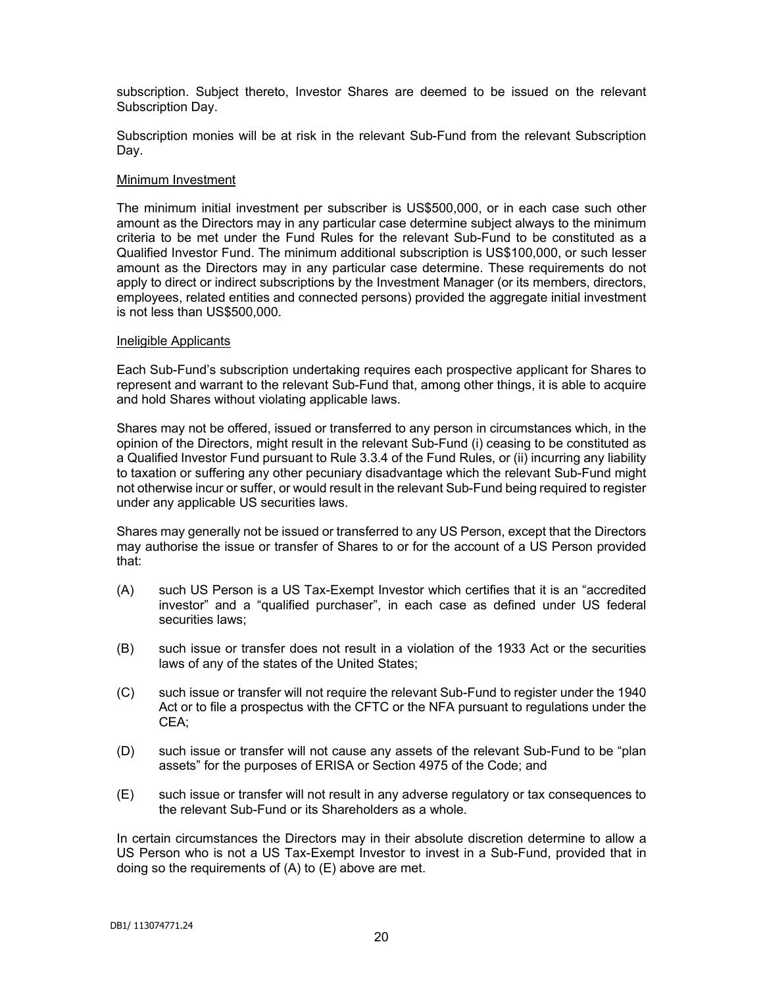subscription. Subject thereto, Investor Shares are deemed to be issued on the relevant Subscription Day.

Subscription monies will be at risk in the relevant Sub-Fund from the relevant Subscription Day.

#### Minimum Investment

The minimum initial investment per subscriber is US\$500,000, or in each case such other amount as the Directors may in any particular case determine subject always to the minimum criteria to be met under the Fund Rules for the relevant Sub-Fund to be constituted as a Qualified Investor Fund. The minimum additional subscription is US\$100,000, or such lesser amount as the Directors may in any particular case determine. These requirements do not apply to direct or indirect subscriptions by the Investment Manager (or its members, directors, employees, related entities and connected persons) provided the aggregate initial investment is not less than US\$500,000.

#### Ineligible Applicants

Each Sub-Fund's subscription undertaking requires each prospective applicant for Shares to represent and warrant to the relevant Sub-Fund that, among other things, it is able to acquire and hold Shares without violating applicable laws.

Shares may not be offered, issued or transferred to any person in circumstances which, in the opinion of the Directors, might result in the relevant Sub-Fund (i) ceasing to be constituted as a Qualified Investor Fund pursuant to Rule 3.3.4 of the Fund Rules, or (ii) incurring any liability to taxation or suffering any other pecuniary disadvantage which the relevant Sub-Fund might not otherwise incur or suffer, or would result in the relevant Sub-Fund being required to register under any applicable US securities laws.

Shares may generally not be issued or transferred to any US Person, except that the Directors may authorise the issue or transfer of Shares to or for the account of a US Person provided that:

- (A) such US Person is a US Tax-Exempt Investor which certifies that it is an "accredited investor" and a "qualified purchaser", in each case as defined under US federal securities laws;
- (B) such issue or transfer does not result in a violation of the 1933 Act or the securities laws of any of the states of the United States;
- (C) such issue or transfer will not require the relevant Sub-Fund to register under the 1940 Act or to file a prospectus with the CFTC or the NFA pursuant to regulations under the CEA;
- (D) such issue or transfer will not cause any assets of the relevant Sub-Fund to be "plan assets" for the purposes of ERISA or Section 4975 of the Code; and
- (E) such issue or transfer will not result in any adverse regulatory or tax consequences to the relevant Sub-Fund or its Shareholders as a whole.

In certain circumstances the Directors may in their absolute discretion determine to allow a US Person who is not a US Tax-Exempt Investor to invest in a Sub-Fund, provided that in doing so the requirements of (A) to (E) above are met.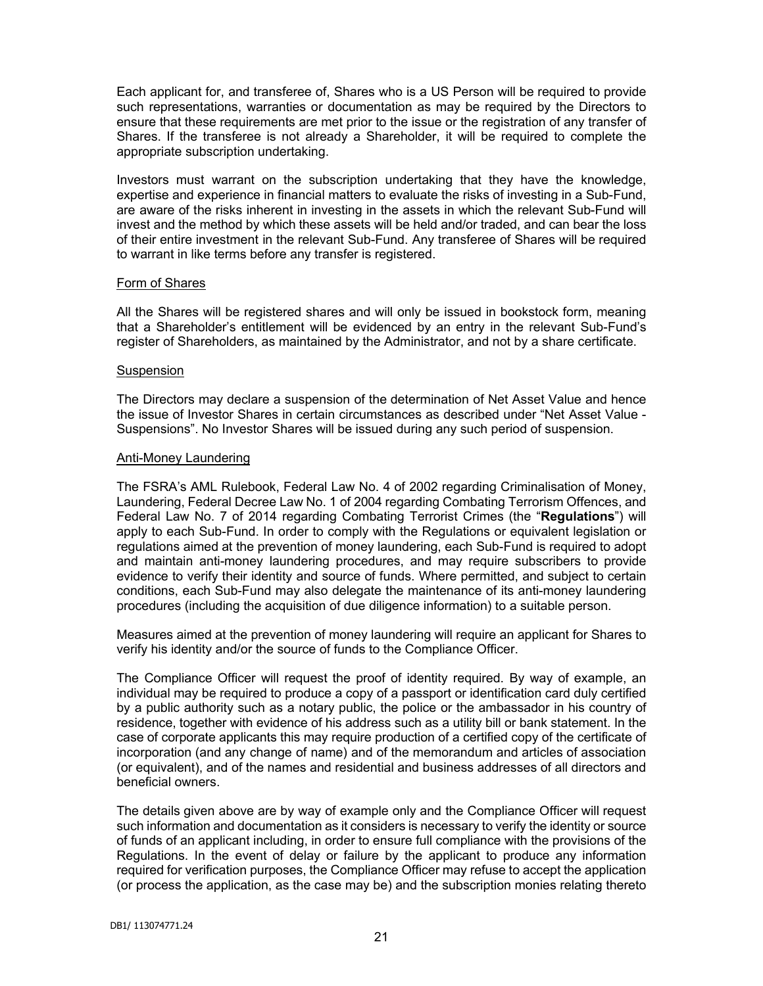Each applicant for, and transferee of, Shares who is a US Person will be required to provide such representations, warranties or documentation as may be required by the Directors to ensure that these requirements are met prior to the issue or the registration of any transfer of Shares. If the transferee is not already a Shareholder, it will be required to complete the appropriate subscription undertaking.

Investors must warrant on the subscription undertaking that they have the knowledge, expertise and experience in financial matters to evaluate the risks of investing in a Sub-Fund, are aware of the risks inherent in investing in the assets in which the relevant Sub-Fund will invest and the method by which these assets will be held and/or traded, and can bear the loss of their entire investment in the relevant Sub-Fund. Any transferee of Shares will be required to warrant in like terms before any transfer is registered.

### Form of Shares

All the Shares will be registered shares and will only be issued in bookstock form, meaning that a Shareholder's entitlement will be evidenced by an entry in the relevant Sub-Fund's register of Shareholders, as maintained by the Administrator, and not by a share certificate.

# Suspension

The Directors may declare a suspension of the determination of Net Asset Value and hence the issue of Investor Shares in certain circumstances as described under "Net Asset Value - Suspensions". No Investor Shares will be issued during any such period of suspension.

# Anti-Money Laundering

The FSRA's AML Rulebook, Federal Law No. 4 of 2002 regarding Criminalisation of Money, Laundering, Federal Decree Law No. 1 of 2004 regarding Combating Terrorism Offences, and Federal Law No. 7 of 2014 regarding Combating Terrorist Crimes (the "**Regulations**") will apply to each Sub-Fund. In order to comply with the Regulations or equivalent legislation or regulations aimed at the prevention of money laundering, each Sub-Fund is required to adopt and maintain anti-money laundering procedures, and may require subscribers to provide evidence to verify their identity and source of funds. Where permitted, and subject to certain conditions, each Sub-Fund may also delegate the maintenance of its anti-money laundering procedures (including the acquisition of due diligence information) to a suitable person.

Measures aimed at the prevention of money laundering will require an applicant for Shares to verify his identity and/or the source of funds to the Compliance Officer.

The Compliance Officer will request the proof of identity required. By way of example, an individual may be required to produce a copy of a passport or identification card duly certified by a public authority such as a notary public, the police or the ambassador in his country of residence, together with evidence of his address such as a utility bill or bank statement. In the case of corporate applicants this may require production of a certified copy of the certificate of incorporation (and any change of name) and of the memorandum and articles of association (or equivalent), and of the names and residential and business addresses of all directors and beneficial owners.

The details given above are by way of example only and the Compliance Officer will request such information and documentation as it considers is necessary to verify the identity or source of funds of an applicant including, in order to ensure full compliance with the provisions of the Regulations. In the event of delay or failure by the applicant to produce any information required for verification purposes, the Compliance Officer may refuse to accept the application (or process the application, as the case may be) and the subscription monies relating thereto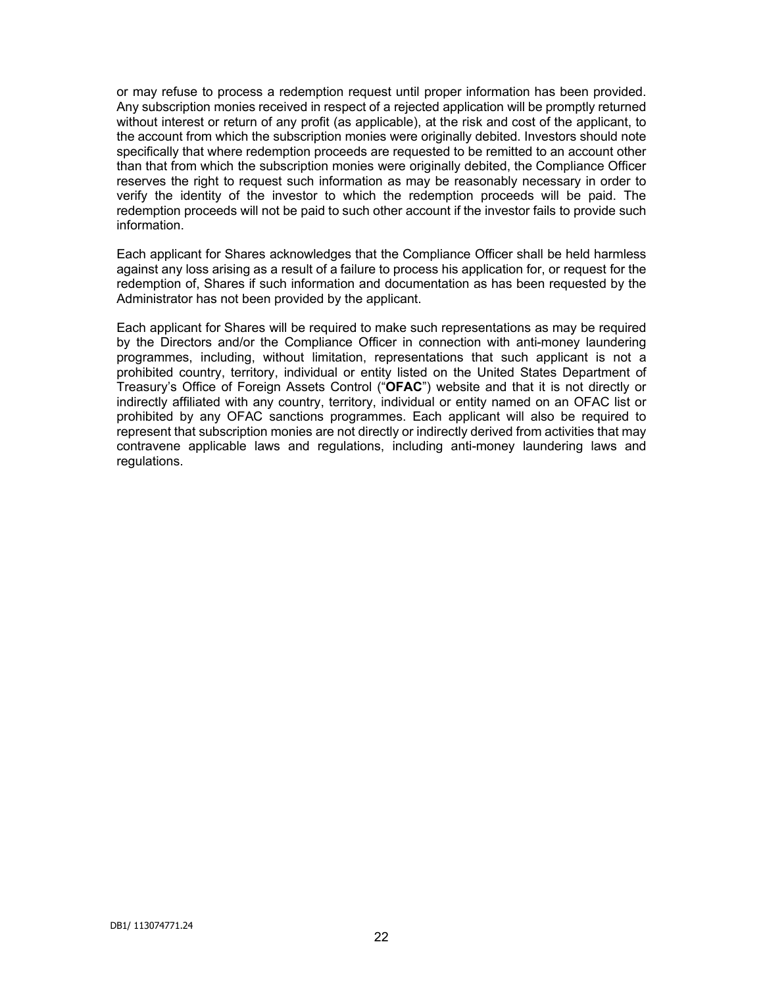or may refuse to process a redemption request until proper information has been provided. Any subscription monies received in respect of a rejected application will be promptly returned without interest or return of any profit (as applicable), at the risk and cost of the applicant, to the account from which the subscription monies were originally debited. Investors should note specifically that where redemption proceeds are requested to be remitted to an account other than that from which the subscription monies were originally debited, the Compliance Officer reserves the right to request such information as may be reasonably necessary in order to verify the identity of the investor to which the redemption proceeds will be paid. The redemption proceeds will not be paid to such other account if the investor fails to provide such information.

Each applicant for Shares acknowledges that the Compliance Officer shall be held harmless against any loss arising as a result of a failure to process his application for, or request for the redemption of, Shares if such information and documentation as has been requested by the Administrator has not been provided by the applicant.

Each applicant for Shares will be required to make such representations as may be required by the Directors and/or the Compliance Officer in connection with anti-money laundering programmes, including, without limitation, representations that such applicant is not a prohibited country, territory, individual or entity listed on the United States Department of Treasury's Office of Foreign Assets Control ("**OFAC**") website and that it is not directly or indirectly affiliated with any country, territory, individual or entity named on an OFAC list or prohibited by any OFAC sanctions programmes. Each applicant will also be required to represent that subscription monies are not directly or indirectly derived from activities that may contravene applicable laws and regulations, including anti-money laundering laws and regulations.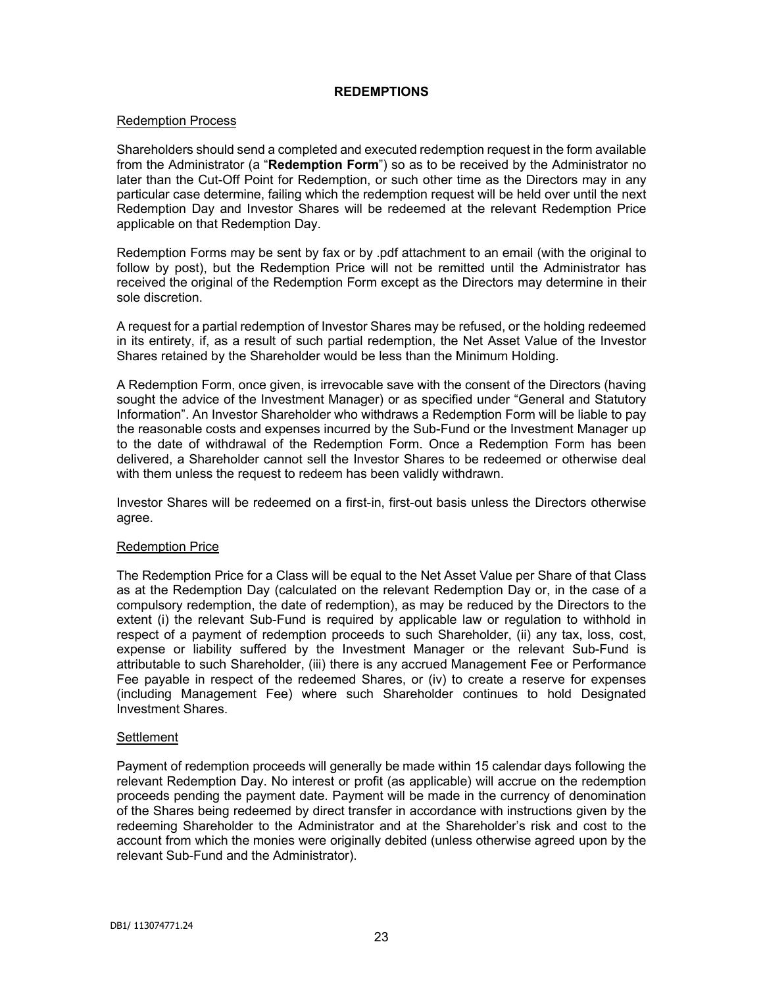### **REDEMPTIONS**

### Redemption Process

Shareholders should send a completed and executed redemption request in the form available from the Administrator (a "**Redemption Form**") so as to be received by the Administrator no later than the Cut-Off Point for Redemption, or such other time as the Directors may in any particular case determine, failing which the redemption request will be held over until the next Redemption Day and Investor Shares will be redeemed at the relevant Redemption Price applicable on that Redemption Day.

Redemption Forms may be sent by fax or by .pdf attachment to an email (with the original to follow by post), but the Redemption Price will not be remitted until the Administrator has received the original of the Redemption Form except as the Directors may determine in their sole discretion.

A request for a partial redemption of Investor Shares may be refused, or the holding redeemed in its entirety, if, as a result of such partial redemption, the Net Asset Value of the Investor Shares retained by the Shareholder would be less than the Minimum Holding.

A Redemption Form, once given, is irrevocable save with the consent of the Directors (having sought the advice of the Investment Manager) or as specified under "General and Statutory Information". An Investor Shareholder who withdraws a Redemption Form will be liable to pay the reasonable costs and expenses incurred by the Sub-Fund or the Investment Manager up to the date of withdrawal of the Redemption Form. Once a Redemption Form has been delivered, a Shareholder cannot sell the Investor Shares to be redeemed or otherwise deal with them unless the request to redeem has been validly withdrawn.

Investor Shares will be redeemed on a first-in, first-out basis unless the Directors otherwise agree.

### Redemption Price

The Redemption Price for a Class will be equal to the Net Asset Value per Share of that Class as at the Redemption Day (calculated on the relevant Redemption Day or, in the case of a compulsory redemption, the date of redemption), as may be reduced by the Directors to the extent (i) the relevant Sub-Fund is required by applicable law or regulation to withhold in respect of a payment of redemption proceeds to such Shareholder, (ii) any tax, loss, cost, expense or liability suffered by the Investment Manager or the relevant Sub-Fund is attributable to such Shareholder, (iii) there is any accrued Management Fee or Performance Fee payable in respect of the redeemed Shares, or (iv) to create a reserve for expenses (including Management Fee) where such Shareholder continues to hold Designated Investment Shares.

### **Settlement**

Payment of redemption proceeds will generally be made within 15 calendar days following the relevant Redemption Day. No interest or profit (as applicable) will accrue on the redemption proceeds pending the payment date. Payment will be made in the currency of denomination of the Shares being redeemed by direct transfer in accordance with instructions given by the redeeming Shareholder to the Administrator and at the Shareholder's risk and cost to the account from which the monies were originally debited (unless otherwise agreed upon by the relevant Sub-Fund and the Administrator).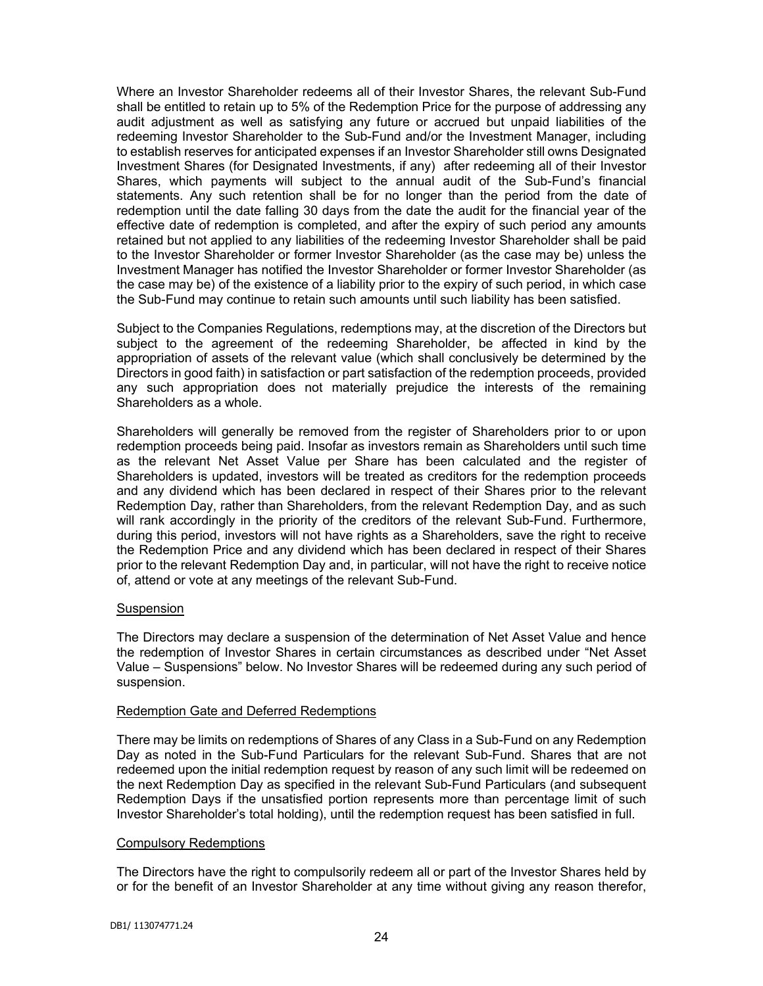Where an Investor Shareholder redeems all of their Investor Shares, the relevant Sub-Fund shall be entitled to retain up to 5% of the Redemption Price for the purpose of addressing any audit adjustment as well as satisfying any future or accrued but unpaid liabilities of the redeeming Investor Shareholder to the Sub-Fund and/or the Investment Manager, including to establish reserves for anticipated expenses if an Investor Shareholder still owns Designated Investment Shares (for Designated Investments, if any) after redeeming all of their Investor Shares, which payments will subject to the annual audit of the Sub-Fund's financial statements. Any such retention shall be for no longer than the period from the date of redemption until the date falling 30 days from the date the audit for the financial year of the effective date of redemption is completed, and after the expiry of such period any amounts retained but not applied to any liabilities of the redeeming Investor Shareholder shall be paid to the Investor Shareholder or former Investor Shareholder (as the case may be) unless the Investment Manager has notified the Investor Shareholder or former Investor Shareholder (as the case may be) of the existence of a liability prior to the expiry of such period, in which case the Sub-Fund may continue to retain such amounts until such liability has been satisfied.

Subject to the Companies Regulations, redemptions may, at the discretion of the Directors but subject to the agreement of the redeeming Shareholder, be affected in kind by the appropriation of assets of the relevant value (which shall conclusively be determined by the Directors in good faith) in satisfaction or part satisfaction of the redemption proceeds, provided any such appropriation does not materially prejudice the interests of the remaining Shareholders as a whole.

Shareholders will generally be removed from the register of Shareholders prior to or upon redemption proceeds being paid. Insofar as investors remain as Shareholders until such time as the relevant Net Asset Value per Share has been calculated and the register of Shareholders is updated, investors will be treated as creditors for the redemption proceeds and any dividend which has been declared in respect of their Shares prior to the relevant Redemption Day, rather than Shareholders, from the relevant Redemption Day, and as such will rank accordingly in the priority of the creditors of the relevant Sub-Fund. Furthermore, during this period, investors will not have rights as a Shareholders, save the right to receive the Redemption Price and any dividend which has been declared in respect of their Shares prior to the relevant Redemption Day and, in particular, will not have the right to receive notice of, attend or vote at any meetings of the relevant Sub-Fund.

### **Suspension**

The Directors may declare a suspension of the determination of Net Asset Value and hence the redemption of Investor Shares in certain circumstances as described under "Net Asset Value – Suspensions" below. No Investor Shares will be redeemed during any such period of suspension.

### Redemption Gate and Deferred Redemptions

There may be limits on redemptions of Shares of any Class in a Sub-Fund on any Redemption Day as noted in the Sub-Fund Particulars for the relevant Sub-Fund. Shares that are not redeemed upon the initial redemption request by reason of any such limit will be redeemed on the next Redemption Day as specified in the relevant Sub-Fund Particulars (and subsequent Redemption Days if the unsatisfied portion represents more than percentage limit of such Investor Shareholder's total holding), until the redemption request has been satisfied in full.

### Compulsory Redemptions

The Directors have the right to compulsorily redeem all or part of the Investor Shares held by or for the benefit of an Investor Shareholder at any time without giving any reason therefor,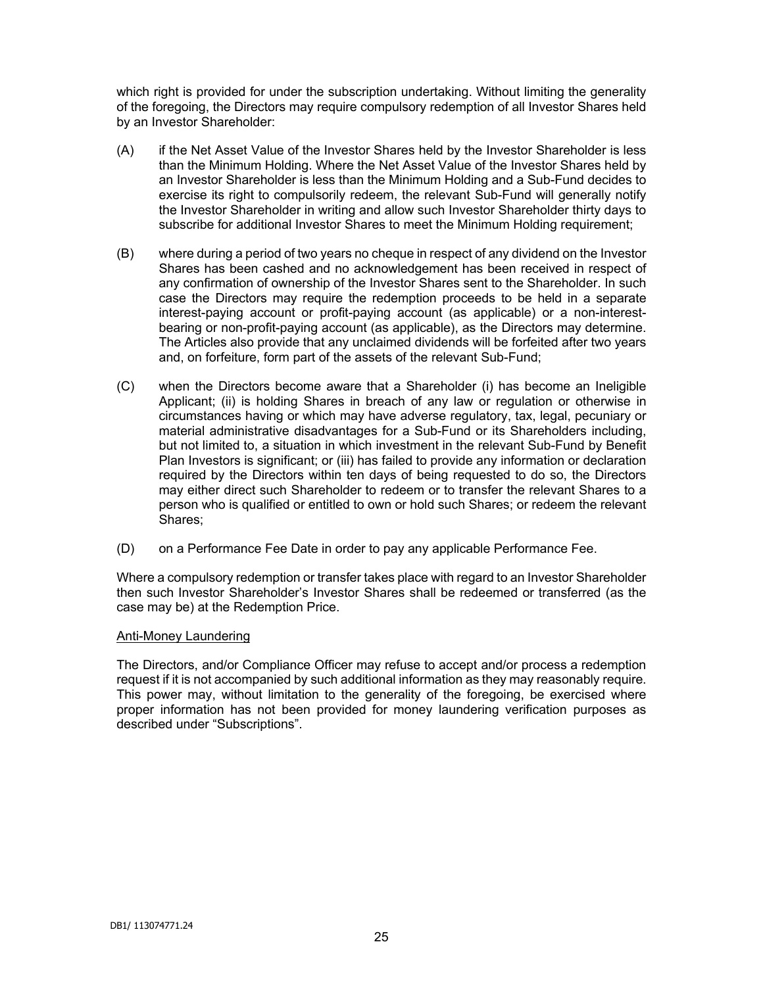which right is provided for under the subscription undertaking. Without limiting the generality of the foregoing, the Directors may require compulsory redemption of all Investor Shares held by an Investor Shareholder:

- (A) if the Net Asset Value of the Investor Shares held by the Investor Shareholder is less than the Minimum Holding. Where the Net Asset Value of the Investor Shares held by an Investor Shareholder is less than the Minimum Holding and a Sub-Fund decides to exercise its right to compulsorily redeem, the relevant Sub-Fund will generally notify the Investor Shareholder in writing and allow such Investor Shareholder thirty days to subscribe for additional Investor Shares to meet the Minimum Holding requirement;
- (B) where during a period of two years no cheque in respect of any dividend on the Investor Shares has been cashed and no acknowledgement has been received in respect of any confirmation of ownership of the Investor Shares sent to the Shareholder. In such case the Directors may require the redemption proceeds to be held in a separate interest-paying account or profit-paying account (as applicable) or a non-interestbearing or non-profit-paying account (as applicable), as the Directors may determine. The Articles also provide that any unclaimed dividends will be forfeited after two years and, on forfeiture, form part of the assets of the relevant Sub-Fund;
- (C) when the Directors become aware that a Shareholder (i) has become an Ineligible Applicant; (ii) is holding Shares in breach of any law or regulation or otherwise in circumstances having or which may have adverse regulatory, tax, legal, pecuniary or material administrative disadvantages for a Sub-Fund or its Shareholders including, but not limited to, a situation in which investment in the relevant Sub-Fund by Benefit Plan Investors is significant; or (iii) has failed to provide any information or declaration required by the Directors within ten days of being requested to do so, the Directors may either direct such Shareholder to redeem or to transfer the relevant Shares to a person who is qualified or entitled to own or hold such Shares; or redeem the relevant Shares;
- (D) on a Performance Fee Date in order to pay any applicable Performance Fee.

Where a compulsory redemption or transfer takes place with regard to an Investor Shareholder then such Investor Shareholder's Investor Shares shall be redeemed or transferred (as the case may be) at the Redemption Price.

### Anti-Money Laundering

The Directors, and/or Compliance Officer may refuse to accept and/or process a redemption request if it is not accompanied by such additional information as they may reasonably require. This power may, without limitation to the generality of the foregoing, be exercised where proper information has not been provided for money laundering verification purposes as described under "Subscriptions".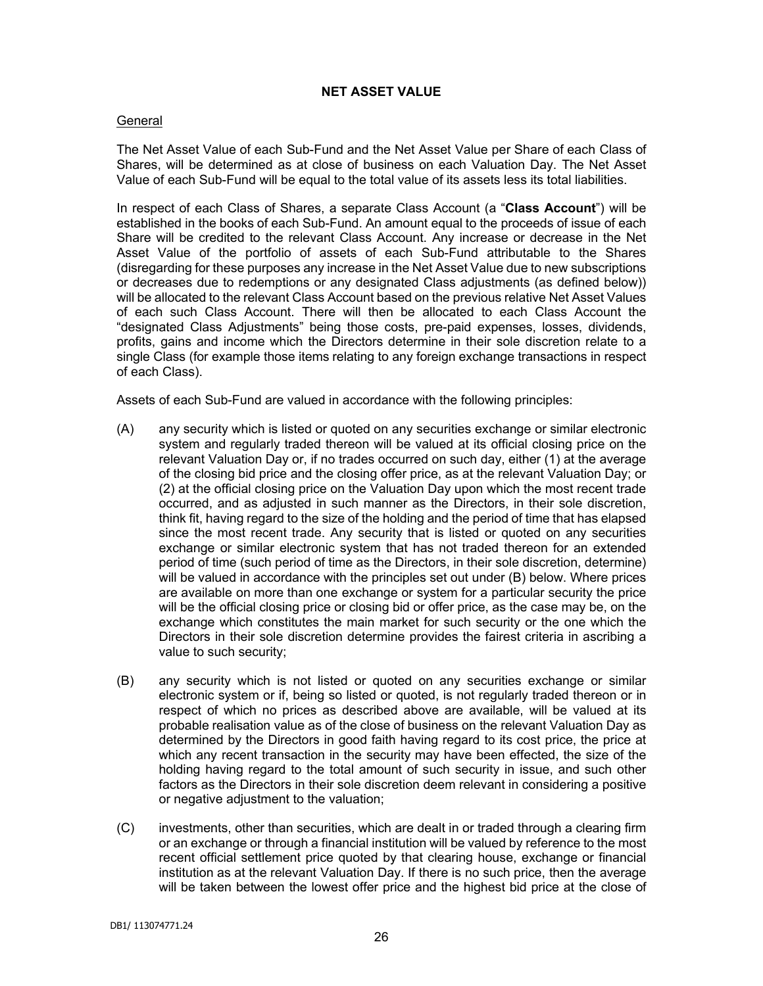# **NET ASSET VALUE**

### **General**

The Net Asset Value of each Sub-Fund and the Net Asset Value per Share of each Class of Shares, will be determined as at close of business on each Valuation Day. The Net Asset Value of each Sub-Fund will be equal to the total value of its assets less its total liabilities.

In respect of each Class of Shares, a separate Class Account (a "**Class Account**") will be established in the books of each Sub-Fund. An amount equal to the proceeds of issue of each Share will be credited to the relevant Class Account. Any increase or decrease in the Net Asset Value of the portfolio of assets of each Sub-Fund attributable to the Shares (disregarding for these purposes any increase in the Net Asset Value due to new subscriptions or decreases due to redemptions or any designated Class adjustments (as defined below)) will be allocated to the relevant Class Account based on the previous relative Net Asset Values of each such Class Account. There will then be allocated to each Class Account the "designated Class Adjustments" being those costs, pre-paid expenses, losses, dividends, profits, gains and income which the Directors determine in their sole discretion relate to a single Class (for example those items relating to any foreign exchange transactions in respect of each Class).

Assets of each Sub-Fund are valued in accordance with the following principles:

- (A) any security which is listed or quoted on any securities exchange or similar electronic system and regularly traded thereon will be valued at its official closing price on the relevant Valuation Day or, if no trades occurred on such day, either (1) at the average of the closing bid price and the closing offer price, as at the relevant Valuation Day; or (2) at the official closing price on the Valuation Day upon which the most recent trade occurred, and as adjusted in such manner as the Directors, in their sole discretion, think fit, having regard to the size of the holding and the period of time that has elapsed since the most recent trade. Any security that is listed or quoted on any securities exchange or similar electronic system that has not traded thereon for an extended period of time (such period of time as the Directors, in their sole discretion, determine) will be valued in accordance with the principles set out under (B) below. Where prices are available on more than one exchange or system for a particular security the price will be the official closing price or closing bid or offer price, as the case may be, on the exchange which constitutes the main market for such security or the one which the Directors in their sole discretion determine provides the fairest criteria in ascribing a value to such security;
- (B) any security which is not listed or quoted on any securities exchange or similar electronic system or if, being so listed or quoted, is not regularly traded thereon or in respect of which no prices as described above are available, will be valued at its probable realisation value as of the close of business on the relevant Valuation Day as determined by the Directors in good faith having regard to its cost price, the price at which any recent transaction in the security may have been effected, the size of the holding having regard to the total amount of such security in issue, and such other factors as the Directors in their sole discretion deem relevant in considering a positive or negative adjustment to the valuation;
- (C) investments, other than securities, which are dealt in or traded through a clearing firm or an exchange or through a financial institution will be valued by reference to the most recent official settlement price quoted by that clearing house, exchange or financial institution as at the relevant Valuation Day. If there is no such price, then the average will be taken between the lowest offer price and the highest bid price at the close of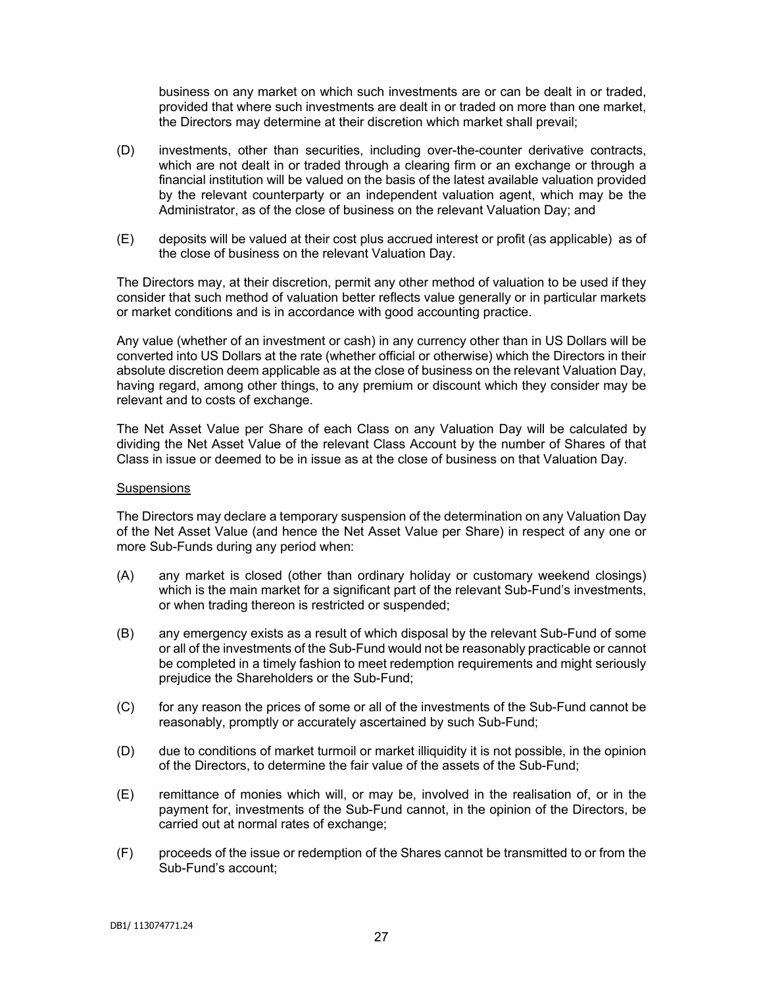business on any market on which such investments are or can be dealt in or traded, provided that where such investments are dealt in or traded on more than one market, the Directors may determine at their discretion which market shall prevail;

- (D) investments, other than securities, including over-the-counter derivative contracts, which are not dealt in or traded through a clearing firm or an exchange or through a financial institution will be valued on the basis of the latest available valuation provided by the relevant counterparty or an independent valuation agent, which may be the Administrator, as of the close of business on the relevant Valuation Day; and
- (E) deposits will be valued at their cost plus accrued interest or profit (as applicable) as of the close of business on the relevant Valuation Day.

The Directors may, at their discretion, permit any other method of valuation to be used if they consider that such method of valuation better reflects value generally or in particular markets or market conditions and is in accordance with good accounting practice.

Any value (whether of an investment or cash) in any currency other than in US Dollars will be converted into US Dollars at the rate (whether official or otherwise) which the Directors in their absolute discretion deem applicable as at the close of business on the relevant Valuation Day, having regard, among other things, to any premium or discount which they consider may be relevant and to costs of exchange.

The Net Asset Value per Share of each Class on any Valuation Day will be calculated by dividing the Net Asset Value of the relevant Class Account by the number of Shares of that Class in issue or deemed to be in issue as at the close of business on that Valuation Day.

#### **Suspensions**

The Directors may declare a temporary suspension of the determination on any Valuation Day of the Net Asset Value (and hence the Net Asset Value per Share) in respect of any one or more Sub-Funds during any period when:

- (A) any market is closed (other than ordinary holiday or customary weekend closings) which is the main market for a significant part of the relevant Sub-Fund's investments, or when trading thereon is restricted or suspended;
- (B) any emergency exists as a result of which disposal by the relevant Sub-Fund of some or all of the investments of the Sub-Fund would not be reasonably practicable or cannot be completed in a timely fashion to meet redemption requirements and might seriously prejudice the Shareholders or the Sub-Fund;
- (C) for any reason the prices of some or all of the investments of the Sub-Fund cannot be reasonably, promptly or accurately ascertained by such Sub-Fund;
- (D) due to conditions of market turmoil or market illiquidity it is not possible, in the opinion of the Directors, to determine the fair value of the assets of the Sub-Fund;
- (E) remittance of monies which will, or may be, involved in the realisation of, or in the payment for, investments of the Sub-Fund cannot, in the opinion of the Directors, be carried out at normal rates of exchange;
- (F) proceeds of the issue or redemption of the Shares cannot be transmitted to or from the Sub-Fund's account;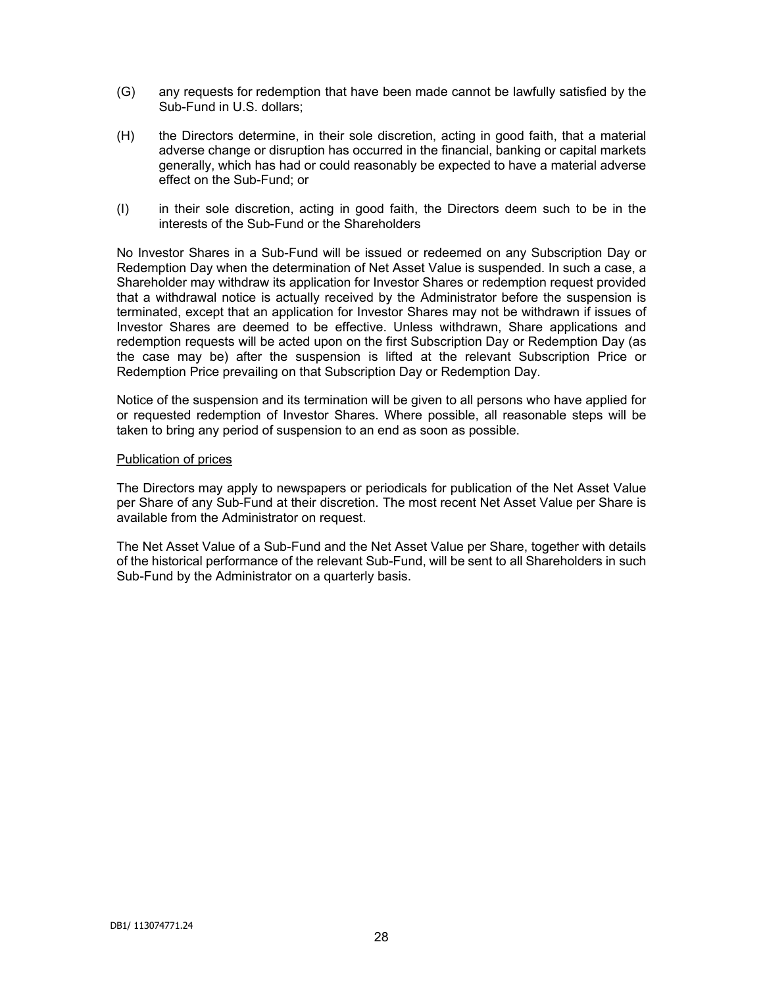- (G) any requests for redemption that have been made cannot be lawfully satisfied by the Sub-Fund in U.S. dollars;
- (H) the Directors determine, in their sole discretion, acting in good faith, that a material adverse change or disruption has occurred in the financial, banking or capital markets generally, which has had or could reasonably be expected to have a material adverse effect on the Sub-Fund; or
- (I) in their sole discretion, acting in good faith, the Directors deem such to be in the interests of the Sub-Fund or the Shareholders

No Investor Shares in a Sub-Fund will be issued or redeemed on any Subscription Day or Redemption Day when the determination of Net Asset Value is suspended. In such a case, a Shareholder may withdraw its application for Investor Shares or redemption request provided that a withdrawal notice is actually received by the Administrator before the suspension is terminated, except that an application for Investor Shares may not be withdrawn if issues of Investor Shares are deemed to be effective. Unless withdrawn, Share applications and redemption requests will be acted upon on the first Subscription Day or Redemption Day (as the case may be) after the suspension is lifted at the relevant Subscription Price or Redemption Price prevailing on that Subscription Day or Redemption Day.

Notice of the suspension and its termination will be given to all persons who have applied for or requested redemption of Investor Shares. Where possible, all reasonable steps will be taken to bring any period of suspension to an end as soon as possible.

#### Publication of prices

The Directors may apply to newspapers or periodicals for publication of the Net Asset Value per Share of any Sub-Fund at their discretion. The most recent Net Asset Value per Share is available from the Administrator on request.

The Net Asset Value of a Sub-Fund and the Net Asset Value per Share, together with details of the historical performance of the relevant Sub-Fund, will be sent to all Shareholders in such Sub-Fund by the Administrator on a quarterly basis.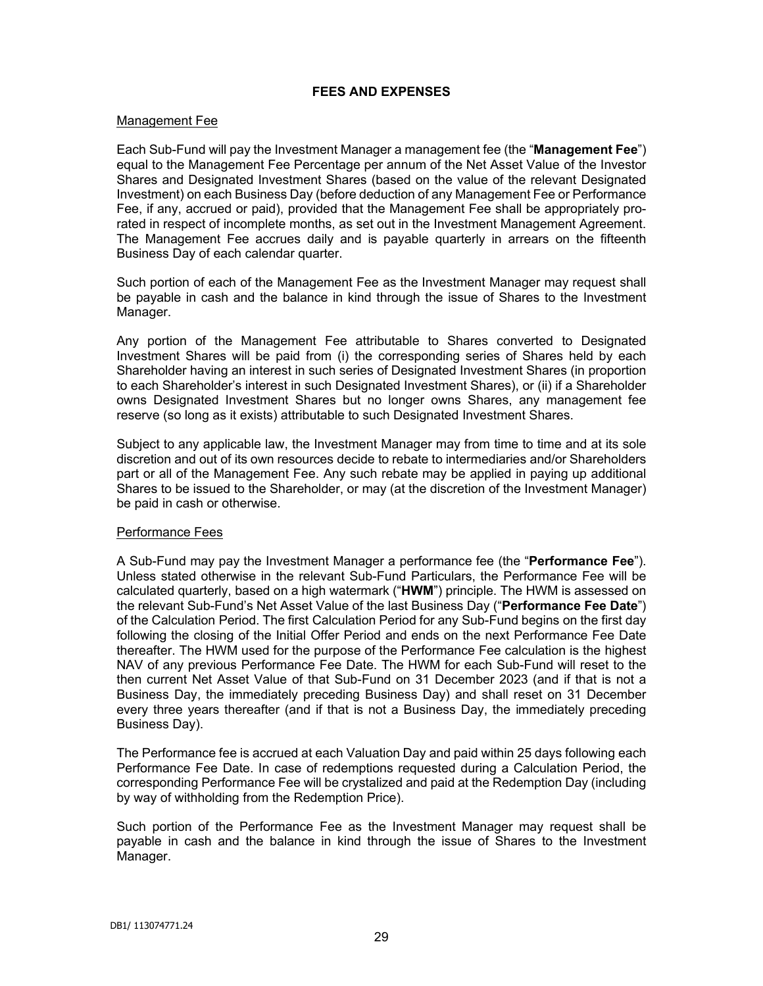# **FEES AND EXPENSES**

#### Management Fee

Each Sub-Fund will pay the Investment Manager a management fee (the "**Management Fee**") equal to the Management Fee Percentage per annum of the Net Asset Value of the Investor Shares and Designated Investment Shares (based on the value of the relevant Designated Investment) on each Business Day (before deduction of any Management Fee or Performance Fee, if any, accrued or paid), provided that the Management Fee shall be appropriately prorated in respect of incomplete months, as set out in the Investment Management Agreement. The Management Fee accrues daily and is payable quarterly in arrears on the fifteenth Business Day of each calendar quarter.

Such portion of each of the Management Fee as the Investment Manager may request shall be payable in cash and the balance in kind through the issue of Shares to the Investment Manager.

Any portion of the Management Fee attributable to Shares converted to Designated Investment Shares will be paid from (i) the corresponding series of Shares held by each Shareholder having an interest in such series of Designated Investment Shares (in proportion to each Shareholder's interest in such Designated Investment Shares), or (ii) if a Shareholder owns Designated Investment Shares but no longer owns Shares, any management fee reserve (so long as it exists) attributable to such Designated Investment Shares.

Subject to any applicable law, the Investment Manager may from time to time and at its sole discretion and out of its own resources decide to rebate to intermediaries and/or Shareholders part or all of the Management Fee. Any such rebate may be applied in paying up additional Shares to be issued to the Shareholder, or may (at the discretion of the Investment Manager) be paid in cash or otherwise.

### Performance Fees

A Sub-Fund may pay the Investment Manager a performance fee (the "**Performance Fee**"). Unless stated otherwise in the relevant Sub-Fund Particulars, the Performance Fee will be calculated quarterly, based on a high watermark ("**HWM**") principle. The HWM is assessed on the relevant Sub-Fund's Net Asset Value of the last Business Day ("**Performance Fee Date**") of the Calculation Period. The first Calculation Period for any Sub-Fund begins on the first day following the closing of the Initial Offer Period and ends on the next Performance Fee Date thereafter. The HWM used for the purpose of the Performance Fee calculation is the highest NAV of any previous Performance Fee Date. The HWM for each Sub-Fund will reset to the then current Net Asset Value of that Sub-Fund on 31 December 2023 (and if that is not a Business Day, the immediately preceding Business Day) and shall reset on 31 December every three years thereafter (and if that is not a Business Day, the immediately preceding Business Day).

The Performance fee is accrued at each Valuation Day and paid within 25 days following each Performance Fee Date. In case of redemptions requested during a Calculation Period, the corresponding Performance Fee will be crystalized and paid at the Redemption Day (including by way of withholding from the Redemption Price).

Such portion of the Performance Fee as the Investment Manager may request shall be payable in cash and the balance in kind through the issue of Shares to the Investment Manager.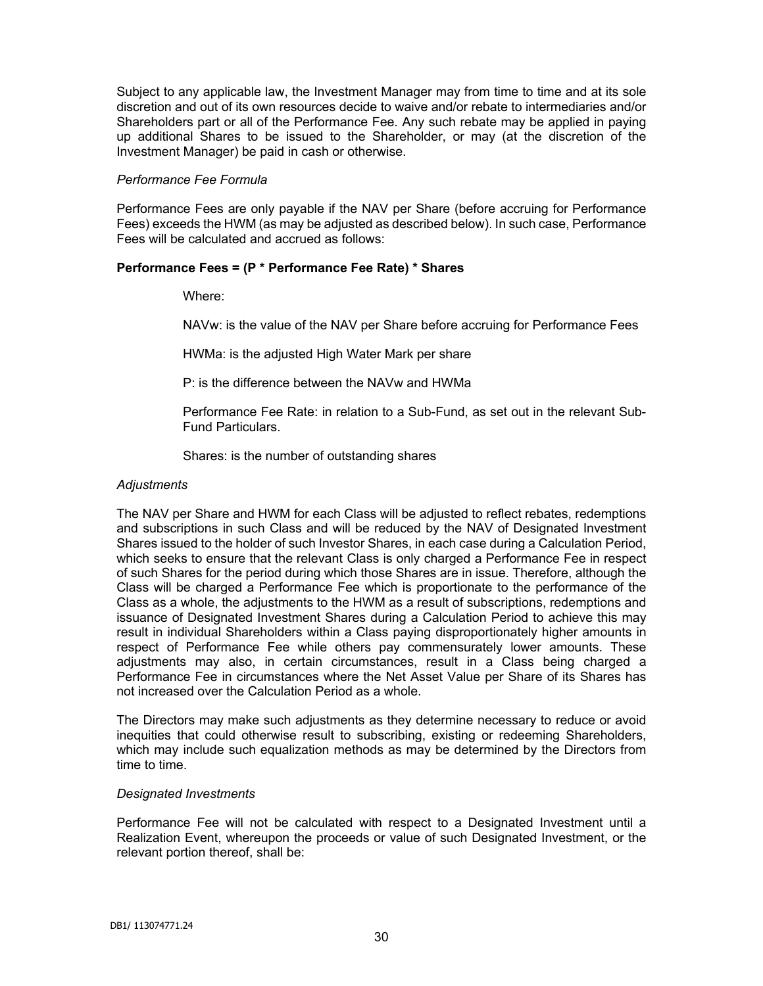Subject to any applicable law, the Investment Manager may from time to time and at its sole discretion and out of its own resources decide to waive and/or rebate to intermediaries and/or Shareholders part or all of the Performance Fee. Any such rebate may be applied in paying up additional Shares to be issued to the Shareholder, or may (at the discretion of the Investment Manager) be paid in cash or otherwise.

## *Performance Fee Formula*

Performance Fees are only payable if the NAV per Share (before accruing for Performance Fees) exceeds the HWM (as may be adjusted as described below). In such case, Performance Fees will be calculated and accrued as follows:

# **Performance Fees = (P \* Performance Fee Rate) \* Shares**

Where:

NAVw: is the value of the NAV per Share before accruing for Performance Fees

HWMa: is the adjusted High Water Mark per share

P: is the difference between the NAVw and HWMa

Performance Fee Rate: in relation to a Sub-Fund, as set out in the relevant Sub-Fund Particulars.

Shares: is the number of outstanding shares

# *Adjustments*

The NAV per Share and HWM for each Class will be adjusted to reflect rebates, redemptions and subscriptions in such Class and will be reduced by the NAV of Designated Investment Shares issued to the holder of such Investor Shares, in each case during a Calculation Period, which seeks to ensure that the relevant Class is only charged a Performance Fee in respect of such Shares for the period during which those Shares are in issue. Therefore, although the Class will be charged a Performance Fee which is proportionate to the performance of the Class as a whole, the adjustments to the HWM as a result of subscriptions, redemptions and issuance of Designated Investment Shares during a Calculation Period to achieve this may result in individual Shareholders within a Class paying disproportionately higher amounts in respect of Performance Fee while others pay commensurately lower amounts. These adjustments may also, in certain circumstances, result in a Class being charged a Performance Fee in circumstances where the Net Asset Value per Share of its Shares has not increased over the Calculation Period as a whole.

The Directors may make such adjustments as they determine necessary to reduce or avoid inequities that could otherwise result to subscribing, existing or redeeming Shareholders, which may include such equalization methods as may be determined by the Directors from time to time.

### *Designated Investments*

Performance Fee will not be calculated with respect to a Designated Investment until a Realization Event, whereupon the proceeds or value of such Designated Investment, or the relevant portion thereof, shall be: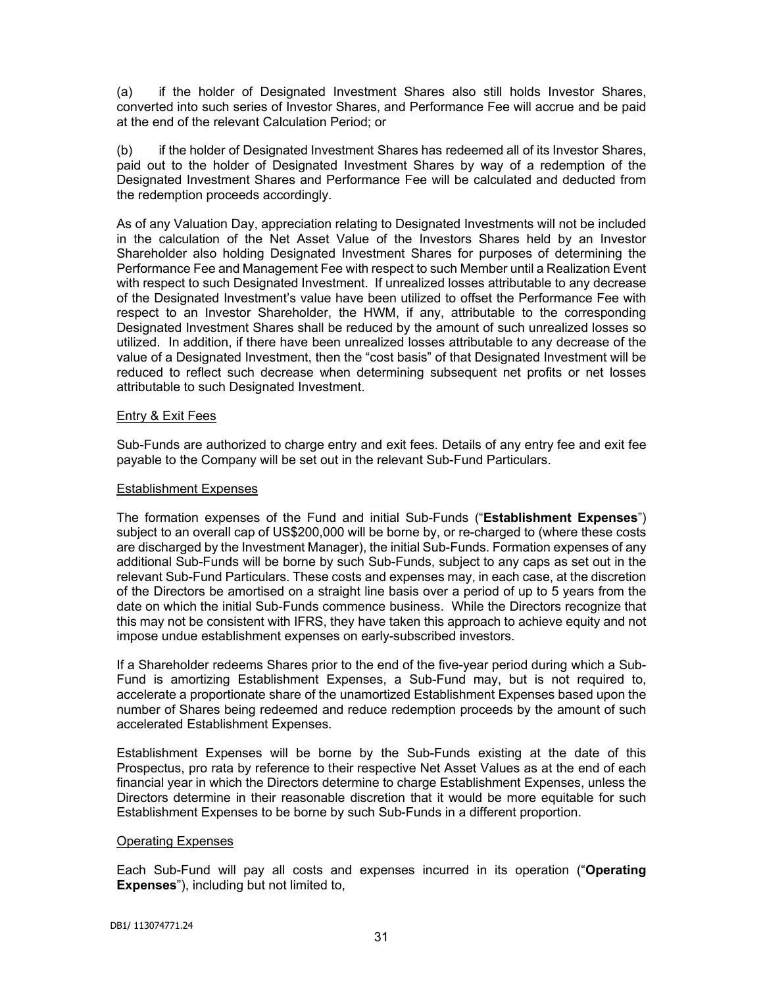(a) if the holder of Designated Investment Shares also still holds Investor Shares, converted into such series of Investor Shares, and Performance Fee will accrue and be paid at the end of the relevant Calculation Period; or

(b) if the holder of Designated Investment Shares has redeemed all of its Investor Shares, paid out to the holder of Designated Investment Shares by way of a redemption of the Designated Investment Shares and Performance Fee will be calculated and deducted from the redemption proceeds accordingly.

As of any Valuation Day, appreciation relating to Designated Investments will not be included in the calculation of the Net Asset Value of the Investors Shares held by an Investor Shareholder also holding Designated Investment Shares for purposes of determining the Performance Fee and Management Fee with respect to such Member until a Realization Event with respect to such Designated Investment. If unrealized losses attributable to any decrease of the Designated Investment's value have been utilized to offset the Performance Fee with respect to an Investor Shareholder, the HWM, if any, attributable to the corresponding Designated Investment Shares shall be reduced by the amount of such unrealized losses so utilized. In addition, if there have been unrealized losses attributable to any decrease of the value of a Designated Investment, then the "cost basis" of that Designated Investment will be reduced to reflect such decrease when determining subsequent net profits or net losses attributable to such Designated Investment.

# **Entry & Exit Fees**

Sub-Funds are authorized to charge entry and exit fees. Details of any entry fee and exit fee payable to the Company will be set out in the relevant Sub-Fund Particulars.

## Establishment Expenses

The formation expenses of the Fund and initial Sub-Funds ("**Establishment Expenses**") subject to an overall cap of US\$200,000 will be borne by, or re-charged to (where these costs are discharged by the Investment Manager), the initial Sub-Funds. Formation expenses of any additional Sub-Funds will be borne by such Sub-Funds, subject to any caps as set out in the relevant Sub-Fund Particulars. These costs and expenses may, in each case, at the discretion of the Directors be amortised on a straight line basis over a period of up to 5 years from the date on which the initial Sub-Funds commence business. While the Directors recognize that this may not be consistent with IFRS, they have taken this approach to achieve equity and not impose undue establishment expenses on early-subscribed investors.

If a Shareholder redeems Shares prior to the end of the five-year period during which a Sub-Fund is amortizing Establishment Expenses, a Sub-Fund may, but is not required to, accelerate a proportionate share of the unamortized Establishment Expenses based upon the number of Shares being redeemed and reduce redemption proceeds by the amount of such accelerated Establishment Expenses.

Establishment Expenses will be borne by the Sub-Funds existing at the date of this Prospectus, pro rata by reference to their respective Net Asset Values as at the end of each financial year in which the Directors determine to charge Establishment Expenses, unless the Directors determine in their reasonable discretion that it would be more equitable for such Establishment Expenses to be borne by such Sub-Funds in a different proportion.

### Operating Expenses

Each Sub-Fund will pay all costs and expenses incurred in its operation ("**Operating Expenses**"), including but not limited to,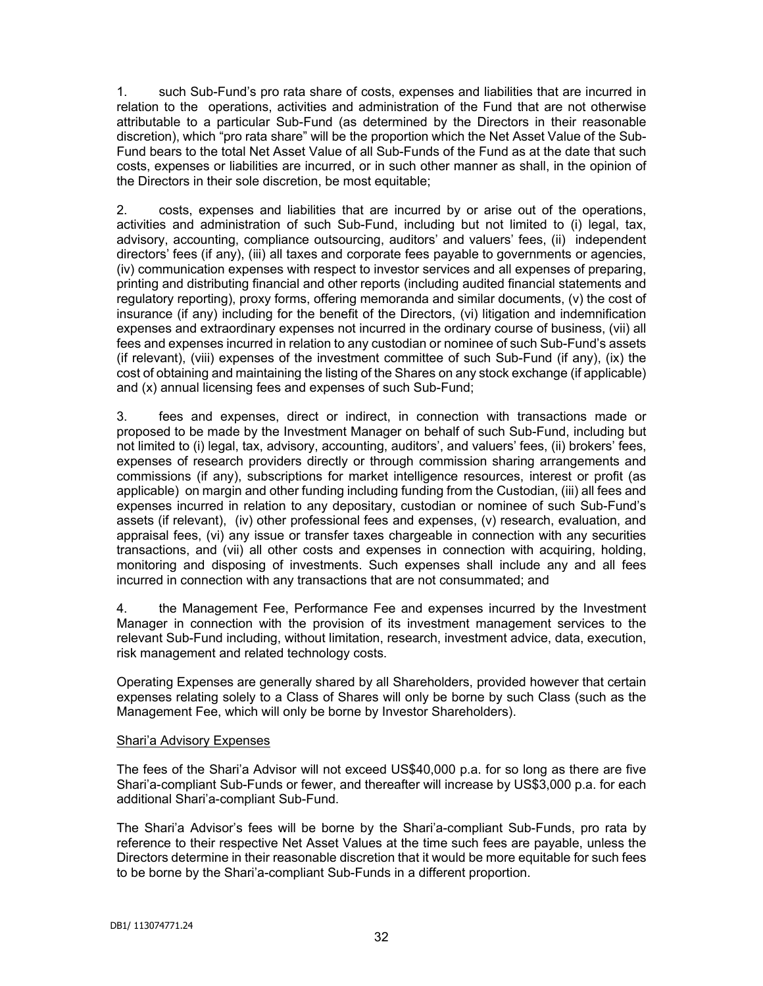1. such Sub-Fund's pro rata share of costs, expenses and liabilities that are incurred in relation to the operations, activities and administration of the Fund that are not otherwise attributable to a particular Sub-Fund (as determined by the Directors in their reasonable discretion), which "pro rata share" will be the proportion which the Net Asset Value of the Sub-Fund bears to the total Net Asset Value of all Sub-Funds of the Fund as at the date that such costs, expenses or liabilities are incurred, or in such other manner as shall, in the opinion of the Directors in their sole discretion, be most equitable;

2. costs, expenses and liabilities that are incurred by or arise out of the operations, activities and administration of such Sub-Fund, including but not limited to (i) legal, tax, advisory, accounting, compliance outsourcing, auditors' and valuers' fees, (ii) independent directors' fees (if any), (iii) all taxes and corporate fees payable to governments or agencies, (iv) communication expenses with respect to investor services and all expenses of preparing, printing and distributing financial and other reports (including audited financial statements and regulatory reporting), proxy forms, offering memoranda and similar documents, (v) the cost of insurance (if any) including for the benefit of the Directors, (vi) litigation and indemnification expenses and extraordinary expenses not incurred in the ordinary course of business, (vii) all fees and expenses incurred in relation to any custodian or nominee of such Sub-Fund's assets (if relevant), (viii) expenses of the investment committee of such Sub-Fund (if any), (ix) the cost of obtaining and maintaining the listing of the Shares on any stock exchange (if applicable) and (x) annual licensing fees and expenses of such Sub-Fund;

3. fees and expenses, direct or indirect, in connection with transactions made or proposed to be made by the Investment Manager on behalf of such Sub-Fund, including but not limited to (i) legal, tax, advisory, accounting, auditors', and valuers' fees, (ii) brokers' fees, expenses of research providers directly or through commission sharing arrangements and commissions (if any), subscriptions for market intelligence resources, interest or profit (as applicable) on margin and other funding including funding from the Custodian, (iii) all fees and expenses incurred in relation to any depositary, custodian or nominee of such Sub-Fund's assets (if relevant), (iv) other professional fees and expenses, (v) research, evaluation, and appraisal fees, (vi) any issue or transfer taxes chargeable in connection with any securities transactions, and (vii) all other costs and expenses in connection with acquiring, holding, monitoring and disposing of investments. Such expenses shall include any and all fees incurred in connection with any transactions that are not consummated; and

4. the Management Fee, Performance Fee and expenses incurred by the Investment Manager in connection with the provision of its investment management services to the relevant Sub-Fund including, without limitation, research, investment advice, data, execution, risk management and related technology costs.

Operating Expenses are generally shared by all Shareholders, provided however that certain expenses relating solely to a Class of Shares will only be borne by such Class (such as the Management Fee, which will only be borne by Investor Shareholders).

### Shari'a Advisory Expenses

The fees of the Shari'a Advisor will not exceed US\$40,000 p.a. for so long as there are five Shari'a-compliant Sub-Funds or fewer, and thereafter will increase by US\$3,000 p.a. for each additional Shari'a-compliant Sub-Fund.

The Shari'a Advisor's fees will be borne by the Shari'a-compliant Sub-Funds, pro rata by reference to their respective Net Asset Values at the time such fees are payable, unless the Directors determine in their reasonable discretion that it would be more equitable for such fees to be borne by the Shari'a-compliant Sub-Funds in a different proportion.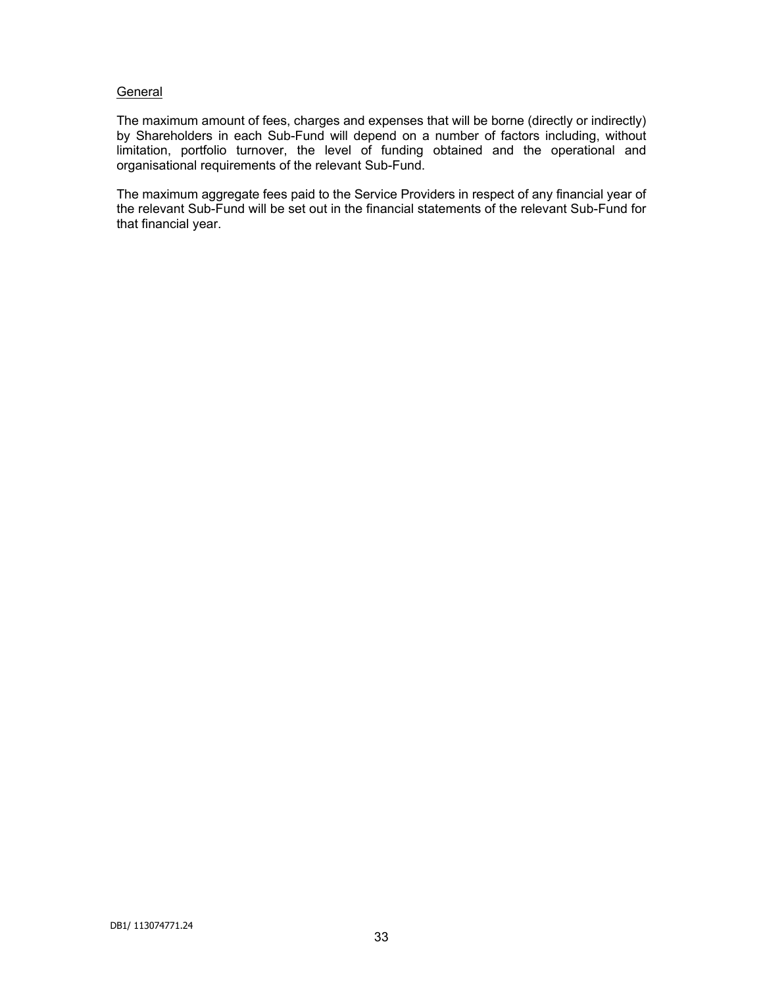# **General**

The maximum amount of fees, charges and expenses that will be borne (directly or indirectly) by Shareholders in each Sub-Fund will depend on a number of factors including, without limitation, portfolio turnover, the level of funding obtained and the operational and organisational requirements of the relevant Sub-Fund.

The maximum aggregate fees paid to the Service Providers in respect of any financial year of the relevant Sub-Fund will be set out in the financial statements of the relevant Sub-Fund for that financial year.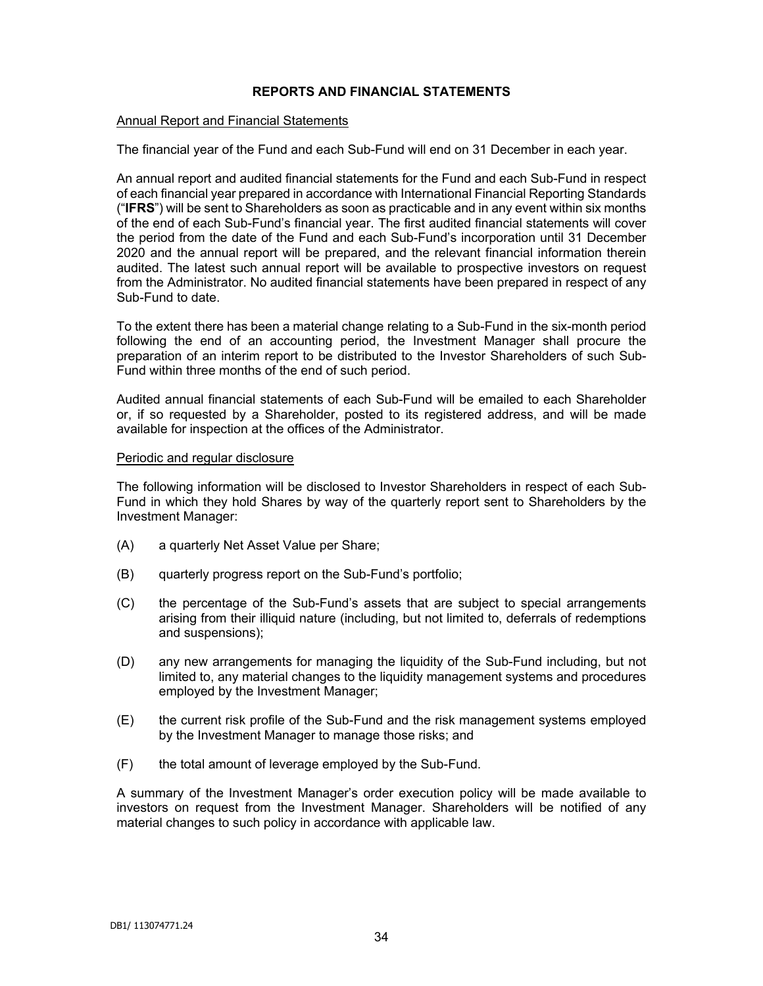# **REPORTS AND FINANCIAL STATEMENTS**

#### Annual Report and Financial Statements

The financial year of the Fund and each Sub-Fund will end on 31 December in each year.

An annual report and audited financial statements for the Fund and each Sub-Fund in respect of each financial year prepared in accordance with International Financial Reporting Standards ("**IFRS**") will be sent to Shareholders as soon as practicable and in any event within six months of the end of each Sub-Fund's financial year. The first audited financial statements will cover the period from the date of the Fund and each Sub-Fund's incorporation until 31 December 2020 and the annual report will be prepared, and the relevant financial information therein audited. The latest such annual report will be available to prospective investors on request from the Administrator. No audited financial statements have been prepared in respect of any Sub-Fund to date.

To the extent there has been a material change relating to a Sub-Fund in the six-month period following the end of an accounting period, the Investment Manager shall procure the preparation of an interim report to be distributed to the Investor Shareholders of such Sub-Fund within three months of the end of such period.

Audited annual financial statements of each Sub-Fund will be emailed to each Shareholder or, if so requested by a Shareholder, posted to its registered address, and will be made available for inspection at the offices of the Administrator.

### Periodic and regular disclosure

The following information will be disclosed to Investor Shareholders in respect of each Sub-Fund in which they hold Shares by way of the quarterly report sent to Shareholders by the Investment Manager:

- (A) a quarterly Net Asset Value per Share;
- (B) quarterly progress report on the Sub-Fund's portfolio;
- (C) the percentage of the Sub-Fund's assets that are subject to special arrangements arising from their illiquid nature (including, but not limited to, deferrals of redemptions and suspensions);
- (D) any new arrangements for managing the liquidity of the Sub-Fund including, but not limited to, any material changes to the liquidity management systems and procedures employed by the Investment Manager;
- (E) the current risk profile of the Sub-Fund and the risk management systems employed by the Investment Manager to manage those risks; and
- (F) the total amount of leverage employed by the Sub-Fund.

A summary of the Investment Manager's order execution policy will be made available to investors on request from the Investment Manager. Shareholders will be notified of any material changes to such policy in accordance with applicable law.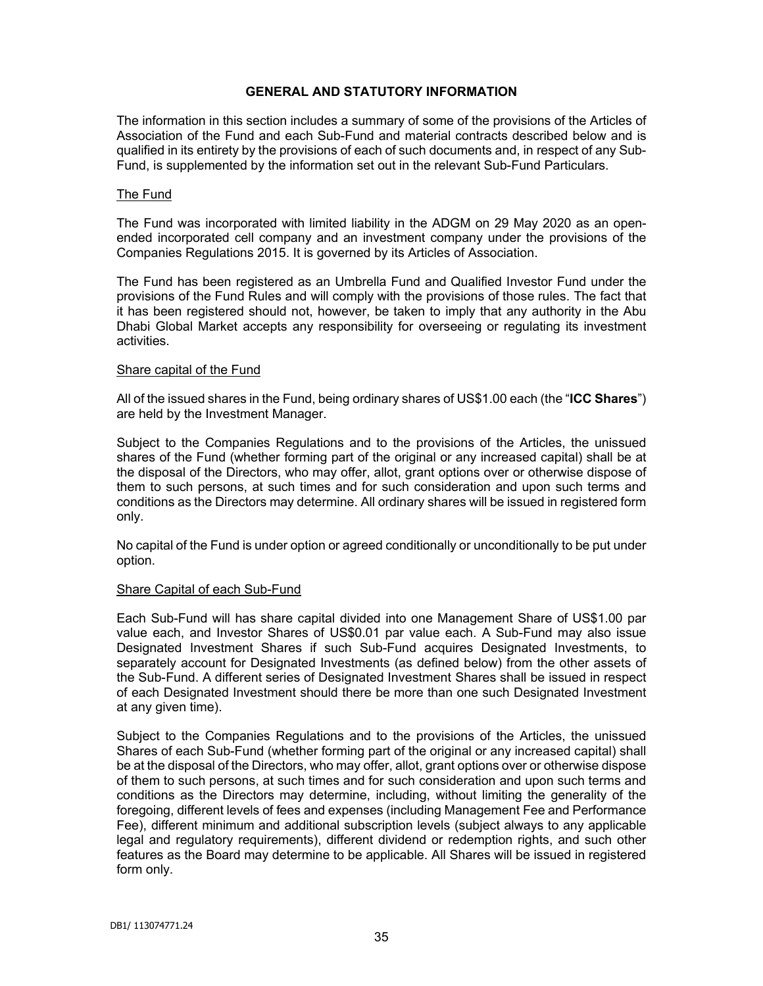# **GENERAL AND STATUTORY INFORMATION**

The information in this section includes a summary of some of the provisions of the Articles of Association of the Fund and each Sub-Fund and material contracts described below and is qualified in its entirety by the provisions of each of such documents and, in respect of any Sub-Fund, is supplemented by the information set out in the relevant Sub-Fund Particulars.

### The Fund

The Fund was incorporated with limited liability in the ADGM on 29 May 2020 as an openended incorporated cell company and an investment company under the provisions of the Companies Regulations 2015. It is governed by its Articles of Association.

The Fund has been registered as an Umbrella Fund and Qualified Investor Fund under the provisions of the Fund Rules and will comply with the provisions of those rules. The fact that it has been registered should not, however, be taken to imply that any authority in the Abu Dhabi Global Market accepts any responsibility for overseeing or regulating its investment activities.

## Share capital of the Fund

All of the issued shares in the Fund, being ordinary shares of US\$1.00 each (the "**ICC Shares**") are held by the Investment Manager.

Subject to the Companies Regulations and to the provisions of the Articles, the unissued shares of the Fund (whether forming part of the original or any increased capital) shall be at the disposal of the Directors, who may offer, allot, grant options over or otherwise dispose of them to such persons, at such times and for such consideration and upon such terms and conditions as the Directors may determine. All ordinary shares will be issued in registered form only.

No capital of the Fund is under option or agreed conditionally or unconditionally to be put under option.

### Share Capital of each Sub-Fund

Each Sub-Fund will has share capital divided into one Management Share of US\$1.00 par value each, and Investor Shares of US\$0.01 par value each. A Sub-Fund may also issue Designated Investment Shares if such Sub-Fund acquires Designated Investments, to separately account for Designated Investments (as defined below) from the other assets of the Sub-Fund. A different series of Designated Investment Shares shall be issued in respect of each Designated Investment should there be more than one such Designated Investment at any given time).

Subject to the Companies Regulations and to the provisions of the Articles, the unissued Shares of each Sub-Fund (whether forming part of the original or any increased capital) shall be at the disposal of the Directors, who may offer, allot, grant options over or otherwise dispose of them to such persons, at such times and for such consideration and upon such terms and conditions as the Directors may determine, including, without limiting the generality of the foregoing, different levels of fees and expenses (including Management Fee and Performance Fee), different minimum and additional subscription levels (subject always to any applicable legal and regulatory requirements), different dividend or redemption rights, and such other features as the Board may determine to be applicable. All Shares will be issued in registered form only.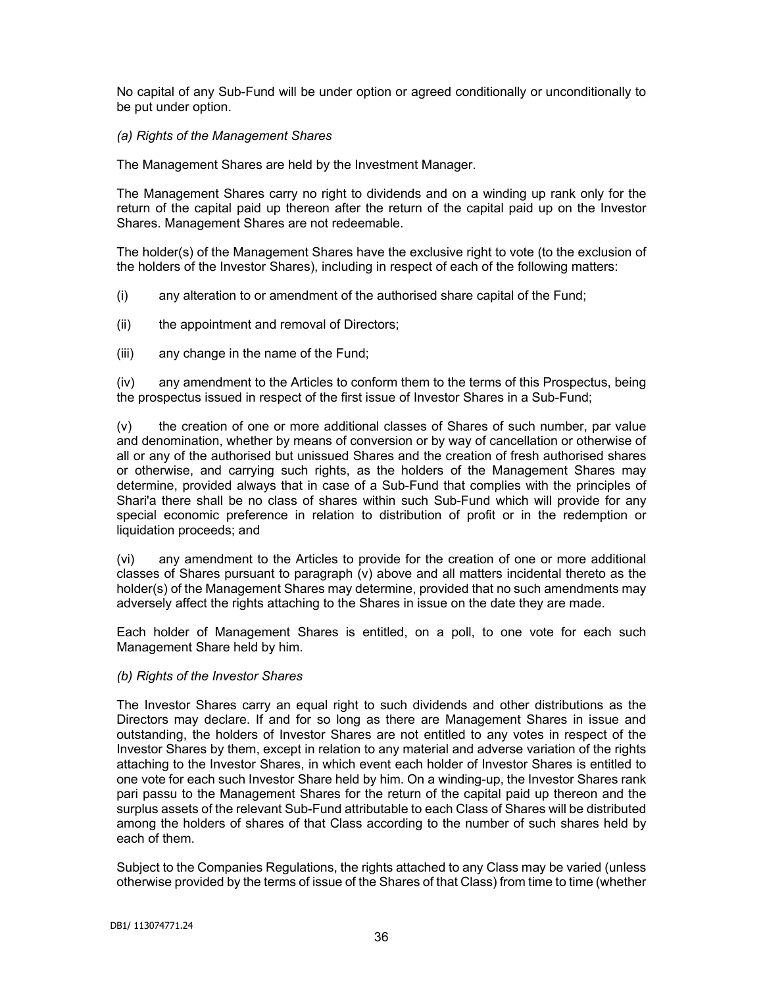No capital of any Sub-Fund will be under option or agreed conditionally or unconditionally to be put under option.

## *(a) Rights of the Management Shares*

The Management Shares are held by the Investment Manager.

The Management Shares carry no right to dividends and on a winding up rank only for the return of the capital paid up thereon after the return of the capital paid up on the Investor Shares. Management Shares are not redeemable.

The holder(s) of the Management Shares have the exclusive right to vote (to the exclusion of the holders of the Investor Shares), including in respect of each of the following matters:

- (i) any alteration to or amendment of the authorised share capital of the Fund;
- (ii) the appointment and removal of Directors;
- (iii) any change in the name of the Fund;

(iv) any amendment to the Articles to conform them to the terms of this Prospectus, being the prospectus issued in respect of the first issue of Investor Shares in a Sub-Fund;

(v) the creation of one or more additional classes of Shares of such number, par value and denomination, whether by means of conversion or by way of cancellation or otherwise of all or any of the authorised but unissued Shares and the creation of fresh authorised shares or otherwise, and carrying such rights, as the holders of the Management Shares may determine, provided always that in case of a Sub-Fund that complies with the principles of Shari'a there shall be no class of shares within such Sub-Fund which will provide for any special economic preference in relation to distribution of profit or in the redemption or liquidation proceeds; and

(vi) any amendment to the Articles to provide for the creation of one or more additional classes of Shares pursuant to paragraph (v) above and all matters incidental thereto as the holder(s) of the Management Shares may determine, provided that no such amendments may adversely affect the rights attaching to the Shares in issue on the date they are made.

Each holder of Management Shares is entitled, on a poll, to one vote for each such Management Share held by him.

### *(b) Rights of the Investor Shares*

The Investor Shares carry an equal right to such dividends and other distributions as the Directors may declare. If and for so long as there are Management Shares in issue and outstanding, the holders of Investor Shares are not entitled to any votes in respect of the Investor Shares by them, except in relation to any material and adverse variation of the rights attaching to the Investor Shares, in which event each holder of Investor Shares is entitled to one vote for each such Investor Share held by him. On a winding-up, the Investor Shares rank pari passu to the Management Shares for the return of the capital paid up thereon and the surplus assets of the relevant Sub-Fund attributable to each Class of Shares will be distributed among the holders of shares of that Class according to the number of such shares held by each of them.

Subject to the Companies Regulations, the rights attached to any Class may be varied (unless otherwise provided by the terms of issue of the Shares of that Class) from time to time (whether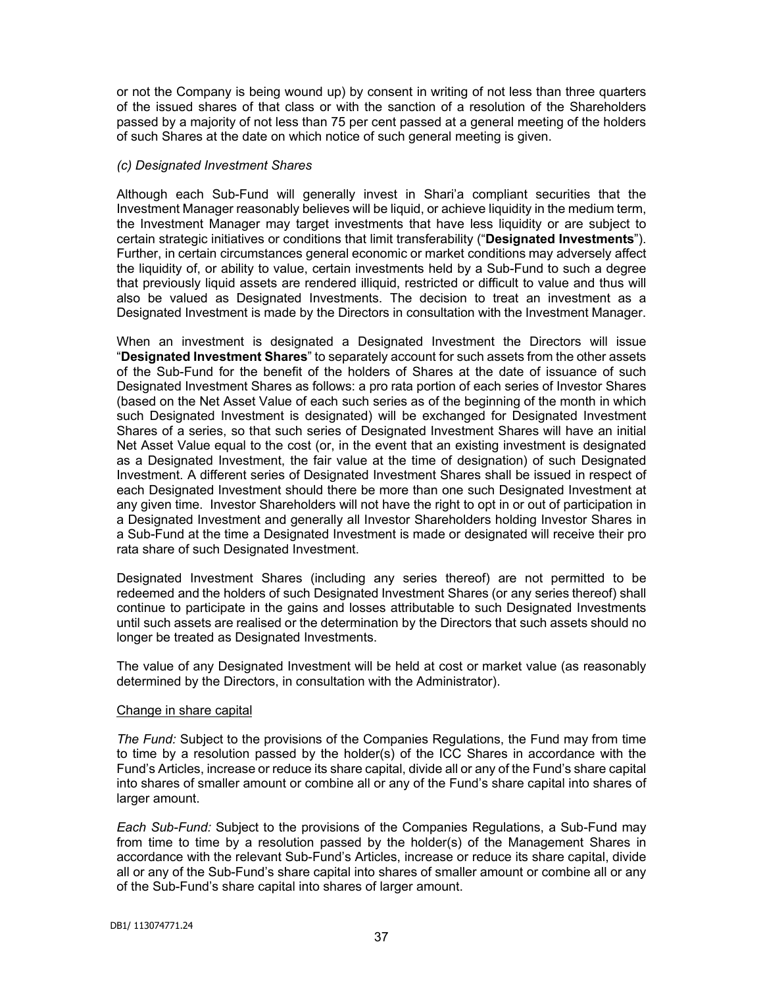or not the Company is being wound up) by consent in writing of not less than three quarters of the issued shares of that class or with the sanction of a resolution of the Shareholders passed by a majority of not less than 75 per cent passed at a general meeting of the holders of such Shares at the date on which notice of such general meeting is given.

## *(c) Designated Investment Shares*

Although each Sub-Fund will generally invest in Shari'a compliant securities that the Investment Manager reasonably believes will be liquid, or achieve liquidity in the medium term, the Investment Manager may target investments that have less liquidity or are subject to certain strategic initiatives or conditions that limit transferability ("**Designated Investments**"). Further, in certain circumstances general economic or market conditions may adversely affect the liquidity of, or ability to value, certain investments held by a Sub-Fund to such a degree that previously liquid assets are rendered illiquid, restricted or difficult to value and thus will also be valued as Designated Investments. The decision to treat an investment as a Designated Investment is made by the Directors in consultation with the Investment Manager.

When an investment is designated a Designated Investment the Directors will issue "**Designated Investment Shares**" to separately account for such assets from the other assets of the Sub-Fund for the benefit of the holders of Shares at the date of issuance of such Designated Investment Shares as follows: a pro rata portion of each series of Investor Shares (based on the Net Asset Value of each such series as of the beginning of the month in which such Designated Investment is designated) will be exchanged for Designated Investment Shares of a series, so that such series of Designated Investment Shares will have an initial Net Asset Value equal to the cost (or, in the event that an existing investment is designated as a Designated Investment, the fair value at the time of designation) of such Designated Investment. A different series of Designated Investment Shares shall be issued in respect of each Designated Investment should there be more than one such Designated Investment at any given time. Investor Shareholders will not have the right to opt in or out of participation in a Designated Investment and generally all Investor Shareholders holding Investor Shares in a Sub-Fund at the time a Designated Investment is made or designated will receive their pro rata share of such Designated Investment.

Designated Investment Shares (including any series thereof) are not permitted to be redeemed and the holders of such Designated Investment Shares (or any series thereof) shall continue to participate in the gains and losses attributable to such Designated Investments until such assets are realised or the determination by the Directors that such assets should no longer be treated as Designated Investments.

The value of any Designated Investment will be held at cost or market value (as reasonably determined by the Directors, in consultation with the Administrator).

### Change in share capital

*The Fund:* Subject to the provisions of the Companies Regulations, the Fund may from time to time by a resolution passed by the holder(s) of the ICC Shares in accordance with the Fund's Articles, increase or reduce its share capital, divide all or any of the Fund's share capital into shares of smaller amount or combine all or any of the Fund's share capital into shares of larger amount.

*Each Sub-Fund:* Subject to the provisions of the Companies Regulations, a Sub-Fund may from time to time by a resolution passed by the holder(s) of the Management Shares in accordance with the relevant Sub-Fund's Articles, increase or reduce its share capital, divide all or any of the Sub-Fund's share capital into shares of smaller amount or combine all or any of the Sub-Fund's share capital into shares of larger amount.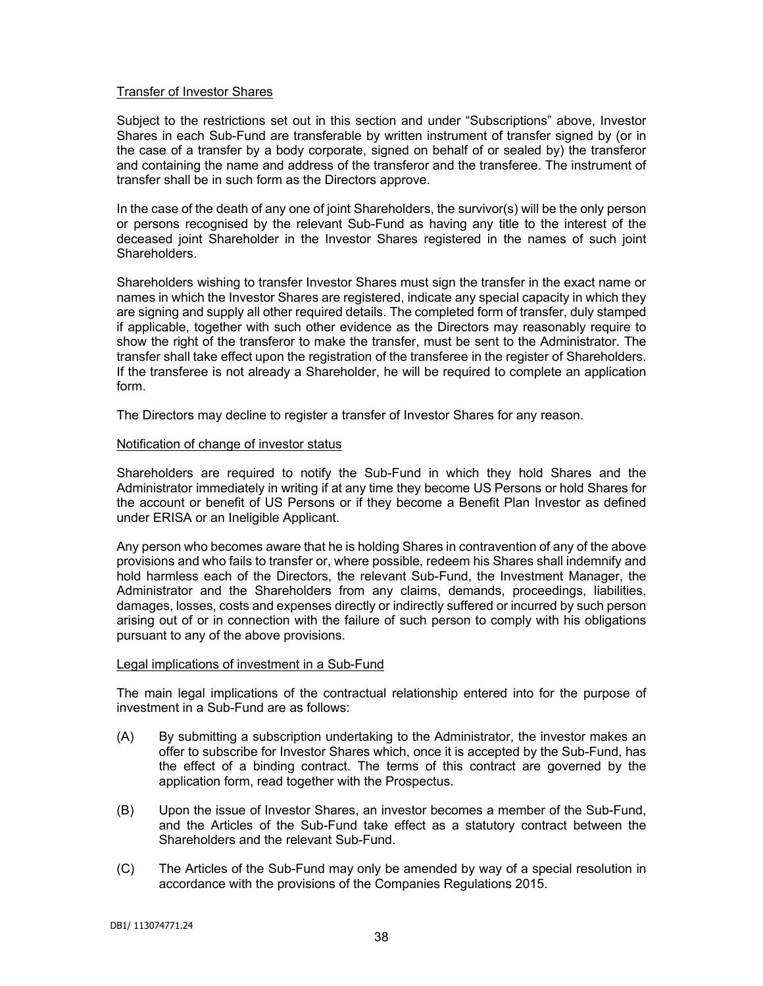# Transfer of Investor Shares

Subject to the restrictions set out in this section and under "Subscriptions" above, Investor Shares in each Sub-Fund are transferable by written instrument of transfer signed by (or in the case of a transfer by a body corporate, signed on behalf of or sealed by) the transferor and containing the name and address of the transferor and the transferee. The instrument of transfer shall be in such form as the Directors approve.

In the case of the death of any one of joint Shareholders, the survivor(s) will be the only person or persons recognised by the relevant Sub-Fund as having any title to the interest of the deceased joint Shareholder in the Investor Shares registered in the names of such joint Shareholders.

Shareholders wishing to transfer Investor Shares must sign the transfer in the exact name or names in which the Investor Shares are registered, indicate any special capacity in which they are signing and supply all other required details. The completed form of transfer, duly stamped if applicable, together with such other evidence as the Directors may reasonably require to show the right of the transferor to make the transfer, must be sent to the Administrator. The transfer shall take effect upon the registration of the transferee in the register of Shareholders. If the transferee is not already a Shareholder, he will be required to complete an application form.

The Directors may decline to register a transfer of Investor Shares for any reason.

### Notification of change of investor status

Shareholders are required to notify the Sub-Fund in which they hold Shares and the Administrator immediately in writing if at any time they become US Persons or hold Shares for the account or benefit of US Persons or if they become a Benefit Plan Investor as defined under ERISA or an Ineligible Applicant.

Any person who becomes aware that he is holding Shares in contravention of any of the above provisions and who fails to transfer or, where possible, redeem his Shares shall indemnify and hold harmless each of the Directors, the relevant Sub-Fund, the Investment Manager, the Administrator and the Shareholders from any claims, demands, proceedings, liabilities, damages, losses, costs and expenses directly or indirectly suffered or incurred by such person arising out of or in connection with the failure of such person to comply with his obligations pursuant to any of the above provisions.

### Legal implications of investment in a Sub-Fund

The main legal implications of the contractual relationship entered into for the purpose of investment in a Sub-Fund are as follows:

- (A) By submitting a subscription undertaking to the Administrator, the investor makes an offer to subscribe for Investor Shares which, once it is accepted by the Sub-Fund, has the effect of a binding contract. The terms of this contract are governed by the application form, read together with the Prospectus.
- (B) Upon the issue of Investor Shares, an investor becomes a member of the Sub-Fund, and the Articles of the Sub-Fund take effect as a statutory contract between the Shareholders and the relevant Sub-Fund.
- (C) The Articles of the Sub-Fund may only be amended by way of a special resolution in accordance with the provisions of the Companies Regulations 2015.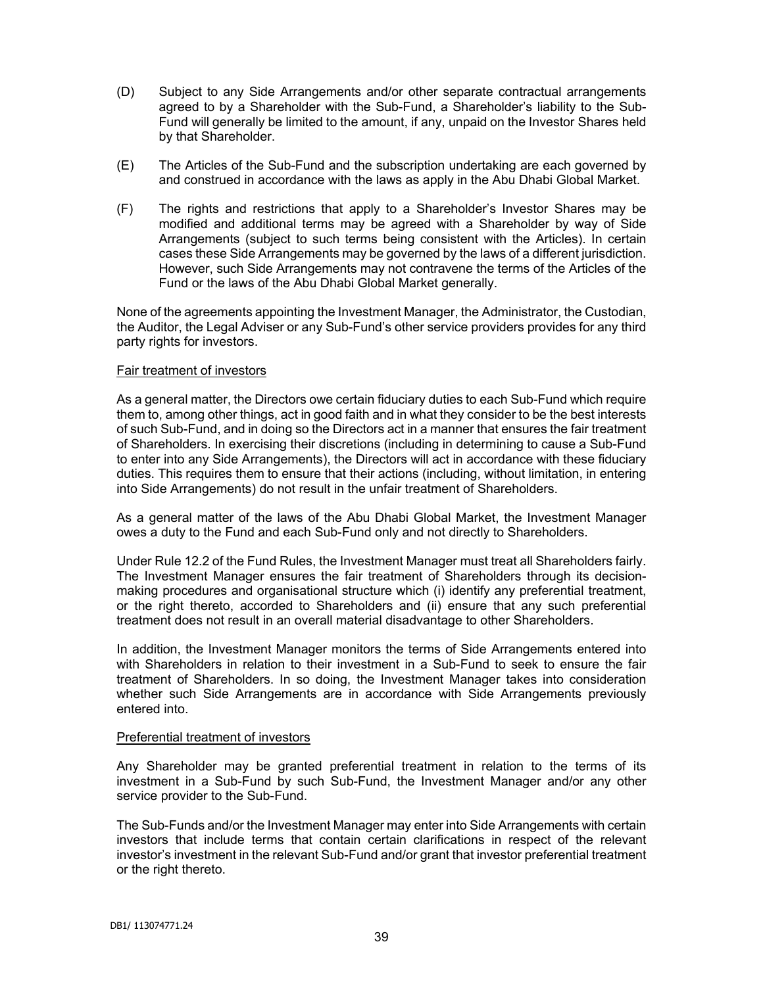- (D) Subject to any Side Arrangements and/or other separate contractual arrangements agreed to by a Shareholder with the Sub-Fund, a Shareholder's liability to the Sub-Fund will generally be limited to the amount, if any, unpaid on the Investor Shares held by that Shareholder.
- (E) The Articles of the Sub-Fund and the subscription undertaking are each governed by and construed in accordance with the laws as apply in the Abu Dhabi Global Market.
- (F) The rights and restrictions that apply to a Shareholder's Investor Shares may be modified and additional terms may be agreed with a Shareholder by way of Side Arrangements (subject to such terms being consistent with the Articles). In certain cases these Side Arrangements may be governed by the laws of a different jurisdiction. However, such Side Arrangements may not contravene the terms of the Articles of the Fund or the laws of the Abu Dhabi Global Market generally.

None of the agreements appointing the Investment Manager, the Administrator, the Custodian, the Auditor, the Legal Adviser or any Sub-Fund's other service providers provides for any third party rights for investors.

### Fair treatment of investors

As a general matter, the Directors owe certain fiduciary duties to each Sub-Fund which require them to, among other things, act in good faith and in what they consider to be the best interests of such Sub-Fund, and in doing so the Directors act in a manner that ensures the fair treatment of Shareholders. In exercising their discretions (including in determining to cause a Sub-Fund to enter into any Side Arrangements), the Directors will act in accordance with these fiduciary duties. This requires them to ensure that their actions (including, without limitation, in entering into Side Arrangements) do not result in the unfair treatment of Shareholders.

As a general matter of the laws of the Abu Dhabi Global Market, the Investment Manager owes a duty to the Fund and each Sub-Fund only and not directly to Shareholders.

Under Rule 12.2 of the Fund Rules, the Investment Manager must treat all Shareholders fairly. The Investment Manager ensures the fair treatment of Shareholders through its decisionmaking procedures and organisational structure which (i) identify any preferential treatment, or the right thereto, accorded to Shareholders and (ii) ensure that any such preferential treatment does not result in an overall material disadvantage to other Shareholders.

In addition, the Investment Manager monitors the terms of Side Arrangements entered into with Shareholders in relation to their investment in a Sub-Fund to seek to ensure the fair treatment of Shareholders. In so doing, the Investment Manager takes into consideration whether such Side Arrangements are in accordance with Side Arrangements previously entered into.

### Preferential treatment of investors

Any Shareholder may be granted preferential treatment in relation to the terms of its investment in a Sub-Fund by such Sub-Fund, the Investment Manager and/or any other service provider to the Sub-Fund.

The Sub-Funds and/or the Investment Manager may enter into Side Arrangements with certain investors that include terms that contain certain clarifications in respect of the relevant investor's investment in the relevant Sub-Fund and/or grant that investor preferential treatment or the right thereto.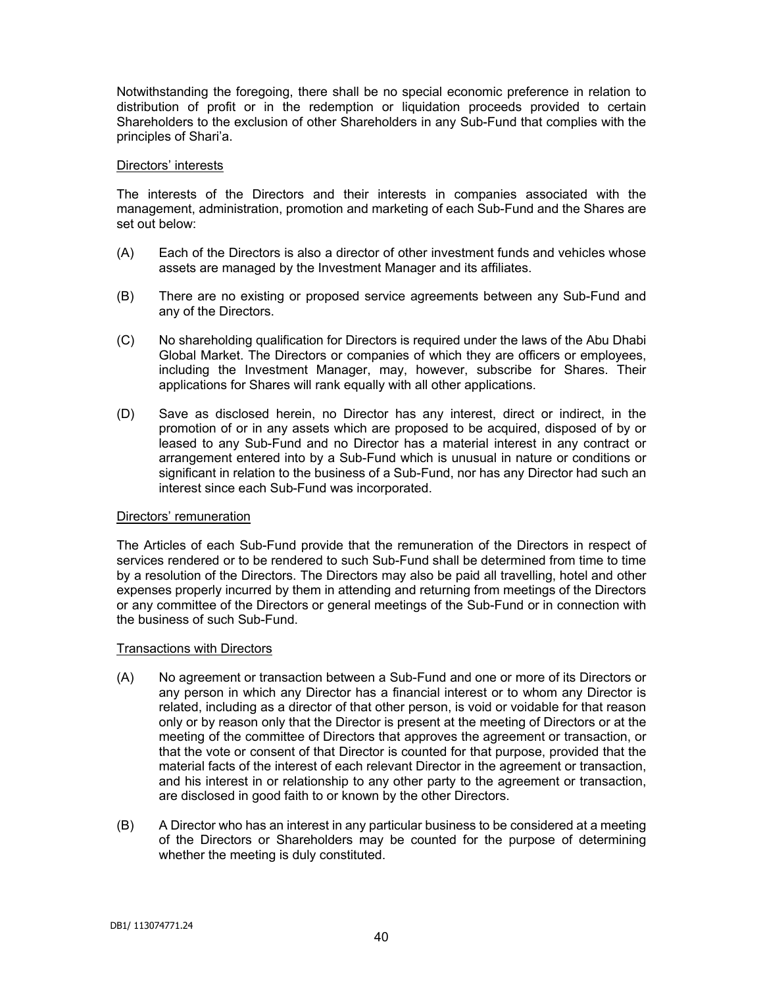Notwithstanding the foregoing, there shall be no special economic preference in relation to distribution of profit or in the redemption or liquidation proceeds provided to certain Shareholders to the exclusion of other Shareholders in any Sub-Fund that complies with the principles of Shari'a.

### Directors' interests

The interests of the Directors and their interests in companies associated with the management, administration, promotion and marketing of each Sub-Fund and the Shares are set out below:

- (A) Each of the Directors is also a director of other investment funds and vehicles whose assets are managed by the Investment Manager and its affiliates.
- (B) There are no existing or proposed service agreements between any Sub-Fund and any of the Directors.
- (C) No shareholding qualification for Directors is required under the laws of the Abu Dhabi Global Market. The Directors or companies of which they are officers or employees, including the Investment Manager, may, however, subscribe for Shares. Their applications for Shares will rank equally with all other applications.
- (D) Save as disclosed herein, no Director has any interest, direct or indirect, in the promotion of or in any assets which are proposed to be acquired, disposed of by or leased to any Sub-Fund and no Director has a material interest in any contract or arrangement entered into by a Sub-Fund which is unusual in nature or conditions or significant in relation to the business of a Sub-Fund, nor has any Director had such an interest since each Sub-Fund was incorporated.

### Directors' remuneration

The Articles of each Sub-Fund provide that the remuneration of the Directors in respect of services rendered or to be rendered to such Sub-Fund shall be determined from time to time by a resolution of the Directors. The Directors may also be paid all travelling, hotel and other expenses properly incurred by them in attending and returning from meetings of the Directors or any committee of the Directors or general meetings of the Sub-Fund or in connection with the business of such Sub-Fund.

### Transactions with Directors

- (A) No agreement or transaction between a Sub-Fund and one or more of its Directors or any person in which any Director has a financial interest or to whom any Director is related, including as a director of that other person, is void or voidable for that reason only or by reason only that the Director is present at the meeting of Directors or at the meeting of the committee of Directors that approves the agreement or transaction, or that the vote or consent of that Director is counted for that purpose, provided that the material facts of the interest of each relevant Director in the agreement or transaction, and his interest in or relationship to any other party to the agreement or transaction, are disclosed in good faith to or known by the other Directors.
- (B) A Director who has an interest in any particular business to be considered at a meeting of the Directors or Shareholders may be counted for the purpose of determining whether the meeting is duly constituted.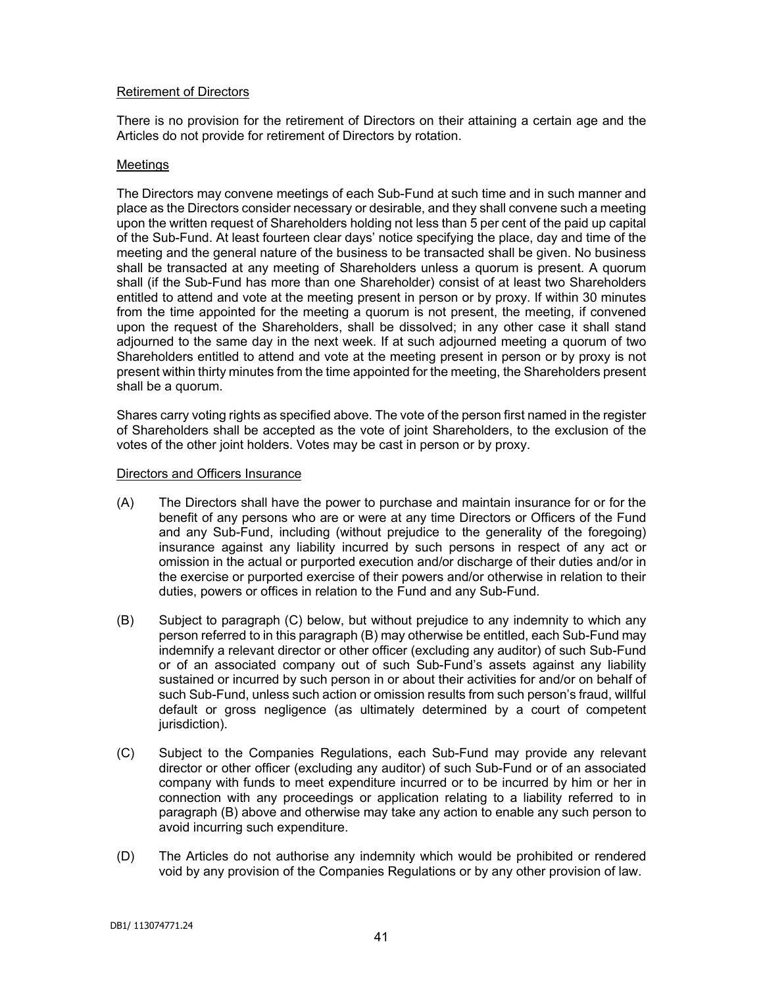# Retirement of Directors

There is no provision for the retirement of Directors on their attaining a certain age and the Articles do not provide for retirement of Directors by rotation.

### **Meetings**

The Directors may convene meetings of each Sub-Fund at such time and in such manner and place as the Directors consider necessary or desirable, and they shall convene such a meeting upon the written request of Shareholders holding not less than 5 per cent of the paid up capital of the Sub-Fund. At least fourteen clear days' notice specifying the place, day and time of the meeting and the general nature of the business to be transacted shall be given. No business shall be transacted at any meeting of Shareholders unless a quorum is present. A quorum shall (if the Sub-Fund has more than one Shareholder) consist of at least two Shareholders entitled to attend and vote at the meeting present in person or by proxy. If within 30 minutes from the time appointed for the meeting a quorum is not present, the meeting, if convened upon the request of the Shareholders, shall be dissolved; in any other case it shall stand adjourned to the same day in the next week. If at such adjourned meeting a quorum of two Shareholders entitled to attend and vote at the meeting present in person or by proxy is not present within thirty minutes from the time appointed for the meeting, the Shareholders present shall be a quorum.

Shares carry voting rights as specified above. The vote of the person first named in the register of Shareholders shall be accepted as the vote of joint Shareholders, to the exclusion of the votes of the other joint holders. Votes may be cast in person or by proxy.

#### Directors and Officers Insurance

- (A) The Directors shall have the power to purchase and maintain insurance for or for the benefit of any persons who are or were at any time Directors or Officers of the Fund and any Sub-Fund, including (without prejudice to the generality of the foregoing) insurance against any liability incurred by such persons in respect of any act or omission in the actual or purported execution and/or discharge of their duties and/or in the exercise or purported exercise of their powers and/or otherwise in relation to their duties, powers or offices in relation to the Fund and any Sub-Fund.
- (B) Subject to paragraph (C) below, but without prejudice to any indemnity to which any person referred to in this paragraph (B) may otherwise be entitled, each Sub-Fund may indemnify a relevant director or other officer (excluding any auditor) of such Sub-Fund or of an associated company out of such Sub-Fund's assets against any liability sustained or incurred by such person in or about their activities for and/or on behalf of such Sub-Fund, unless such action or omission results from such person's fraud, willful default or gross negligence (as ultimately determined by a court of competent jurisdiction).
- (C) Subject to the Companies Regulations, each Sub-Fund may provide any relevant director or other officer (excluding any auditor) of such Sub-Fund or of an associated company with funds to meet expenditure incurred or to be incurred by him or her in connection with any proceedings or application relating to a liability referred to in paragraph (B) above and otherwise may take any action to enable any such person to avoid incurring such expenditure.
- (D) The Articles do not authorise any indemnity which would be prohibited or rendered void by any provision of the Companies Regulations or by any other provision of law.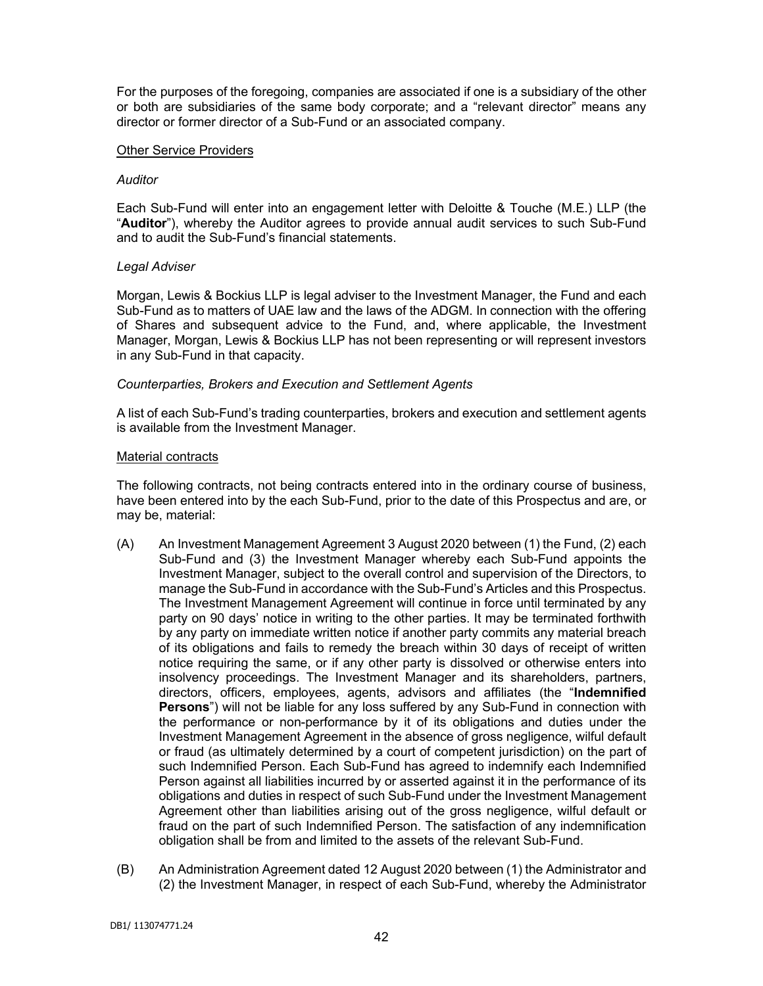For the purposes of the foregoing, companies are associated if one is a subsidiary of the other or both are subsidiaries of the same body corporate; and a "relevant director" means any director or former director of a Sub-Fund or an associated company.

### Other Service Providers

## *Auditor*

Each Sub-Fund will enter into an engagement letter with Deloitte & Touche (M.E.) LLP (the "**Auditor**"), whereby the Auditor agrees to provide annual audit services to such Sub-Fund and to audit the Sub-Fund's financial statements.

# *Legal Adviser*

Morgan, Lewis & Bockius LLP is legal adviser to the Investment Manager, the Fund and each Sub-Fund as to matters of UAE law and the laws of the ADGM. In connection with the offering of Shares and subsequent advice to the Fund, and, where applicable, the Investment Manager, Morgan, Lewis & Bockius LLP has not been representing or will represent investors in any Sub-Fund in that capacity.

# *Counterparties, Brokers and Execution and Settlement Agents*

A list of each Sub-Fund's trading counterparties, brokers and execution and settlement agents is available from the Investment Manager.

# Material contracts

The following contracts, not being contracts entered into in the ordinary course of business, have been entered into by the each Sub-Fund, prior to the date of this Prospectus and are, or may be, material:

- (A) An Investment Management Agreement 3 August 2020 between (1) the Fund, (2) each Sub-Fund and (3) the Investment Manager whereby each Sub-Fund appoints the Investment Manager, subject to the overall control and supervision of the Directors, to manage the Sub-Fund in accordance with the Sub-Fund's Articles and this Prospectus. The Investment Management Agreement will continue in force until terminated by any party on 90 days' notice in writing to the other parties. It may be terminated forthwith by any party on immediate written notice if another party commits any material breach of its obligations and fails to remedy the breach within 30 days of receipt of written notice requiring the same, or if any other party is dissolved or otherwise enters into insolvency proceedings. The Investment Manager and its shareholders, partners, directors, officers, employees, agents, advisors and affiliates (the "**Indemnified Persons**") will not be liable for any loss suffered by any Sub-Fund in connection with the performance or non-performance by it of its obligations and duties under the Investment Management Agreement in the absence of gross negligence, wilful default or fraud (as ultimately determined by a court of competent jurisdiction) on the part of such Indemnified Person. Each Sub-Fund has agreed to indemnify each Indemnified Person against all liabilities incurred by or asserted against it in the performance of its obligations and duties in respect of such Sub-Fund under the Investment Management Agreement other than liabilities arising out of the gross negligence, wilful default or fraud on the part of such Indemnified Person. The satisfaction of any indemnification obligation shall be from and limited to the assets of the relevant Sub-Fund.
- (B) An Administration Agreement dated 12 August 2020 between (1) the Administrator and (2) the Investment Manager, in respect of each Sub-Fund, whereby the Administrator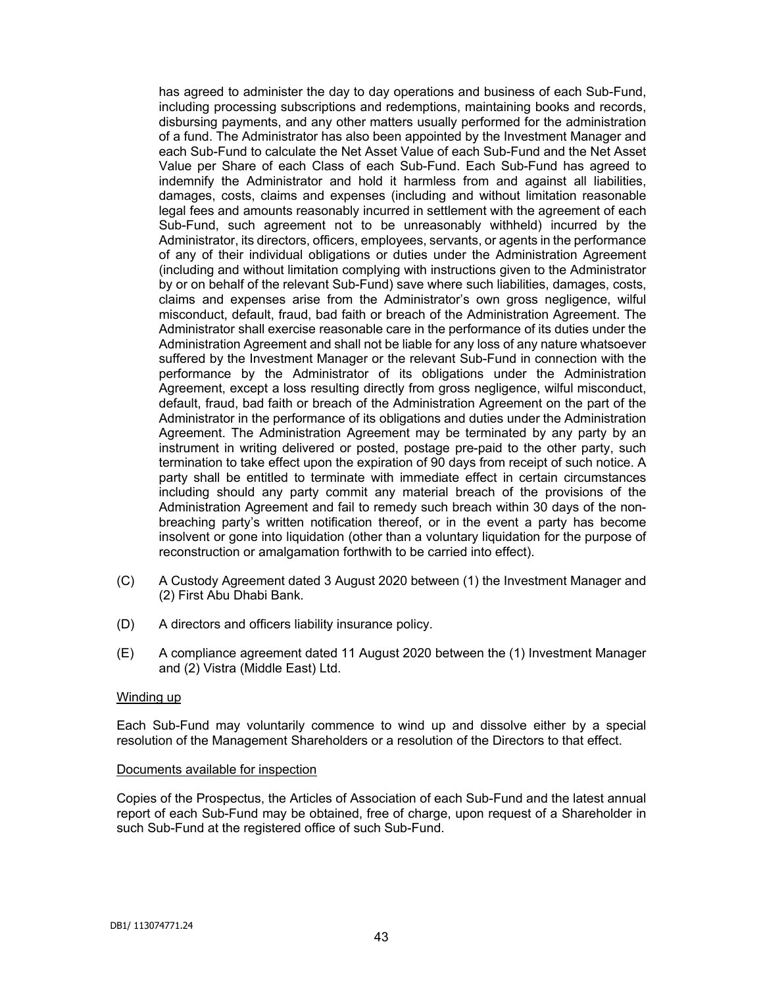has agreed to administer the day to day operations and business of each Sub-Fund, including processing subscriptions and redemptions, maintaining books and records, disbursing payments, and any other matters usually performed for the administration of a fund. The Administrator has also been appointed by the Investment Manager and each Sub-Fund to calculate the Net Asset Value of each Sub-Fund and the Net Asset Value per Share of each Class of each Sub-Fund. Each Sub-Fund has agreed to indemnify the Administrator and hold it harmless from and against all liabilities, damages, costs, claims and expenses (including and without limitation reasonable legal fees and amounts reasonably incurred in settlement with the agreement of each Sub-Fund, such agreement not to be unreasonably withheld) incurred by the Administrator, its directors, officers, employees, servants, or agents in the performance of any of their individual obligations or duties under the Administration Agreement (including and without limitation complying with instructions given to the Administrator by or on behalf of the relevant Sub-Fund) save where such liabilities, damages, costs, claims and expenses arise from the Administrator's own gross negligence, wilful misconduct, default, fraud, bad faith or breach of the Administration Agreement. The Administrator shall exercise reasonable care in the performance of its duties under the Administration Agreement and shall not be liable for any loss of any nature whatsoever suffered by the Investment Manager or the relevant Sub-Fund in connection with the performance by the Administrator of its obligations under the Administration Agreement, except a loss resulting directly from gross negligence, wilful misconduct, default, fraud, bad faith or breach of the Administration Agreement on the part of the Administrator in the performance of its obligations and duties under the Administration Agreement. The Administration Agreement may be terminated by any party by an instrument in writing delivered or posted, postage pre-paid to the other party, such termination to take effect upon the expiration of 90 days from receipt of such notice. A party shall be entitled to terminate with immediate effect in certain circumstances including should any party commit any material breach of the provisions of the Administration Agreement and fail to remedy such breach within 30 days of the nonbreaching party's written notification thereof, or in the event a party has become insolvent or gone into liquidation (other than a voluntary liquidation for the purpose of reconstruction or amalgamation forthwith to be carried into effect).

- (C) A Custody Agreement dated 3 August 2020 between (1) the Investment Manager and (2) First Abu Dhabi Bank.
- (D) A directors and officers liability insurance policy.
- (E) A compliance agreement dated 11 August 2020 between the (1) Investment Manager and (2) Vistra (Middle East) Ltd.

#### Winding up

Each Sub-Fund may voluntarily commence to wind up and dissolve either by a special resolution of the Management Shareholders or a resolution of the Directors to that effect.

#### Documents available for inspection

Copies of the Prospectus, the Articles of Association of each Sub-Fund and the latest annual report of each Sub-Fund may be obtained, free of charge, upon request of a Shareholder in such Sub-Fund at the registered office of such Sub-Fund.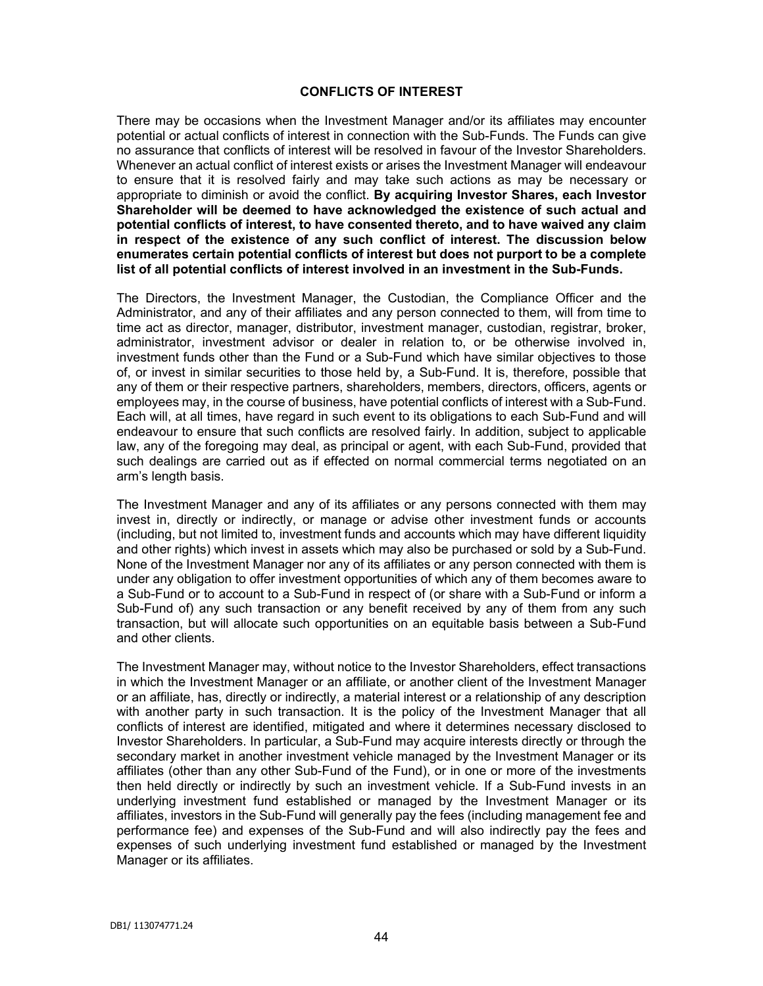### **CONFLICTS OF INTEREST**

There may be occasions when the Investment Manager and/or its affiliates may encounter potential or actual conflicts of interest in connection with the Sub-Funds. The Funds can give no assurance that conflicts of interest will be resolved in favour of the Investor Shareholders. Whenever an actual conflict of interest exists or arises the Investment Manager will endeavour to ensure that it is resolved fairly and may take such actions as may be necessary or appropriate to diminish or avoid the conflict. **By acquiring Investor Shares, each Investor Shareholder will be deemed to have acknowledged the existence of such actual and potential conflicts of interest, to have consented thereto, and to have waived any claim in respect of the existence of any such conflict of interest. The discussion below enumerates certain potential conflicts of interest but does not purport to be a complete list of all potential conflicts of interest involved in an investment in the Sub-Funds.**

The Directors, the Investment Manager, the Custodian, the Compliance Officer and the Administrator, and any of their affiliates and any person connected to them, will from time to time act as director, manager, distributor, investment manager, custodian, registrar, broker, administrator, investment advisor or dealer in relation to, or be otherwise involved in, investment funds other than the Fund or a Sub-Fund which have similar objectives to those of, or invest in similar securities to those held by, a Sub-Fund. It is, therefore, possible that any of them or their respective partners, shareholders, members, directors, officers, agents or employees may, in the course of business, have potential conflicts of interest with a Sub-Fund. Each will, at all times, have regard in such event to its obligations to each Sub-Fund and will endeavour to ensure that such conflicts are resolved fairly. In addition, subject to applicable law, any of the foregoing may deal, as principal or agent, with each Sub-Fund, provided that such dealings are carried out as if effected on normal commercial terms negotiated on an arm's length basis.

The Investment Manager and any of its affiliates or any persons connected with them may invest in, directly or indirectly, or manage or advise other investment funds or accounts (including, but not limited to, investment funds and accounts which may have different liquidity and other rights) which invest in assets which may also be purchased or sold by a Sub-Fund. None of the Investment Manager nor any of its affiliates or any person connected with them is under any obligation to offer investment opportunities of which any of them becomes aware to a Sub-Fund or to account to a Sub-Fund in respect of (or share with a Sub-Fund or inform a Sub-Fund of) any such transaction or any benefit received by any of them from any such transaction, but will allocate such opportunities on an equitable basis between a Sub-Fund and other clients.

The Investment Manager may, without notice to the Investor Shareholders, effect transactions in which the Investment Manager or an affiliate, or another client of the Investment Manager or an affiliate, has, directly or indirectly, a material interest or a relationship of any description with another party in such transaction. It is the policy of the Investment Manager that all conflicts of interest are identified, mitigated and where it determines necessary disclosed to Investor Shareholders. In particular, a Sub-Fund may acquire interests directly or through the secondary market in another investment vehicle managed by the Investment Manager or its affiliates (other than any other Sub-Fund of the Fund), or in one or more of the investments then held directly or indirectly by such an investment vehicle. If a Sub-Fund invests in an underlying investment fund established or managed by the Investment Manager or its affiliates, investors in the Sub-Fund will generally pay the fees (including management fee and performance fee) and expenses of the Sub-Fund and will also indirectly pay the fees and expenses of such underlying investment fund established or managed by the Investment Manager or its affiliates.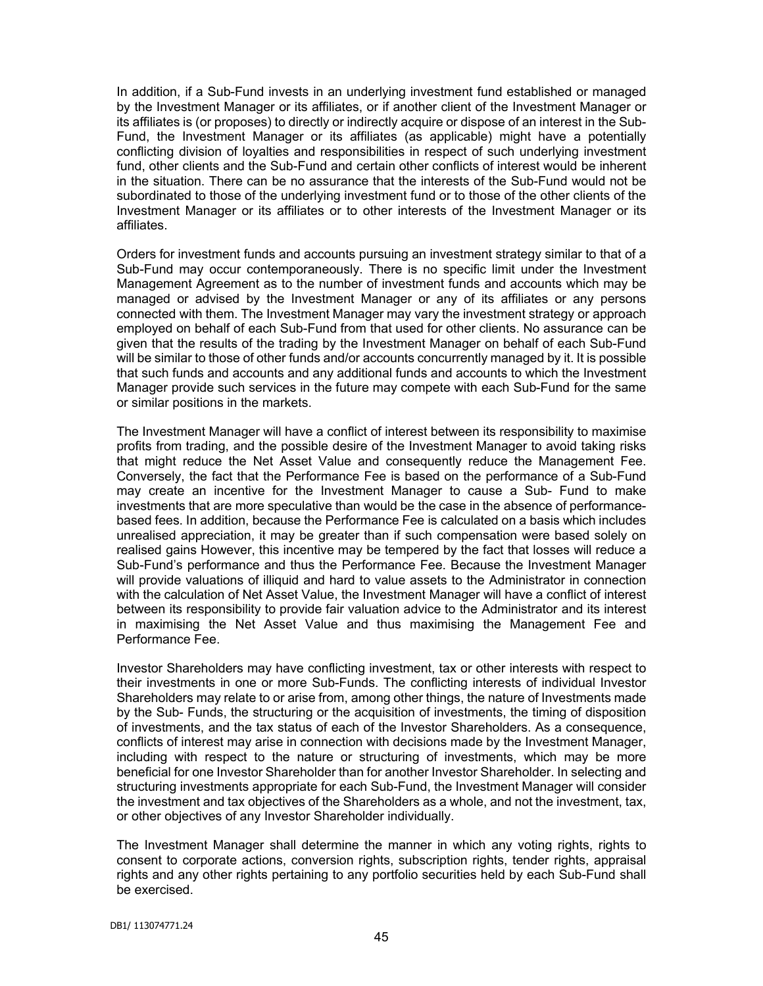In addition, if a Sub-Fund invests in an underlying investment fund established or managed by the Investment Manager or its affiliates, or if another client of the Investment Manager or its affiliates is (or proposes) to directly or indirectly acquire or dispose of an interest in the Sub-Fund, the Investment Manager or its affiliates (as applicable) might have a potentially conflicting division of loyalties and responsibilities in respect of such underlying investment fund, other clients and the Sub-Fund and certain other conflicts of interest would be inherent in the situation. There can be no assurance that the interests of the Sub-Fund would not be subordinated to those of the underlying investment fund or to those of the other clients of the Investment Manager or its affiliates or to other interests of the Investment Manager or its affiliates.

Orders for investment funds and accounts pursuing an investment strategy similar to that of a Sub-Fund may occur contemporaneously. There is no specific limit under the Investment Management Agreement as to the number of investment funds and accounts which may be managed or advised by the Investment Manager or any of its affiliates or any persons connected with them. The Investment Manager may vary the investment strategy or approach employed on behalf of each Sub-Fund from that used for other clients. No assurance can be given that the results of the trading by the Investment Manager on behalf of each Sub-Fund will be similar to those of other funds and/or accounts concurrently managed by it. It is possible that such funds and accounts and any additional funds and accounts to which the Investment Manager provide such services in the future may compete with each Sub-Fund for the same or similar positions in the markets.

The Investment Manager will have a conflict of interest between its responsibility to maximise profits from trading, and the possible desire of the Investment Manager to avoid taking risks that might reduce the Net Asset Value and consequently reduce the Management Fee. Conversely, the fact that the Performance Fee is based on the performance of a Sub-Fund may create an incentive for the Investment Manager to cause a Sub- Fund to make investments that are more speculative than would be the case in the absence of performancebased fees. In addition, because the Performance Fee is calculated on a basis which includes unrealised appreciation, it may be greater than if such compensation were based solely on realised gains However, this incentive may be tempered by the fact that losses will reduce a Sub-Fund's performance and thus the Performance Fee. Because the Investment Manager will provide valuations of illiquid and hard to value assets to the Administrator in connection with the calculation of Net Asset Value, the Investment Manager will have a conflict of interest between its responsibility to provide fair valuation advice to the Administrator and its interest in maximising the Net Asset Value and thus maximising the Management Fee and Performance Fee.

Investor Shareholders may have conflicting investment, tax or other interests with respect to their investments in one or more Sub-Funds. The conflicting interests of individual Investor Shareholders may relate to or arise from, among other things, the nature of Investments made by the Sub- Funds, the structuring or the acquisition of investments, the timing of disposition of investments, and the tax status of each of the Investor Shareholders. As a consequence, conflicts of interest may arise in connection with decisions made by the Investment Manager, including with respect to the nature or structuring of investments, which may be more beneficial for one Investor Shareholder than for another Investor Shareholder. In selecting and structuring investments appropriate for each Sub-Fund, the Investment Manager will consider the investment and tax objectives of the Shareholders as a whole, and not the investment, tax, or other objectives of any Investor Shareholder individually.

The Investment Manager shall determine the manner in which any voting rights, rights to consent to corporate actions, conversion rights, subscription rights, tender rights, appraisal rights and any other rights pertaining to any portfolio securities held by each Sub-Fund shall be exercised.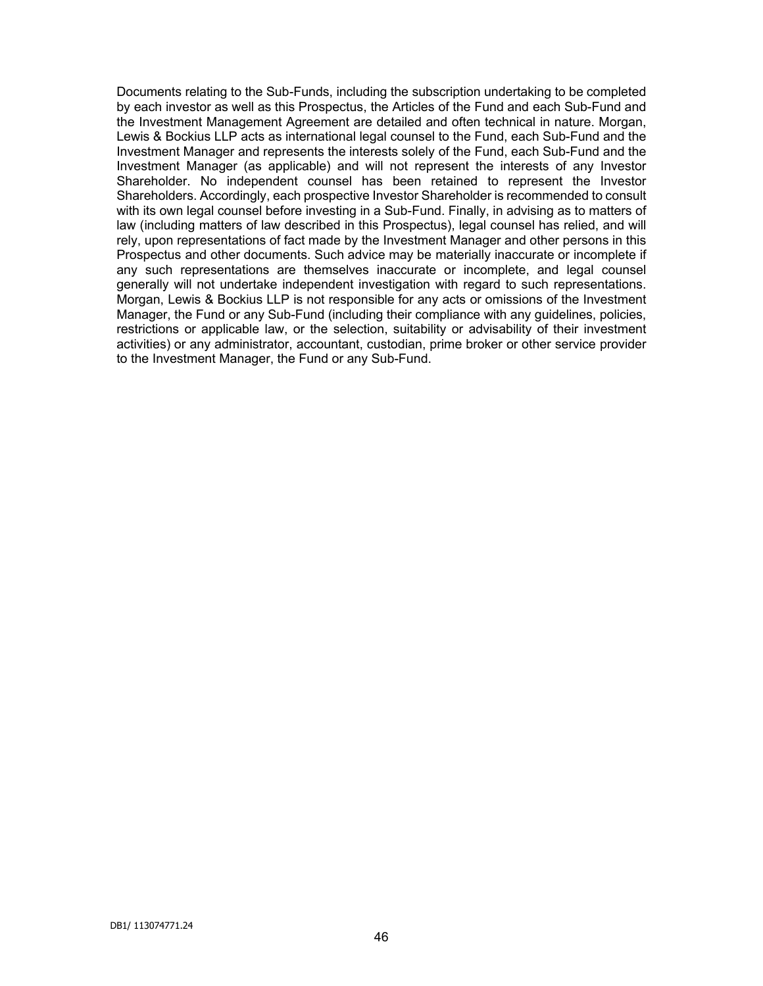Documents relating to the Sub-Funds, including the subscription undertaking to be completed by each investor as well as this Prospectus, the Articles of the Fund and each Sub-Fund and the Investment Management Agreement are detailed and often technical in nature. Morgan, Lewis & Bockius LLP acts as international legal counsel to the Fund, each Sub-Fund and the Investment Manager and represents the interests solely of the Fund, each Sub-Fund and the Investment Manager (as applicable) and will not represent the interests of any Investor Shareholder. No independent counsel has been retained to represent the Investor Shareholders. Accordingly, each prospective Investor Shareholder is recommended to consult with its own legal counsel before investing in a Sub-Fund. Finally, in advising as to matters of law (including matters of law described in this Prospectus), legal counsel has relied, and will rely, upon representations of fact made by the Investment Manager and other persons in this Prospectus and other documents. Such advice may be materially inaccurate or incomplete if any such representations are themselves inaccurate or incomplete, and legal counsel generally will not undertake independent investigation with regard to such representations. Morgan, Lewis & Bockius LLP is not responsible for any acts or omissions of the Investment Manager, the Fund or any Sub-Fund (including their compliance with any guidelines, policies, restrictions or applicable law, or the selection, suitability or advisability of their investment activities) or any administrator, accountant, custodian, prime broker or other service provider to the Investment Manager, the Fund or any Sub-Fund.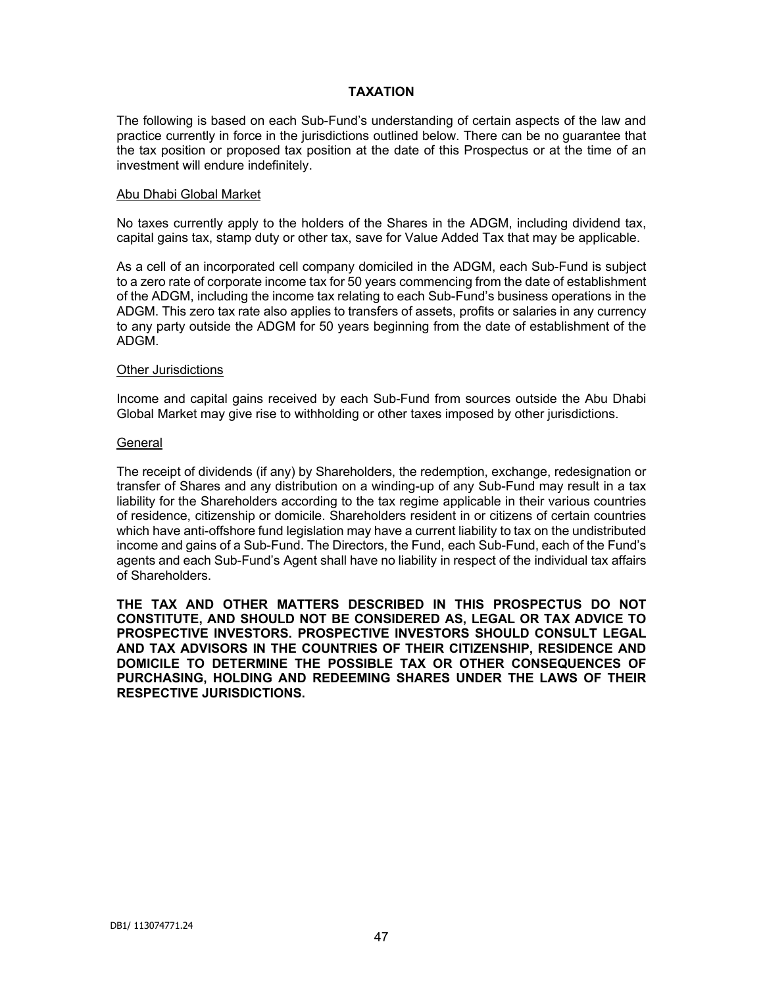# **TAXATION**

The following is based on each Sub-Fund's understanding of certain aspects of the law and practice currently in force in the jurisdictions outlined below. There can be no guarantee that the tax position or proposed tax position at the date of this Prospectus or at the time of an investment will endure indefinitely.

#### Abu Dhabi Global Market

No taxes currently apply to the holders of the Shares in the ADGM, including dividend tax, capital gains tax, stamp duty or other tax, save for Value Added Tax that may be applicable.

As a cell of an incorporated cell company domiciled in the ADGM, each Sub-Fund is subject to a zero rate of corporate income tax for 50 years commencing from the date of establishment of the ADGM, including the income tax relating to each Sub-Fund's business operations in the ADGM. This zero tax rate also applies to transfers of assets, profits or salaries in any currency to any party outside the ADGM for 50 years beginning from the date of establishment of the ADGM.

#### Other Jurisdictions

Income and capital gains received by each Sub-Fund from sources outside the Abu Dhabi Global Market may give rise to withholding or other taxes imposed by other jurisdictions.

#### General

The receipt of dividends (if any) by Shareholders, the redemption, exchange, redesignation or transfer of Shares and any distribution on a winding-up of any Sub-Fund may result in a tax liability for the Shareholders according to the tax regime applicable in their various countries of residence, citizenship or domicile. Shareholders resident in or citizens of certain countries which have anti-offshore fund legislation may have a current liability to tax on the undistributed income and gains of a Sub-Fund. The Directors, the Fund, each Sub-Fund, each of the Fund's agents and each Sub-Fund's Agent shall have no liability in respect of the individual tax affairs of Shareholders.

**THE TAX AND OTHER MATTERS DESCRIBED IN THIS PROSPECTUS DO NOT CONSTITUTE, AND SHOULD NOT BE CONSIDERED AS, LEGAL OR TAX ADVICE TO PROSPECTIVE INVESTORS. PROSPECTIVE INVESTORS SHOULD CONSULT LEGAL AND TAX ADVISORS IN THE COUNTRIES OF THEIR CITIZENSHIP, RESIDENCE AND DOMICILE TO DETERMINE THE POSSIBLE TAX OR OTHER CONSEQUENCES OF PURCHASING, HOLDING AND REDEEMING SHARES UNDER THE LAWS OF THEIR RESPECTIVE JURISDICTIONS.**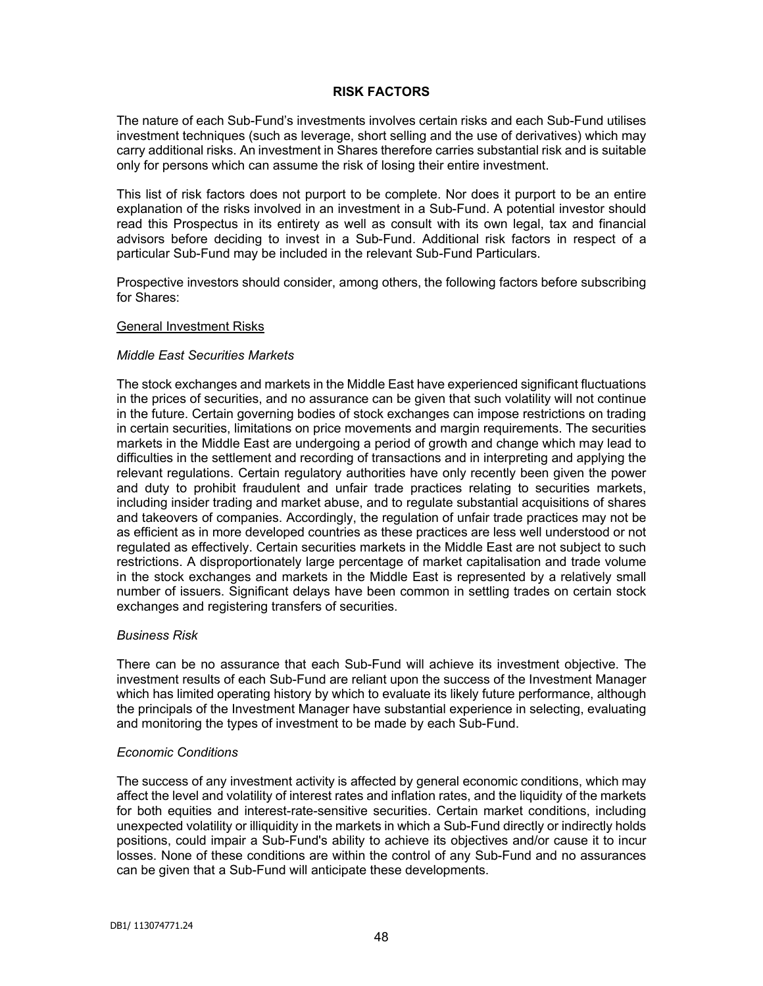## **RISK FACTORS**

The nature of each Sub-Fund's investments involves certain risks and each Sub-Fund utilises investment techniques (such as leverage, short selling and the use of derivatives) which may carry additional risks. An investment in Shares therefore carries substantial risk and is suitable only for persons which can assume the risk of losing their entire investment.

This list of risk factors does not purport to be complete. Nor does it purport to be an entire explanation of the risks involved in an investment in a Sub-Fund. A potential investor should read this Prospectus in its entirety as well as consult with its own legal, tax and financial advisors before deciding to invest in a Sub-Fund. Additional risk factors in respect of a particular Sub-Fund may be included in the relevant Sub-Fund Particulars.

Prospective investors should consider, among others, the following factors before subscribing for Shares:

#### General Investment Risks

### *Middle East Securities Markets*

The stock exchanges and markets in the Middle East have experienced significant fluctuations in the prices of securities, and no assurance can be given that such volatility will not continue in the future. Certain governing bodies of stock exchanges can impose restrictions on trading in certain securities, limitations on price movements and margin requirements. The securities markets in the Middle East are undergoing a period of growth and change which may lead to difficulties in the settlement and recording of transactions and in interpreting and applying the relevant regulations. Certain regulatory authorities have only recently been given the power and duty to prohibit fraudulent and unfair trade practices relating to securities markets, including insider trading and market abuse, and to regulate substantial acquisitions of shares and takeovers of companies. Accordingly, the regulation of unfair trade practices may not be as efficient as in more developed countries as these practices are less well understood or not regulated as effectively. Certain securities markets in the Middle East are not subject to such restrictions. A disproportionately large percentage of market capitalisation and trade volume in the stock exchanges and markets in the Middle East is represented by a relatively small number of issuers. Significant delays have been common in settling trades on certain stock exchanges and registering transfers of securities.

### *Business Risk*

There can be no assurance that each Sub-Fund will achieve its investment objective. The investment results of each Sub-Fund are reliant upon the success of the Investment Manager which has limited operating history by which to evaluate its likely future performance, although the principals of the Investment Manager have substantial experience in selecting, evaluating and monitoring the types of investment to be made by each Sub-Fund.

### *Economic Conditions*

The success of any investment activity is affected by general economic conditions, which may affect the level and volatility of interest rates and inflation rates, and the liquidity of the markets for both equities and interest-rate-sensitive securities. Certain market conditions, including unexpected volatility or illiquidity in the markets in which a Sub-Fund directly or indirectly holds positions, could impair a Sub-Fund's ability to achieve its objectives and/or cause it to incur losses. None of these conditions are within the control of any Sub-Fund and no assurances can be given that a Sub-Fund will anticipate these developments.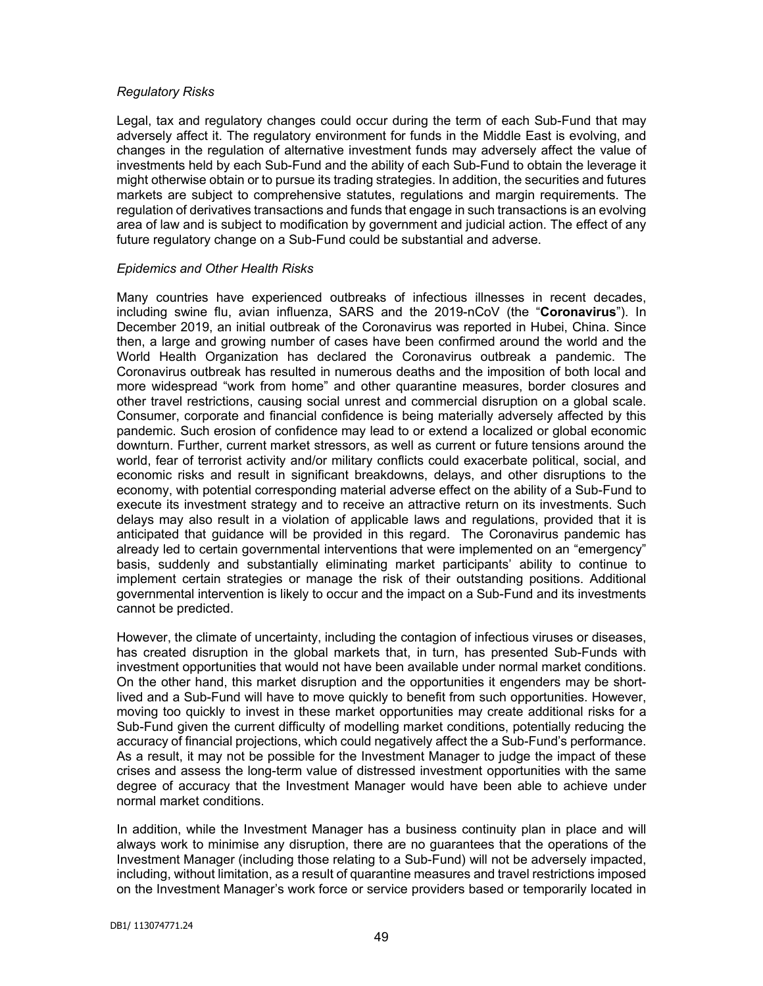# *Regulatory Risks*

Legal, tax and regulatory changes could occur during the term of each Sub-Fund that may adversely affect it. The regulatory environment for funds in the Middle East is evolving, and changes in the regulation of alternative investment funds may adversely affect the value of investments held by each Sub-Fund and the ability of each Sub-Fund to obtain the leverage it might otherwise obtain or to pursue its trading strategies. In addition, the securities and futures markets are subject to comprehensive statutes, regulations and margin requirements. The regulation of derivatives transactions and funds that engage in such transactions is an evolving area of law and is subject to modification by government and judicial action. The effect of any future regulatory change on a Sub-Fund could be substantial and adverse.

# *Epidemics and Other Health Risks*

Many countries have experienced outbreaks of infectious illnesses in recent decades, including swine flu, avian influenza, SARS and the 2019-nCoV (the "**Coronavirus**"). In December 2019, an initial outbreak of the Coronavirus was reported in Hubei, China. Since then, a large and growing number of cases have been confirmed around the world and the World Health Organization has declared the Coronavirus outbreak a pandemic. The Coronavirus outbreak has resulted in numerous deaths and the imposition of both local and more widespread "work from home" and other quarantine measures, border closures and other travel restrictions, causing social unrest and commercial disruption on a global scale. Consumer, corporate and financial confidence is being materially adversely affected by this pandemic. Such erosion of confidence may lead to or extend a localized or global economic downturn. Further, current market stressors, as well as current or future tensions around the world, fear of terrorist activity and/or military conflicts could exacerbate political, social, and economic risks and result in significant breakdowns, delays, and other disruptions to the economy, with potential corresponding material adverse effect on the ability of a Sub-Fund to execute its investment strategy and to receive an attractive return on its investments. Such delays may also result in a violation of applicable laws and regulations, provided that it is anticipated that guidance will be provided in this regard. The Coronavirus pandemic has already led to certain governmental interventions that were implemented on an "emergency" basis, suddenly and substantially eliminating market participants' ability to continue to implement certain strategies or manage the risk of their outstanding positions. Additional governmental intervention is likely to occur and the impact on a Sub-Fund and its investments cannot be predicted.

However, the climate of uncertainty, including the contagion of infectious viruses or diseases, has created disruption in the global markets that, in turn, has presented Sub-Funds with investment opportunities that would not have been available under normal market conditions. On the other hand, this market disruption and the opportunities it engenders may be shortlived and a Sub-Fund will have to move quickly to benefit from such opportunities. However, moving too quickly to invest in these market opportunities may create additional risks for a Sub-Fund given the current difficulty of modelling market conditions, potentially reducing the accuracy of financial projections, which could negatively affect the a Sub-Fund's performance. As a result, it may not be possible for the Investment Manager to judge the impact of these crises and assess the long-term value of distressed investment opportunities with the same degree of accuracy that the Investment Manager would have been able to achieve under normal market conditions.

In addition, while the Investment Manager has a business continuity plan in place and will always work to minimise any disruption, there are no guarantees that the operations of the Investment Manager (including those relating to a Sub-Fund) will not be adversely impacted, including, without limitation, as a result of quarantine measures and travel restrictions imposed on the Investment Manager's work force or service providers based or temporarily located in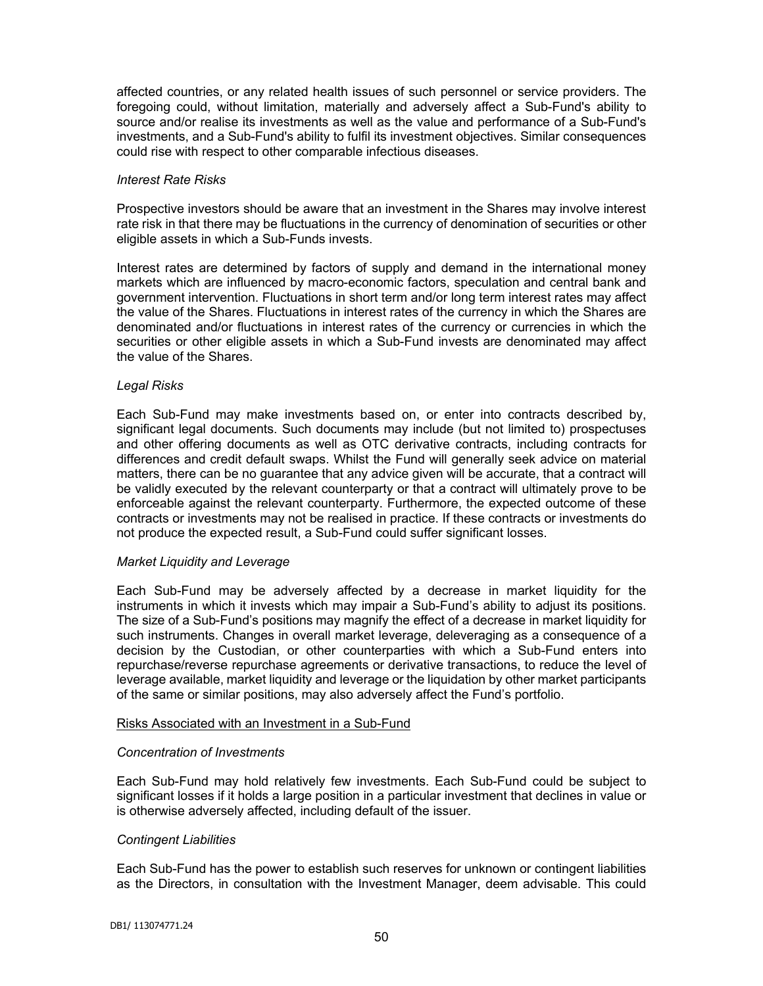affected countries, or any related health issues of such personnel or service providers. The foregoing could, without limitation, materially and adversely affect a Sub-Fund's ability to source and/or realise its investments as well as the value and performance of a Sub-Fund's investments, and a Sub-Fund's ability to fulfil its investment objectives. Similar consequences could rise with respect to other comparable infectious diseases.

### *Interest Rate Risks*

Prospective investors should be aware that an investment in the Shares may involve interest rate risk in that there may be fluctuations in the currency of denomination of securities or other eligible assets in which a Sub-Funds invests.

Interest rates are determined by factors of supply and demand in the international money markets which are influenced by macro-economic factors, speculation and central bank and government intervention. Fluctuations in short term and/or long term interest rates may affect the value of the Shares. Fluctuations in interest rates of the currency in which the Shares are denominated and/or fluctuations in interest rates of the currency or currencies in which the securities or other eligible assets in which a Sub-Fund invests are denominated may affect the value of the Shares.

### *Legal Risks*

Each Sub-Fund may make investments based on, or enter into contracts described by, significant legal documents. Such documents may include (but not limited to) prospectuses and other offering documents as well as OTC derivative contracts, including contracts for differences and credit default swaps. Whilst the Fund will generally seek advice on material matters, there can be no guarantee that any advice given will be accurate, that a contract will be validly executed by the relevant counterparty or that a contract will ultimately prove to be enforceable against the relevant counterparty. Furthermore, the expected outcome of these contracts or investments may not be realised in practice. If these contracts or investments do not produce the expected result, a Sub-Fund could suffer significant losses.

#### *Market Liquidity and Leverage*

Each Sub-Fund may be adversely affected by a decrease in market liquidity for the instruments in which it invests which may impair a Sub-Fund's ability to adjust its positions. The size of a Sub-Fund's positions may magnify the effect of a decrease in market liquidity for such instruments. Changes in overall market leverage, deleveraging as a consequence of a decision by the Custodian, or other counterparties with which a Sub-Fund enters into repurchase/reverse repurchase agreements or derivative transactions, to reduce the level of leverage available, market liquidity and leverage or the liquidation by other market participants of the same or similar positions, may also adversely affect the Fund's portfolio.

#### Risks Associated with an Investment in a Sub-Fund

### *Concentration of Investments*

Each Sub-Fund may hold relatively few investments. Each Sub-Fund could be subject to significant losses if it holds a large position in a particular investment that declines in value or is otherwise adversely affected, including default of the issuer.

### *Contingent Liabilities*

Each Sub-Fund has the power to establish such reserves for unknown or contingent liabilities as the Directors, in consultation with the Investment Manager, deem advisable. This could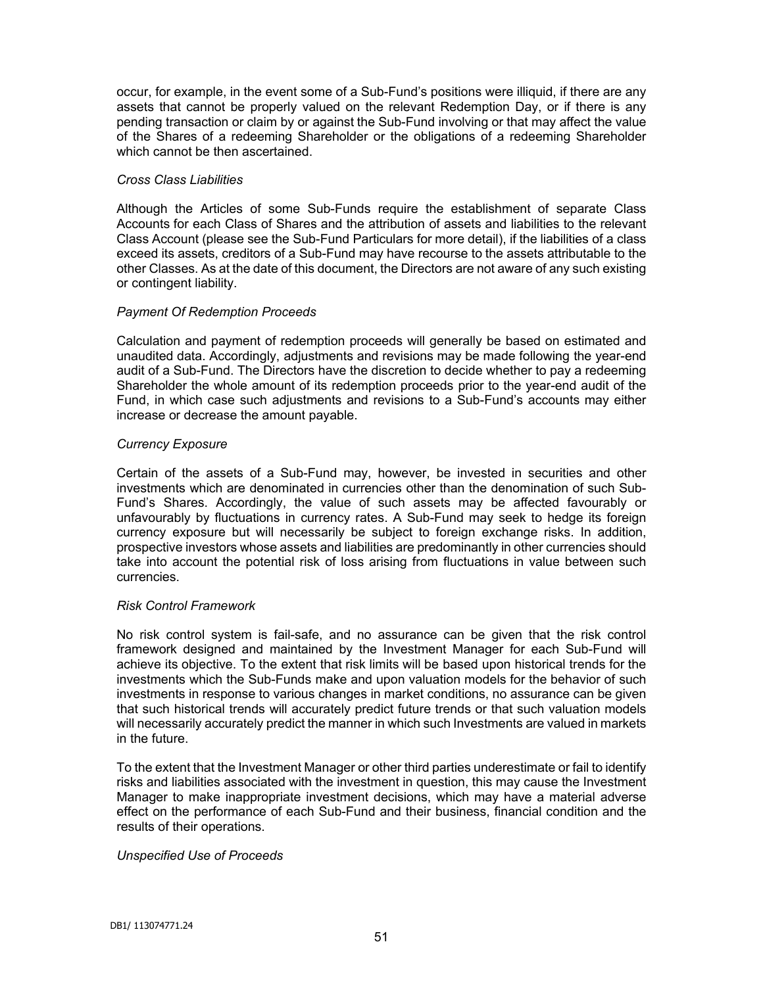occur, for example, in the event some of a Sub-Fund's positions were illiquid, if there are any assets that cannot be properly valued on the relevant Redemption Day, or if there is any pending transaction or claim by or against the Sub-Fund involving or that may affect the value of the Shares of a redeeming Shareholder or the obligations of a redeeming Shareholder which cannot be then ascertained.

## *Cross Class Liabilities*

Although the Articles of some Sub-Funds require the establishment of separate Class Accounts for each Class of Shares and the attribution of assets and liabilities to the relevant Class Account (please see the Sub-Fund Particulars for more detail), if the liabilities of a class exceed its assets, creditors of a Sub-Fund may have recourse to the assets attributable to the other Classes. As at the date of this document, the Directors are not aware of any such existing or contingent liability.

# *Payment Of Redemption Proceeds*

Calculation and payment of redemption proceeds will generally be based on estimated and unaudited data. Accordingly, adjustments and revisions may be made following the year-end audit of a Sub-Fund. The Directors have the discretion to decide whether to pay a redeeming Shareholder the whole amount of its redemption proceeds prior to the year-end audit of the Fund, in which case such adjustments and revisions to a Sub-Fund's accounts may either increase or decrease the amount payable.

# *Currency Exposure*

Certain of the assets of a Sub-Fund may, however, be invested in securities and other investments which are denominated in currencies other than the denomination of such Sub-Fund's Shares. Accordingly, the value of such assets may be affected favourably or unfavourably by fluctuations in currency rates. A Sub-Fund may seek to hedge its foreign currency exposure but will necessarily be subject to foreign exchange risks. In addition, prospective investors whose assets and liabilities are predominantly in other currencies should take into account the potential risk of loss arising from fluctuations in value between such currencies.

# *Risk Control Framework*

No risk control system is fail-safe, and no assurance can be given that the risk control framework designed and maintained by the Investment Manager for each Sub-Fund will achieve its objective. To the extent that risk limits will be based upon historical trends for the investments which the Sub-Funds make and upon valuation models for the behavior of such investments in response to various changes in market conditions, no assurance can be given that such historical trends will accurately predict future trends or that such valuation models will necessarily accurately predict the manner in which such Investments are valued in markets in the future.

To the extent that the Investment Manager or other third parties underestimate or fail to identify risks and liabilities associated with the investment in question, this may cause the Investment Manager to make inappropriate investment decisions, which may have a material adverse effect on the performance of each Sub-Fund and their business, financial condition and the results of their operations.

# *Unspecified Use of Proceeds*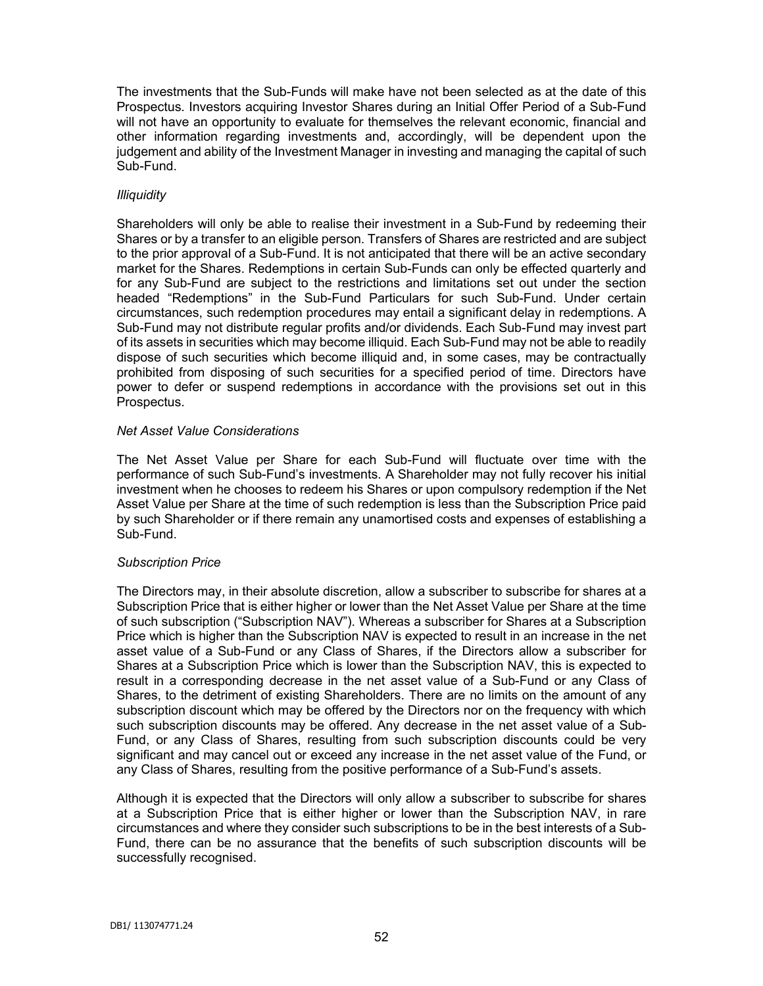The investments that the Sub-Funds will make have not been selected as at the date of this Prospectus. Investors acquiring Investor Shares during an Initial Offer Period of a Sub-Fund will not have an opportunity to evaluate for themselves the relevant economic, financial and other information regarding investments and, accordingly, will be dependent upon the judgement and ability of the Investment Manager in investing and managing the capital of such Sub-Fund.

# *Illiquidity*

Shareholders will only be able to realise their investment in a Sub-Fund by redeeming their Shares or by a transfer to an eligible person. Transfers of Shares are restricted and are subject to the prior approval of a Sub-Fund. It is not anticipated that there will be an active secondary market for the Shares. Redemptions in certain Sub-Funds can only be effected quarterly and for any Sub-Fund are subject to the restrictions and limitations set out under the section headed "Redemptions" in the Sub-Fund Particulars for such Sub-Fund. Under certain circumstances, such redemption procedures may entail a significant delay in redemptions. A Sub-Fund may not distribute regular profits and/or dividends. Each Sub-Fund may invest part of its assets in securities which may become illiquid. Each Sub-Fund may not be able to readily dispose of such securities which become illiquid and, in some cases, may be contractually prohibited from disposing of such securities for a specified period of time. Directors have power to defer or suspend redemptions in accordance with the provisions set out in this Prospectus.

# *Net Asset Value Considerations*

The Net Asset Value per Share for each Sub-Fund will fluctuate over time with the performance of such Sub-Fund's investments. A Shareholder may not fully recover his initial investment when he chooses to redeem his Shares or upon compulsory redemption if the Net Asset Value per Share at the time of such redemption is less than the Subscription Price paid by such Shareholder or if there remain any unamortised costs and expenses of establishing a Sub-Fund.

# *Subscription Price*

The Directors may, in their absolute discretion, allow a subscriber to subscribe for shares at a Subscription Price that is either higher or lower than the Net Asset Value per Share at the time of such subscription ("Subscription NAV"). Whereas a subscriber for Shares at a Subscription Price which is higher than the Subscription NAV is expected to result in an increase in the net asset value of a Sub-Fund or any Class of Shares, if the Directors allow a subscriber for Shares at a Subscription Price which is lower than the Subscription NAV, this is expected to result in a corresponding decrease in the net asset value of a Sub-Fund or any Class of Shares, to the detriment of existing Shareholders. There are no limits on the amount of any subscription discount which may be offered by the Directors nor on the frequency with which such subscription discounts may be offered. Any decrease in the net asset value of a Sub-Fund, or any Class of Shares, resulting from such subscription discounts could be very significant and may cancel out or exceed any increase in the net asset value of the Fund, or any Class of Shares, resulting from the positive performance of a Sub-Fund's assets.

Although it is expected that the Directors will only allow a subscriber to subscribe for shares at a Subscription Price that is either higher or lower than the Subscription NAV, in rare circumstances and where they consider such subscriptions to be in the best interests of a Sub-Fund, there can be no assurance that the benefits of such subscription discounts will be successfully recognised.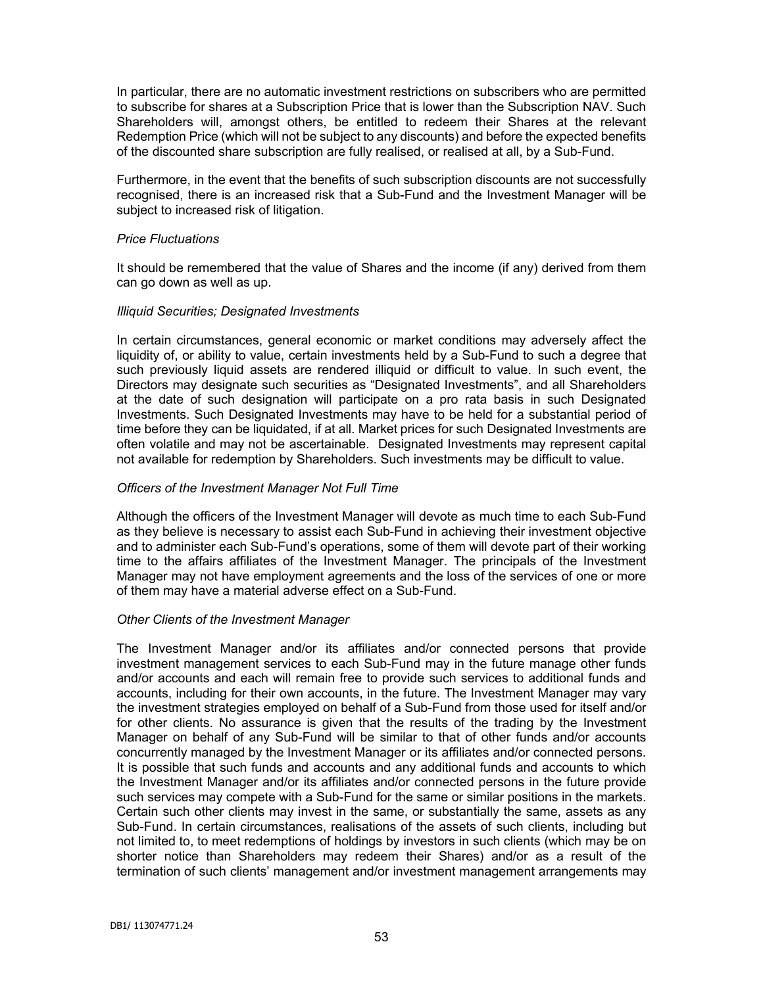In particular, there are no automatic investment restrictions on subscribers who are permitted to subscribe for shares at a Subscription Price that is lower than the Subscription NAV. Such Shareholders will, amongst others, be entitled to redeem their Shares at the relevant Redemption Price (which will not be subject to any discounts) and before the expected benefits of the discounted share subscription are fully realised, or realised at all, by a Sub-Fund.

Furthermore, in the event that the benefits of such subscription discounts are not successfully recognised, there is an increased risk that a Sub-Fund and the Investment Manager will be subject to increased risk of litigation.

### *Price Fluctuations*

It should be remembered that the value of Shares and the income (if any) derived from them can go down as well as up.

### *Illiquid Securities; Designated Investments*

In certain circumstances, general economic or market conditions may adversely affect the liquidity of, or ability to value, certain investments held by a Sub-Fund to such a degree that such previously liquid assets are rendered illiquid or difficult to value. In such event, the Directors may designate such securities as "Designated Investments", and all Shareholders at the date of such designation will participate on a pro rata basis in such Designated Investments. Such Designated Investments may have to be held for a substantial period of time before they can be liquidated, if at all. Market prices for such Designated Investments are often volatile and may not be ascertainable. Designated Investments may represent capital not available for redemption by Shareholders. Such investments may be difficult to value.

# *Officers of the Investment Manager Not Full Time*

Although the officers of the Investment Manager will devote as much time to each Sub-Fund as they believe is necessary to assist each Sub-Fund in achieving their investment objective and to administer each Sub-Fund's operations, some of them will devote part of their working time to the affairs affiliates of the Investment Manager. The principals of the Investment Manager may not have employment agreements and the loss of the services of one or more of them may have a material adverse effect on a Sub-Fund.

### *Other Clients of the Investment Manager*

The Investment Manager and/or its affiliates and/or connected persons that provide investment management services to each Sub-Fund may in the future manage other funds and/or accounts and each will remain free to provide such services to additional funds and accounts, including for their own accounts, in the future. The Investment Manager may vary the investment strategies employed on behalf of a Sub-Fund from those used for itself and/or for other clients. No assurance is given that the results of the trading by the Investment Manager on behalf of any Sub-Fund will be similar to that of other funds and/or accounts concurrently managed by the Investment Manager or its affiliates and/or connected persons. It is possible that such funds and accounts and any additional funds and accounts to which the Investment Manager and/or its affiliates and/or connected persons in the future provide such services may compete with a Sub-Fund for the same or similar positions in the markets. Certain such other clients may invest in the same, or substantially the same, assets as any Sub-Fund. In certain circumstances, realisations of the assets of such clients, including but not limited to, to meet redemptions of holdings by investors in such clients (which may be on shorter notice than Shareholders may redeem their Shares) and/or as a result of the termination of such clients' management and/or investment management arrangements may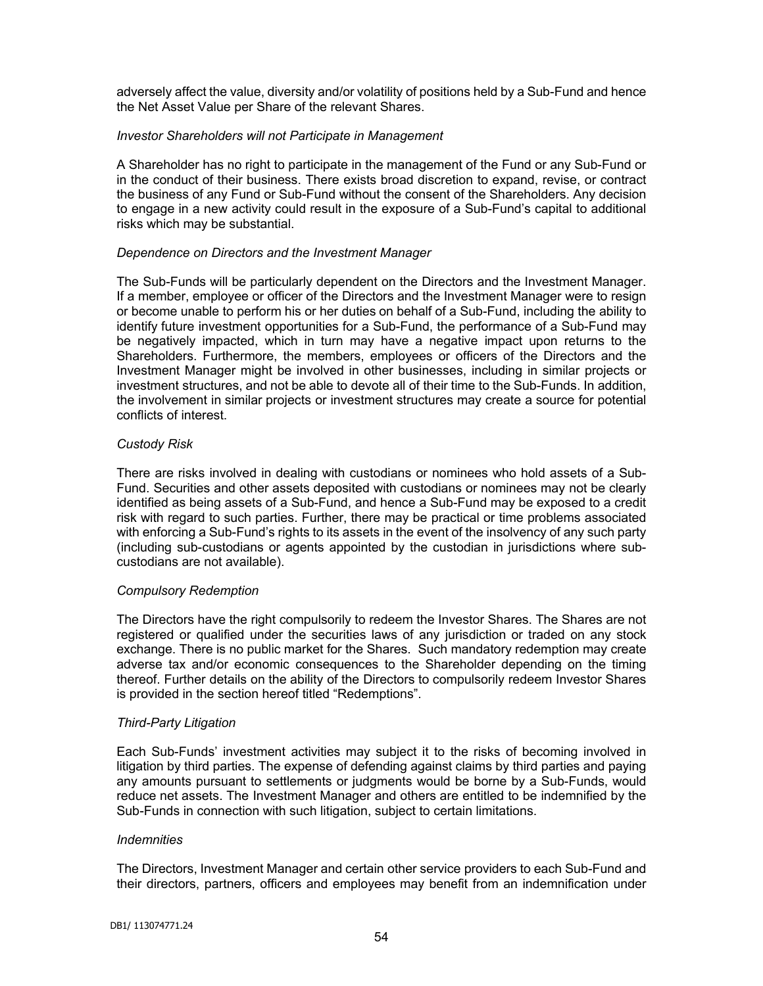adversely affect the value, diversity and/or volatility of positions held by a Sub-Fund and hence the Net Asset Value per Share of the relevant Shares.

# *Investor Shareholders will not Participate in Management*

A Shareholder has no right to participate in the management of the Fund or any Sub-Fund or in the conduct of their business. There exists broad discretion to expand, revise, or contract the business of any Fund or Sub-Fund without the consent of the Shareholders. Any decision to engage in a new activity could result in the exposure of a Sub-Fund's capital to additional risks which may be substantial.

# *Dependence on Directors and the Investment Manager*

The Sub-Funds will be particularly dependent on the Directors and the Investment Manager. If a member, employee or officer of the Directors and the Investment Manager were to resign or become unable to perform his or her duties on behalf of a Sub-Fund, including the ability to identify future investment opportunities for a Sub-Fund, the performance of a Sub-Fund may be negatively impacted, which in turn may have a negative impact upon returns to the Shareholders. Furthermore, the members, employees or officers of the Directors and the Investment Manager might be involved in other businesses, including in similar projects or investment structures, and not be able to devote all of their time to the Sub-Funds. In addition, the involvement in similar projects or investment structures may create a source for potential conflicts of interest.

# *Custody Risk*

There are risks involved in dealing with custodians or nominees who hold assets of a Sub-Fund. Securities and other assets deposited with custodians or nominees may not be clearly identified as being assets of a Sub-Fund, and hence a Sub-Fund may be exposed to a credit risk with regard to such parties. Further, there may be practical or time problems associated with enforcing a Sub-Fund's rights to its assets in the event of the insolvency of any such party (including sub-custodians or agents appointed by the custodian in jurisdictions where subcustodians are not available).

### *Compulsory Redemption*

The Directors have the right compulsorily to redeem the Investor Shares. The Shares are not registered or qualified under the securities laws of any jurisdiction or traded on any stock exchange. There is no public market for the Shares. Such mandatory redemption may create adverse tax and/or economic consequences to the Shareholder depending on the timing thereof. Further details on the ability of the Directors to compulsorily redeem Investor Shares is provided in the section hereof titled "Redemptions".

# *Third-Party Litigation*

Each Sub-Funds' investment activities may subject it to the risks of becoming involved in litigation by third parties. The expense of defending against claims by third parties and paying any amounts pursuant to settlements or judgments would be borne by a Sub-Funds, would reduce net assets. The Investment Manager and others are entitled to be indemnified by the Sub-Funds in connection with such litigation, subject to certain limitations.

### *Indemnities*

The Directors, Investment Manager and certain other service providers to each Sub-Fund and their directors, partners, officers and employees may benefit from an indemnification under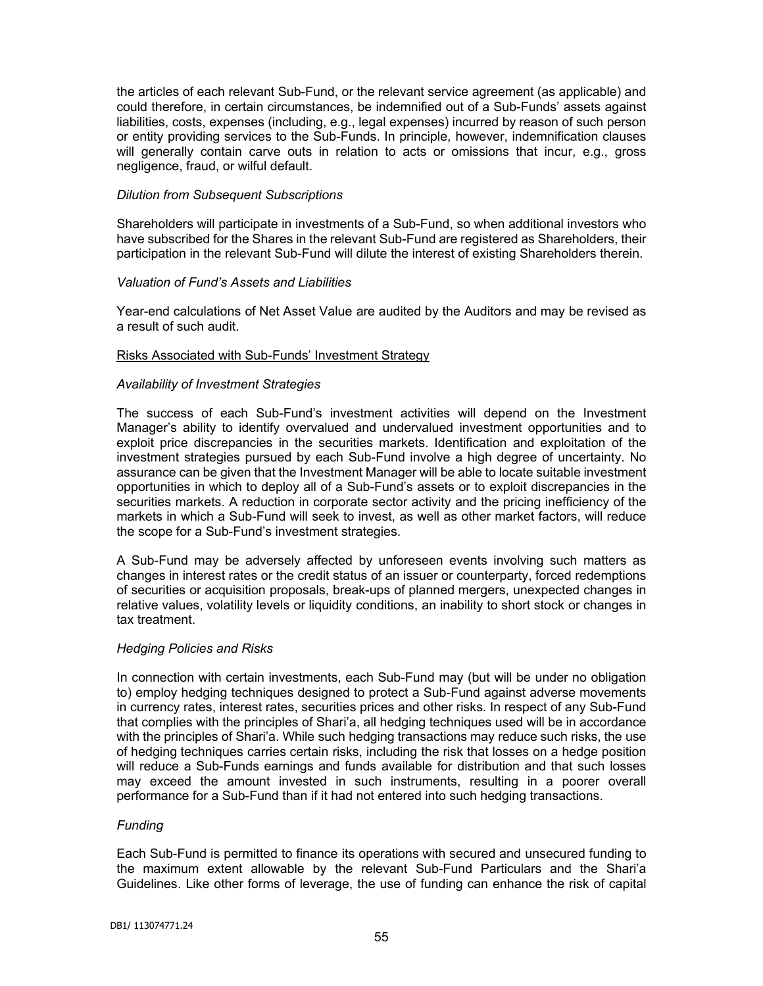the articles of each relevant Sub-Fund, or the relevant service agreement (as applicable) and could therefore, in certain circumstances, be indemnified out of a Sub-Funds' assets against liabilities, costs, expenses (including, e.g., legal expenses) incurred by reason of such person or entity providing services to the Sub-Funds. In principle, however, indemnification clauses will generally contain carve outs in relation to acts or omissions that incur, e.g., gross negligence, fraud, or wilful default.

## *Dilution from Subsequent Subscriptions*

Shareholders will participate in investments of a Sub-Fund, so when additional investors who have subscribed for the Shares in the relevant Sub-Fund are registered as Shareholders, their participation in the relevant Sub-Fund will dilute the interest of existing Shareholders therein.

# *Valuation of Fund's Assets and Liabilities*

Year-end calculations of Net Asset Value are audited by the Auditors and may be revised as a result of such audit.

# Risks Associated with Sub-Funds' Investment Strategy

# *Availability of Investment Strategies*

The success of each Sub-Fund's investment activities will depend on the Investment Manager's ability to identify overvalued and undervalued investment opportunities and to exploit price discrepancies in the securities markets. Identification and exploitation of the investment strategies pursued by each Sub-Fund involve a high degree of uncertainty. No assurance can be given that the Investment Manager will be able to locate suitable investment opportunities in which to deploy all of a Sub-Fund's assets or to exploit discrepancies in the securities markets. A reduction in corporate sector activity and the pricing inefficiency of the markets in which a Sub-Fund will seek to invest, as well as other market factors, will reduce the scope for a Sub-Fund's investment strategies.

A Sub-Fund may be adversely affected by unforeseen events involving such matters as changes in interest rates or the credit status of an issuer or counterparty, forced redemptions of securities or acquisition proposals, break-ups of planned mergers, unexpected changes in relative values, volatility levels or liquidity conditions, an inability to short stock or changes in tax treatment.

### *Hedging Policies and Risks*

In connection with certain investments, each Sub-Fund may (but will be under no obligation to) employ hedging techniques designed to protect a Sub-Fund against adverse movements in currency rates, interest rates, securities prices and other risks. In respect of any Sub-Fund that complies with the principles of Shari'a, all hedging techniques used will be in accordance with the principles of Shari'a. While such hedging transactions may reduce such risks, the use of hedging techniques carries certain risks, including the risk that losses on a hedge position will reduce a Sub-Funds earnings and funds available for distribution and that such losses may exceed the amount invested in such instruments, resulting in a poorer overall performance for a Sub-Fund than if it had not entered into such hedging transactions.

### *Funding*

Each Sub-Fund is permitted to finance its operations with secured and unsecured funding to the maximum extent allowable by the relevant Sub-Fund Particulars and the Shari'a Guidelines. Like other forms of leverage, the use of funding can enhance the risk of capital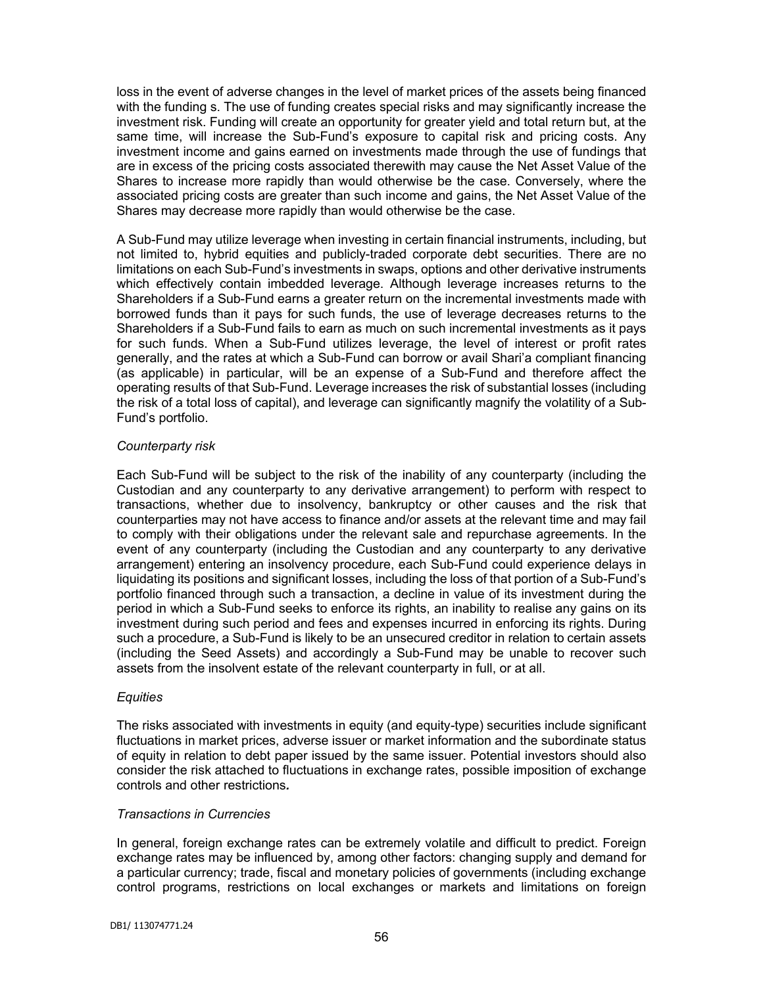loss in the event of adverse changes in the level of market prices of the assets being financed with the funding s. The use of funding creates special risks and may significantly increase the investment risk. Funding will create an opportunity for greater yield and total return but, at the same time, will increase the Sub-Fund's exposure to capital risk and pricing costs. Any investment income and gains earned on investments made through the use of fundings that are in excess of the pricing costs associated therewith may cause the Net Asset Value of the Shares to increase more rapidly than would otherwise be the case. Conversely, where the associated pricing costs are greater than such income and gains, the Net Asset Value of the Shares may decrease more rapidly than would otherwise be the case.

A Sub-Fund may utilize leverage when investing in certain financial instruments, including, but not limited to, hybrid equities and publicly-traded corporate debt securities. There are no limitations on each Sub-Fund's investments in swaps, options and other derivative instruments which effectively contain imbedded leverage. Although leverage increases returns to the Shareholders if a Sub-Fund earns a greater return on the incremental investments made with borrowed funds than it pays for such funds, the use of leverage decreases returns to the Shareholders if a Sub-Fund fails to earn as much on such incremental investments as it pays for such funds. When a Sub-Fund utilizes leverage, the level of interest or profit rates generally, and the rates at which a Sub-Fund can borrow or avail Shari'a compliant financing (as applicable) in particular, will be an expense of a Sub-Fund and therefore affect the operating results of that Sub-Fund. Leverage increases the risk of substantial losses (including the risk of a total loss of capital), and leverage can significantly magnify the volatility of a Sub-Fund's portfolio.

# *Counterparty risk*

Each Sub-Fund will be subject to the risk of the inability of any counterparty (including the Custodian and any counterparty to any derivative arrangement) to perform with respect to transactions, whether due to insolvency, bankruptcy or other causes and the risk that counterparties may not have access to finance and/or assets at the relevant time and may fail to comply with their obligations under the relevant sale and repurchase agreements. In the event of any counterparty (including the Custodian and any counterparty to any derivative arrangement) entering an insolvency procedure, each Sub-Fund could experience delays in liquidating its positions and significant losses, including the loss of that portion of a Sub-Fund's portfolio financed through such a transaction, a decline in value of its investment during the period in which a Sub-Fund seeks to enforce its rights, an inability to realise any gains on its investment during such period and fees and expenses incurred in enforcing its rights. During such a procedure, a Sub-Fund is likely to be an unsecured creditor in relation to certain assets (including the Seed Assets) and accordingly a Sub-Fund may be unable to recover such assets from the insolvent estate of the relevant counterparty in full, or at all.

### *Equities*

The risks associated with investments in equity (and equity-type) securities include significant fluctuations in market prices, adverse issuer or market information and the subordinate status of equity in relation to debt paper issued by the same issuer. Potential investors should also consider the risk attached to fluctuations in exchange rates, possible imposition of exchange controls and other restrictions*.*

# *Transactions in Currencies*

In general, foreign exchange rates can be extremely volatile and difficult to predict. Foreign exchange rates may be influenced by, among other factors: changing supply and demand for a particular currency; trade, fiscal and monetary policies of governments (including exchange control programs, restrictions on local exchanges or markets and limitations on foreign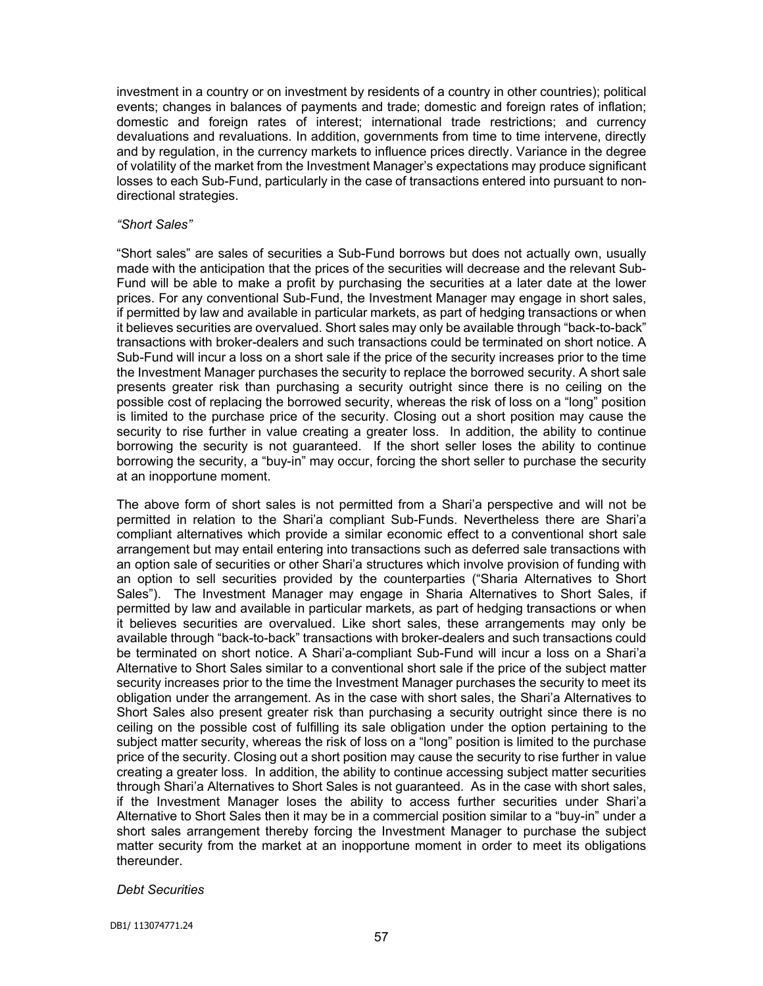investment in a country or on investment by residents of a country in other countries); political events; changes in balances of payments and trade; domestic and foreign rates of inflation; domestic and foreign rates of interest; international trade restrictions; and currency devaluations and revaluations. In addition, governments from time to time intervene, directly and by regulation, in the currency markets to influence prices directly. Variance in the degree of volatility of the market from the Investment Manager's expectations may produce significant losses to each Sub-Fund, particularly in the case of transactions entered into pursuant to nondirectional strategies.

### *"Short Sales"*

"Short sales" are sales of securities a Sub-Fund borrows but does not actually own, usually made with the anticipation that the prices of the securities will decrease and the relevant Sub-Fund will be able to make a profit by purchasing the securities at a later date at the lower prices. For any conventional Sub-Fund, the Investment Manager may engage in short sales, if permitted by law and available in particular markets, as part of hedging transactions or when it believes securities are overvalued. Short sales may only be available through "back-to-back" transactions with broker-dealers and such transactions could be terminated on short notice. A Sub-Fund will incur a loss on a short sale if the price of the security increases prior to the time the Investment Manager purchases the security to replace the borrowed security. A short sale presents greater risk than purchasing a security outright since there is no ceiling on the possible cost of replacing the borrowed security, whereas the risk of loss on a "long" position is limited to the purchase price of the security. Closing out a short position may cause the security to rise further in value creating a greater loss. In addition, the ability to continue borrowing the security is not guaranteed. If the short seller loses the ability to continue borrowing the security, a "buy-in" may occur, forcing the short seller to purchase the security at an inopportune moment.

The above form of short sales is not permitted from a Shari'a perspective and will not be permitted in relation to the Shari'a compliant Sub-Funds. Nevertheless there are Shari'a compliant alternatives which provide a similar economic effect to a conventional short sale arrangement but may entail entering into transactions such as deferred sale transactions with an option sale of securities or other Shari'a structures which involve provision of funding with an option to sell securities provided by the counterparties ("Sharia Alternatives to Short Sales"). The Investment Manager may engage in Sharia Alternatives to Short Sales, if permitted by law and available in particular markets, as part of hedging transactions or when it believes securities are overvalued. Like short sales, these arrangements may only be available through "back-to-back" transactions with broker-dealers and such transactions could be terminated on short notice. A Shari'a-compliant Sub-Fund will incur a loss on a Shari'a Alternative to Short Sales similar to a conventional short sale if the price of the subject matter security increases prior to the time the Investment Manager purchases the security to meet its obligation under the arrangement. As in the case with short sales, the Shari'a Alternatives to Short Sales also present greater risk than purchasing a security outright since there is no ceiling on the possible cost of fulfilling its sale obligation under the option pertaining to the subject matter security, whereas the risk of loss on a "long" position is limited to the purchase price of the security. Closing out a short position may cause the security to rise further in value creating a greater loss. In addition, the ability to continue accessing subject matter securities through Shari'a Alternatives to Short Sales is not guaranteed. As in the case with short sales, if the Investment Manager loses the ability to access further securities under Shari'a Alternative to Short Sales then it may be in a commercial position similar to a "buy-in" under a short sales arrangement thereby forcing the Investment Manager to purchase the subject matter security from the market at an inopportune moment in order to meet its obligations thereunder.

### *Debt Securities*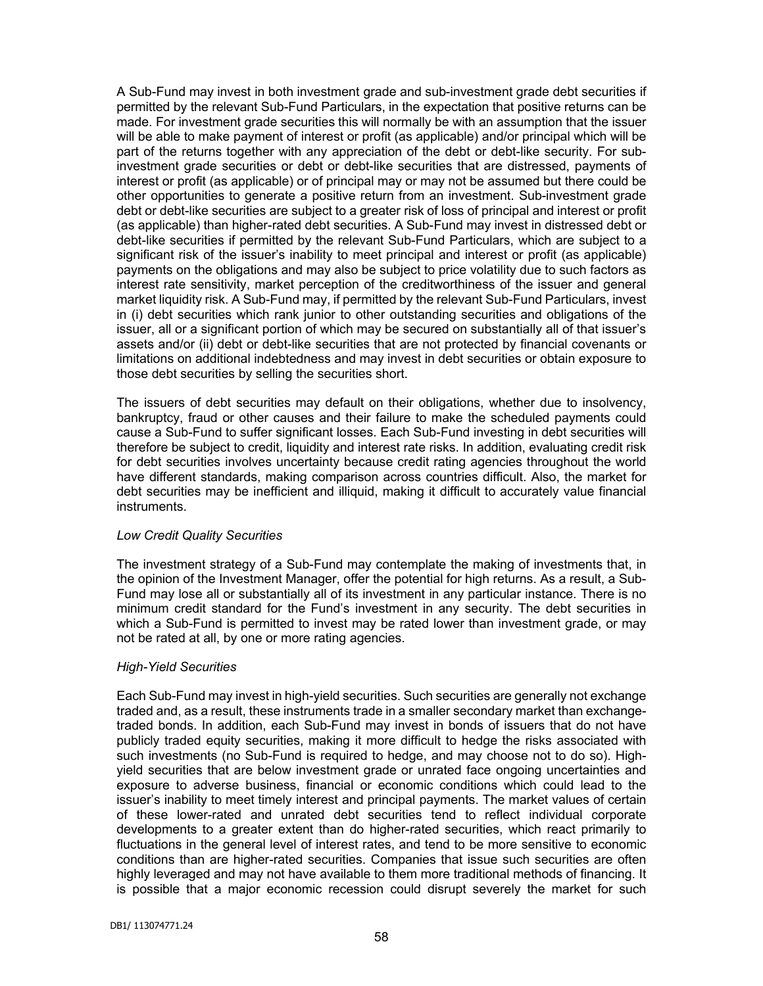A Sub-Fund may invest in both investment grade and sub-investment grade debt securities if permitted by the relevant Sub-Fund Particulars, in the expectation that positive returns can be made. For investment grade securities this will normally be with an assumption that the issuer will be able to make payment of interest or profit (as applicable) and/or principal which will be part of the returns together with any appreciation of the debt or debt-like security. For subinvestment grade securities or debt or debt-like securities that are distressed, payments of interest or profit (as applicable) or of principal may or may not be assumed but there could be other opportunities to generate a positive return from an investment. Sub-investment grade debt or debt-like securities are subject to a greater risk of loss of principal and interest or profit (as applicable) than higher-rated debt securities. A Sub-Fund may invest in distressed debt or debt-like securities if permitted by the relevant Sub-Fund Particulars, which are subject to a significant risk of the issuer's inability to meet principal and interest or profit (as applicable) payments on the obligations and may also be subject to price volatility due to such factors as interest rate sensitivity, market perception of the creditworthiness of the issuer and general market liquidity risk. A Sub-Fund may, if permitted by the relevant Sub-Fund Particulars, invest in (i) debt securities which rank junior to other outstanding securities and obligations of the issuer, all or a significant portion of which may be secured on substantially all of that issuer's assets and/or (ii) debt or debt-like securities that are not protected by financial covenants or limitations on additional indebtedness and may invest in debt securities or obtain exposure to those debt securities by selling the securities short.

The issuers of debt securities may default on their obligations, whether due to insolvency, bankruptcy, fraud or other causes and their failure to make the scheduled payments could cause a Sub-Fund to suffer significant losses. Each Sub-Fund investing in debt securities will therefore be subject to credit, liquidity and interest rate risks. In addition, evaluating credit risk for debt securities involves uncertainty because credit rating agencies throughout the world have different standards, making comparison across countries difficult. Also, the market for debt securities may be inefficient and illiquid, making it difficult to accurately value financial instruments.

### *Low Credit Quality Securities*

The investment strategy of a Sub-Fund may contemplate the making of investments that, in the opinion of the Investment Manager, offer the potential for high returns. As a result, a Sub-Fund may lose all or substantially all of its investment in any particular instance. There is no minimum credit standard for the Fund's investment in any security. The debt securities in which a Sub-Fund is permitted to invest may be rated lower than investment grade, or may not be rated at all, by one or more rating agencies.

### *High-Yield Securities*

Each Sub-Fund may invest in high-yield securities. Such securities are generally not exchange traded and, as a result, these instruments trade in a smaller secondary market than exchangetraded bonds. In addition, each Sub-Fund may invest in bonds of issuers that do not have publicly traded equity securities, making it more difficult to hedge the risks associated with such investments (no Sub-Fund is required to hedge, and may choose not to do so). Highyield securities that are below investment grade or unrated face ongoing uncertainties and exposure to adverse business, financial or economic conditions which could lead to the issuer's inability to meet timely interest and principal payments. The market values of certain of these lower-rated and unrated debt securities tend to reflect individual corporate developments to a greater extent than do higher-rated securities, which react primarily to fluctuations in the general level of interest rates, and tend to be more sensitive to economic conditions than are higher-rated securities. Companies that issue such securities are often highly leveraged and may not have available to them more traditional methods of financing. It is possible that a major economic recession could disrupt severely the market for such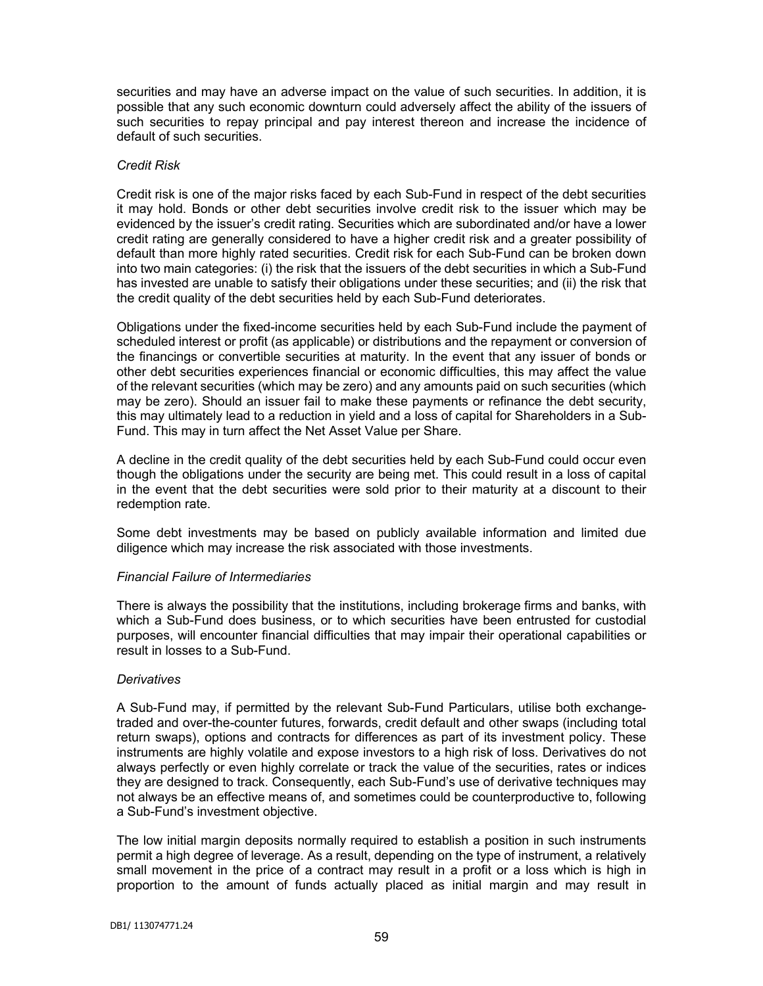securities and may have an adverse impact on the value of such securities. In addition, it is possible that any such economic downturn could adversely affect the ability of the issuers of such securities to repay principal and pay interest thereon and increase the incidence of default of such securities.

## *Credit Risk*

Credit risk is one of the major risks faced by each Sub-Fund in respect of the debt securities it may hold. Bonds or other debt securities involve credit risk to the issuer which may be evidenced by the issuer's credit rating. Securities which are subordinated and/or have a lower credit rating are generally considered to have a higher credit risk and a greater possibility of default than more highly rated securities. Credit risk for each Sub-Fund can be broken down into two main categories: (i) the risk that the issuers of the debt securities in which a Sub-Fund has invested are unable to satisfy their obligations under these securities; and (ii) the risk that the credit quality of the debt securities held by each Sub-Fund deteriorates.

Obligations under the fixed-income securities held by each Sub-Fund include the payment of scheduled interest or profit (as applicable) or distributions and the repayment or conversion of the financings or convertible securities at maturity. In the event that any issuer of bonds or other debt securities experiences financial or economic difficulties, this may affect the value of the relevant securities (which may be zero) and any amounts paid on such securities (which may be zero). Should an issuer fail to make these payments or refinance the debt security, this may ultimately lead to a reduction in yield and a loss of capital for Shareholders in a Sub-Fund. This may in turn affect the Net Asset Value per Share.

A decline in the credit quality of the debt securities held by each Sub-Fund could occur even though the obligations under the security are being met. This could result in a loss of capital in the event that the debt securities were sold prior to their maturity at a discount to their redemption rate.

Some debt investments may be based on publicly available information and limited due diligence which may increase the risk associated with those investments.

### *Financial Failure of Intermediaries*

There is always the possibility that the institutions, including brokerage firms and banks, with which a Sub-Fund does business, or to which securities have been entrusted for custodial purposes, will encounter financial difficulties that may impair their operational capabilities or result in losses to a Sub-Fund.

### *Derivatives*

A Sub-Fund may, if permitted by the relevant Sub-Fund Particulars, utilise both exchangetraded and over-the-counter futures, forwards, credit default and other swaps (including total return swaps), options and contracts for differences as part of its investment policy. These instruments are highly volatile and expose investors to a high risk of loss. Derivatives do not always perfectly or even highly correlate or track the value of the securities, rates or indices they are designed to track. Consequently, each Sub-Fund's use of derivative techniques may not always be an effective means of, and sometimes could be counterproductive to, following a Sub-Fund's investment objective.

The low initial margin deposits normally required to establish a position in such instruments permit a high degree of leverage. As a result, depending on the type of instrument, a relatively small movement in the price of a contract may result in a profit or a loss which is high in proportion to the amount of funds actually placed as initial margin and may result in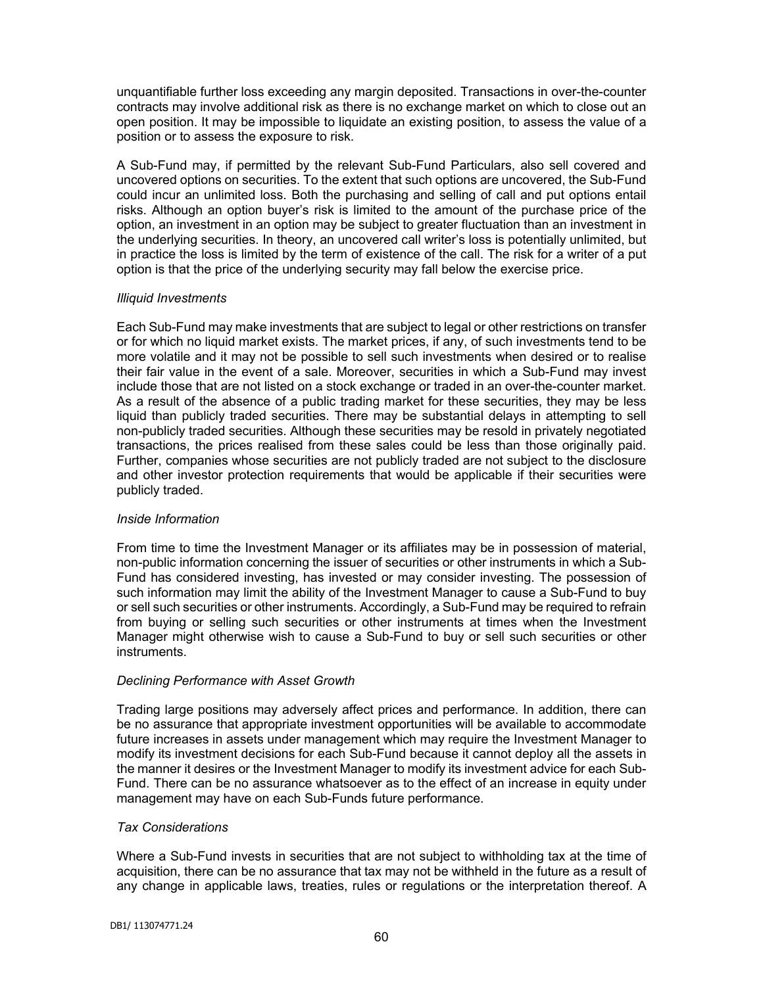unquantifiable further loss exceeding any margin deposited. Transactions in over-the-counter contracts may involve additional risk as there is no exchange market on which to close out an open position. It may be impossible to liquidate an existing position, to assess the value of a position or to assess the exposure to risk.

A Sub-Fund may, if permitted by the relevant Sub-Fund Particulars, also sell covered and uncovered options on securities. To the extent that such options are uncovered, the Sub-Fund could incur an unlimited loss. Both the purchasing and selling of call and put options entail risks. Although an option buyer's risk is limited to the amount of the purchase price of the option, an investment in an option may be subject to greater fluctuation than an investment in the underlying securities. In theory, an uncovered call writer's loss is potentially unlimited, but in practice the loss is limited by the term of existence of the call. The risk for a writer of a put option is that the price of the underlying security may fall below the exercise price.

# *Illiquid Investments*

Each Sub-Fund may make investments that are subject to legal or other restrictions on transfer or for which no liquid market exists. The market prices, if any, of such investments tend to be more volatile and it may not be possible to sell such investments when desired or to realise their fair value in the event of a sale. Moreover, securities in which a Sub-Fund may invest include those that are not listed on a stock exchange or traded in an over-the-counter market. As a result of the absence of a public trading market for these securities, they may be less liquid than publicly traded securities. There may be substantial delays in attempting to sell non-publicly traded securities. Although these securities may be resold in privately negotiated transactions, the prices realised from these sales could be less than those originally paid. Further, companies whose securities are not publicly traded are not subject to the disclosure and other investor protection requirements that would be applicable if their securities were publicly traded.

# *Inside Information*

From time to time the Investment Manager or its affiliates may be in possession of material, non-public information concerning the issuer of securities or other instruments in which a Sub-Fund has considered investing, has invested or may consider investing. The possession of such information may limit the ability of the Investment Manager to cause a Sub-Fund to buy or sell such securities or other instruments. Accordingly, a Sub-Fund may be required to refrain from buying or selling such securities or other instruments at times when the Investment Manager might otherwise wish to cause a Sub-Fund to buy or sell such securities or other instruments.

# *Declining Performance with Asset Growth*

Trading large positions may adversely affect prices and performance. In addition, there can be no assurance that appropriate investment opportunities will be available to accommodate future increases in assets under management which may require the Investment Manager to modify its investment decisions for each Sub-Fund because it cannot deploy all the assets in the manner it desires or the Investment Manager to modify its investment advice for each Sub-Fund. There can be no assurance whatsoever as to the effect of an increase in equity under management may have on each Sub-Funds future performance.

### *Tax Considerations*

Where a Sub-Fund invests in securities that are not subject to withholding tax at the time of acquisition, there can be no assurance that tax may not be withheld in the future as a result of any change in applicable laws, treaties, rules or regulations or the interpretation thereof. A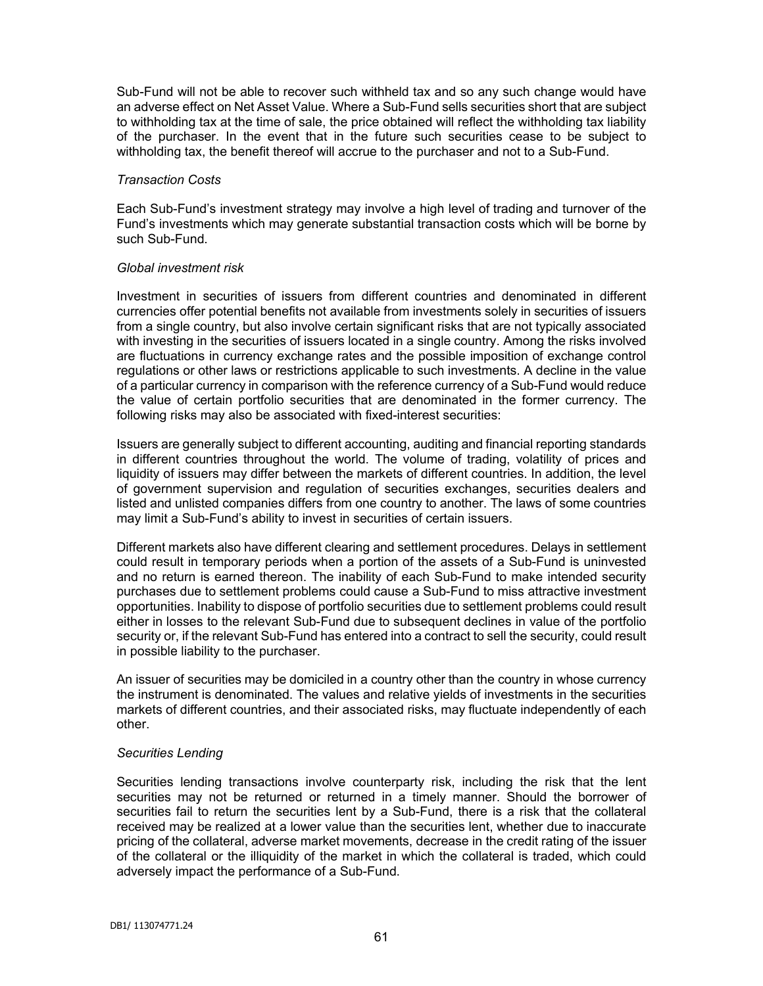Sub-Fund will not be able to recover such withheld tax and so any such change would have an adverse effect on Net Asset Value. Where a Sub-Fund sells securities short that are subject to withholding tax at the time of sale, the price obtained will reflect the withholding tax liability of the purchaser. In the event that in the future such securities cease to be subject to withholding tax, the benefit thereof will accrue to the purchaser and not to a Sub-Fund.

#### *Transaction Costs*

Each Sub-Fund's investment strategy may involve a high level of trading and turnover of the Fund's investments which may generate substantial transaction costs which will be borne by such Sub-Fund.

### *Global investment risk*

Investment in securities of issuers from different countries and denominated in different currencies offer potential benefits not available from investments solely in securities of issuers from a single country, but also involve certain significant risks that are not typically associated with investing in the securities of issuers located in a single country. Among the risks involved are fluctuations in currency exchange rates and the possible imposition of exchange control regulations or other laws or restrictions applicable to such investments. A decline in the value of a particular currency in comparison with the reference currency of a Sub-Fund would reduce the value of certain portfolio securities that are denominated in the former currency. The following risks may also be associated with fixed-interest securities:

Issuers are generally subject to different accounting, auditing and financial reporting standards in different countries throughout the world. The volume of trading, volatility of prices and liquidity of issuers may differ between the markets of different countries. In addition, the level of government supervision and regulation of securities exchanges, securities dealers and listed and unlisted companies differs from one country to another. The laws of some countries may limit a Sub-Fund's ability to invest in securities of certain issuers.

Different markets also have different clearing and settlement procedures. Delays in settlement could result in temporary periods when a portion of the assets of a Sub-Fund is uninvested and no return is earned thereon. The inability of each Sub-Fund to make intended security purchases due to settlement problems could cause a Sub-Fund to miss attractive investment opportunities. Inability to dispose of portfolio securities due to settlement problems could result either in losses to the relevant Sub-Fund due to subsequent declines in value of the portfolio security or, if the relevant Sub-Fund has entered into a contract to sell the security, could result in possible liability to the purchaser.

An issuer of securities may be domiciled in a country other than the country in whose currency the instrument is denominated. The values and relative yields of investments in the securities markets of different countries, and their associated risks, may fluctuate independently of each other.

### *Securities Lending*

Securities lending transactions involve counterparty risk, including the risk that the lent securities may not be returned or returned in a timely manner. Should the borrower of securities fail to return the securities lent by a Sub-Fund, there is a risk that the collateral received may be realized at a lower value than the securities lent, whether due to inaccurate pricing of the collateral, adverse market movements, decrease in the credit rating of the issuer of the collateral or the illiquidity of the market in which the collateral is traded, which could adversely impact the performance of a Sub-Fund.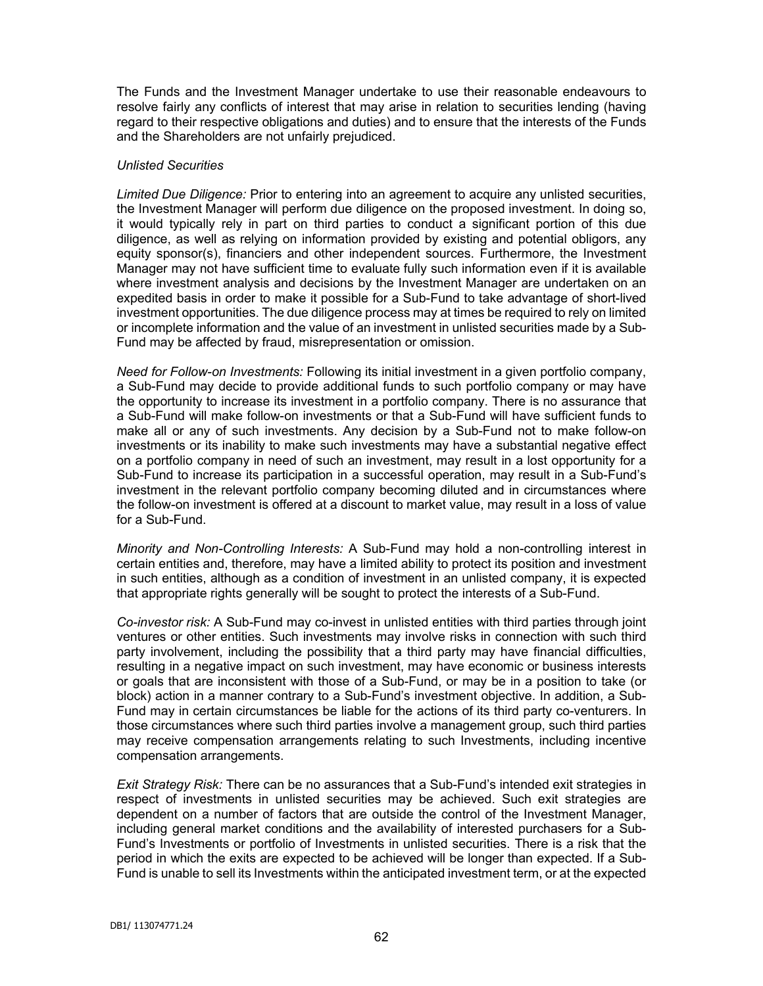The Funds and the Investment Manager undertake to use their reasonable endeavours to resolve fairly any conflicts of interest that may arise in relation to securities lending (having regard to their respective obligations and duties) and to ensure that the interests of the Funds and the Shareholders are not unfairly prejudiced.

## *Unlisted Securities*

*Limited Due Diligence:* Prior to entering into an agreement to acquire any unlisted securities, the Investment Manager will perform due diligence on the proposed investment. In doing so, it would typically rely in part on third parties to conduct a significant portion of this due diligence, as well as relying on information provided by existing and potential obligors, any equity sponsor(s), financiers and other independent sources. Furthermore, the Investment Manager may not have sufficient time to evaluate fully such information even if it is available where investment analysis and decisions by the Investment Manager are undertaken on an expedited basis in order to make it possible for a Sub-Fund to take advantage of short-lived investment opportunities. The due diligence process may at times be required to rely on limited or incomplete information and the value of an investment in unlisted securities made by a Sub-Fund may be affected by fraud, misrepresentation or omission.

*Need for Follow-on Investments:* Following its initial investment in a given portfolio company, a Sub-Fund may decide to provide additional funds to such portfolio company or may have the opportunity to increase its investment in a portfolio company. There is no assurance that a Sub-Fund will make follow-on investments or that a Sub-Fund will have sufficient funds to make all or any of such investments. Any decision by a Sub-Fund not to make follow-on investments or its inability to make such investments may have a substantial negative effect on a portfolio company in need of such an investment, may result in a lost opportunity for a Sub-Fund to increase its participation in a successful operation, may result in a Sub-Fund's investment in the relevant portfolio company becoming diluted and in circumstances where the follow-on investment is offered at a discount to market value, may result in a loss of value for a Sub-Fund.

*Minority and Non-Controlling Interests:* A Sub-Fund may hold a non-controlling interest in certain entities and, therefore, may have a limited ability to protect its position and investment in such entities, although as a condition of investment in an unlisted company, it is expected that appropriate rights generally will be sought to protect the interests of a Sub-Fund.

*Co-investor risk:* A Sub-Fund may co-invest in unlisted entities with third parties through joint ventures or other entities. Such investments may involve risks in connection with such third party involvement, including the possibility that a third party may have financial difficulties, resulting in a negative impact on such investment, may have economic or business interests or goals that are inconsistent with those of a Sub-Fund, or may be in a position to take (or block) action in a manner contrary to a Sub-Fund's investment objective. In addition, a Sub-Fund may in certain circumstances be liable for the actions of its third party co-venturers. In those circumstances where such third parties involve a management group, such third parties may receive compensation arrangements relating to such Investments, including incentive compensation arrangements.

*Exit Strategy Risk:* There can be no assurances that a Sub-Fund's intended exit strategies in respect of investments in unlisted securities may be achieved. Such exit strategies are dependent on a number of factors that are outside the control of the Investment Manager, including general market conditions and the availability of interested purchasers for a Sub-Fund's Investments or portfolio of Investments in unlisted securities. There is a risk that the period in which the exits are expected to be achieved will be longer than expected. If a Sub-Fund is unable to sell its Investments within the anticipated investment term, or at the expected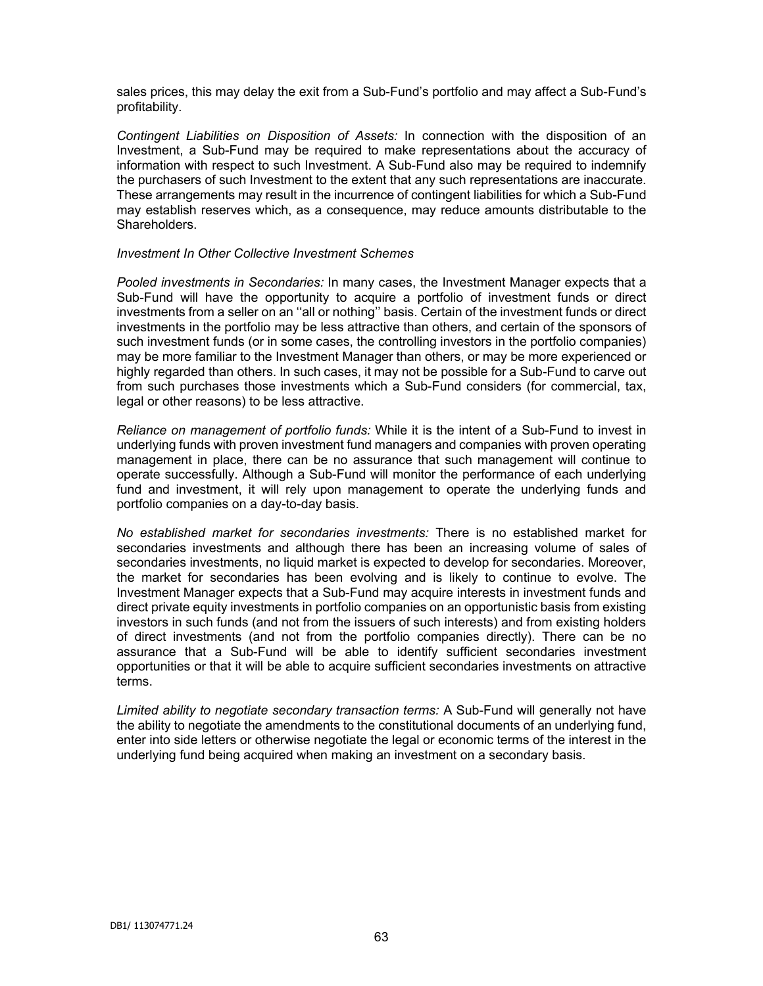sales prices, this may delay the exit from a Sub-Fund's portfolio and may affect a Sub-Fund's profitability.

*Contingent Liabilities on Disposition of Assets:* In connection with the disposition of an Investment, a Sub-Fund may be required to make representations about the accuracy of information with respect to such Investment. A Sub-Fund also may be required to indemnify the purchasers of such Investment to the extent that any such representations are inaccurate. These arrangements may result in the incurrence of contingent liabilities for which a Sub-Fund may establish reserves which, as a consequence, may reduce amounts distributable to the **Shareholders** 

### *Investment In Other Collective Investment Schemes*

*Pooled investments in Secondaries:* In many cases, the Investment Manager expects that a Sub-Fund will have the opportunity to acquire a portfolio of investment funds or direct investments from a seller on an ''all or nothing'' basis. Certain of the investment funds or direct investments in the portfolio may be less attractive than others, and certain of the sponsors of such investment funds (or in some cases, the controlling investors in the portfolio companies) may be more familiar to the Investment Manager than others, or may be more experienced or highly regarded than others. In such cases, it may not be possible for a Sub-Fund to carve out from such purchases those investments which a Sub-Fund considers (for commercial, tax, legal or other reasons) to be less attractive.

*Reliance on management of portfolio funds:* While it is the intent of a Sub-Fund to invest in underlying funds with proven investment fund managers and companies with proven operating management in place, there can be no assurance that such management will continue to operate successfully. Although a Sub-Fund will monitor the performance of each underlying fund and investment, it will rely upon management to operate the underlying funds and portfolio companies on a day-to-day basis.

*No established market for secondaries investments:* There is no established market for secondaries investments and although there has been an increasing volume of sales of secondaries investments, no liquid market is expected to develop for secondaries. Moreover, the market for secondaries has been evolving and is likely to continue to evolve. The Investment Manager expects that a Sub-Fund may acquire interests in investment funds and direct private equity investments in portfolio companies on an opportunistic basis from existing investors in such funds (and not from the issuers of such interests) and from existing holders of direct investments (and not from the portfolio companies directly). There can be no assurance that a Sub-Fund will be able to identify sufficient secondaries investment opportunities or that it will be able to acquire sufficient secondaries investments on attractive terms.

*Limited ability to negotiate secondary transaction terms:* A Sub-Fund will generally not have the ability to negotiate the amendments to the constitutional documents of an underlying fund, enter into side letters or otherwise negotiate the legal or economic terms of the interest in the underlying fund being acquired when making an investment on a secondary basis.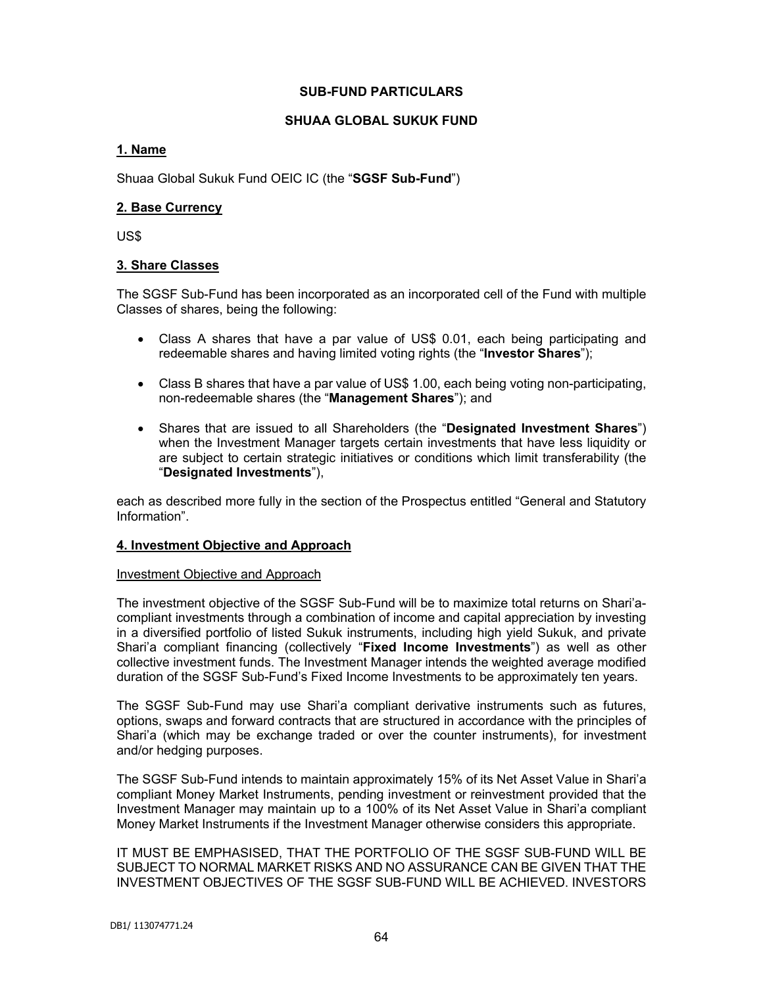# **SUB-FUND PARTICULARS**

# **SHUAA GLOBAL SUKUK FUND**

# **1. Name**

Shuaa Global Sukuk Fund OEIC IC (the "**SGSF Sub-Fund**")

# **2. Base Currency**

US\$

# **3. Share Classes**

The SGSF Sub-Fund has been incorporated as an incorporated cell of the Fund with multiple Classes of shares, being the following:

- Class A shares that have a par value of US\$ 0.01, each being participating and redeemable shares and having limited voting rights (the "**Investor Shares**");
- Class B shares that have a par value of US\$ 1.00, each being voting non-participating, non-redeemable shares (the "**Management Shares**"); and
- Shares that are issued to all Shareholders (the "**Designated Investment Shares**") when the Investment Manager targets certain investments that have less liquidity or are subject to certain strategic initiatives or conditions which limit transferability (the "**Designated Investments**"),

each as described more fully in the section of the Prospectus entitled "General and Statutory Information".

### **4. Investment Objective and Approach**

### Investment Objective and Approach

The investment objective of the SGSF Sub-Fund will be to maximize total returns on Shari'acompliant investments through a combination of income and capital appreciation by investing in a diversified portfolio of listed Sukuk instruments, including high yield Sukuk, and private Shari'a compliant financing (collectively "**Fixed Income Investments**") as well as other collective investment funds. The Investment Manager intends the weighted average modified duration of the SGSF Sub-Fund's Fixed Income Investments to be approximately ten years.

The SGSF Sub-Fund may use Shari'a compliant derivative instruments such as futures, options, swaps and forward contracts that are structured in accordance with the principles of Shari'a (which may be exchange traded or over the counter instruments), for investment and/or hedging purposes.

The SGSF Sub-Fund intends to maintain approximately 15% of its Net Asset Value in Shari'a compliant Money Market Instruments, pending investment or reinvestment provided that the Investment Manager may maintain up to a 100% of its Net Asset Value in Shari'a compliant Money Market Instruments if the Investment Manager otherwise considers this appropriate.

IT MUST BE EMPHASISED, THAT THE PORTFOLIO OF THE SGSF SUB-FUND WILL BE SUBJECT TO NORMAL MARKET RISKS AND NO ASSURANCE CAN BE GIVEN THAT THE INVESTMENT OBJECTIVES OF THE SGSF SUB-FUND WILL BE ACHIEVED. INVESTORS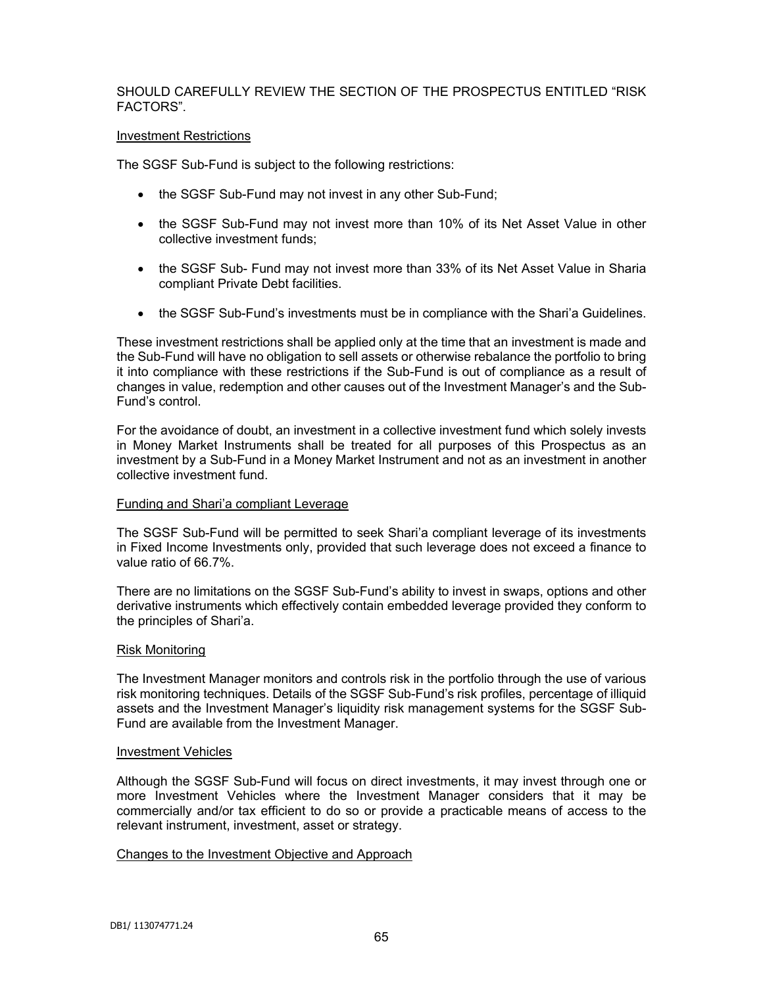# SHOULD CAREFULLY REVIEW THE SECTION OF THE PROSPECTUS ENTITLED "RISK FACTORS".

#### Investment Restrictions

The SGSF Sub-Fund is subject to the following restrictions:

- the SGSF Sub-Fund may not invest in any other Sub-Fund;
- the SGSF Sub-Fund may not invest more than 10% of its Net Asset Value in other collective investment funds;
- the SGSF Sub- Fund may not invest more than 33% of its Net Asset Value in Sharia compliant Private Debt facilities.
- the SGSF Sub-Fund's investments must be in compliance with the Shari'a Guidelines.

These investment restrictions shall be applied only at the time that an investment is made and the Sub-Fund will have no obligation to sell assets or otherwise rebalance the portfolio to bring it into compliance with these restrictions if the Sub-Fund is out of compliance as a result of changes in value, redemption and other causes out of the Investment Manager's and the Sub-Fund's control.

For the avoidance of doubt, an investment in a collective investment fund which solely invests in Money Market Instruments shall be treated for all purposes of this Prospectus as an investment by a Sub-Fund in a Money Market Instrument and not as an investment in another collective investment fund.

### Funding and Shari'a compliant Leverage

The SGSF Sub-Fund will be permitted to seek Shari'a compliant leverage of its investments in Fixed Income Investments only, provided that such leverage does not exceed a finance to value ratio of 66.7%.

There are no limitations on the SGSF Sub-Fund's ability to invest in swaps, options and other derivative instruments which effectively contain embedded leverage provided they conform to the principles of Shari'a.

### Risk Monitoring

The Investment Manager monitors and controls risk in the portfolio through the use of various risk monitoring techniques. Details of the SGSF Sub-Fund's risk profiles, percentage of illiquid assets and the Investment Manager's liquidity risk management systems for the SGSF Sub-Fund are available from the Investment Manager.

### Investment Vehicles

Although the SGSF Sub-Fund will focus on direct investments, it may invest through one or more Investment Vehicles where the Investment Manager considers that it may be commercially and/or tax efficient to do so or provide a practicable means of access to the relevant instrument, investment, asset or strategy.

### Changes to the Investment Objective and Approach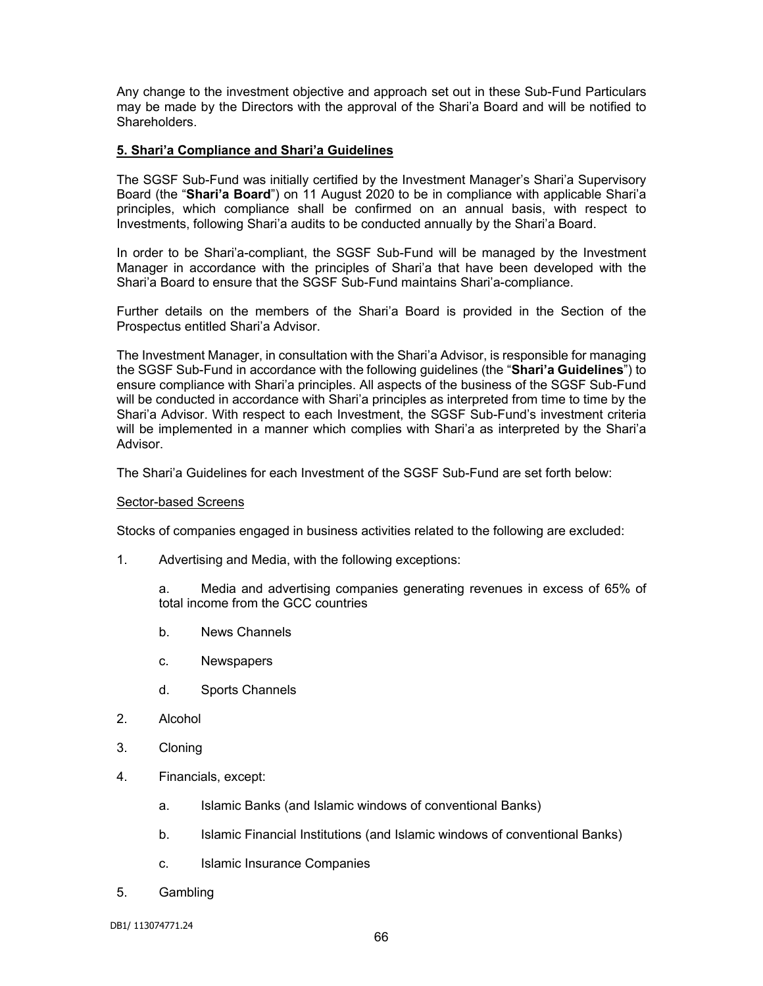Any change to the investment objective and approach set out in these Sub-Fund Particulars may be made by the Directors with the approval of the Shari'a Board and will be notified to Shareholders.

## **5. Shari'a Compliance and Shari'a Guidelines**

The SGSF Sub-Fund was initially certified by the Investment Manager's Shari'a Supervisory Board (the "**Shari'a Board**") on 11 August 2020 to be in compliance with applicable Shari'a principles, which compliance shall be confirmed on an annual basis, with respect to Investments, following Shari'a audits to be conducted annually by the Shari'a Board.

In order to be Shari'a-compliant, the SGSF Sub-Fund will be managed by the Investment Manager in accordance with the principles of Shari'a that have been developed with the Shari'a Board to ensure that the SGSF Sub-Fund maintains Shari'a-compliance.

Further details on the members of the Shari'a Board is provided in the Section of the Prospectus entitled Shari'a Advisor.

The Investment Manager, in consultation with the Shari'a Advisor, is responsible for managing the SGSF Sub-Fund in accordance with the following guidelines (the "**Shari'a Guidelines**") to ensure compliance with Shari'a principles. All aspects of the business of the SGSF Sub-Fund will be conducted in accordance with Shari'a principles as interpreted from time to time by the Shari'a Advisor. With respect to each Investment, the SGSF Sub-Fund's investment criteria will be implemented in a manner which complies with Shari'a as interpreted by the Shari'a Advisor.

The Shari'a Guidelines for each Investment of the SGSF Sub-Fund are set forth below:

### Sector-based Screens

Stocks of companies engaged in business activities related to the following are excluded:

1. Advertising and Media, with the following exceptions:

a. Media and advertising companies generating revenues in excess of 65% of total income from the GCC countries

- b. News Channels
- c. Newspapers
- d. Sports Channels
- 2. Alcohol
- 3. Cloning
- 4. Financials, except:
	- a. Islamic Banks (and Islamic windows of conventional Banks)
	- b. Islamic Financial Institutions (and Islamic windows of conventional Banks)
	- c. Islamic Insurance Companies
- 5. Gambling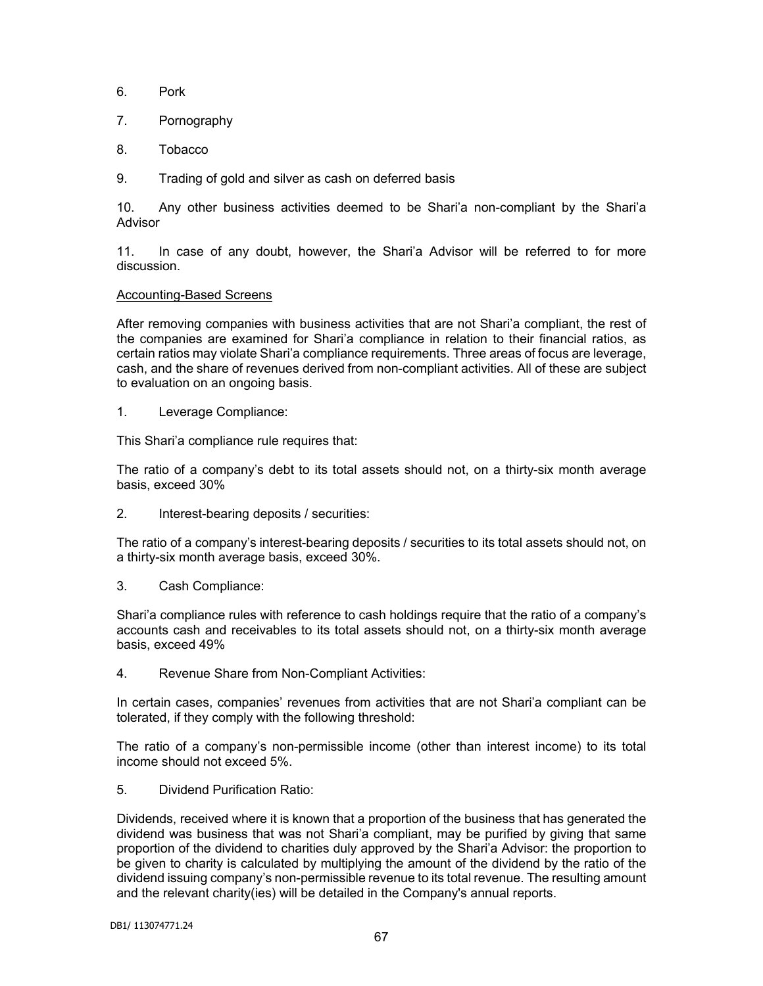- 6. Pork
- 7. Pornography
- 8. Tobacco
- 9. Trading of gold and silver as cash on deferred basis

10. Any other business activities deemed to be Shari'a non-compliant by the Shari'a Advisor

11. In case of any doubt, however, the Shari'a Advisor will be referred to for more discussion.

### Accounting-Based Screens

After removing companies with business activities that are not Shari'a compliant, the rest of the companies are examined for Shari'a compliance in relation to their financial ratios, as certain ratios may violate Shari'a compliance requirements. Three areas of focus are leverage, cash, and the share of revenues derived from non-compliant activities. All of these are subject to evaluation on an ongoing basis.

1. Leverage Compliance:

This Shari'a compliance rule requires that:

The ratio of a company's debt to its total assets should not, on a thirty-six month average basis, exceed 30%

2. Interest-bearing deposits / securities:

The ratio of a company's interest-bearing deposits / securities to its total assets should not, on a thirty-six month average basis, exceed 30%.

3. Cash Compliance:

Shari'a compliance rules with reference to cash holdings require that the ratio of a company's accounts cash and receivables to its total assets should not, on a thirty-six month average basis, exceed 49%

4. Revenue Share from Non-Compliant Activities:

In certain cases, companies' revenues from activities that are not Shari'a compliant can be tolerated, if they comply with the following threshold:

The ratio of a company's non-permissible income (other than interest income) to its total income should not exceed 5%.

5. Dividend Purification Ratio:

Dividends, received where it is known that a proportion of the business that has generated the dividend was business that was not Shari'a compliant, may be purified by giving that same proportion of the dividend to charities duly approved by the Shari'a Advisor: the proportion to be given to charity is calculated by multiplying the amount of the dividend by the ratio of the dividend issuing company's non-permissible revenue to its total revenue. The resulting amount and the relevant charity(ies) will be detailed in the Company's annual reports.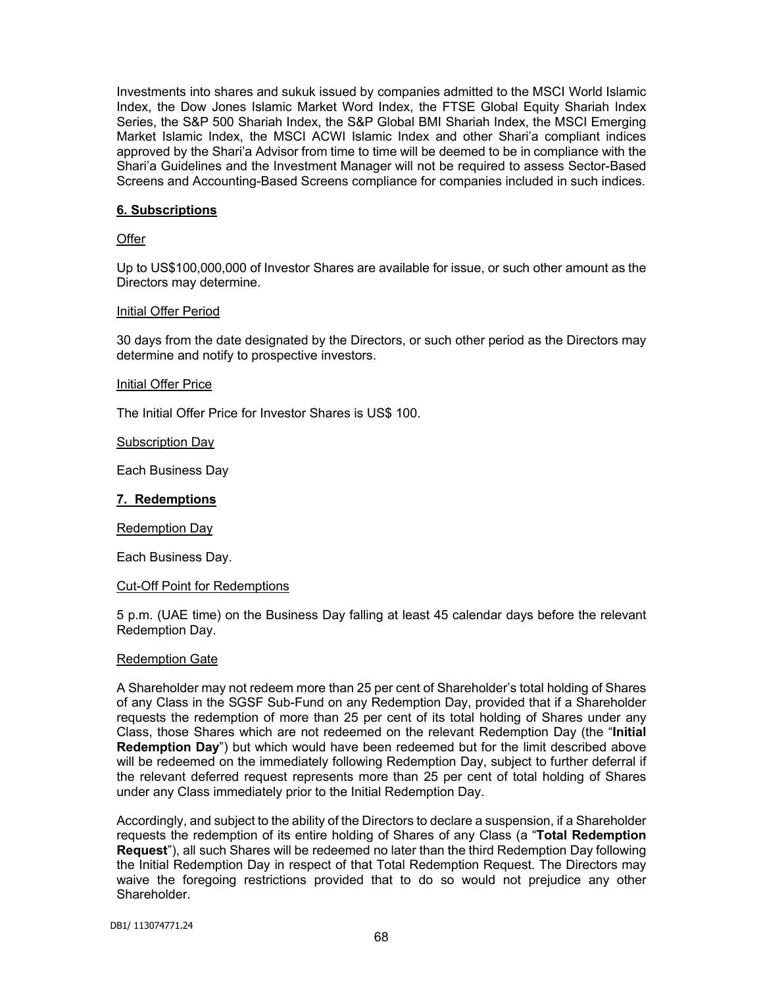Investments into shares and sukuk issued by companies admitted to the MSCI World Islamic Index, the Dow Jones Islamic Market Word Index, the FTSE Global Equity Shariah Index Series, the S&P 500 Shariah Index, the S&P Global BMI Shariah Index, the MSCI Emerging Market Islamic Index, the MSCI ACWI Islamic Index and other Shari'a compliant indices approved by the Shari'a Advisor from time to time will be deemed to be in compliance with the Shari'a Guidelines and the Investment Manager will not be required to assess Sector-Based Screens and Accounting-Based Screens compliance for companies included in such indices.

## **6. Subscriptions**

### **Offer**

Up to US\$100,000,000 of Investor Shares are available for issue, or such other amount as the Directors may determine.

### Initial Offer Period

30 days from the date designated by the Directors, or such other period as the Directors may determine and notify to prospective investors.

#### Initial Offer Price

The Initial Offer Price for Investor Shares is US\$ 100.

#### Subscription Day

Each Business Day

### **7. Redemptions**

Redemption Day

Each Business Day.

### Cut-Off Point for Redemptions

5 p.m. (UAE time) on the Business Day falling at least 45 calendar days before the relevant Redemption Day.

#### Redemption Gate

A Shareholder may not redeem more than 25 per cent of Shareholder's total holding of Shares of any Class in the SGSF Sub-Fund on any Redemption Day, provided that if a Shareholder requests the redemption of more than 25 per cent of its total holding of Shares under any Class, those Shares which are not redeemed on the relevant Redemption Day (the "**Initial Redemption Day**") but which would have been redeemed but for the limit described above will be redeemed on the immediately following Redemption Day, subject to further deferral if the relevant deferred request represents more than 25 per cent of total holding of Shares under any Class immediately prior to the Initial Redemption Day.

Accordingly, and subject to the ability of the Directors to declare a suspension, if a Shareholder requests the redemption of its entire holding of Shares of any Class (a "**Total Redemption Request**"), all such Shares will be redeemed no later than the third Redemption Day following the Initial Redemption Day in respect of that Total Redemption Request. The Directors may waive the foregoing restrictions provided that to do so would not prejudice any other Shareholder.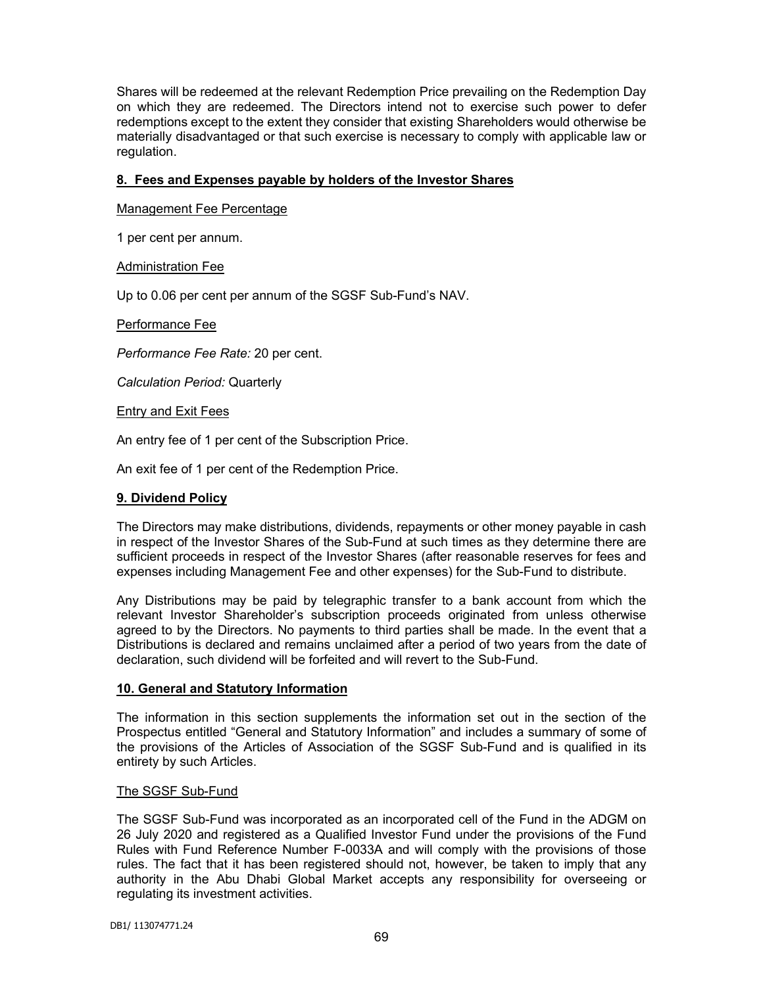Shares will be redeemed at the relevant Redemption Price prevailing on the Redemption Day on which they are redeemed. The Directors intend not to exercise such power to defer redemptions except to the extent they consider that existing Shareholders would otherwise be materially disadvantaged or that such exercise is necessary to comply with applicable law or regulation.

# **8. Fees and Expenses payable by holders of the Investor Shares**

Management Fee Percentage

1 per cent per annum.

**Administration Fee** 

Up to 0.06 per cent per annum of the SGSF Sub-Fund's NAV.

### Performance Fee

*Performance Fee Rate:* 20 per cent.

*Calculation Period:* Quarterly

### **Entry and Exit Fees**

An entry fee of 1 per cent of the Subscription Price.

An exit fee of 1 per cent of the Redemption Price.

### **9. Dividend Policy**

The Directors may make distributions, dividends, repayments or other money payable in cash in respect of the Investor Shares of the Sub-Fund at such times as they determine there are sufficient proceeds in respect of the Investor Shares (after reasonable reserves for fees and expenses including Management Fee and other expenses) for the Sub-Fund to distribute.

Any Distributions may be paid by telegraphic transfer to a bank account from which the relevant Investor Shareholder's subscription proceeds originated from unless otherwise agreed to by the Directors. No payments to third parties shall be made. In the event that a Distributions is declared and remains unclaimed after a period of two years from the date of declaration, such dividend will be forfeited and will revert to the Sub-Fund.

### **10. General and Statutory Information**

The information in this section supplements the information set out in the section of the Prospectus entitled "General and Statutory Information" and includes a summary of some of the provisions of the Articles of Association of the SGSF Sub-Fund and is qualified in its entirety by such Articles.

### The SGSF Sub-Fund

The SGSF Sub-Fund was incorporated as an incorporated cell of the Fund in the ADGM on 26 July 2020 and registered as a Qualified Investor Fund under the provisions of the Fund Rules with Fund Reference Number F-0033A and will comply with the provisions of those rules. The fact that it has been registered should not, however, be taken to imply that any authority in the Abu Dhabi Global Market accepts any responsibility for overseeing or regulating its investment activities.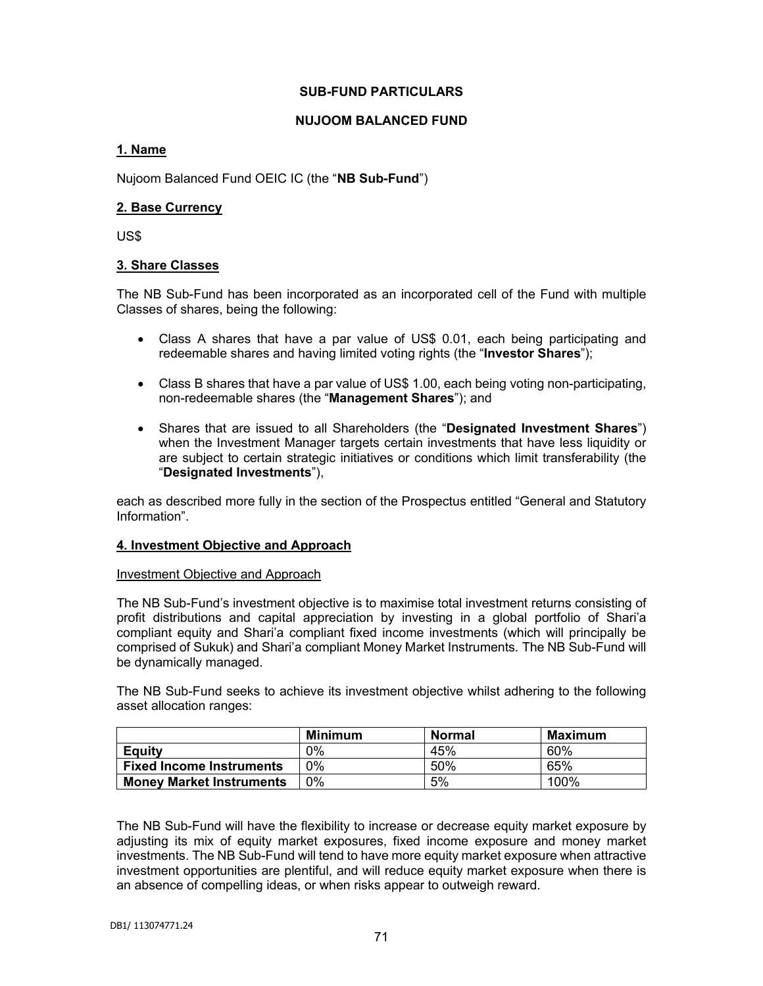## **SUB-FUND PARTICULARS**

## **NUJOOM BALANCED FUND**

# **1. Name**

Nujoom Balanced Fund OEIC IC (the "**NB Sub-Fund**")

## **2. Base Currency**

US\$

## **3. Share Classes**

The NB Sub-Fund has been incorporated as an incorporated cell of the Fund with multiple Classes of shares, being the following:

- Class A shares that have a par value of US\$ 0.01, each being participating and redeemable shares and having limited voting rights (the "**Investor Shares**");
- Class B shares that have a par value of US\$ 1.00, each being voting non-participating, non-redeemable shares (the "**Management Shares**"); and
- Shares that are issued to all Shareholders (the "**Designated Investment Shares**") when the Investment Manager targets certain investments that have less liquidity or are subject to certain strategic initiatives or conditions which limit transferability (the "**Designated Investments**"),

each as described more fully in the section of the Prospectus entitled "General and Statutory Information".

### **4. Investment Objective and Approach**

### Investment Objective and Approach

The NB Sub-Fund's investment objective is to maximise total investment returns consisting of profit distributions and capital appreciation by investing in a global portfolio of Shari'a compliant equity and Shari'a compliant fixed income investments (which will principally be comprised of Sukuk) and Shari'a compliant Money Market Instruments. The NB Sub-Fund will be dynamically managed.

The NB Sub-Fund seeks to achieve its investment objective whilst adhering to the following asset allocation ranges:

|                                 | Minimum | Normal | <b>Maximum</b> |
|---------------------------------|---------|--------|----------------|
| Equity                          | 0%      | 45%    | 60%            |
| <b>Fixed Income Instruments</b> | 0%      | 50%    | 65%            |
| <b>Money Market Instruments</b> | 0%      | 5%     | 100%           |

The NB Sub-Fund will have the flexibility to increase or decrease equity market exposure by adjusting its mix of equity market exposures, fixed income exposure and money market investments. The NB Sub-Fund will tend to have more equity market exposure when attractive investment opportunities are plentiful, and will reduce equity market exposure when there is an absence of compelling ideas, or when risks appear to outweigh reward.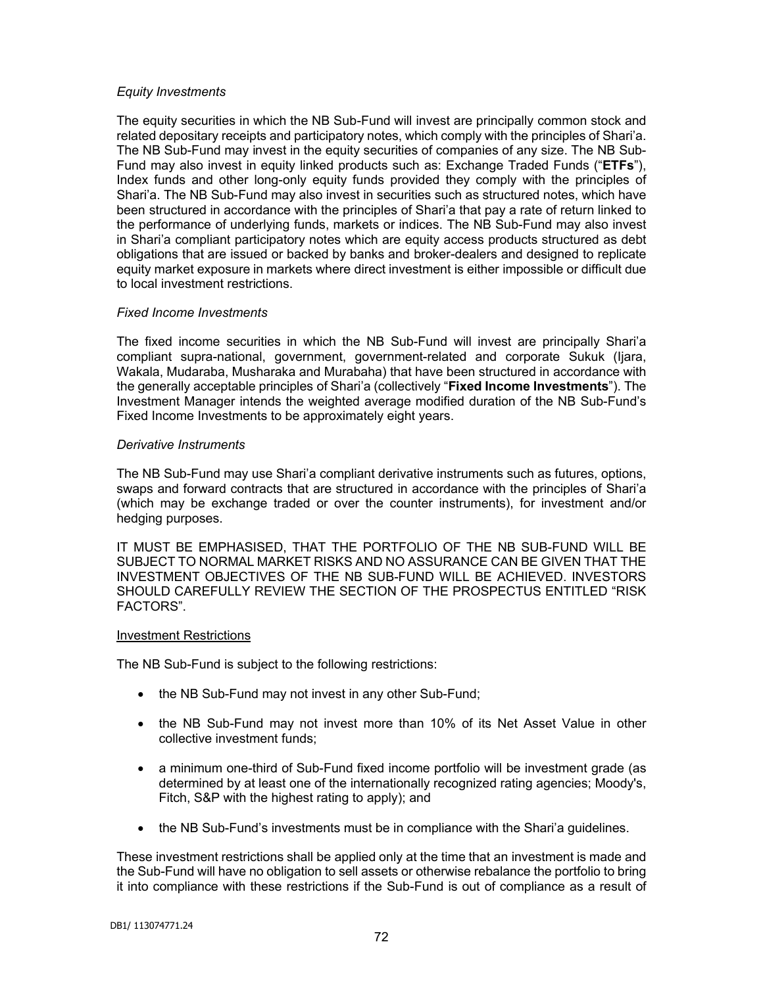### *Equity Investments*

The equity securities in which the NB Sub-Fund will invest are principally common stock and related depositary receipts and participatory notes, which comply with the principles of Shari'a. The NB Sub-Fund may invest in the equity securities of companies of any size. The NB Sub-Fund may also invest in equity linked products such as: Exchange Traded Funds ("**ETFs**"), Index funds and other long-only equity funds provided they comply with the principles of Shari'a. The NB Sub-Fund may also invest in securities such as structured notes, which have been structured in accordance with the principles of Shari'a that pay a rate of return linked to the performance of underlying funds, markets or indices. The NB Sub-Fund may also invest in Shari'a compliant participatory notes which are equity access products structured as debt obligations that are issued or backed by banks and broker-dealers and designed to replicate equity market exposure in markets where direct investment is either impossible or difficult due to local investment restrictions.

## *Fixed Income Investments*

The fixed income securities in which the NB Sub-Fund will invest are principally Shari'a compliant supra-national, government, government-related and corporate Sukuk (Ijara, Wakala, Mudaraba, Musharaka and Murabaha) that have been structured in accordance with the generally acceptable principles of Shari'a (collectively "**Fixed Income Investments**"). The Investment Manager intends the weighted average modified duration of the NB Sub-Fund's Fixed Income Investments to be approximately eight years.

## *Derivative Instruments*

The NB Sub-Fund may use Shari'a compliant derivative instruments such as futures, options, swaps and forward contracts that are structured in accordance with the principles of Shari'a (which may be exchange traded or over the counter instruments), for investment and/or hedging purposes.

IT MUST BE EMPHASISED, THAT THE PORTFOLIO OF THE NB SUB-FUND WILL BE SUBJECT TO NORMAL MARKET RISKS AND NO ASSURANCE CAN BE GIVEN THAT THE INVESTMENT OBJECTIVES OF THE NB SUB-FUND WILL BE ACHIEVED. INVESTORS SHOULD CAREFULLY REVIEW THE SECTION OF THE PROSPECTUS ENTITLED "RISK FACTORS".

### Investment Restrictions

The NB Sub-Fund is subject to the following restrictions:

- the NB Sub-Fund may not invest in any other Sub-Fund;
- the NB Sub-Fund may not invest more than 10% of its Net Asset Value in other collective investment funds;
- a minimum one-third of Sub-Fund fixed income portfolio will be investment grade (as determined by at least one of the internationally recognized rating agencies; Moody's, Fitch, S&P with the highest rating to apply); and
- the NB Sub-Fund's investments must be in compliance with the Shari'a guidelines.

These investment restrictions shall be applied only at the time that an investment is made and the Sub-Fund will have no obligation to sell assets or otherwise rebalance the portfolio to bring it into compliance with these restrictions if the Sub-Fund is out of compliance as a result of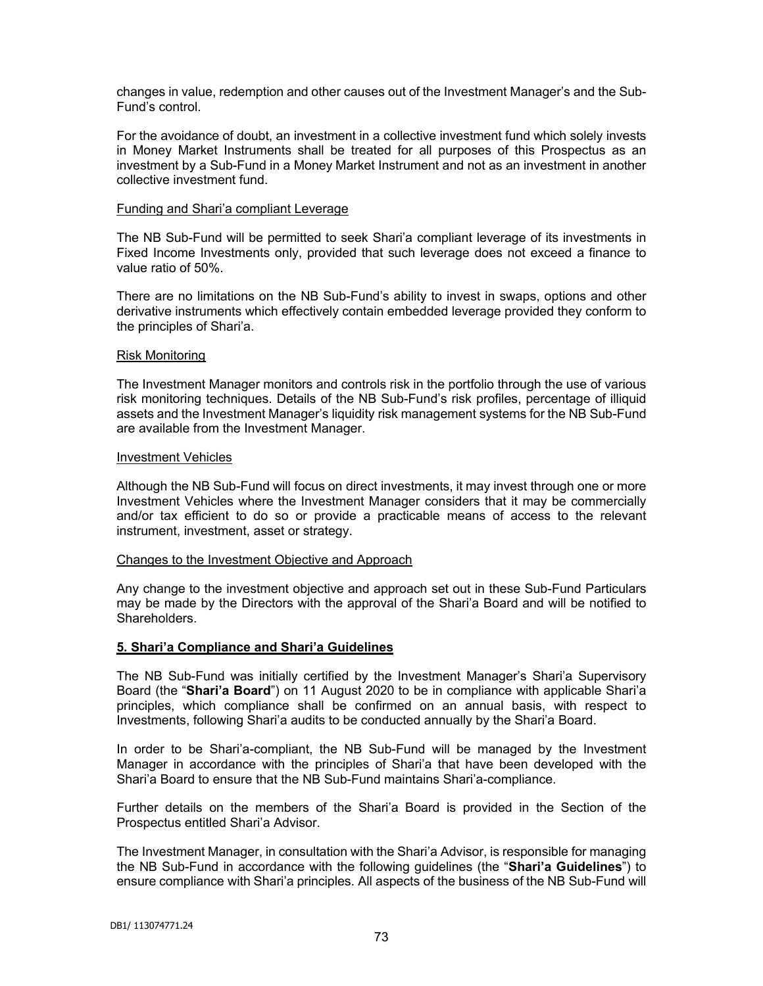changes in value, redemption and other causes out of the Investment Manager's and the Sub-Fund's control.

For the avoidance of doubt, an investment in a collective investment fund which solely invests in Money Market Instruments shall be treated for all purposes of this Prospectus as an investment by a Sub-Fund in a Money Market Instrument and not as an investment in another collective investment fund.

#### Funding and Shari'a compliant Leverage

The NB Sub-Fund will be permitted to seek Shari'a compliant leverage of its investments in Fixed Income Investments only, provided that such leverage does not exceed a finance to value ratio of 50%.

There are no limitations on the NB Sub-Fund's ability to invest in swaps, options and other derivative instruments which effectively contain embedded leverage provided they conform to the principles of Shari'a.

#### Risk Monitoring

The Investment Manager monitors and controls risk in the portfolio through the use of various risk monitoring techniques. Details of the NB Sub-Fund's risk profiles, percentage of illiquid assets and the Investment Manager's liquidity risk management systems for the NB Sub-Fund are available from the Investment Manager.

#### Investment Vehicles

Although the NB Sub-Fund will focus on direct investments, it may invest through one or more Investment Vehicles where the Investment Manager considers that it may be commercially and/or tax efficient to do so or provide a practicable means of access to the relevant instrument, investment, asset or strategy.

### Changes to the Investment Objective and Approach

Any change to the investment objective and approach set out in these Sub-Fund Particulars may be made by the Directors with the approval of the Shari'a Board and will be notified to Shareholders.

### **5. Shari'a Compliance and Shari'a Guidelines**

The NB Sub-Fund was initially certified by the Investment Manager's Shari'a Supervisory Board (the "**Shari'a Board**") on 11 August 2020 to be in compliance with applicable Shari'a principles, which compliance shall be confirmed on an annual basis, with respect to Investments, following Shari'a audits to be conducted annually by the Shari'a Board.

In order to be Shari'a-compliant, the NB Sub-Fund will be managed by the Investment Manager in accordance with the principles of Shari'a that have been developed with the Shari'a Board to ensure that the NB Sub-Fund maintains Shari'a-compliance.

Further details on the members of the Shari'a Board is provided in the Section of the Prospectus entitled Shari'a Advisor.

The Investment Manager, in consultation with the Shari'a Advisor, is responsible for managing the NB Sub-Fund in accordance with the following guidelines (the "**Shari'a Guidelines**") to ensure compliance with Shari'a principles. All aspects of the business of the NB Sub-Fund will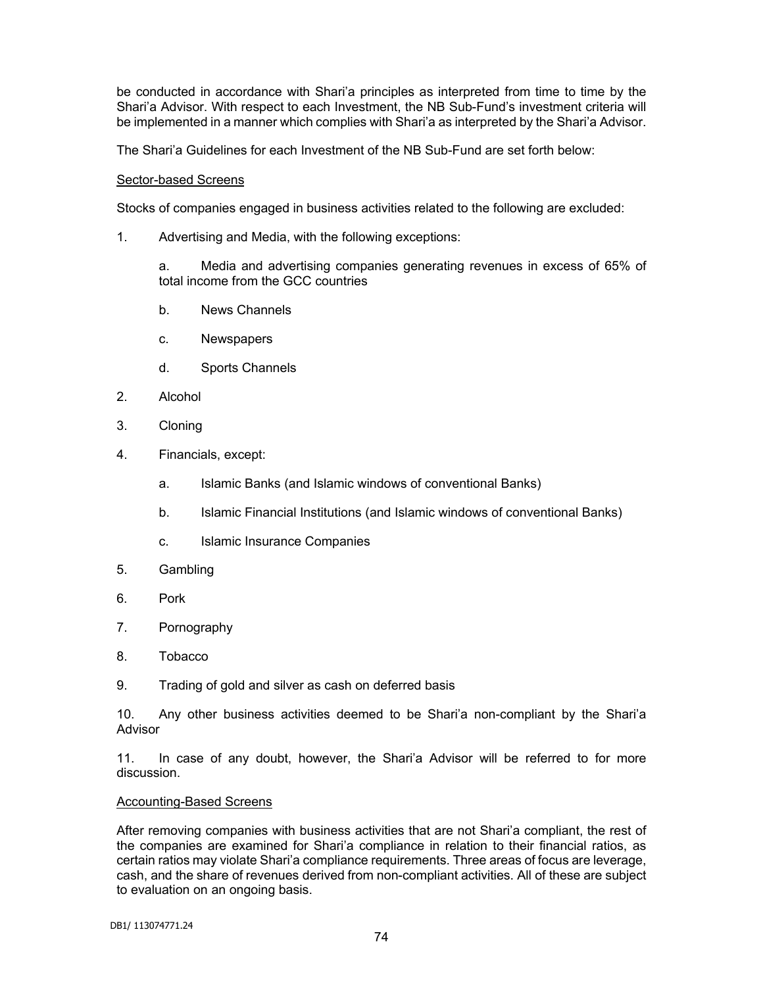be conducted in accordance with Shari'a principles as interpreted from time to time by the Shari'a Advisor. With respect to each Investment, the NB Sub-Fund's investment criteria will be implemented in a manner which complies with Shari'a as interpreted by the Shari'a Advisor.

The Shari'a Guidelines for each Investment of the NB Sub-Fund are set forth below:

### Sector-based Screens

Stocks of companies engaged in business activities related to the following are excluded:

1. Advertising and Media, with the following exceptions:

a. Media and advertising companies generating revenues in excess of 65% of total income from the GCC countries

- b. News Channels
- c. Newspapers
- d. Sports Channels
- 2. Alcohol
- 3. Cloning
- 4. Financials, except:
	- a. Islamic Banks (and Islamic windows of conventional Banks)
	- b. Islamic Financial Institutions (and Islamic windows of conventional Banks)
	- c. Islamic Insurance Companies
- 5. Gambling
- 6. Pork
- 7. Pornography
- 8. Tobacco
- 9. Trading of gold and silver as cash on deferred basis

10. Any other business activities deemed to be Shari'a non-compliant by the Shari'a Advisor

11. In case of any doubt, however, the Shari'a Advisor will be referred to for more discussion.

### Accounting-Based Screens

After removing companies with business activities that are not Shari'a compliant, the rest of the companies are examined for Shari'a compliance in relation to their financial ratios, as certain ratios may violate Shari'a compliance requirements. Three areas of focus are leverage, cash, and the share of revenues derived from non-compliant activities. All of these are subject to evaluation on an ongoing basis.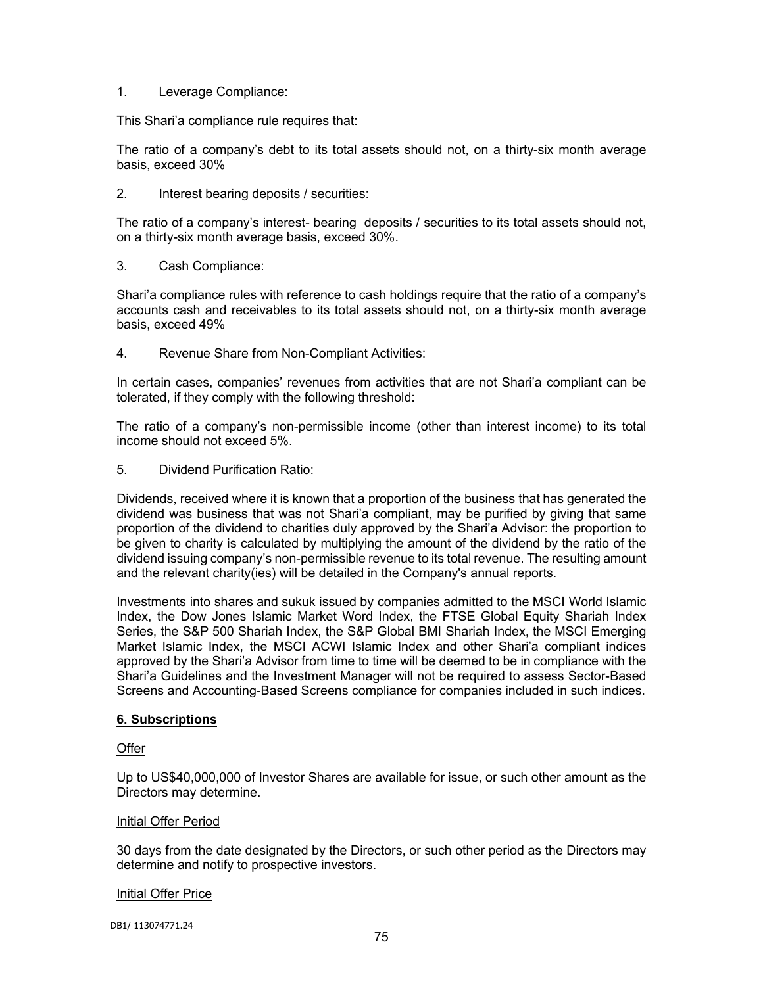### 1. Leverage Compliance:

This Shari'a compliance rule requires that:

The ratio of a company's debt to its total assets should not, on a thirty-six month average basis, exceed 30%

2. Interest bearing deposits / securities:

The ratio of a company's interest- bearing deposits / securities to its total assets should not, on a thirty-six month average basis, exceed 30%.

3. Cash Compliance:

Shari'a compliance rules with reference to cash holdings require that the ratio of a company's accounts cash and receivables to its total assets should not, on a thirty-six month average basis, exceed 49%

4. Revenue Share from Non-Compliant Activities:

In certain cases, companies' revenues from activities that are not Shari'a compliant can be tolerated, if they comply with the following threshold:

The ratio of a company's non-permissible income (other than interest income) to its total income should not exceed 5%.

5. Dividend Purification Ratio:

Dividends, received where it is known that a proportion of the business that has generated the dividend was business that was not Shari'a compliant, may be purified by giving that same proportion of the dividend to charities duly approved by the Shari'a Advisor: the proportion to be given to charity is calculated by multiplying the amount of the dividend by the ratio of the dividend issuing company's non-permissible revenue to its total revenue. The resulting amount and the relevant charity(ies) will be detailed in the Company's annual reports.

Investments into shares and sukuk issued by companies admitted to the MSCI World Islamic Index, the Dow Jones Islamic Market Word Index, the FTSE Global Equity Shariah Index Series, the S&P 500 Shariah Index, the S&P Global BMI Shariah Index, the MSCI Emerging Market Islamic Index, the MSCI ACWI Islamic Index and other Shari'a compliant indices approved by the Shari'a Advisor from time to time will be deemed to be in compliance with the Shari'a Guidelines and the Investment Manager will not be required to assess Sector-Based Screens and Accounting-Based Screens compliance for companies included in such indices.

# **6. Subscriptions**

# Offer

Up to US\$40,000,000 of Investor Shares are available for issue, or such other amount as the Directors may determine.

### Initial Offer Period

30 days from the date designated by the Directors, or such other period as the Directors may determine and notify to prospective investors.

### Initial Offer Price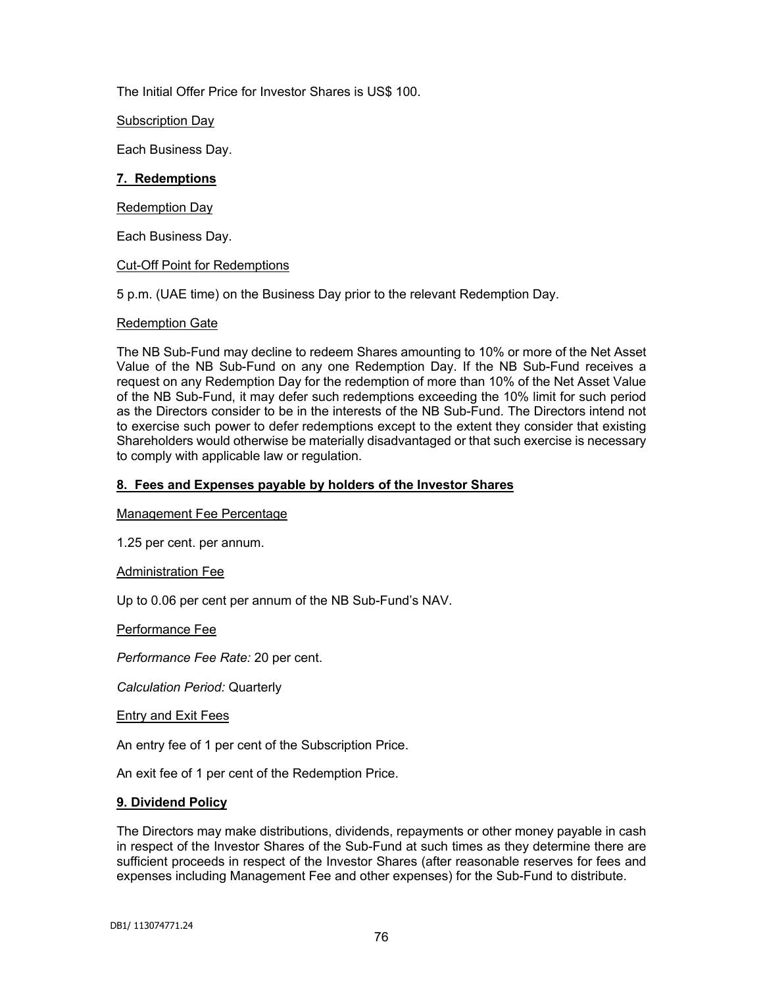The Initial Offer Price for Investor Shares is US\$ 100.

Subscription Day

Each Business Day.

### **7. Redemptions**

### Redemption Day

Each Business Day.

### Cut-Off Point for Redemptions

5 p.m. (UAE time) on the Business Day prior to the relevant Redemption Day.

### Redemption Gate

The NB Sub-Fund may decline to redeem Shares amounting to 10% or more of the Net Asset Value of the NB Sub-Fund on any one Redemption Day. If the NB Sub-Fund receives a request on any Redemption Day for the redemption of more than 10% of the Net Asset Value of the NB Sub-Fund, it may defer such redemptions exceeding the 10% limit for such period as the Directors consider to be in the interests of the NB Sub-Fund. The Directors intend not to exercise such power to defer redemptions except to the extent they consider that existing Shareholders would otherwise be materially disadvantaged or that such exercise is necessary to comply with applicable law or regulation.

## **8. Fees and Expenses payable by holders of the Investor Shares**

Management Fee Percentage

1.25 per cent. per annum.

### Administration Fee

Up to 0.06 per cent per annum of the NB Sub-Fund's NAV.

# Performance Fee

*Performance Fee Rate:* 20 per cent.

*Calculation Period:* Quarterly

### Entry and Exit Fees

An entry fee of 1 per cent of the Subscription Price.

An exit fee of 1 per cent of the Redemption Price.

### **9. Dividend Policy**

The Directors may make distributions, dividends, repayments or other money payable in cash in respect of the Investor Shares of the Sub-Fund at such times as they determine there are sufficient proceeds in respect of the Investor Shares (after reasonable reserves for fees and expenses including Management Fee and other expenses) for the Sub-Fund to distribute.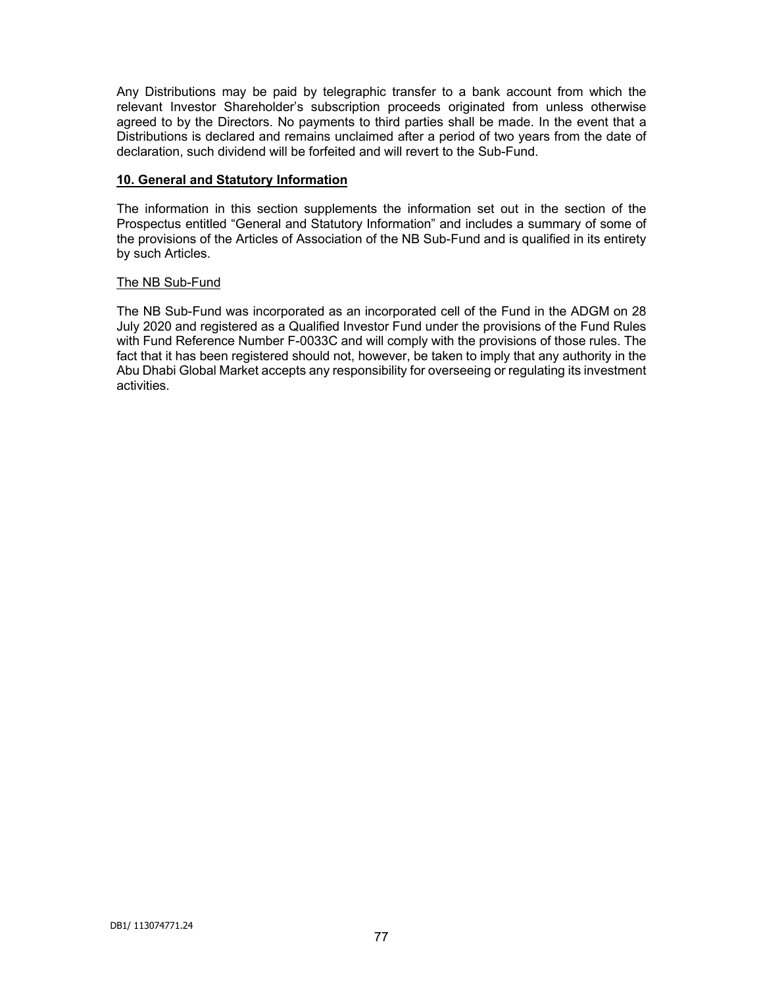Any Distributions may be paid by telegraphic transfer to a bank account from which the relevant Investor Shareholder's subscription proceeds originated from unless otherwise agreed to by the Directors. No payments to third parties shall be made. In the event that a Distributions is declared and remains unclaimed after a period of two years from the date of declaration, such dividend will be forfeited and will revert to the Sub-Fund.

## **10. General and Statutory Information**

The information in this section supplements the information set out in the section of the Prospectus entitled "General and Statutory Information" and includes a summary of some of the provisions of the Articles of Association of the NB Sub-Fund and is qualified in its entirety by such Articles.

## The NB Sub-Fund

The NB Sub-Fund was incorporated as an incorporated cell of the Fund in the ADGM on 28 July 2020 and registered as a Qualified Investor Fund under the provisions of the Fund Rules with Fund Reference Number F-0033C and will comply with the provisions of those rules. The fact that it has been registered should not, however, be taken to imply that any authority in the Abu Dhabi Global Market accepts any responsibility for overseeing or regulating its investment activities.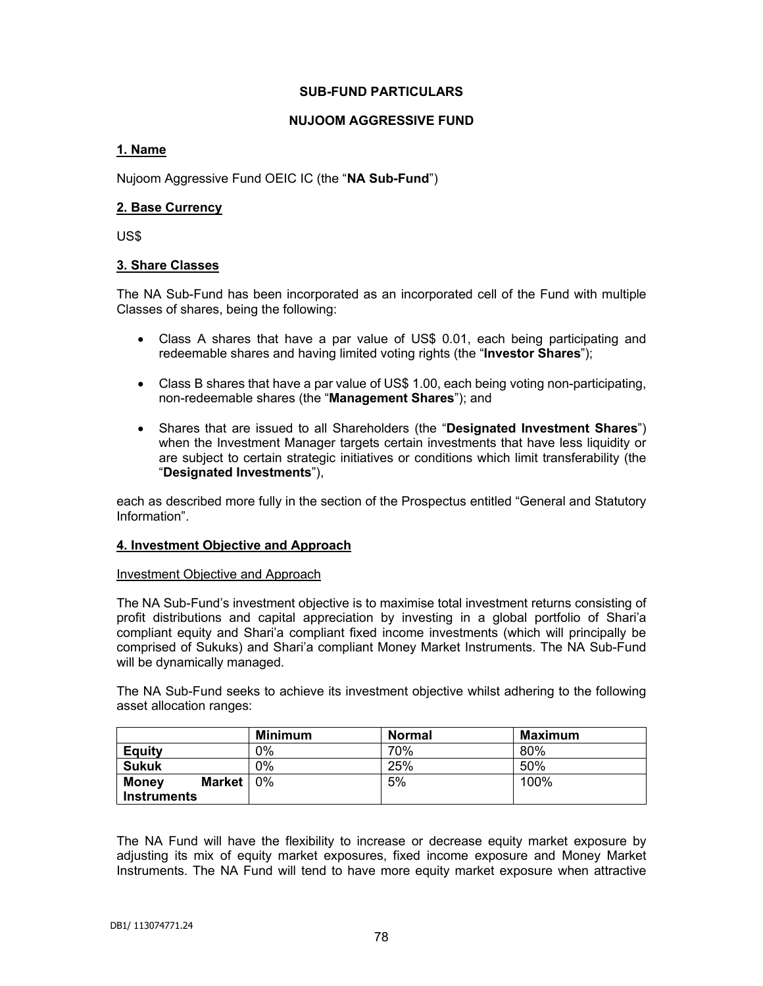### **SUB-FUND PARTICULARS**

## **NUJOOM AGGRESSIVE FUND**

## **1. Name**

Nujoom Aggressive Fund OEIC IC (the "**NA Sub-Fund**")

## **2. Base Currency**

US\$

## **3. Share Classes**

The NA Sub-Fund has been incorporated as an incorporated cell of the Fund with multiple Classes of shares, being the following:

- Class A shares that have a par value of US\$ 0.01, each being participating and redeemable shares and having limited voting rights (the "**Investor Shares**");
- Class B shares that have a par value of US\$ 1.00, each being voting non-participating, non-redeemable shares (the "**Management Shares**"); and
- Shares that are issued to all Shareholders (the "**Designated Investment Shares**") when the Investment Manager targets certain investments that have less liquidity or are subject to certain strategic initiatives or conditions which limit transferability (the "**Designated Investments**"),

each as described more fully in the section of the Prospectus entitled "General and Statutory Information".

### **4. Investment Objective and Approach**

Investment Objective and Approach

The NA Sub-Fund's investment objective is to maximise total investment returns consisting of profit distributions and capital appreciation by investing in a global portfolio of Shari'a compliant equity and Shari'a compliant fixed income investments (which will principally be comprised of Sukuks) and Shari'a compliant Money Market Instruments. The NA Sub-Fund will be dynamically managed.

The NA Sub-Fund seeks to achieve its investment objective whilst adhering to the following asset allocation ranges:

|                               | <b>Minimum</b> | <b>Normal</b> | <b>Maximum</b> |
|-------------------------------|----------------|---------------|----------------|
| <b>Equity</b>                 | 0%             | 70%           | 80%            |
| <b>Sukuk</b>                  | 0%             | 25%           | 50%            |
| <b>Money</b><br><b>Market</b> | 0%             | 5%            | 100%           |
| <b>Instruments</b>            |                |               |                |

The NA Fund will have the flexibility to increase or decrease equity market exposure by adjusting its mix of equity market exposures, fixed income exposure and Money Market Instruments. The NA Fund will tend to have more equity market exposure when attractive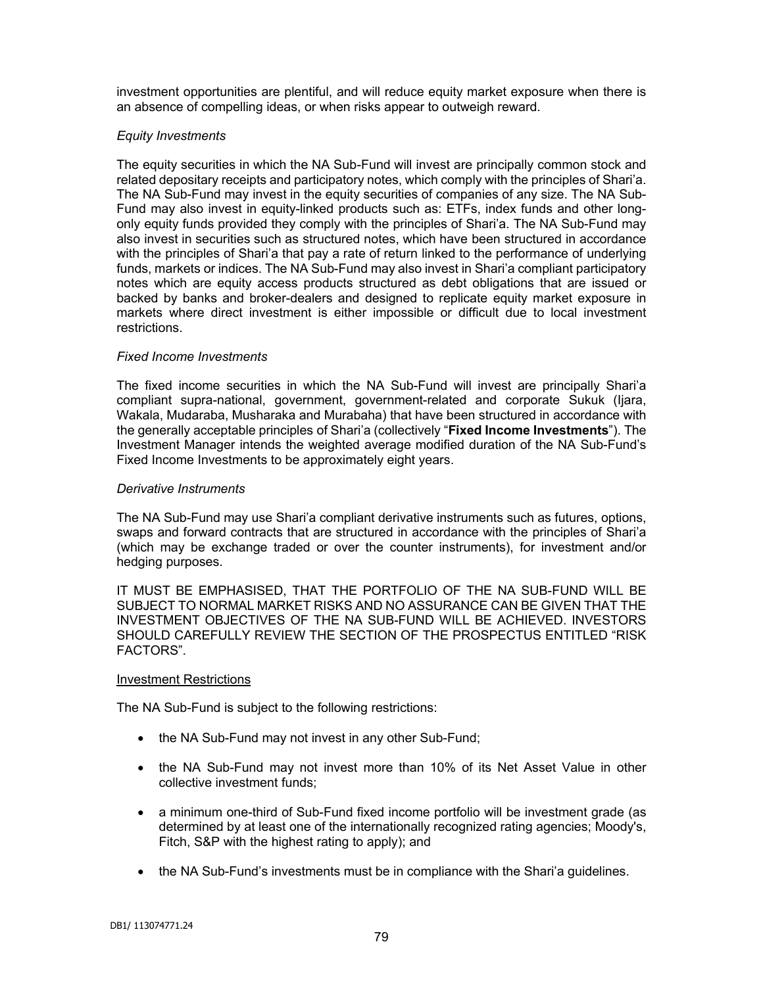investment opportunities are plentiful, and will reduce equity market exposure when there is an absence of compelling ideas, or when risks appear to outweigh reward.

## *Equity Investments*

The equity securities in which the NA Sub-Fund will invest are principally common stock and related depositary receipts and participatory notes, which comply with the principles of Shari'a. The NA Sub-Fund may invest in the equity securities of companies of any size. The NA Sub-Fund may also invest in equity-linked products such as: ETFs, index funds and other longonly equity funds provided they comply with the principles of Shari'a. The NA Sub-Fund may also invest in securities such as structured notes, which have been structured in accordance with the principles of Shari'a that pay a rate of return linked to the performance of underlying funds, markets or indices. The NA Sub-Fund may also invest in Shari'a compliant participatory notes which are equity access products structured as debt obligations that are issued or backed by banks and broker-dealers and designed to replicate equity market exposure in markets where direct investment is either impossible or difficult due to local investment restrictions.

## *Fixed Income Investments*

The fixed income securities in which the NA Sub-Fund will invest are principally Shari'a compliant supra-national, government, government-related and corporate Sukuk (Ijara, Wakala, Mudaraba, Musharaka and Murabaha) that have been structured in accordance with the generally acceptable principles of Shari'a (collectively "**Fixed Income Investments**"). The Investment Manager intends the weighted average modified duration of the NA Sub-Fund's Fixed Income Investments to be approximately eight years.

## *Derivative Instruments*

The NA Sub-Fund may use Shari'a compliant derivative instruments such as futures, options, swaps and forward contracts that are structured in accordance with the principles of Shari'a (which may be exchange traded or over the counter instruments), for investment and/or hedging purposes.

IT MUST BE EMPHASISED, THAT THE PORTFOLIO OF THE NA SUB-FUND WILL BE SUBJECT TO NORMAL MARKET RISKS AND NO ASSURANCE CAN BE GIVEN THAT THE INVESTMENT OBJECTIVES OF THE NA SUB-FUND WILL BE ACHIEVED. INVESTORS SHOULD CAREFULLY REVIEW THE SECTION OF THE PROSPECTUS ENTITLED "RISK FACTORS".

### Investment Restrictions

The NA Sub-Fund is subject to the following restrictions:

- the NA Sub-Fund may not invest in any other Sub-Fund;
- the NA Sub-Fund may not invest more than 10% of its Net Asset Value in other collective investment funds;
- a minimum one-third of Sub-Fund fixed income portfolio will be investment grade (as determined by at least one of the internationally recognized rating agencies; Moody's, Fitch, S&P with the highest rating to apply); and
- the NA Sub-Fund's investments must be in compliance with the Shari'a quidelines.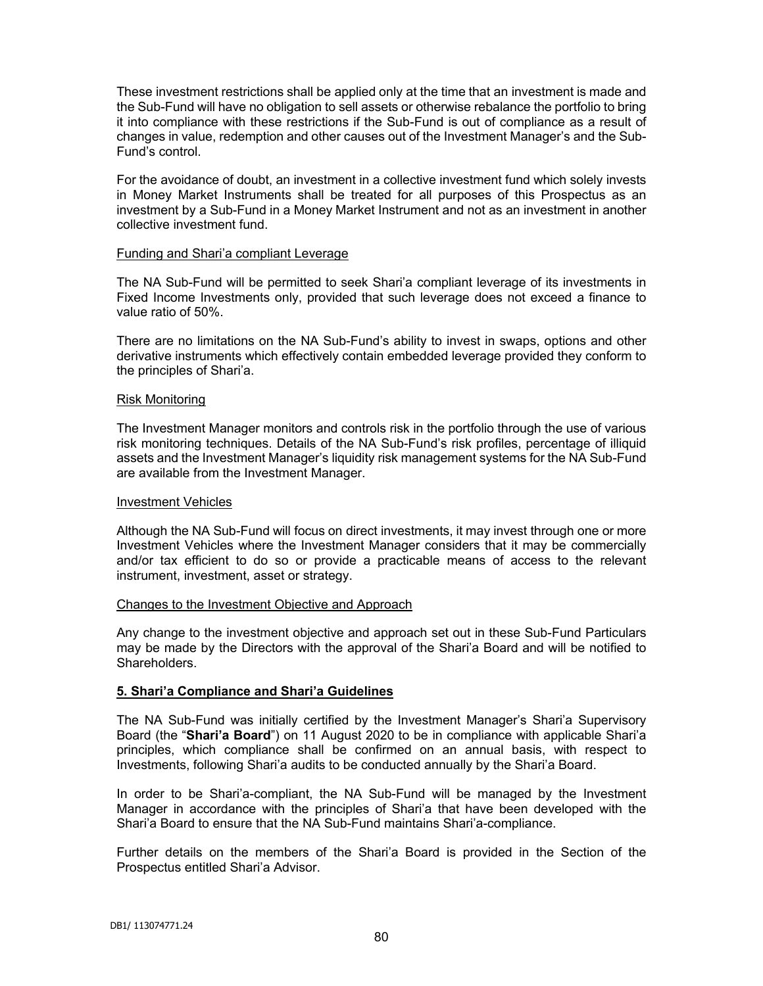These investment restrictions shall be applied only at the time that an investment is made and the Sub-Fund will have no obligation to sell assets or otherwise rebalance the portfolio to bring it into compliance with these restrictions if the Sub-Fund is out of compliance as a result of changes in value, redemption and other causes out of the Investment Manager's and the Sub-Fund's control.

For the avoidance of doubt, an investment in a collective investment fund which solely invests in Money Market Instruments shall be treated for all purposes of this Prospectus as an investment by a Sub-Fund in a Money Market Instrument and not as an investment in another collective investment fund.

### Funding and Shari'a compliant Leverage

The NA Sub-Fund will be permitted to seek Shari'a compliant leverage of its investments in Fixed Income Investments only, provided that such leverage does not exceed a finance to value ratio of 50%.

There are no limitations on the NA Sub-Fund's ability to invest in swaps, options and other derivative instruments which effectively contain embedded leverage provided they conform to the principles of Shari'a.

### Risk Monitoring

The Investment Manager monitors and controls risk in the portfolio through the use of various risk monitoring techniques. Details of the NA Sub-Fund's risk profiles, percentage of illiquid assets and the Investment Manager's liquidity risk management systems for the NA Sub-Fund are available from the Investment Manager.

#### Investment Vehicles

Although the NA Sub-Fund will focus on direct investments, it may invest through one or more Investment Vehicles where the Investment Manager considers that it may be commercially and/or tax efficient to do so or provide a practicable means of access to the relevant instrument, investment, asset or strategy.

### Changes to the Investment Objective and Approach

Any change to the investment objective and approach set out in these Sub-Fund Particulars may be made by the Directors with the approval of the Shari'a Board and will be notified to Shareholders.

### **5. Shari'a Compliance and Shari'a Guidelines**

The NA Sub-Fund was initially certified by the Investment Manager's Shari'a Supervisory Board (the "**Shari'a Board**") on 11 August 2020 to be in compliance with applicable Shari'a principles, which compliance shall be confirmed on an annual basis, with respect to Investments, following Shari'a audits to be conducted annually by the Shari'a Board.

In order to be Shari'a-compliant, the NA Sub-Fund will be managed by the Investment Manager in accordance with the principles of Shari'a that have been developed with the Shari'a Board to ensure that the NA Sub-Fund maintains Shari'a-compliance.

Further details on the members of the Shari'a Board is provided in the Section of the Prospectus entitled Shari'a Advisor.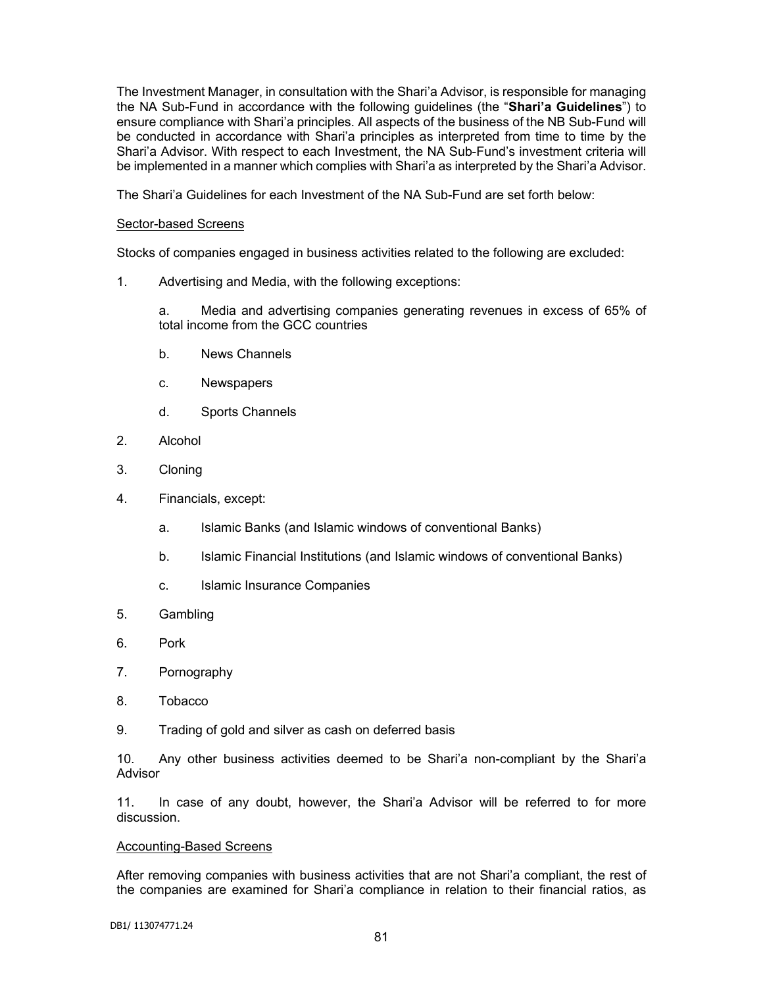The Investment Manager, in consultation with the Shari'a Advisor, is responsible for managing the NA Sub-Fund in accordance with the following guidelines (the "**Shari'a Guidelines**") to ensure compliance with Shari'a principles. All aspects of the business of the NB Sub-Fund will be conducted in accordance with Shari'a principles as interpreted from time to time by the Shari'a Advisor. With respect to each Investment, the NA Sub-Fund's investment criteria will be implemented in a manner which complies with Shari'a as interpreted by the Shari'a Advisor.

The Shari'a Guidelines for each Investment of the NA Sub-Fund are set forth below:

### Sector-based Screens

Stocks of companies engaged in business activities related to the following are excluded:

1. Advertising and Media, with the following exceptions:

a. Media and advertising companies generating revenues in excess of 65% of total income from the GCC countries

- b. News Channels
- c. Newspapers
- d. Sports Channels
- 2. Alcohol
- 3. Cloning
- 4. Financials, except:
	- a. Islamic Banks (and Islamic windows of conventional Banks)
	- b. Islamic Financial Institutions (and Islamic windows of conventional Banks)
	- c. Islamic Insurance Companies
- 5. Gambling
- 6. Pork
- 7. Pornography
- 8. Tobacco
- 9. Trading of gold and silver as cash on deferred basis

10. Any other business activities deemed to be Shari'a non-compliant by the Shari'a Advisor

11. In case of any doubt, however, the Shari'a Advisor will be referred to for more discussion.

### Accounting-Based Screens

After removing companies with business activities that are not Shari'a compliant, the rest of the companies are examined for Shari'a compliance in relation to their financial ratios, as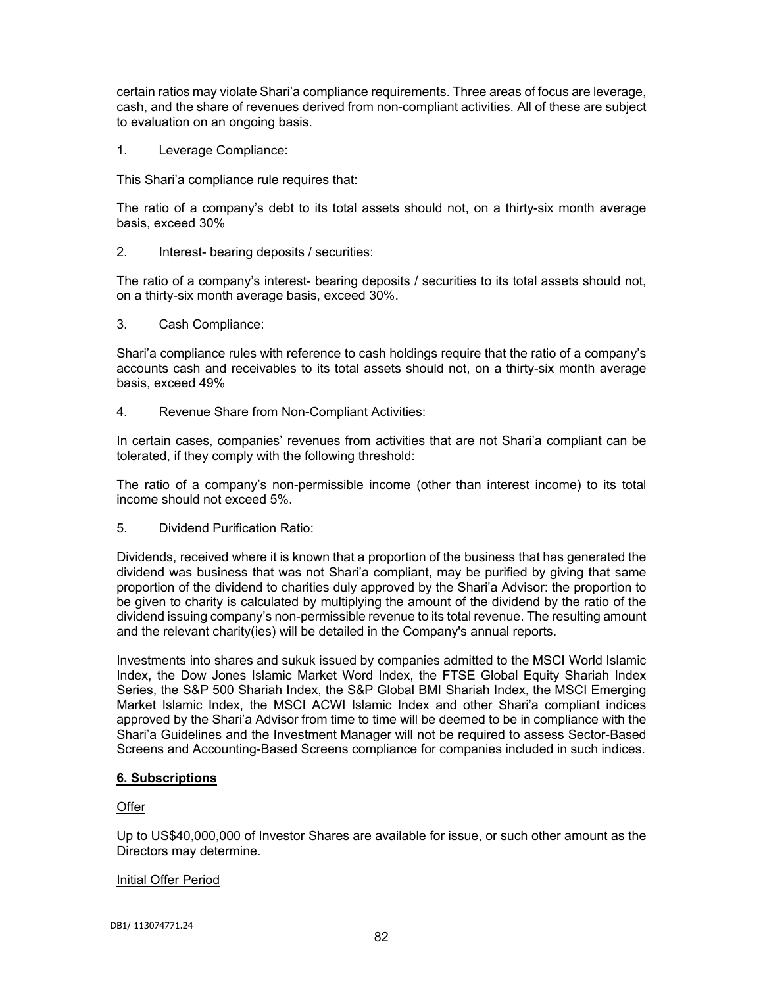certain ratios may violate Shari'a compliance requirements. Three areas of focus are leverage, cash, and the share of revenues derived from non-compliant activities. All of these are subject to evaluation on an ongoing basis.

1. Leverage Compliance:

This Shari'a compliance rule requires that:

The ratio of a company's debt to its total assets should not, on a thirty-six month average basis, exceed 30%

2. Interest- bearing deposits / securities:

The ratio of a company's interest- bearing deposits / securities to its total assets should not, on a thirty-six month average basis, exceed 30%.

3. Cash Compliance:

Shari'a compliance rules with reference to cash holdings require that the ratio of a company's accounts cash and receivables to its total assets should not, on a thirty-six month average basis, exceed 49%

4. Revenue Share from Non-Compliant Activities:

In certain cases, companies' revenues from activities that are not Shari'a compliant can be tolerated, if they comply with the following threshold:

The ratio of a company's non-permissible income (other than interest income) to its total income should not exceed 5%.

5. Dividend Purification Ratio:

Dividends, received where it is known that a proportion of the business that has generated the dividend was business that was not Shari'a compliant, may be purified by giving that same proportion of the dividend to charities duly approved by the Shari'a Advisor: the proportion to be given to charity is calculated by multiplying the amount of the dividend by the ratio of the dividend issuing company's non-permissible revenue to its total revenue. The resulting amount and the relevant charity(ies) will be detailed in the Company's annual reports.

Investments into shares and sukuk issued by companies admitted to the MSCI World Islamic Index, the Dow Jones Islamic Market Word Index, the FTSE Global Equity Shariah Index Series, the S&P 500 Shariah Index, the S&P Global BMI Shariah Index, the MSCI Emerging Market Islamic Index, the MSCI ACWI Islamic Index and other Shari'a compliant indices approved by the Shari'a Advisor from time to time will be deemed to be in compliance with the Shari'a Guidelines and the Investment Manager will not be required to assess Sector-Based Screens and Accounting-Based Screens compliance for companies included in such indices.

# **6. Subscriptions**

# **Offer**

Up to US\$40,000,000 of Investor Shares are available for issue, or such other amount as the Directors may determine.

### Initial Offer Period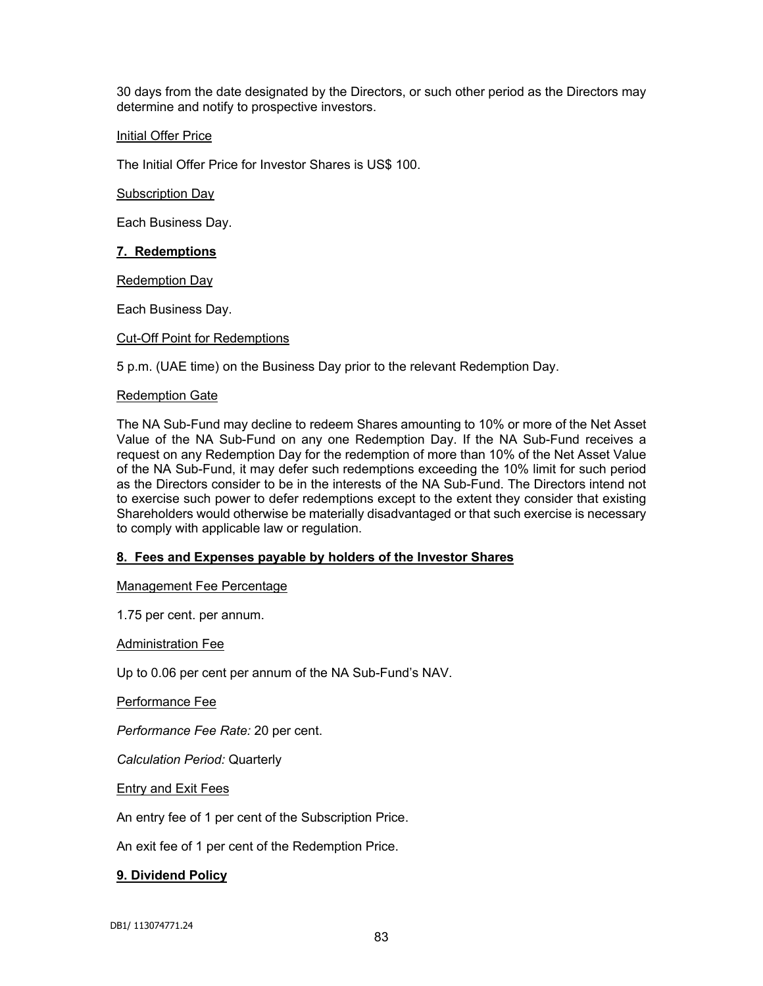30 days from the date designated by the Directors, or such other period as the Directors may determine and notify to prospective investors.

# Initial Offer Price

The Initial Offer Price for Investor Shares is US\$ 100.

### Subscription Day

Each Business Day.

## **7. Redemptions**

**Redemption Day** 

Each Business Day.

## Cut-Off Point for Redemptions

5 p.m. (UAE time) on the Business Day prior to the relevant Redemption Day.

### Redemption Gate

The NA Sub-Fund may decline to redeem Shares amounting to 10% or more of the Net Asset Value of the NA Sub-Fund on any one Redemption Day. If the NA Sub-Fund receives a request on any Redemption Day for the redemption of more than 10% of the Net Asset Value of the NA Sub-Fund, it may defer such redemptions exceeding the 10% limit for such period as the Directors consider to be in the interests of the NA Sub-Fund. The Directors intend not to exercise such power to defer redemptions except to the extent they consider that existing Shareholders would otherwise be materially disadvantaged or that such exercise is necessary to comply with applicable law or regulation.

# **8. Fees and Expenses payable by holders of the Investor Shares**

### Management Fee Percentage

1.75 per cent. per annum.

Administration Fee

Up to 0.06 per cent per annum of the NA Sub-Fund's NAV.

Performance Fee

*Performance Fee Rate:* 20 per cent.

*Calculation Period:* Quarterly

Entry and Exit Fees

An entry fee of 1 per cent of the Subscription Price.

An exit fee of 1 per cent of the Redemption Price.

# **9. Dividend Policy**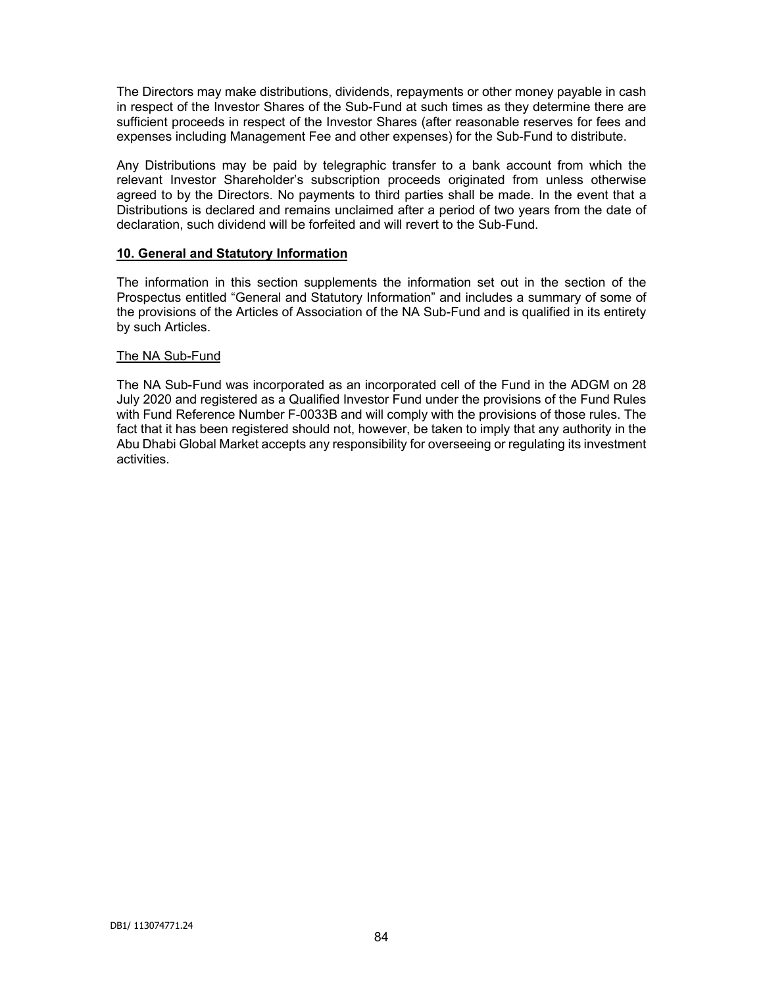The Directors may make distributions, dividends, repayments or other money payable in cash in respect of the Investor Shares of the Sub-Fund at such times as they determine there are sufficient proceeds in respect of the Investor Shares (after reasonable reserves for fees and expenses including Management Fee and other expenses) for the Sub-Fund to distribute.

Any Distributions may be paid by telegraphic transfer to a bank account from which the relevant Investor Shareholder's subscription proceeds originated from unless otherwise agreed to by the Directors. No payments to third parties shall be made. In the event that a Distributions is declared and remains unclaimed after a period of two years from the date of declaration, such dividend will be forfeited and will revert to the Sub-Fund.

## **10. General and Statutory Information**

The information in this section supplements the information set out in the section of the Prospectus entitled "General and Statutory Information" and includes a summary of some of the provisions of the Articles of Association of the NA Sub-Fund and is qualified in its entirety by such Articles.

## The NA Sub-Fund

The NA Sub-Fund was incorporated as an incorporated cell of the Fund in the ADGM on 28 July 2020 and registered as a Qualified Investor Fund under the provisions of the Fund Rules with Fund Reference Number F-0033B and will comply with the provisions of those rules. The fact that it has been registered should not, however, be taken to imply that any authority in the Abu Dhabi Global Market accepts any responsibility for overseeing or regulating its investment activities.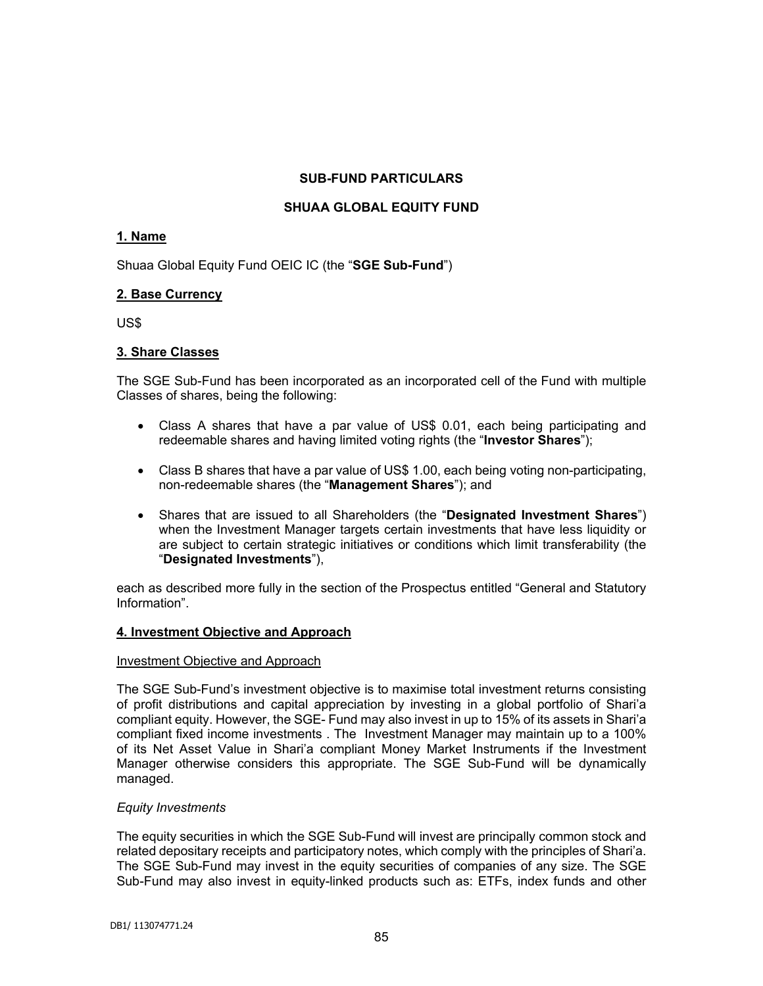# **SUB-FUND PARTICULARS**

# **SHUAA GLOBAL EQUITY FUND**

# **1. Name**

Shuaa Global Equity Fund OEIC IC (the "**SGE Sub-Fund**")

# **2. Base Currency**

US\$

# **3. Share Classes**

The SGE Sub-Fund has been incorporated as an incorporated cell of the Fund with multiple Classes of shares, being the following:

- Class A shares that have a par value of US\$ 0.01, each being participating and redeemable shares and having limited voting rights (the "**Investor Shares**");
- Class B shares that have a par value of US\$ 1.00, each being voting non-participating, non-redeemable shares (the "**Management Shares**"); and
- Shares that are issued to all Shareholders (the "**Designated Investment Shares**") when the Investment Manager targets certain investments that have less liquidity or are subject to certain strategic initiatives or conditions which limit transferability (the "**Designated Investments**"),

each as described more fully in the section of the Prospectus entitled "General and Statutory Information".

# **4. Investment Objective and Approach**

### Investment Objective and Approach

The SGE Sub-Fund's investment objective is to maximise total investment returns consisting of profit distributions and capital appreciation by investing in a global portfolio of Shari'a compliant equity. However, the SGE- Fund may also invest in up to 15% of its assets in Shari'a compliant fixed income investments . The Investment Manager may maintain up to a 100% of its Net Asset Value in Shari'a compliant Money Market Instruments if the Investment Manager otherwise considers this appropriate. The SGE Sub-Fund will be dynamically managed.

# *Equity Investments*

The equity securities in which the SGE Sub-Fund will invest are principally common stock and related depositary receipts and participatory notes, which comply with the principles of Shari'a. The SGE Sub-Fund may invest in the equity securities of companies of any size. The SGE Sub-Fund may also invest in equity-linked products such as: ETFs, index funds and other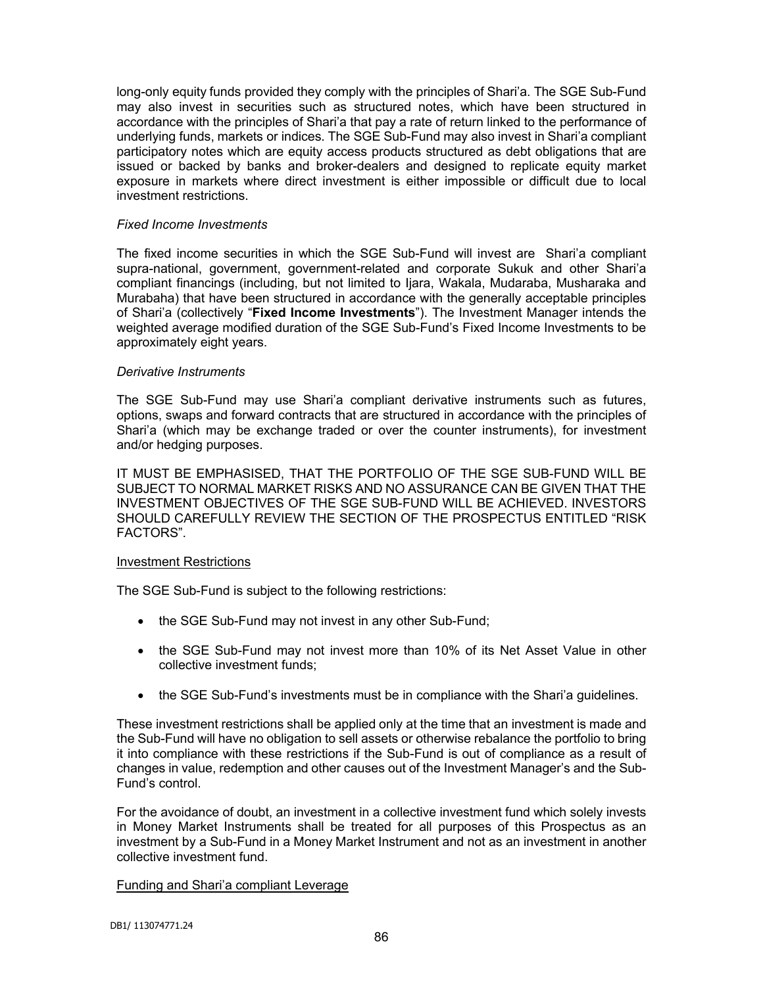long-only equity funds provided they comply with the principles of Shari'a. The SGE Sub-Fund may also invest in securities such as structured notes, which have been structured in accordance with the principles of Shari'a that pay a rate of return linked to the performance of underlying funds, markets or indices. The SGE Sub-Fund may also invest in Shari'a compliant participatory notes which are equity access products structured as debt obligations that are issued or backed by banks and broker-dealers and designed to replicate equity market exposure in markets where direct investment is either impossible or difficult due to local investment restrictions.

### *Fixed Income Investments*

The fixed income securities in which the SGE Sub-Fund will invest are Shari'a compliant supra-national, government, government-related and corporate Sukuk and other Shari'a compliant financings (including, but not limited to Ijara, Wakala, Mudaraba, Musharaka and Murabaha) that have been structured in accordance with the generally acceptable principles of Shari'a (collectively "**Fixed Income Investments**"). The Investment Manager intends the weighted average modified duration of the SGE Sub-Fund's Fixed Income Investments to be approximately eight years.

### *Derivative Instruments*

The SGE Sub-Fund may use Shari'a compliant derivative instruments such as futures, options, swaps and forward contracts that are structured in accordance with the principles of Shari'a (which may be exchange traded or over the counter instruments), for investment and/or hedging purposes.

IT MUST BE EMPHASISED, THAT THE PORTFOLIO OF THE SGE SUB-FUND WILL BE SUBJECT TO NORMAL MARKET RISKS AND NO ASSURANCE CAN BE GIVEN THAT THE INVESTMENT OBJECTIVES OF THE SGE SUB-FUND WILL BE ACHIEVED. INVESTORS SHOULD CAREFULLY REVIEW THE SECTION OF THE PROSPECTUS ENTITLED "RISK FACTORS".

### Investment Restrictions

The SGE Sub-Fund is subject to the following restrictions:

- the SGE Sub-Fund may not invest in any other Sub-Fund;
- the SGE Sub-Fund may not invest more than 10% of its Net Asset Value in other collective investment funds;
- the SGE Sub-Fund's investments must be in compliance with the Shari'a quidelines.

These investment restrictions shall be applied only at the time that an investment is made and the Sub-Fund will have no obligation to sell assets or otherwise rebalance the portfolio to bring it into compliance with these restrictions if the Sub-Fund is out of compliance as a result of changes in value, redemption and other causes out of the Investment Manager's and the Sub-Fund's control.

For the avoidance of doubt, an investment in a collective investment fund which solely invests in Money Market Instruments shall be treated for all purposes of this Prospectus as an investment by a Sub-Fund in a Money Market Instrument and not as an investment in another collective investment fund.

### Funding and Shari'a compliant Leverage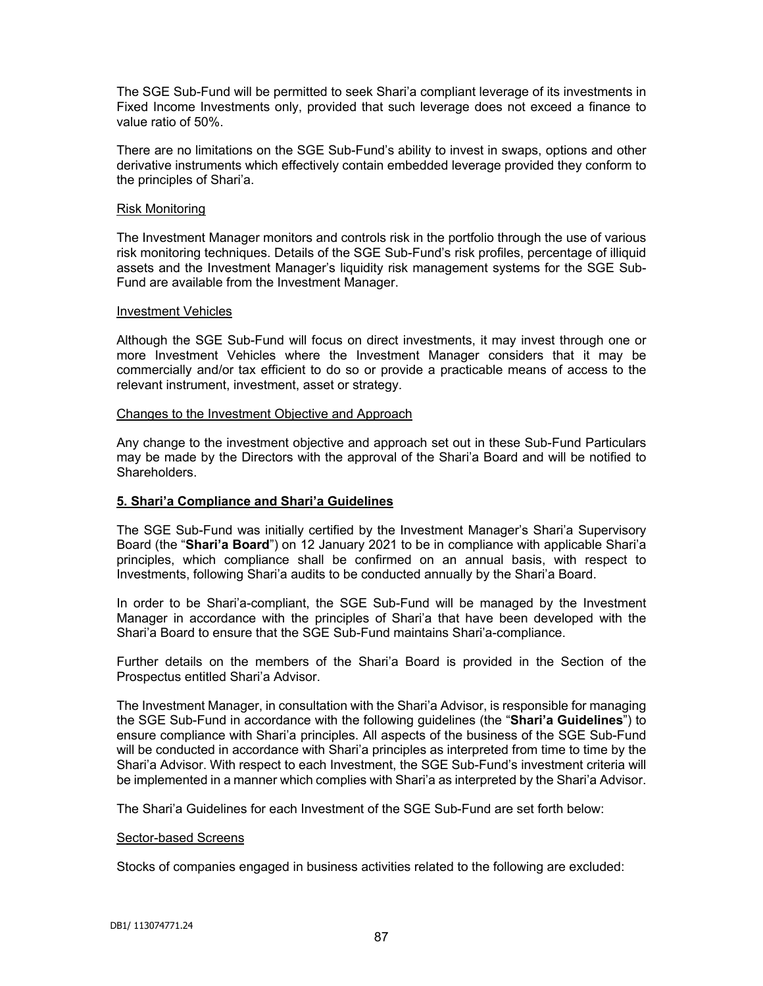The SGE Sub-Fund will be permitted to seek Shari'a compliant leverage of its investments in Fixed Income Investments only, provided that such leverage does not exceed a finance to value ratio of 50%.

There are no limitations on the SGE Sub-Fund's ability to invest in swaps, options and other derivative instruments which effectively contain embedded leverage provided they conform to the principles of Shari'a.

### Risk Monitoring

The Investment Manager monitors and controls risk in the portfolio through the use of various risk monitoring techniques. Details of the SGE Sub-Fund's risk profiles, percentage of illiquid assets and the Investment Manager's liquidity risk management systems for the SGE Sub-Fund are available from the Investment Manager.

### Investment Vehicles

Although the SGE Sub-Fund will focus on direct investments, it may invest through one or more Investment Vehicles where the Investment Manager considers that it may be commercially and/or tax efficient to do so or provide a practicable means of access to the relevant instrument, investment, asset or strategy.

## Changes to the Investment Objective and Approach

Any change to the investment objective and approach set out in these Sub-Fund Particulars may be made by the Directors with the approval of the Shari'a Board and will be notified to Shareholders.

# **5. Shari'a Compliance and Shari'a Guidelines**

The SGE Sub-Fund was initially certified by the Investment Manager's Shari'a Supervisory Board (the "**Shari'a Board**") on 12 January 2021 to be in compliance with applicable Shari'a principles, which compliance shall be confirmed on an annual basis, with respect to Investments, following Shari'a audits to be conducted annually by the Shari'a Board.

In order to be Shari'a-compliant, the SGE Sub-Fund will be managed by the Investment Manager in accordance with the principles of Shari'a that have been developed with the Shari'a Board to ensure that the SGE Sub-Fund maintains Shari'a-compliance.

Further details on the members of the Shari'a Board is provided in the Section of the Prospectus entitled Shari'a Advisor.

The Investment Manager, in consultation with the Shari'a Advisor, is responsible for managing the SGE Sub-Fund in accordance with the following guidelines (the "**Shari'a Guidelines**") to ensure compliance with Shari'a principles. All aspects of the business of the SGE Sub-Fund will be conducted in accordance with Shari'a principles as interpreted from time to time by the Shari'a Advisor. With respect to each Investment, the SGE Sub-Fund's investment criteria will be implemented in a manner which complies with Shari'a as interpreted by the Shari'a Advisor.

The Shari'a Guidelines for each Investment of the SGE Sub-Fund are set forth below:

### Sector-based Screens

Stocks of companies engaged in business activities related to the following are excluded: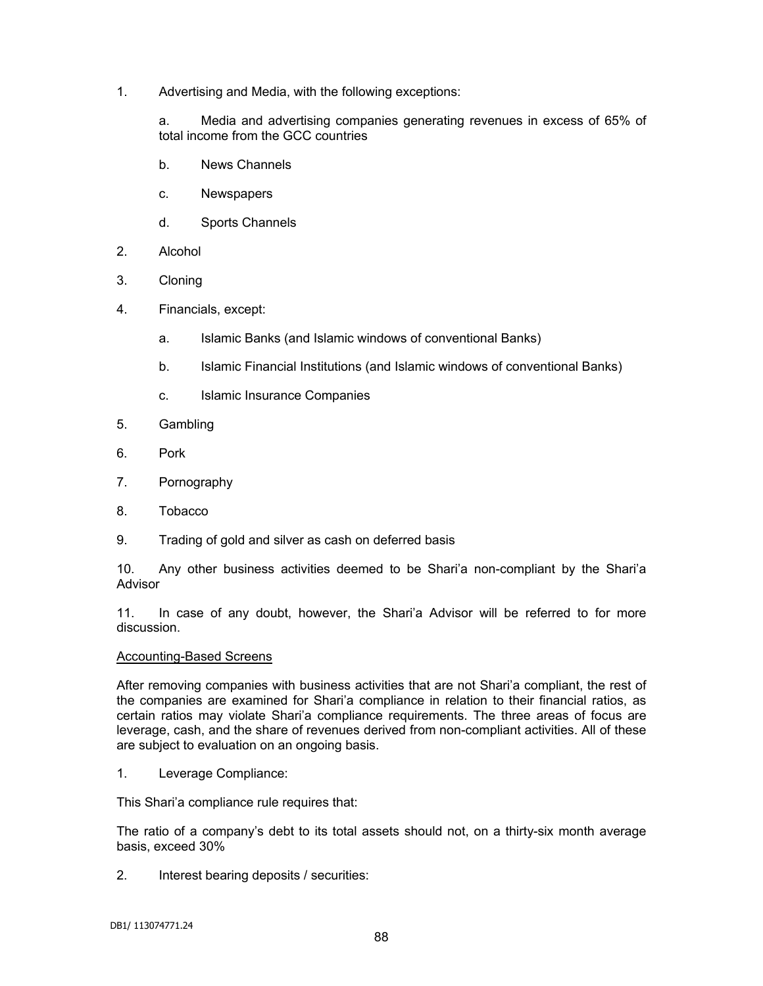1. Advertising and Media, with the following exceptions:

a. Media and advertising companies generating revenues in excess of 65% of total income from the GCC countries

- b. News Channels
- c. Newspapers
- d. Sports Channels
- 2. Alcohol
- 3. Cloning
- 4. Financials, except:
	- a. Islamic Banks (and Islamic windows of conventional Banks)
	- b. Islamic Financial Institutions (and Islamic windows of conventional Banks)
	- c. Islamic Insurance Companies
- 5. Gambling
- 6. Pork
- 7. Pornography
- 8. Tobacco
- 9. Trading of gold and silver as cash on deferred basis

10. Any other business activities deemed to be Shari'a non-compliant by the Shari'a Advisor

11. In case of any doubt, however, the Shari'a Advisor will be referred to for more discussion.

### Accounting-Based Screens

After removing companies with business activities that are not Shari'a compliant, the rest of the companies are examined for Shari'a compliance in relation to their financial ratios, as certain ratios may violate Shari'a compliance requirements. The three areas of focus are leverage, cash, and the share of revenues derived from non-compliant activities. All of these are subject to evaluation on an ongoing basis.

1. Leverage Compliance:

This Shari'a compliance rule requires that:

The ratio of a company's debt to its total assets should not, on a thirty-six month average basis, exceed 30%

2. Interest bearing deposits / securities: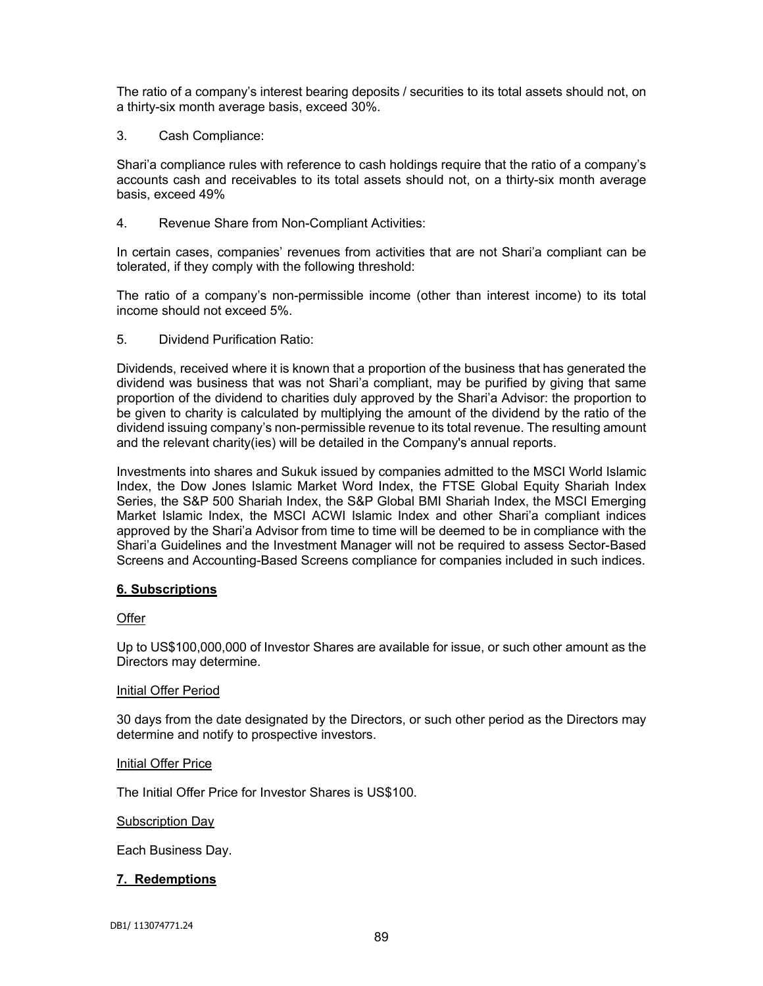The ratio of a company's interest bearing deposits / securities to its total assets should not, on a thirty-six month average basis, exceed 30%.

3. Cash Compliance:

Shari'a compliance rules with reference to cash holdings require that the ratio of a company's accounts cash and receivables to its total assets should not, on a thirty-six month average basis, exceed 49%

4. Revenue Share from Non-Compliant Activities:

In certain cases, companies' revenues from activities that are not Shari'a compliant can be tolerated, if they comply with the following threshold:

The ratio of a company's non-permissible income (other than interest income) to its total income should not exceed 5%.

5. Dividend Purification Ratio:

Dividends, received where it is known that a proportion of the business that has generated the dividend was business that was not Shari'a compliant, may be purified by giving that same proportion of the dividend to charities duly approved by the Shari'a Advisor: the proportion to be given to charity is calculated by multiplying the amount of the dividend by the ratio of the dividend issuing company's non-permissible revenue to its total revenue. The resulting amount and the relevant charity(ies) will be detailed in the Company's annual reports.

Investments into shares and Sukuk issued by companies admitted to the MSCI World Islamic Index, the Dow Jones Islamic Market Word Index, the FTSE Global Equity Shariah Index Series, the S&P 500 Shariah Index, the S&P Global BMI Shariah Index, the MSCI Emerging Market Islamic Index, the MSCI ACWI Islamic Index and other Shari'a compliant indices approved by the Shari'a Advisor from time to time will be deemed to be in compliance with the Shari'a Guidelines and the Investment Manager will not be required to assess Sector-Based Screens and Accounting-Based Screens compliance for companies included in such indices.

# **6. Subscriptions**

### **Offer**

Up to US\$100,000,000 of Investor Shares are available for issue, or such other amount as the Directors may determine.

### Initial Offer Period

30 days from the date designated by the Directors, or such other period as the Directors may determine and notify to prospective investors.

### Initial Offer Price

The Initial Offer Price for Investor Shares is US\$100.

### **Subscription Day**

Each Business Day.

### **7. Redemptions**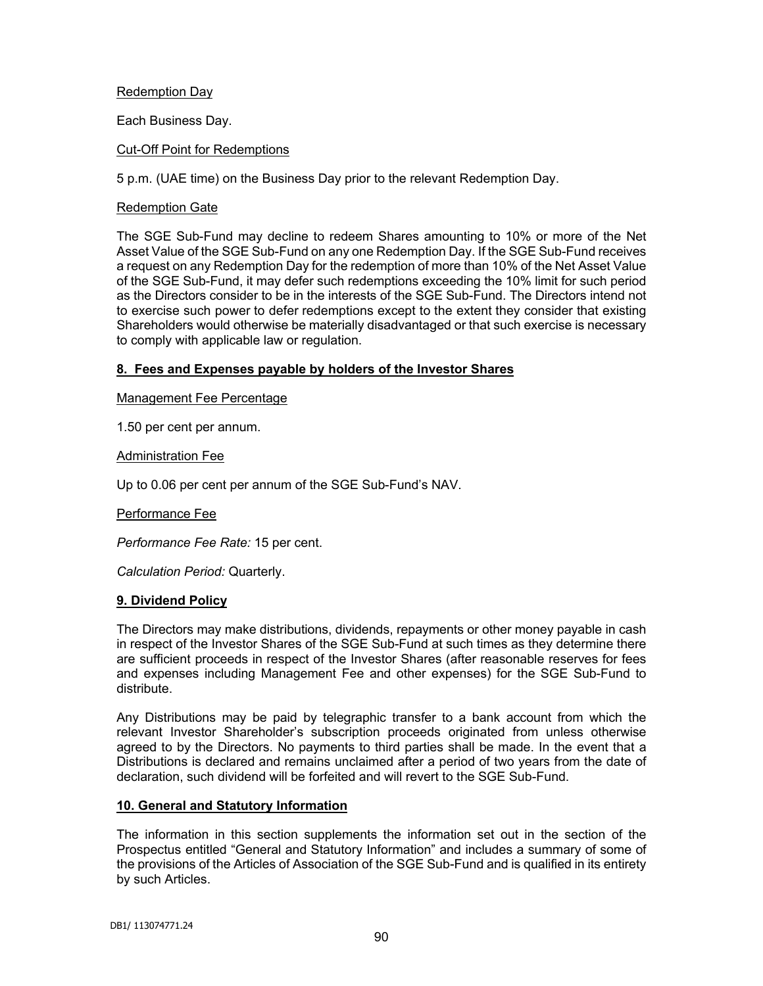# Redemption Day

Each Business Day.

## Cut-Off Point for Redemptions

5 p.m. (UAE time) on the Business Day prior to the relevant Redemption Day.

### Redemption Gate

The SGE Sub-Fund may decline to redeem Shares amounting to 10% or more of the Net Asset Value of the SGE Sub-Fund on any one Redemption Day. If the SGE Sub-Fund receives a request on any Redemption Day for the redemption of more than 10% of the Net Asset Value of the SGE Sub-Fund, it may defer such redemptions exceeding the 10% limit for such period as the Directors consider to be in the interests of the SGE Sub-Fund. The Directors intend not to exercise such power to defer redemptions except to the extent they consider that existing Shareholders would otherwise be materially disadvantaged or that such exercise is necessary to comply with applicable law or regulation.

## **8. Fees and Expenses payable by holders of the Investor Shares**

Management Fee Percentage

1.50 per cent per annum.

Administration Fee

Up to 0.06 per cent per annum of the SGE Sub-Fund's NAV.

Performance Fee

*Performance Fee Rate:* 15 per cent.

*Calculation Period:* Quarterly.

### **9. Dividend Policy**

The Directors may make distributions, dividends, repayments or other money payable in cash in respect of the Investor Shares of the SGE Sub-Fund at such times as they determine there are sufficient proceeds in respect of the Investor Shares (after reasonable reserves for fees and expenses including Management Fee and other expenses) for the SGE Sub-Fund to distribute.

Any Distributions may be paid by telegraphic transfer to a bank account from which the relevant Investor Shareholder's subscription proceeds originated from unless otherwise agreed to by the Directors. No payments to third parties shall be made. In the event that a Distributions is declared and remains unclaimed after a period of two years from the date of declaration, such dividend will be forfeited and will revert to the SGE Sub-Fund.

### **10. General and Statutory Information**

The information in this section supplements the information set out in the section of the Prospectus entitled "General and Statutory Information" and includes a summary of some of the provisions of the Articles of Association of the SGE Sub-Fund and is qualified in its entirety by such Articles.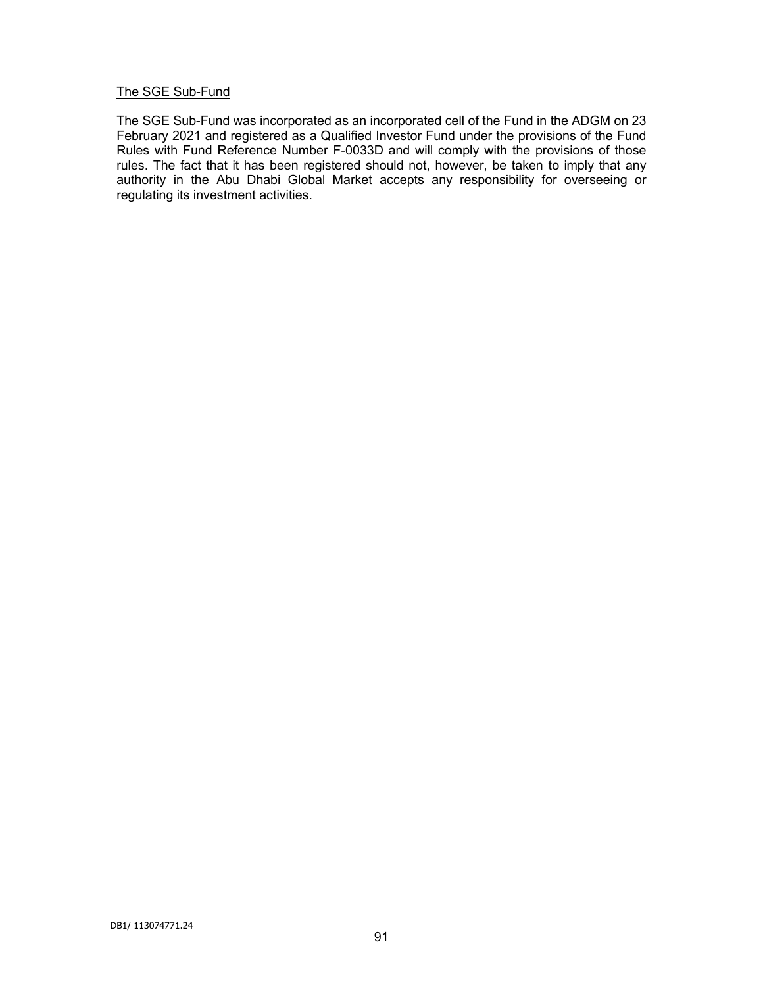## The SGE Sub-Fund

The SGE Sub-Fund was incorporated as an incorporated cell of the Fund in the ADGM on 23 February 2021 and registered as a Qualified Investor Fund under the provisions of the Fund Rules with Fund Reference Number F-0033D and will comply with the provisions of those rules. The fact that it has been registered should not, however, be taken to imply that any authority in the Abu Dhabi Global Market accepts any responsibility for overseeing or regulating its investment activities.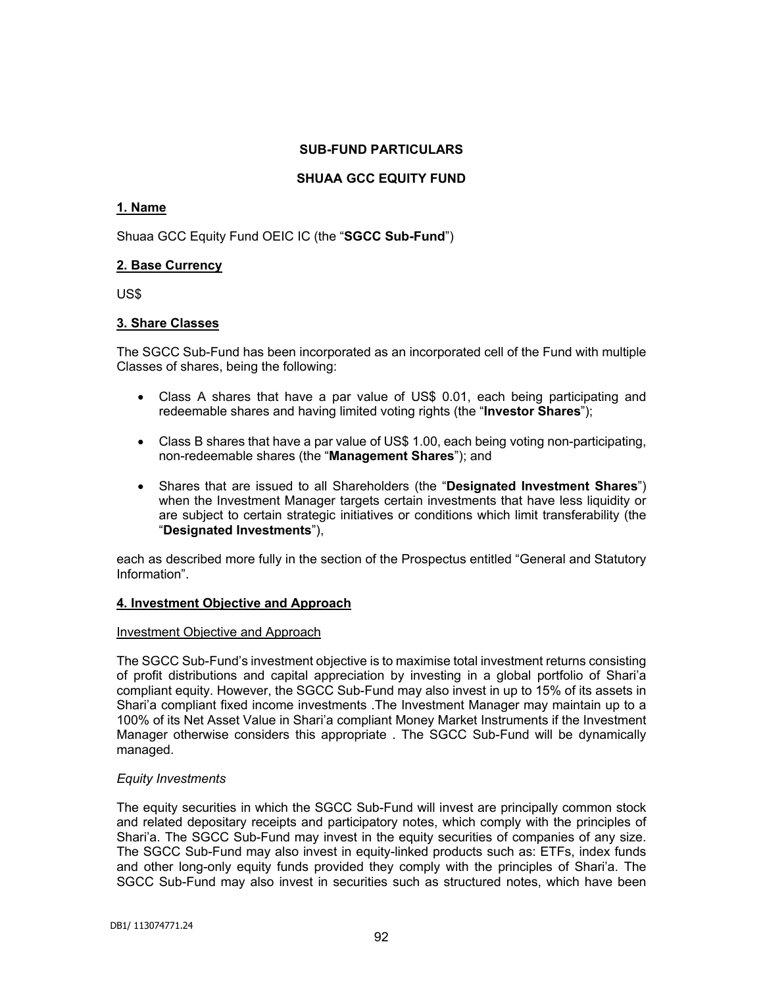## **SUB-FUND PARTICULARS**

# **SHUAA GCC EQUITY FUND**

# **1. Name**

Shuaa GCC Equity Fund OEIC IC (the "**SGCC Sub-Fund**")

# **2. Base Currency**

US\$

# **3. Share Classes**

The SGCC Sub-Fund has been incorporated as an incorporated cell of the Fund with multiple Classes of shares, being the following:

- Class A shares that have a par value of US\$ 0.01, each being participating and redeemable shares and having limited voting rights (the "**Investor Shares**");
- Class B shares that have a par value of US\$ 1.00, each being voting non-participating, non-redeemable shares (the "**Management Shares**"); and
- Shares that are issued to all Shareholders (the "**Designated Investment Shares**") when the Investment Manager targets certain investments that have less liquidity or are subject to certain strategic initiatives or conditions which limit transferability (the "**Designated Investments**"),

each as described more fully in the section of the Prospectus entitled "General and Statutory Information".

# **4. Investment Objective and Approach**

### Investment Objective and Approach

The SGCC Sub-Fund's investment objective is to maximise total investment returns consisting of profit distributions and capital appreciation by investing in a global portfolio of Shari'a compliant equity. However, the SGCC Sub-Fund may also invest in up to 15% of its assets in Shari'a compliant fixed income investments .The Investment Manager may maintain up to a 100% of its Net Asset Value in Shari'a compliant Money Market Instruments if the Investment Manager otherwise considers this appropriate . The SGCC Sub-Fund will be dynamically managed.

# *Equity Investments*

The equity securities in which the SGCC Sub-Fund will invest are principally common stock and related depositary receipts and participatory notes, which comply with the principles of Shari'a. The SGCC Sub-Fund may invest in the equity securities of companies of any size. The SGCC Sub-Fund may also invest in equity-linked products such as: ETFs, index funds and other long-only equity funds provided they comply with the principles of Shari'a. The SGCC Sub-Fund may also invest in securities such as structured notes, which have been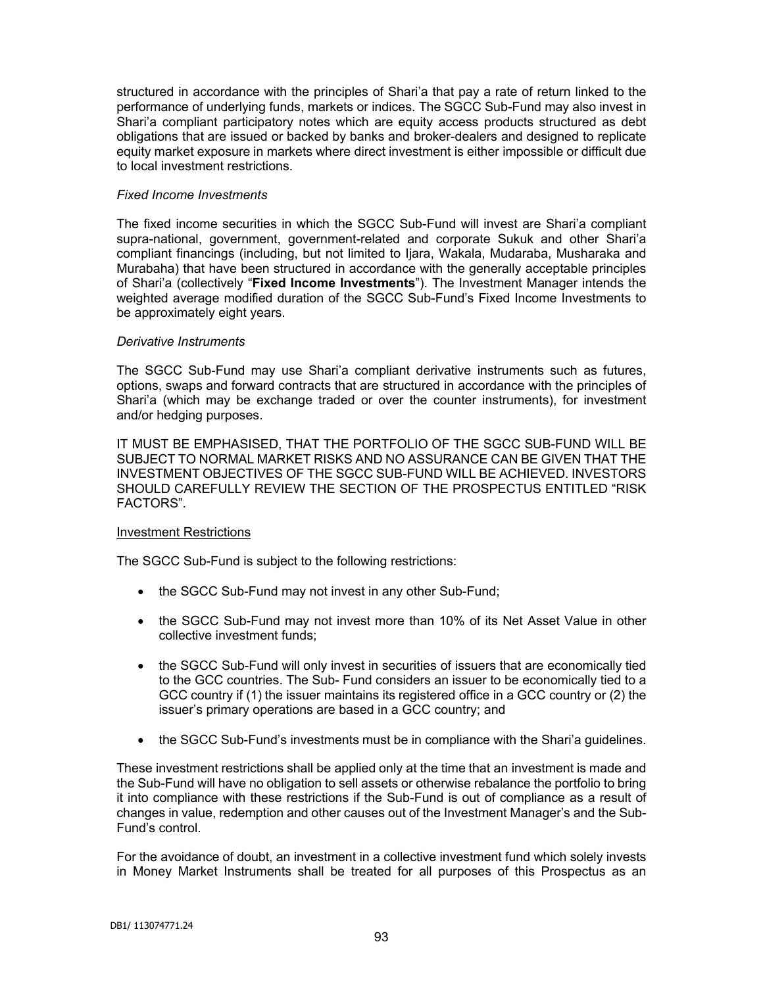structured in accordance with the principles of Shari'a that pay a rate of return linked to the performance of underlying funds, markets or indices. The SGCC Sub-Fund may also invest in Shari'a compliant participatory notes which are equity access products structured as debt obligations that are issued or backed by banks and broker-dealers and designed to replicate equity market exposure in markets where direct investment is either impossible or difficult due to local investment restrictions.

## *Fixed Income Investments*

The fixed income securities in which the SGCC Sub-Fund will invest are Shari'a compliant supra-national, government, government-related and corporate Sukuk and other Shari'a compliant financings (including, but not limited to Ijara, Wakala, Mudaraba, Musharaka and Murabaha) that have been structured in accordance with the generally acceptable principles of Shari'a (collectively "**Fixed Income Investments**"). The Investment Manager intends the weighted average modified duration of the SGCC Sub-Fund's Fixed Income Investments to be approximately eight years.

## *Derivative Instruments*

The SGCC Sub-Fund may use Shari'a compliant derivative instruments such as futures, options, swaps and forward contracts that are structured in accordance with the principles of Shari'a (which may be exchange traded or over the counter instruments), for investment and/or hedging purposes.

IT MUST BE EMPHASISED, THAT THE PORTFOLIO OF THE SGCC SUB-FUND WILL BE SUBJECT TO NORMAL MARKET RISKS AND NO ASSURANCE CAN BE GIVEN THAT THE INVESTMENT OBJECTIVES OF THE SGCC SUB-FUND WILL BE ACHIEVED. INVESTORS SHOULD CAREFULLY REVIEW THE SECTION OF THE PROSPECTUS ENTITLED "RISK FACTORS".

### Investment Restrictions

The SGCC Sub-Fund is subject to the following restrictions:

- the SGCC Sub-Fund may not invest in any other Sub-Fund;
- the SGCC Sub-Fund may not invest more than 10% of its Net Asset Value in other collective investment funds;
- the SGCC Sub-Fund will only invest in securities of issuers that are economically tied to the GCC countries. The Sub- Fund considers an issuer to be economically tied to a GCC country if (1) the issuer maintains its registered office in a GCC country or (2) the issuer's primary operations are based in a GCC country; and
- the SGCC Sub-Fund's investments must be in compliance with the Shari'a guidelines.

These investment restrictions shall be applied only at the time that an investment is made and the Sub-Fund will have no obligation to sell assets or otherwise rebalance the portfolio to bring it into compliance with these restrictions if the Sub-Fund is out of compliance as a result of changes in value, redemption and other causes out of the Investment Manager's and the Sub-Fund's control.

For the avoidance of doubt, an investment in a collective investment fund which solely invests in Money Market Instruments shall be treated for all purposes of this Prospectus as an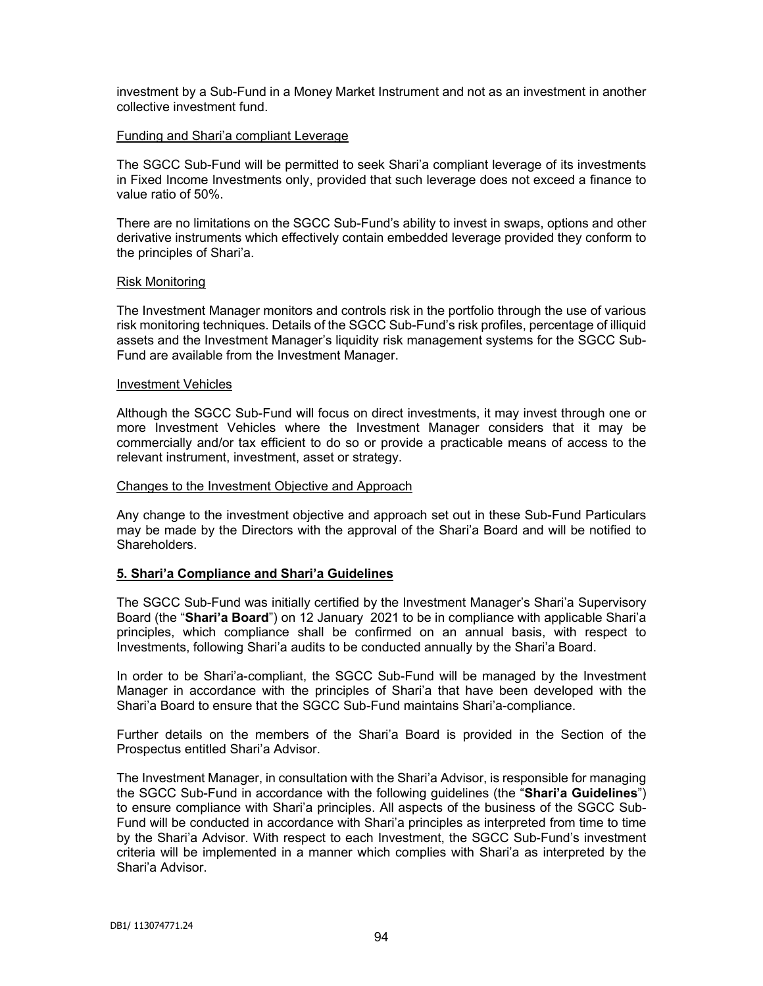investment by a Sub-Fund in a Money Market Instrument and not as an investment in another collective investment fund.

#### Funding and Shari'a compliant Leverage

The SGCC Sub-Fund will be permitted to seek Shari'a compliant leverage of its investments in Fixed Income Investments only, provided that such leverage does not exceed a finance to value ratio of 50%.

There are no limitations on the SGCC Sub-Fund's ability to invest in swaps, options and other derivative instruments which effectively contain embedded leverage provided they conform to the principles of Shari'a.

#### Risk Monitoring

The Investment Manager monitors and controls risk in the portfolio through the use of various risk monitoring techniques. Details of the SGCC Sub-Fund's risk profiles, percentage of illiquid assets and the Investment Manager's liquidity risk management systems for the SGCC Sub-Fund are available from the Investment Manager.

#### Investment Vehicles

Although the SGCC Sub-Fund will focus on direct investments, it may invest through one or more Investment Vehicles where the Investment Manager considers that it may be commercially and/or tax efficient to do so or provide a practicable means of access to the relevant instrument, investment, asset or strategy.

#### Changes to the Investment Objective and Approach

Any change to the investment objective and approach set out in these Sub-Fund Particulars may be made by the Directors with the approval of the Shari'a Board and will be notified to Shareholders.

### **5. Shari'a Compliance and Shari'a Guidelines**

The SGCC Sub-Fund was initially certified by the Investment Manager's Shari'a Supervisory Board (the "**Shari'a Board**") on 12 January 2021 to be in compliance with applicable Shari'a principles, which compliance shall be confirmed on an annual basis, with respect to Investments, following Shari'a audits to be conducted annually by the Shari'a Board.

In order to be Shari'a-compliant, the SGCC Sub-Fund will be managed by the Investment Manager in accordance with the principles of Shari'a that have been developed with the Shari'a Board to ensure that the SGCC Sub-Fund maintains Shari'a-compliance.

Further details on the members of the Shari'a Board is provided in the Section of the Prospectus entitled Shari'a Advisor.

The Investment Manager, in consultation with the Shari'a Advisor, is responsible for managing the SGCC Sub-Fund in accordance with the following guidelines (the "**Shari'a Guidelines**") to ensure compliance with Shari'a principles. All aspects of the business of the SGCC Sub-Fund will be conducted in accordance with Shari'a principles as interpreted from time to time by the Shari'a Advisor. With respect to each Investment, the SGCC Sub-Fund's investment criteria will be implemented in a manner which complies with Shari'a as interpreted by the Shari'a Advisor.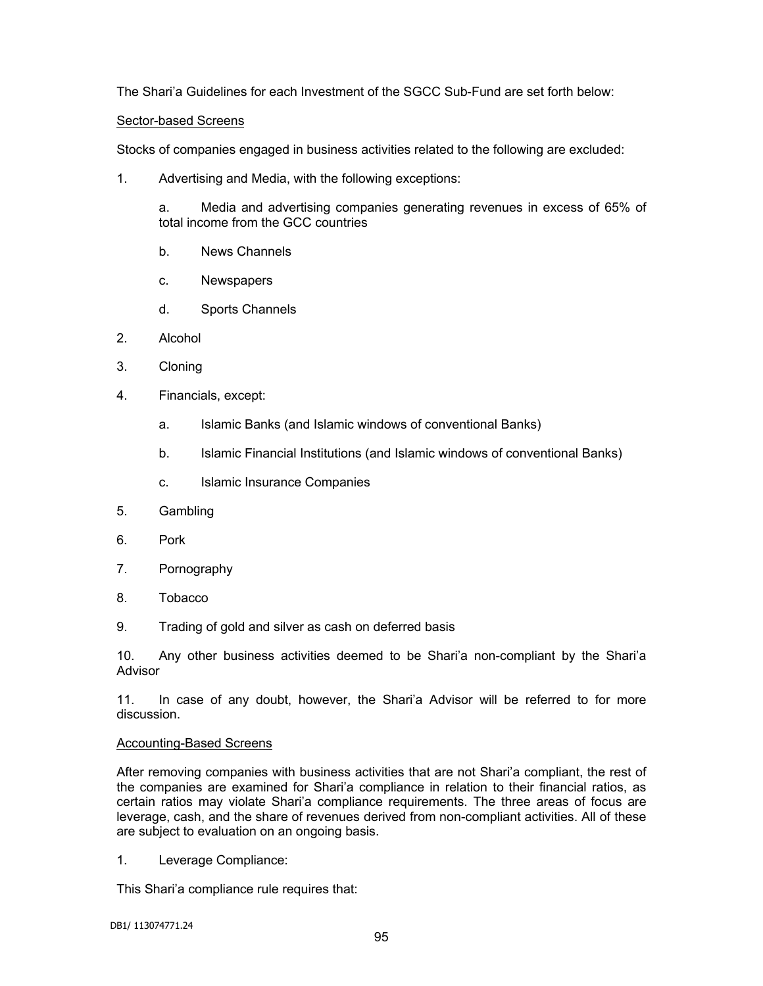The Shari'a Guidelines for each Investment of the SGCC Sub-Fund are set forth below:

### Sector-based Screens

Stocks of companies engaged in business activities related to the following are excluded:

1. Advertising and Media, with the following exceptions:

a. Media and advertising companies generating revenues in excess of 65% of total income from the GCC countries

- b. News Channels
- c. Newspapers
- d. Sports Channels
- 2. Alcohol
- 3. Cloning
- 4. Financials, except:
	- a. Islamic Banks (and Islamic windows of conventional Banks)
	- b. Islamic Financial Institutions (and Islamic windows of conventional Banks)
	- c. Islamic Insurance Companies
- 5. Gambling
- 6. Pork
- 7. Pornography
- 8. Tobacco
- 9. Trading of gold and silver as cash on deferred basis

10. Any other business activities deemed to be Shari'a non-compliant by the Shari'a Advisor

11. In case of any doubt, however, the Shari'a Advisor will be referred to for more discussion.

### Accounting-Based Screens

After removing companies with business activities that are not Shari'a compliant, the rest of the companies are examined for Shari'a compliance in relation to their financial ratios, as certain ratios may violate Shari'a compliance requirements. The three areas of focus are leverage, cash, and the share of revenues derived from non-compliant activities. All of these are subject to evaluation on an ongoing basis.

1. Leverage Compliance:

This Shari'a compliance rule requires that: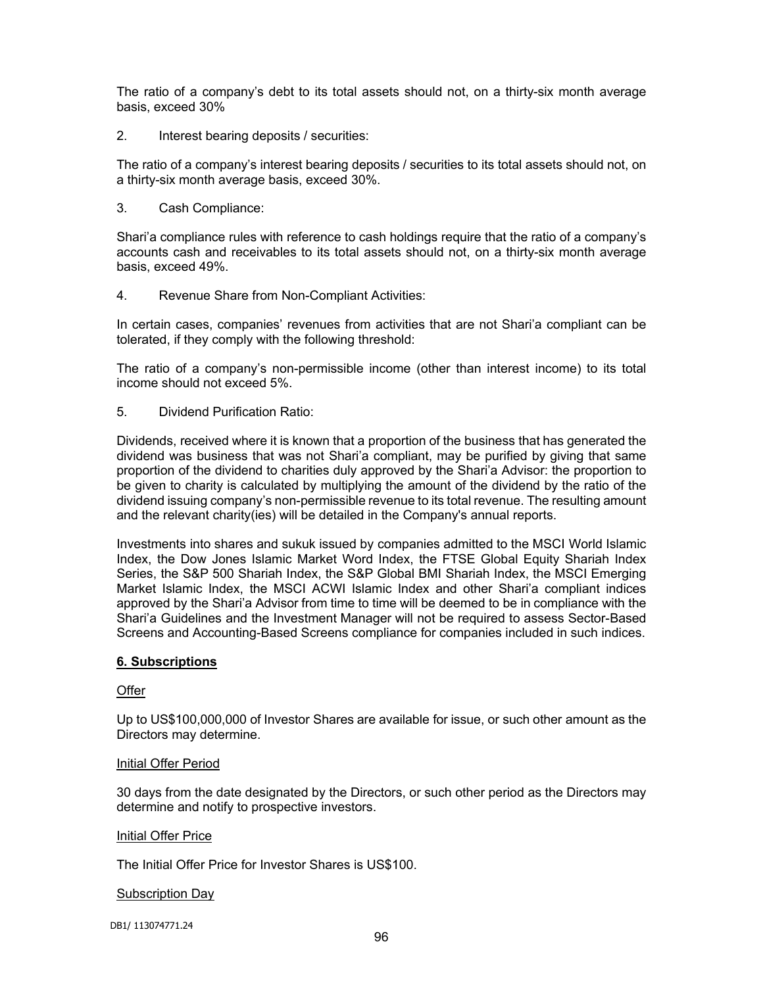The ratio of a company's debt to its total assets should not, on a thirty-six month average basis, exceed 30%

2. Interest bearing deposits / securities:

The ratio of a company's interest bearing deposits / securities to its total assets should not, on a thirty-six month average basis, exceed 30%.

3. Cash Compliance:

Shari'a compliance rules with reference to cash holdings require that the ratio of a company's accounts cash and receivables to its total assets should not, on a thirty-six month average basis, exceed 49%.

4. Revenue Share from Non-Compliant Activities:

In certain cases, companies' revenues from activities that are not Shari'a compliant can be tolerated, if they comply with the following threshold:

The ratio of a company's non-permissible income (other than interest income) to its total income should not exceed 5%.

5. Dividend Purification Ratio:

Dividends, received where it is known that a proportion of the business that has generated the dividend was business that was not Shari'a compliant, may be purified by giving that same proportion of the dividend to charities duly approved by the Shari'a Advisor: the proportion to be given to charity is calculated by multiplying the amount of the dividend by the ratio of the dividend issuing company's non-permissible revenue to its total revenue. The resulting amount and the relevant charity(ies) will be detailed in the Company's annual reports.

Investments into shares and sukuk issued by companies admitted to the MSCI World Islamic Index, the Dow Jones Islamic Market Word Index, the FTSE Global Equity Shariah Index Series, the S&P 500 Shariah Index, the S&P Global BMI Shariah Index, the MSCI Emerging Market Islamic Index, the MSCI ACWI Islamic Index and other Shari'a compliant indices approved by the Shari'a Advisor from time to time will be deemed to be in compliance with the Shari'a Guidelines and the Investment Manager will not be required to assess Sector-Based Screens and Accounting-Based Screens compliance for companies included in such indices.

# **6. Subscriptions**

### **Offer**

Up to US\$100,000,000 of Investor Shares are available for issue, or such other amount as the Directors may determine.

### Initial Offer Period

30 days from the date designated by the Directors, or such other period as the Directors may determine and notify to prospective investors.

### **Initial Offer Price**

The Initial Offer Price for Investor Shares is US\$100.

### Subscription Day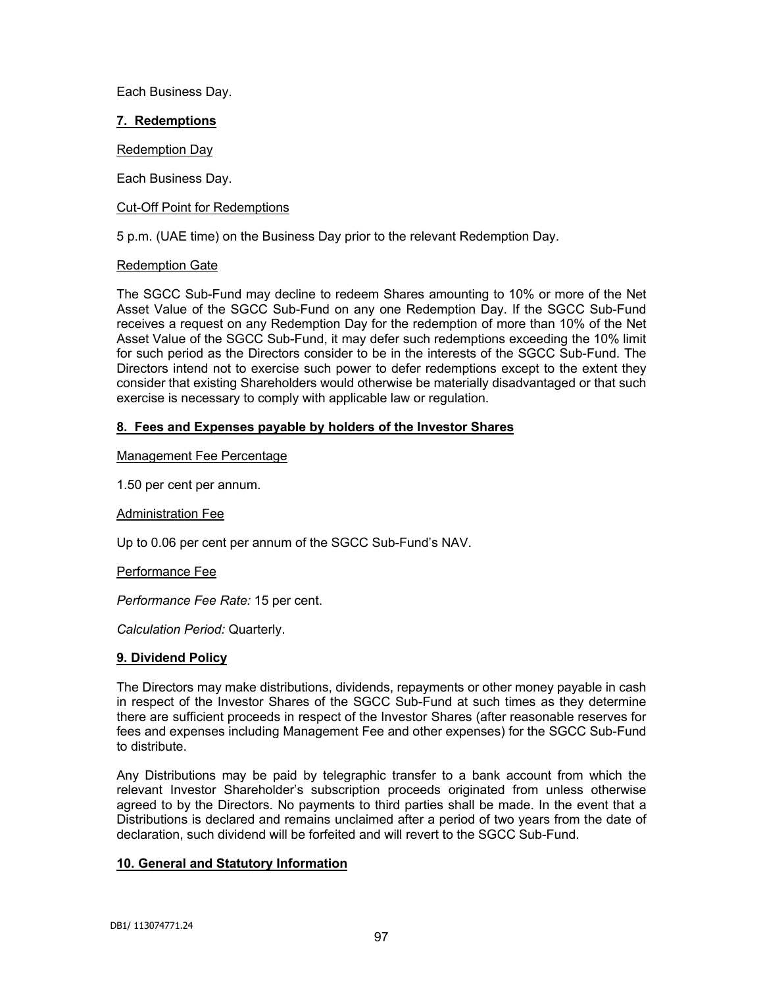Each Business Day.

## **7. Redemptions**

Redemption Day

Each Business Day.

### Cut-Off Point for Redemptions

5 p.m. (UAE time) on the Business Day prior to the relevant Redemption Day.

## Redemption Gate

The SGCC Sub-Fund may decline to redeem Shares amounting to 10% or more of the Net Asset Value of the SGCC Sub-Fund on any one Redemption Day. If the SGCC Sub-Fund receives a request on any Redemption Day for the redemption of more than 10% of the Net Asset Value of the SGCC Sub-Fund, it may defer such redemptions exceeding the 10% limit for such period as the Directors consider to be in the interests of the SGCC Sub-Fund. The Directors intend not to exercise such power to defer redemptions except to the extent they consider that existing Shareholders would otherwise be materially disadvantaged or that such exercise is necessary to comply with applicable law or regulation.

# **8. Fees and Expenses payable by holders of the Investor Shares**

### Management Fee Percentage

1.50 per cent per annum.

### Administration Fee

Up to 0.06 per cent per annum of the SGCC Sub-Fund's NAV.

### Performance Fee

*Performance Fee Rate:* 15 per cent.

*Calculation Period:* Quarterly.

### **9. Dividend Policy**

The Directors may make distributions, dividends, repayments or other money payable in cash in respect of the Investor Shares of the SGCC Sub-Fund at such times as they determine there are sufficient proceeds in respect of the Investor Shares (after reasonable reserves for fees and expenses including Management Fee and other expenses) for the SGCC Sub-Fund to distribute.

Any Distributions may be paid by telegraphic transfer to a bank account from which the relevant Investor Shareholder's subscription proceeds originated from unless otherwise agreed to by the Directors. No payments to third parties shall be made. In the event that a Distributions is declared and remains unclaimed after a period of two years from the date of declaration, such dividend will be forfeited and will revert to the SGCC Sub-Fund.

# **10. General and Statutory Information**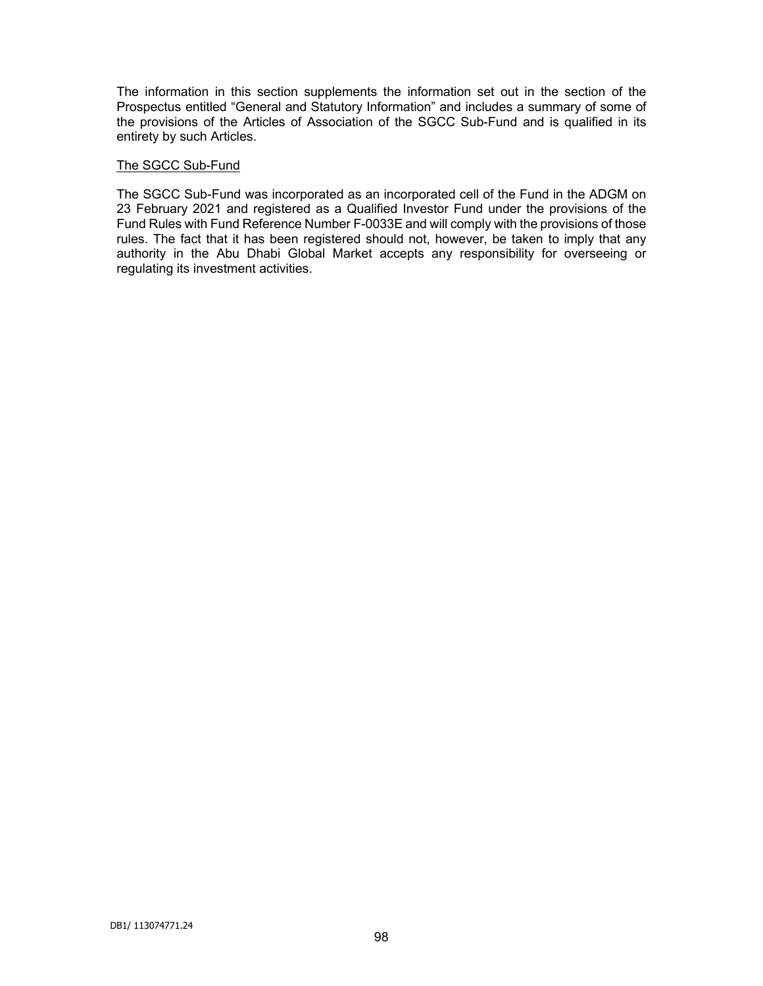The information in this section supplements the information set out in the section of the Prospectus entitled "General and Statutory Information" and includes a summary of some of the provisions of the Articles of Association of the SGCC Sub-Fund and is qualified in its entirety by such Articles.

#### The SGCC Sub-Fund

The SGCC Sub-Fund was incorporated as an incorporated cell of the Fund in the ADGM on 23 February 2021 and registered as a Qualified Investor Fund under the provisions of the Fund Rules with Fund Reference Number F-0033E and will comply with the provisions of those rules. The fact that it has been registered should not, however, be taken to imply that any authority in the Abu Dhabi Global Market accepts any responsibility for overseeing or regulating its investment activities.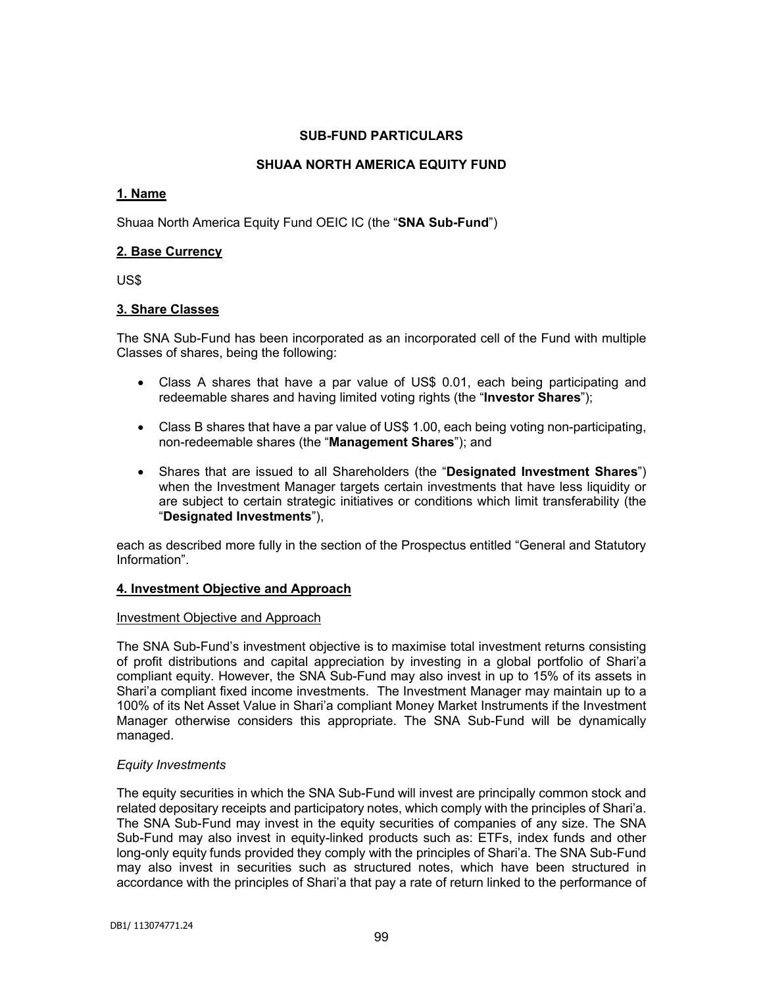## **SUB-FUND PARTICULARS**

# **SHUAA NORTH AMERICA EQUITY FUND**

## **1. Name**

Shuaa North America Equity Fund OEIC IC (the "**SNA Sub-Fund**")

## **2. Base Currency**

US\$

## **3. Share Classes**

The SNA Sub-Fund has been incorporated as an incorporated cell of the Fund with multiple Classes of shares, being the following:

- Class A shares that have a par value of US\$ 0.01, each being participating and redeemable shares and having limited voting rights (the "**Investor Shares**");
- Class B shares that have a par value of US\$ 1.00, each being voting non-participating, non-redeemable shares (the "**Management Shares**"); and
- Shares that are issued to all Shareholders (the "**Designated Investment Shares**") when the Investment Manager targets certain investments that have less liquidity or are subject to certain strategic initiatives or conditions which limit transferability (the "**Designated Investments**"),

each as described more fully in the section of the Prospectus entitled "General and Statutory Information".

### **4. Investment Objective and Approach**

### Investment Objective and Approach

The SNA Sub-Fund's investment objective is to maximise total investment returns consisting of profit distributions and capital appreciation by investing in a global portfolio of Shari'a compliant equity. However, the SNA Sub-Fund may also invest in up to 15% of its assets in Shari'a compliant fixed income investments. The Investment Manager may maintain up to a 100% of its Net Asset Value in Shari'a compliant Money Market Instruments if the Investment Manager otherwise considers this appropriate. The SNA Sub-Fund will be dynamically managed.

### *Equity Investments*

The equity securities in which the SNA Sub-Fund will invest are principally common stock and related depositary receipts and participatory notes, which comply with the principles of Shari'a. The SNA Sub-Fund may invest in the equity securities of companies of any size. The SNA Sub-Fund may also invest in equity-linked products such as: ETFs, index funds and other long-only equity funds provided they comply with the principles of Shari'a. The SNA Sub-Fund may also invest in securities such as structured notes, which have been structured in accordance with the principles of Shari'a that pay a rate of return linked to the performance of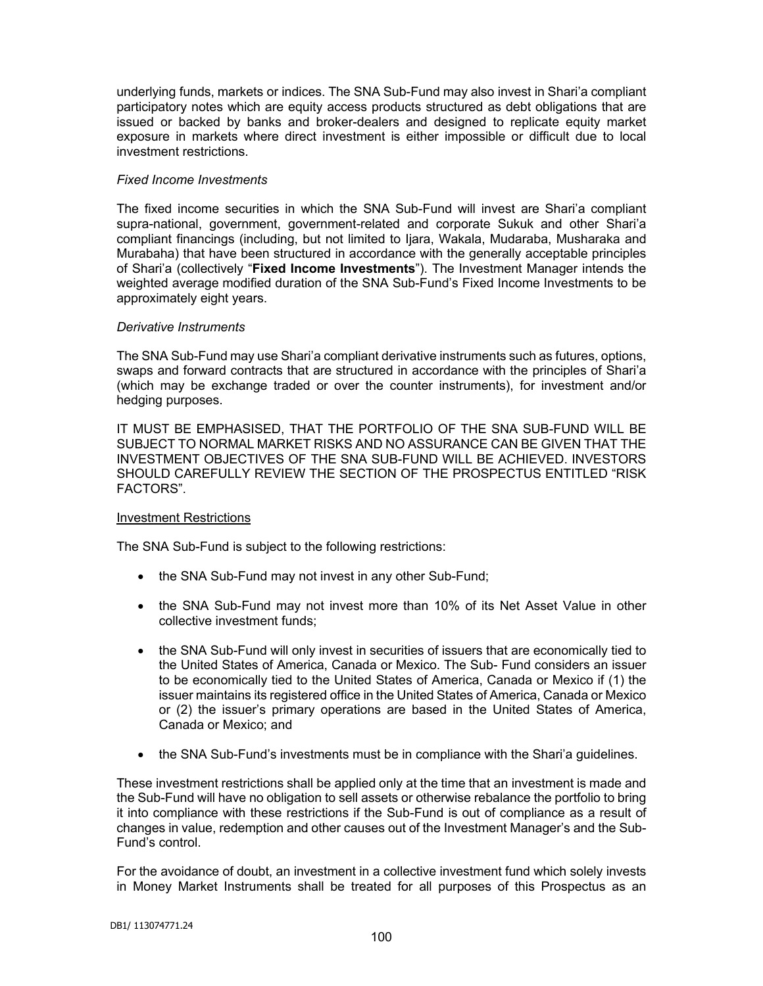underlying funds, markets or indices. The SNA Sub-Fund may also invest in Shari'a compliant participatory notes which are equity access products structured as debt obligations that are issued or backed by banks and broker-dealers and designed to replicate equity market exposure in markets where direct investment is either impossible or difficult due to local investment restrictions.

## *Fixed Income Investments*

The fixed income securities in which the SNA Sub-Fund will invest are Shari'a compliant supra-national, government, government-related and corporate Sukuk and other Shari'a compliant financings (including, but not limited to Ijara, Wakala, Mudaraba, Musharaka and Murabaha) that have been structured in accordance with the generally acceptable principles of Shari'a (collectively "**Fixed Income Investments**"). The Investment Manager intends the weighted average modified duration of the SNA Sub-Fund's Fixed Income Investments to be approximately eight years.

## *Derivative Instruments*

The SNA Sub-Fund may use Shari'a compliant derivative instruments such as futures, options, swaps and forward contracts that are structured in accordance with the principles of Shari'a (which may be exchange traded or over the counter instruments), for investment and/or hedging purposes.

IT MUST BE EMPHASISED, THAT THE PORTFOLIO OF THE SNA SUB-FUND WILL BE SUBJECT TO NORMAL MARKET RISKS AND NO ASSURANCE CAN BE GIVEN THAT THE INVESTMENT OBJECTIVES OF THE SNA SUB-FUND WILL BE ACHIEVED. INVESTORS SHOULD CAREFULLY REVIEW THE SECTION OF THE PROSPECTUS ENTITLED "RISK FACTORS".

# Investment Restrictions

The SNA Sub-Fund is subject to the following restrictions:

- the SNA Sub-Fund may not invest in any other Sub-Fund;
- the SNA Sub-Fund may not invest more than 10% of its Net Asset Value in other collective investment funds;
- the SNA Sub-Fund will only invest in securities of issuers that are economically tied to the United States of America, Canada or Mexico. The Sub- Fund considers an issuer to be economically tied to the United States of America, Canada or Mexico if (1) the issuer maintains its registered office in the United States of America, Canada or Mexico or (2) the issuer's primary operations are based in the United States of America, Canada or Mexico; and
- the SNA Sub-Fund's investments must be in compliance with the Shari'a guidelines.

These investment restrictions shall be applied only at the time that an investment is made and the Sub-Fund will have no obligation to sell assets or otherwise rebalance the portfolio to bring it into compliance with these restrictions if the Sub-Fund is out of compliance as a result of changes in value, redemption and other causes out of the Investment Manager's and the Sub-Fund's control.

For the avoidance of doubt, an investment in a collective investment fund which solely invests in Money Market Instruments shall be treated for all purposes of this Prospectus as an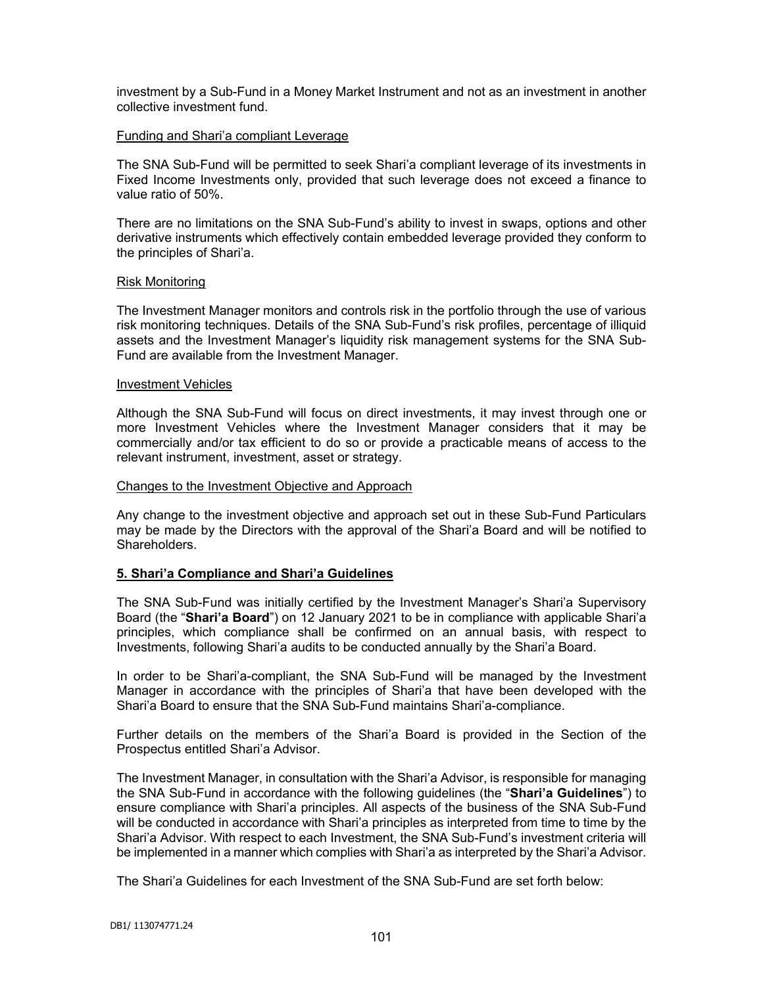investment by a Sub-Fund in a Money Market Instrument and not as an investment in another collective investment fund.

### Funding and Shari'a compliant Leverage

The SNA Sub-Fund will be permitted to seek Shari'a compliant leverage of its investments in Fixed Income Investments only, provided that such leverage does not exceed a finance to value ratio of 50%.

There are no limitations on the SNA Sub-Fund's ability to invest in swaps, options and other derivative instruments which effectively contain embedded leverage provided they conform to the principles of Shari'a.

#### Risk Monitoring

The Investment Manager monitors and controls risk in the portfolio through the use of various risk monitoring techniques. Details of the SNA Sub-Fund's risk profiles, percentage of illiquid assets and the Investment Manager's liquidity risk management systems for the SNA Sub-Fund are available from the Investment Manager.

#### Investment Vehicles

Although the SNA Sub-Fund will focus on direct investments, it may invest through one or more Investment Vehicles where the Investment Manager considers that it may be commercially and/or tax efficient to do so or provide a practicable means of access to the relevant instrument, investment, asset or strategy.

#### Changes to the Investment Objective and Approach

Any change to the investment objective and approach set out in these Sub-Fund Particulars may be made by the Directors with the approval of the Shari'a Board and will be notified to Shareholders.

### **5. Shari'a Compliance and Shari'a Guidelines**

The SNA Sub-Fund was initially certified by the Investment Manager's Shari'a Supervisory Board (the "**Shari'a Board**") on 12 January 2021 to be in compliance with applicable Shari'a principles, which compliance shall be confirmed on an annual basis, with respect to Investments, following Shari'a audits to be conducted annually by the Shari'a Board.

In order to be Shari'a-compliant, the SNA Sub-Fund will be managed by the Investment Manager in accordance with the principles of Shari'a that have been developed with the Shari'a Board to ensure that the SNA Sub-Fund maintains Shari'a-compliance.

Further details on the members of the Shari'a Board is provided in the Section of the Prospectus entitled Shari'a Advisor.

The Investment Manager, in consultation with the Shari'a Advisor, is responsible for managing the SNA Sub-Fund in accordance with the following guidelines (the "**Shari'a Guidelines**") to ensure compliance with Shari'a principles. All aspects of the business of the SNA Sub-Fund will be conducted in accordance with Shari'a principles as interpreted from time to time by the Shari'a Advisor. With respect to each Investment, the SNA Sub-Fund's investment criteria will be implemented in a manner which complies with Shari'a as interpreted by the Shari'a Advisor.

The Shari'a Guidelines for each Investment of the SNA Sub-Fund are set forth below: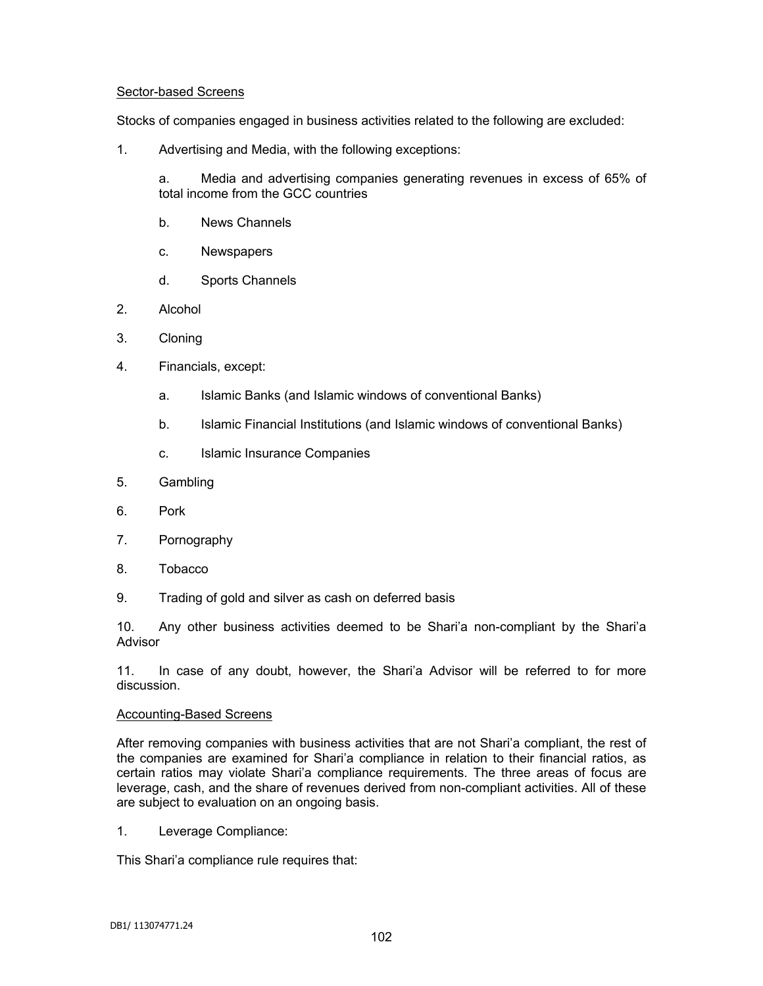## Sector-based Screens

Stocks of companies engaged in business activities related to the following are excluded:

1. Advertising and Media, with the following exceptions:

a. Media and advertising companies generating revenues in excess of 65% of total income from the GCC countries

- b. News Channels
- c. Newspapers
- d. Sports Channels
- 2. Alcohol
- 3. Cloning
- 4. Financials, except:
	- a. Islamic Banks (and Islamic windows of conventional Banks)
	- b. Islamic Financial Institutions (and Islamic windows of conventional Banks)
	- c. Islamic Insurance Companies
- 5. Gambling
- 6. Pork
- 7. Pornography
- 8. Tobacco
- 9. Trading of gold and silver as cash on deferred basis

10. Any other business activities deemed to be Shari'a non-compliant by the Shari'a Advisor

11. In case of any doubt, however, the Shari'a Advisor will be referred to for more discussion.

### Accounting-Based Screens

After removing companies with business activities that are not Shari'a compliant, the rest of the companies are examined for Shari'a compliance in relation to their financial ratios, as certain ratios may violate Shari'a compliance requirements. The three areas of focus are leverage, cash, and the share of revenues derived from non-compliant activities. All of these are subject to evaluation on an ongoing basis.

1. Leverage Compliance:

This Shari'a compliance rule requires that: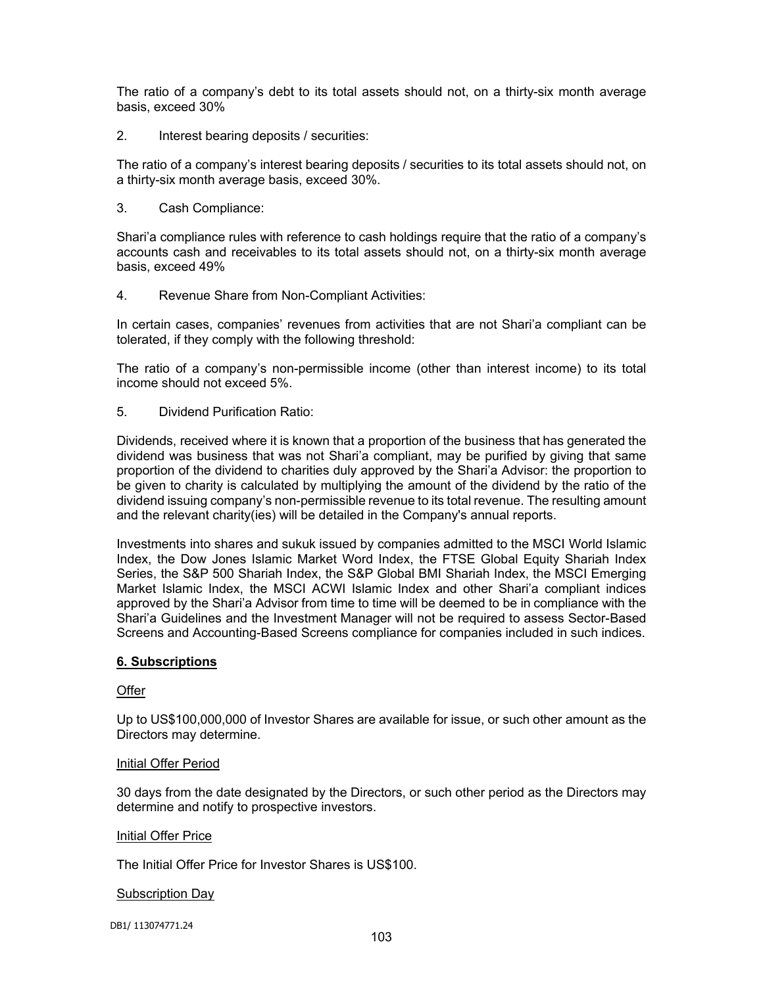The ratio of a company's debt to its total assets should not, on a thirty-six month average basis, exceed 30%

2. Interest bearing deposits / securities:

The ratio of a company's interest bearing deposits / securities to its total assets should not, on a thirty-six month average basis, exceed 30%.

3. Cash Compliance:

Shari'a compliance rules with reference to cash holdings require that the ratio of a company's accounts cash and receivables to its total assets should not, on a thirty-six month average basis, exceed 49%

4. Revenue Share from Non-Compliant Activities:

In certain cases, companies' revenues from activities that are not Shari'a compliant can be tolerated, if they comply with the following threshold:

The ratio of a company's non-permissible income (other than interest income) to its total income should not exceed 5%.

5. Dividend Purification Ratio:

Dividends, received where it is known that a proportion of the business that has generated the dividend was business that was not Shari'a compliant, may be purified by giving that same proportion of the dividend to charities duly approved by the Shari'a Advisor: the proportion to be given to charity is calculated by multiplying the amount of the dividend by the ratio of the dividend issuing company's non-permissible revenue to its total revenue. The resulting amount and the relevant charity(ies) will be detailed in the Company's annual reports.

Investments into shares and sukuk issued by companies admitted to the MSCI World Islamic Index, the Dow Jones Islamic Market Word Index, the FTSE Global Equity Shariah Index Series, the S&P 500 Shariah Index, the S&P Global BMI Shariah Index, the MSCI Emerging Market Islamic Index, the MSCI ACWI Islamic Index and other Shari'a compliant indices approved by the Shari'a Advisor from time to time will be deemed to be in compliance with the Shari'a Guidelines and the Investment Manager will not be required to assess Sector-Based Screens and Accounting-Based Screens compliance for companies included in such indices.

## **6. Subscriptions**

### **Offer**

Up to US\$100,000,000 of Investor Shares are available for issue, or such other amount as the Directors may determine.

### Initial Offer Period

30 days from the date designated by the Directors, or such other period as the Directors may determine and notify to prospective investors.

### **Initial Offer Price**

The Initial Offer Price for Investor Shares is US\$100.

### Subscription Day

DB1/ 113074771.24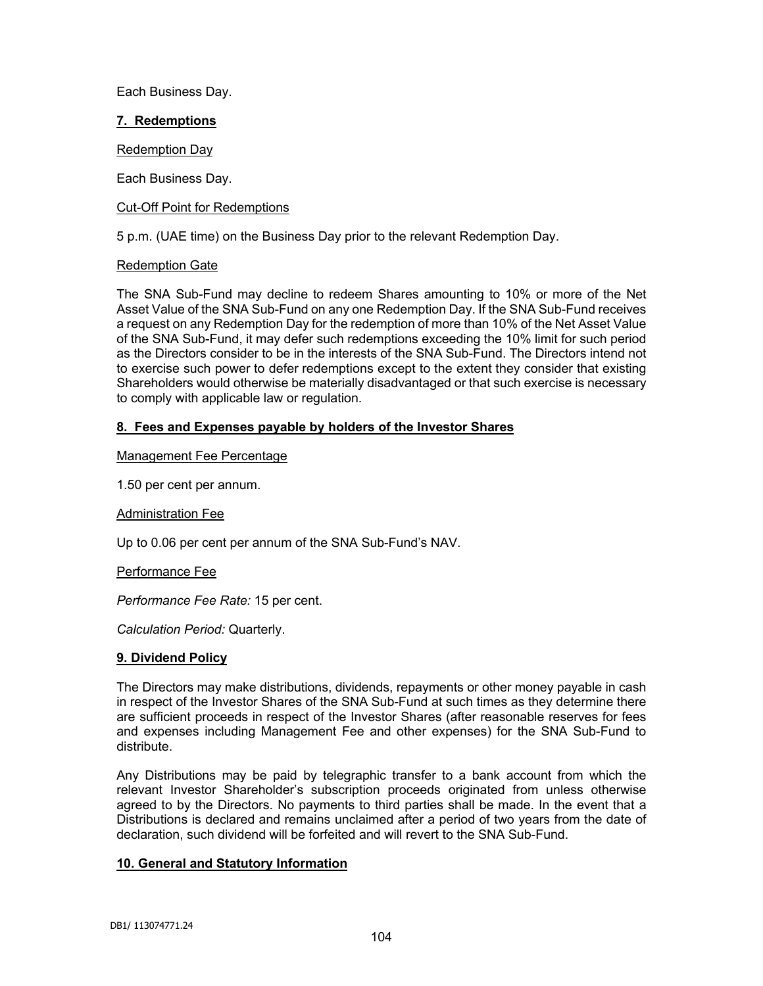Each Business Day.

## **7. Redemptions**

Redemption Day

Each Business Day.

## Cut-Off Point for Redemptions

5 p.m. (UAE time) on the Business Day prior to the relevant Redemption Day.

## Redemption Gate

The SNA Sub-Fund may decline to redeem Shares amounting to 10% or more of the Net Asset Value of the SNA Sub-Fund on any one Redemption Day. If the SNA Sub-Fund receives a request on any Redemption Day for the redemption of more than 10% of the Net Asset Value of the SNA Sub-Fund, it may defer such redemptions exceeding the 10% limit for such period as the Directors consider to be in the interests of the SNA Sub-Fund. The Directors intend not to exercise such power to defer redemptions except to the extent they consider that existing Shareholders would otherwise be materially disadvantaged or that such exercise is necessary to comply with applicable law or regulation.

## **8. Fees and Expenses payable by holders of the Investor Shares**

## Management Fee Percentage

1.50 per cent per annum.

## Administration Fee

Up to 0.06 per cent per annum of the SNA Sub-Fund's NAV.

Performance Fee

*Performance Fee Rate:* 15 per cent.

*Calculation Period:* Quarterly.

### **9. Dividend Policy**

The Directors may make distributions, dividends, repayments or other money payable in cash in respect of the Investor Shares of the SNA Sub-Fund at such times as they determine there are sufficient proceeds in respect of the Investor Shares (after reasonable reserves for fees and expenses including Management Fee and other expenses) for the SNA Sub-Fund to distribute.

Any Distributions may be paid by telegraphic transfer to a bank account from which the relevant Investor Shareholder's subscription proceeds originated from unless otherwise agreed to by the Directors. No payments to third parties shall be made. In the event that a Distributions is declared and remains unclaimed after a period of two years from the date of declaration, such dividend will be forfeited and will revert to the SNA Sub-Fund.

## **10. General and Statutory Information**